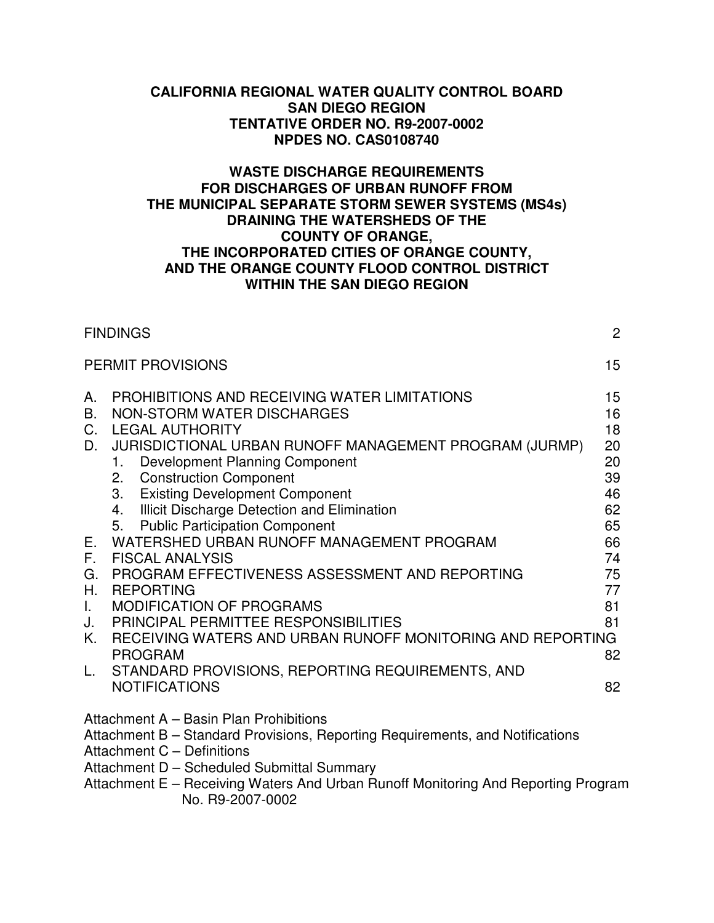#### **CALIFORNIA REGIONAL WATER QUALITY CONTROL BOARD SAN DIEGO REGION TENTATIVE ORDER NO. R9-2007-0002 NPDES NO. CAS0108740**

### **WASTE DISCHARGE REQUIREMENTS FOR DISCHARGES OF URBAN RUNOFF FROM THE MUNICIPAL SEPARATE STORM SEWER SYSTEMS (MS4s) DRAINING THE WATERSHEDS OF THE COUNTY OF ORANGE, THE INCORPORATED CITIES OF ORANGE COUNTY, AND THE ORANGE COUNTY FLOOD CONTROL DISTRICT WITHIN THE SAN DIEGO REGION**

|                                              | <b>FINDINGS</b>                                                                                                                                                                                                                                                                                                                                                                               | $\overline{2}$                                     |
|----------------------------------------------|-----------------------------------------------------------------------------------------------------------------------------------------------------------------------------------------------------------------------------------------------------------------------------------------------------------------------------------------------------------------------------------------------|----------------------------------------------------|
|                                              | <b>PERMIT PROVISIONS</b>                                                                                                                                                                                                                                                                                                                                                                      | 15                                                 |
| А.<br><b>B.</b><br>$C_{1}$<br>D.             | PROHIBITIONS AND RECEIVING WATER LIMITATIONS<br>NON-STORM WATER DISCHARGES<br><b>LEGAL AUTHORITY</b><br>JURISDICTIONAL URBAN RUNOFF MANAGEMENT PROGRAM (JURMP)<br><b>Development Planning Component</b><br>1.<br>2. Construction Component<br><b>Existing Development Component</b><br>3.<br>Illicit Discharge Detection and Elimination<br>4.<br><b>Public Participation Component</b><br>5. | 15<br>16<br>18<br>20<br>20<br>39<br>46<br>62<br>65 |
| Е.<br>F.<br>G.<br>Η.<br>Τ.<br>J.<br>Κ.<br>L. | WATERSHED URBAN RUNOFF MANAGEMENT PROGRAM<br><b>FISCAL ANALYSIS</b><br>PROGRAM EFFECTIVENESS ASSESSMENT AND REPORTING<br><b>REPORTING</b><br><b>MODIFICATION OF PROGRAMS</b><br>PRINCIPAL PERMITTEE RESPONSIBILITIES<br>RECEIVING WATERS AND URBAN RUNOFF MONITORING AND REPORTING<br><b>PROGRAM</b><br>STANDARD PROVISIONS, REPORTING REQUIREMENTS, AND                                      | 66<br>74<br>75<br>77<br>81<br>81<br>82             |
|                                              | <b>NOTIFICATIONS</b>                                                                                                                                                                                                                                                                                                                                                                          | 82                                                 |
|                                              | Attachment A - Basin Plan Prohibitions                                                                                                                                                                                                                                                                                                                                                        |                                                    |

Attachment B – Standard Provisions, Reporting Requirements, and Notifications

Attachment C – Definitions

Attachment D – Scheduled Submittal Summary

Attachment E – Receiving Waters And Urban Runoff Monitoring And Reporting Program No. R9-2007-0002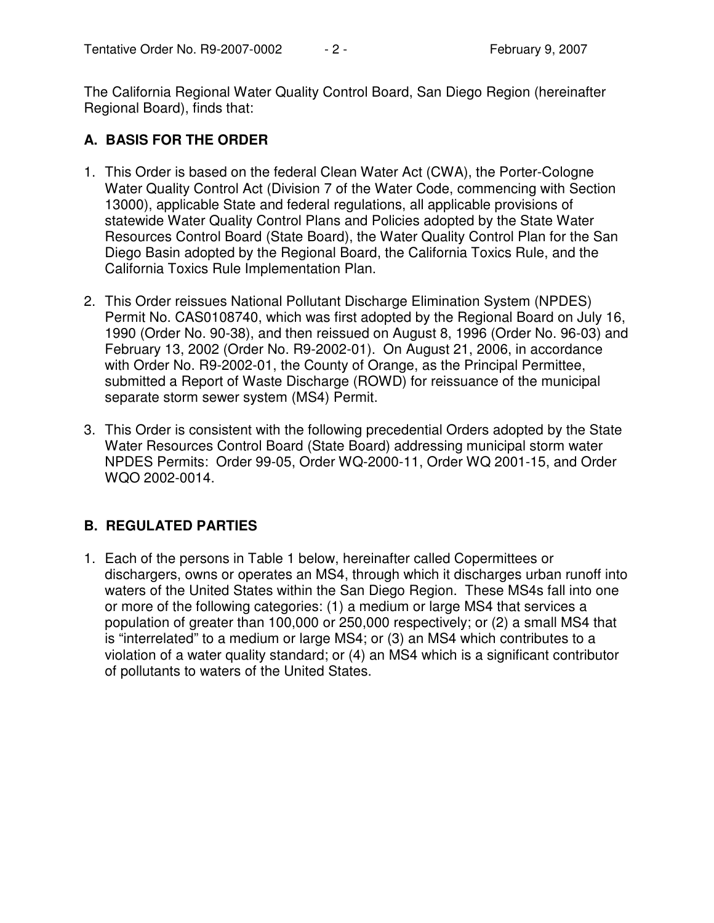The California Regional Water Quality Control Board, San Diego Region (hereinafter Regional Board), finds that:

## **A. BASIS FOR THE ORDER**

- 1. This Order is based on the federal Clean Water Act (CWA), the Porter-Cologne Water Quality Control Act (Division 7 of the Water Code, commencing with Section 13000), applicable State and federal regulations, all applicable provisions of statewide Water Quality Control Plans and Policies adopted by the State Water Resources Control Board (State Board), the Water Quality Control Plan for the San Diego Basin adopted by the Regional Board, the California Toxics Rule, and the California Toxics Rule Implementation Plan.
- 2. This Order reissues National Pollutant Discharge Elimination System (NPDES) Permit No. CAS0108740, which was first adopted by the Regional Board on July 16, 1990 (Order No. 90-38), and then reissued on August 8, 1996 (Order No. 96-03) and February 13, 2002 (Order No. R9-2002-01). On August 21, 2006, in accordance with Order No. R9-2002-01, the County of Orange, as the Principal Permittee, submitted a Report of Waste Discharge (ROWD) for reissuance of the municipal separate storm sewer system (MS4) Permit.
- 3. This Order is consistent with the following precedential Orders adopted by the State Water Resources Control Board (State Board) addressing municipal storm water NPDES Permits: Order 99-05, Order WQ-2000-11, Order WQ 2001-15, and Order WQO 2002-0014.

# **B. REGULATED PARTIES**

1. Each of the persons in Table 1 below, hereinafter called Copermittees or dischargers, owns or operates an MS4, through which it discharges urban runoff into waters of the United States within the San Diego Region. These MS4s fall into one or more of the following categories: (1) a medium or large MS4 that services a population of greater than 100,000 or 250,000 respectively; or (2) a small MS4 that is "interrelated" to a medium or large MS4; or (3) an MS4 which contributes to a violation of a water quality standard; or (4) an MS4 which is a significant contributor of pollutants to waters of the United States.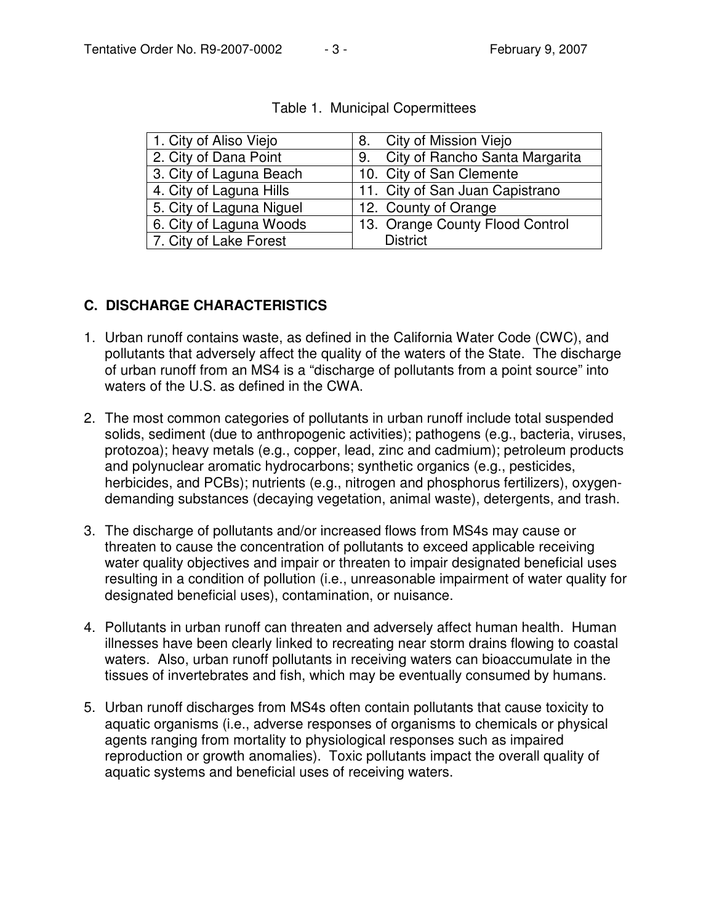| 1. City of Aliso Viejo   | 8. City of Mission Viejo          |
|--------------------------|-----------------------------------|
| 2. City of Dana Point    | 9. City of Rancho Santa Margarita |
| 3. City of Laguna Beach  | 10. City of San Clemente          |
| 4. City of Laguna Hills  | 11. City of San Juan Capistrano   |
| 5. City of Laguna Niguel | 12. County of Orange              |
| 6. City of Laguna Woods  | 13. Orange County Flood Control   |
| 7. City of Lake Forest   | <b>District</b>                   |

## **C. DISCHARGE CHARACTERISTICS**

- 1. Urban runoff contains waste, as defined in the California Water Code (CWC), and pollutants that adversely affect the quality of the waters of the State. The discharge of urban runoff from an MS4 is a "discharge of pollutants from a point source" into waters of the U.S. as defined in the CWA.
- 2. The most common categories of pollutants in urban runoff include total suspended solids, sediment (due to anthropogenic activities); pathogens (e.g., bacteria, viruses, protozoa); heavy metals (e.g., copper, lead, zinc and cadmium); petroleum products and polynuclear aromatic hydrocarbons; synthetic organics (e.g., pesticides, herbicides, and PCBs); nutrients (e.g., nitrogen and phosphorus fertilizers), oxygendemanding substances (decaying vegetation, animal waste), detergents, and trash.
- 3. The discharge of pollutants and/or increased flows from MS4s may cause or threaten to cause the concentration of pollutants to exceed applicable receiving water quality objectives and impair or threaten to impair designated beneficial uses resulting in a condition of pollution (i.e., unreasonable impairment of water quality for designated beneficial uses), contamination, or nuisance.
- 4. Pollutants in urban runoff can threaten and adversely affect human health. Human illnesses have been clearly linked to recreating near storm drains flowing to coastal waters. Also, urban runoff pollutants in receiving waters can bioaccumulate in the tissues of invertebrates and fish, which may be eventually consumed by humans.
- 5. Urban runoff discharges from MS4s often contain pollutants that cause toxicity to aquatic organisms (i.e., adverse responses of organisms to chemicals or physical agents ranging from mortality to physiological responses such as impaired reproduction or growth anomalies). Toxic pollutants impact the overall quality of aquatic systems and beneficial uses of receiving waters.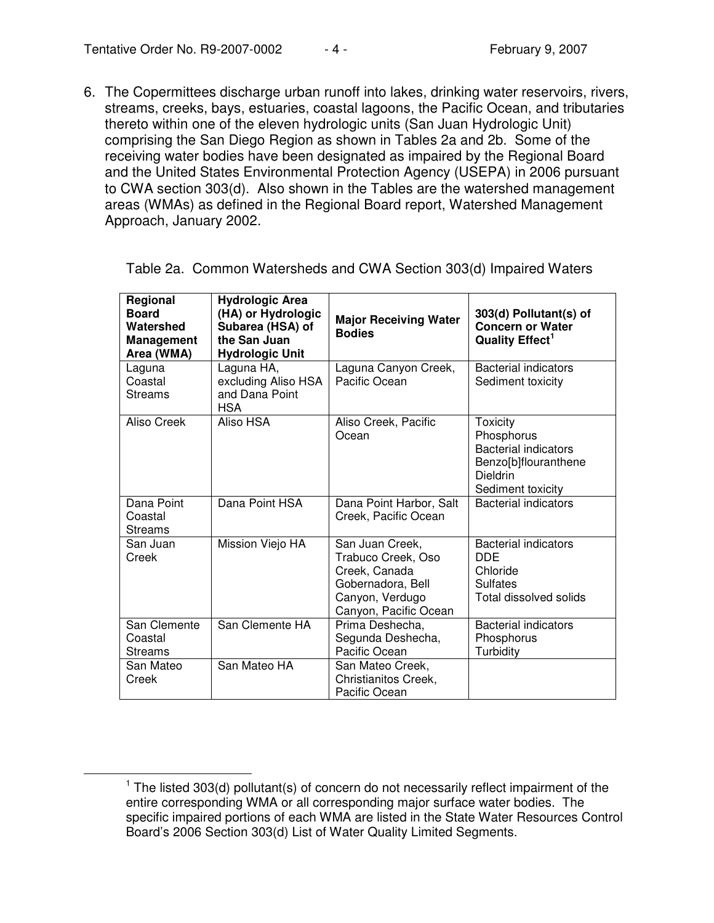6. The Copermittees discharge urban runoff into lakes, drinking water reservoirs, rivers, streams, creeks, bays, estuaries, coastal lagoons, the Pacific Ocean, and tributaries thereto within one of the eleven hydrologic units (San Juan Hydrologic Unit) comprising the San Diego Region as shown in Tables 2a and 2b. Some of the receiving water bodies have been designated as impaired by the Regional Board and the United States Environmental Protection Agency (USEPA) in 2006 pursuant to CWA section 303(d). Also shown in the Tables are the watershed management areas (WMAs) as defined in the Regional Board report, Watershed Management Approach, January 2002.

| Regional<br><b>Board</b><br>Watershed<br>Management<br>Area (WMA) | <b>Hydrologic Area</b><br>(HA) or Hydrologic<br>Subarea (HSA) of<br>the San Juan<br><b>Hydrologic Unit</b> | <b>Major Receiving Water</b><br><b>Bodies</b>                                                                           | 303(d) Pollutant(s) of<br><b>Concern or Water</b><br><b>Quality Effect<sup>1</sup></b>                                |
|-------------------------------------------------------------------|------------------------------------------------------------------------------------------------------------|-------------------------------------------------------------------------------------------------------------------------|-----------------------------------------------------------------------------------------------------------------------|
| Laguna<br>Coastal<br>Streams                                      | Laguna HA,<br>excluding Aliso HSA<br>and Dana Point<br>HSA.                                                | Laguna Canyon Creek,<br>Pacific Ocean                                                                                   | <b>Bacterial indicators</b><br>Sediment toxicity                                                                      |
| Aliso Creek                                                       | Aliso HSA                                                                                                  | Aliso Creek, Pacific<br>Ocean                                                                                           | <b>Toxicity</b><br>Phosphorus<br><b>Bacterial indicators</b><br>Benzo[b]flouranthene<br>Dieldrin<br>Sediment toxicity |
| Dana Point<br>Coastal<br>Streams                                  | Dana Point HSA                                                                                             | Dana Point Harbor, Salt<br>Creek, Pacific Ocean                                                                         | <b>Bacterial indicators</b>                                                                                           |
| San Juan<br>Creek                                                 | Mission Viejo HA                                                                                           | San Juan Creek,<br>Trabuco Creek, Oso<br>Creek, Canada<br>Gobernadora, Bell<br>Canyon, Verdugo<br>Canyon, Pacific Ocean | <b>Bacterial indicators</b><br><b>DDE</b><br>Chloride<br><b>Sulfates</b><br>Total dissolved solids                    |
| San Clemente<br>Coastal<br>Streams                                | San Clemente HA                                                                                            | Prima Deshecha,<br>Segunda Deshecha,<br>Pacific Ocean                                                                   | <b>Bacterial indicators</b><br>Phosphorus<br>Turbidity                                                                |
| San Mateo<br>Creek                                                | San Mateo HA                                                                                               | San Mateo Creek,<br>Christianitos Creek,<br>Pacific Ocean                                                               |                                                                                                                       |

Table 2a. Common Watersheds and CWA Section 303(d) Impaired Waters

 $1$  The listed 303(d) pollutant(s) of concern do not necessarily reflect impairment of the entire corresponding WMA or all corresponding major surface water bodies. The specific impaired portions of each WMA are listed in the State Water Resources Control Board's 2006 Section 303(d) List of Water Quality Limited Segments.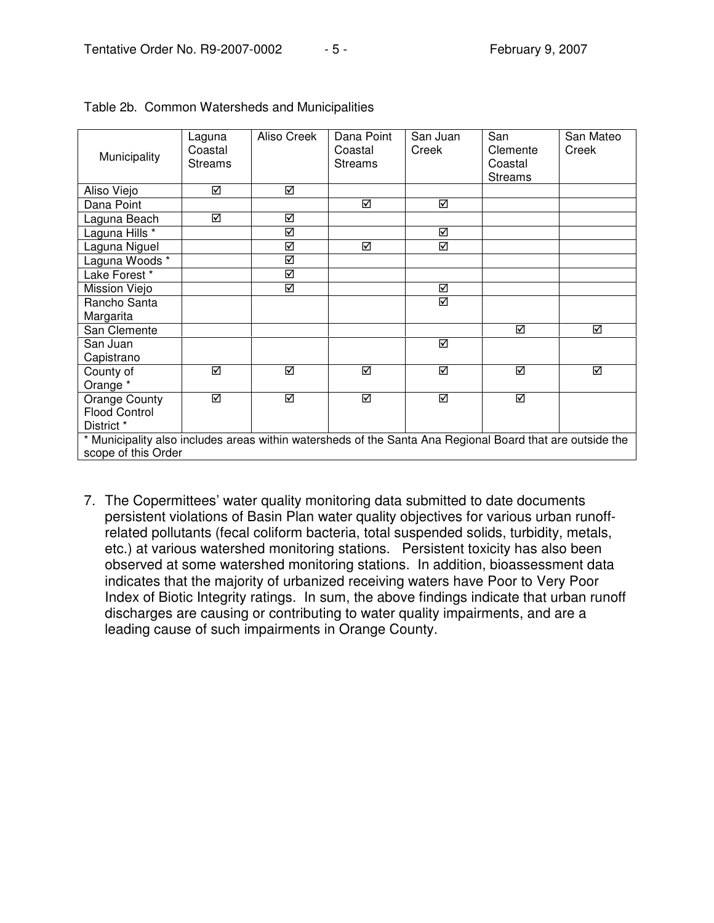| Municipality                                                                                              | Laguna<br>Coastal<br><b>Streams</b> | Aliso Creek | Dana Point<br>Coastal<br><b>Streams</b> | San Juan<br>Creek       | San<br>Clemente<br>Coastal<br><b>Streams</b> | San Mateo<br>Creek |
|-----------------------------------------------------------------------------------------------------------|-------------------------------------|-------------|-----------------------------------------|-------------------------|----------------------------------------------|--------------------|
| Aliso Viejo                                                                                               | ☑                                   | ☑           |                                         |                         |                                              |                    |
| Dana Point                                                                                                |                                     |             | ☑                                       | ☑                       |                                              |                    |
| Laguna Beach                                                                                              | ☑                                   | ☑           |                                         |                         |                                              |                    |
| Laguna Hills <sup>*</sup>                                                                                 |                                     | ☑           |                                         | ☑                       |                                              |                    |
| Laguna Niguel                                                                                             |                                     | ☑           | ☑                                       | $\overline{\mathbb{Z}}$ |                                              |                    |
| Laguna Woods *                                                                                            |                                     | ☑           |                                         |                         |                                              |                    |
| Lake Forest*                                                                                              |                                     | ☑           |                                         |                         |                                              |                    |
| Mission Viejo                                                                                             |                                     | ☑           |                                         | ☑                       |                                              |                    |
| Rancho Santa                                                                                              |                                     |             |                                         | ☑                       |                                              |                    |
| Margarita                                                                                                 |                                     |             |                                         |                         |                                              |                    |
| San Clemente                                                                                              |                                     |             |                                         |                         | ☑                                            | ☑                  |
| San Juan                                                                                                  |                                     |             |                                         | ☑                       |                                              |                    |
| Capistrano                                                                                                |                                     |             |                                         |                         |                                              |                    |
| County of                                                                                                 | ☑                                   | ☑           | ☑                                       | ☑                       | ⊠                                            | ☑                  |
| Orange *                                                                                                  |                                     |             |                                         |                         |                                              |                    |
| Orange County                                                                                             | ☑                                   | ☑           | ☑                                       | ☑                       | ⊠                                            |                    |
| <b>Flood Control</b>                                                                                      |                                     |             |                                         |                         |                                              |                    |
| District *                                                                                                |                                     |             |                                         |                         |                                              |                    |
| * Municipality also includes areas within watersheds of the Santa Ana Regional Board that are outside the |                                     |             |                                         |                         |                                              |                    |
| scope of this Order                                                                                       |                                     |             |                                         |                         |                                              |                    |

|  |  |  |  | Table 2b. Common Watersheds and Municipalities |
|--|--|--|--|------------------------------------------------|
|--|--|--|--|------------------------------------------------|

7. The Copermittees' water quality monitoring data submitted to date documents persistent violations of Basin Plan water quality objectives for various urban runoffrelated pollutants (fecal coliform bacteria, total suspended solids, turbidity, metals, etc.) at various watershed monitoring stations. Persistent toxicity has also been observed at some watershed monitoring stations. In addition, bioassessment data indicates that the majority of urbanized receiving waters have Poor to Very Poor Index of Biotic Integrity ratings. In sum, the above findings indicate that urban runoff discharges are causing or contributing to water quality impairments, and are a leading cause of such impairments in Orange County.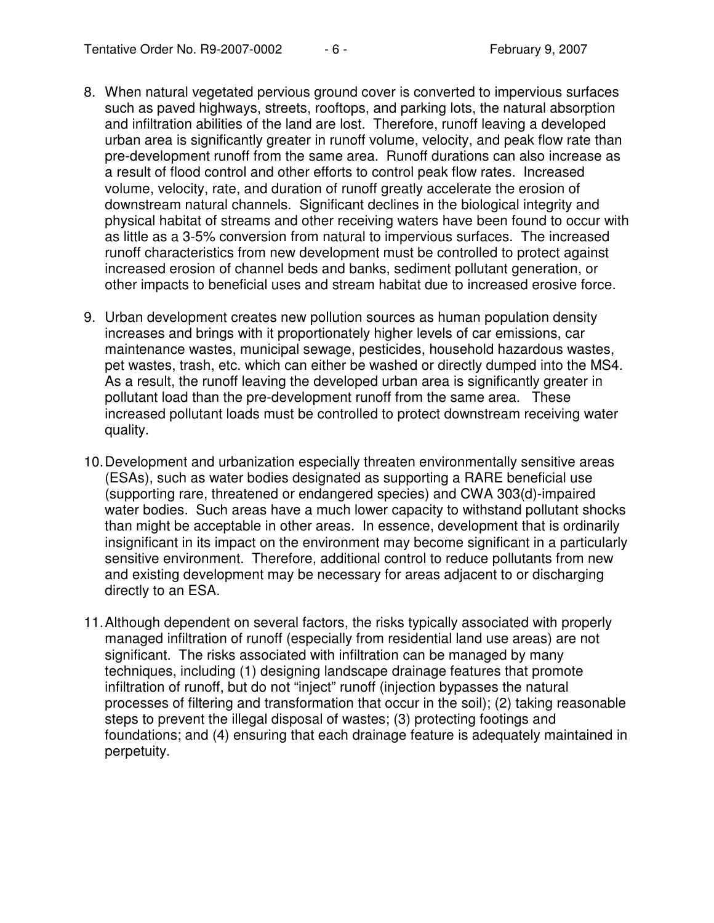- 8. When natural vegetated pervious ground cover is converted to impervious surfaces such as paved highways, streets, rooftops, and parking lots, the natural absorption and infiltration abilities of the land are lost. Therefore, runoff leaving a developed urban area is significantly greater in runoff volume, velocity, and peak flow rate than pre-development runoff from the same area. Runoff durations can also increase as a result of flood control and other efforts to control peak flow rates. Increased volume, velocity, rate, and duration of runoff greatly accelerate the erosion of downstream natural channels. Significant declines in the biological integrity and physical habitat of streams and other receiving waters have been found to occur with as little as a 3-5% conversion from natural to impervious surfaces. The increased runoff characteristics from new development must be controlled to protect against increased erosion of channel beds and banks, sediment pollutant generation, or other impacts to beneficial uses and stream habitat due to increased erosive force.
- 9. Urban development creates new pollution sources as human population density increases and brings with it proportionately higher levels of car emissions, car maintenance wastes, municipal sewage, pesticides, household hazardous wastes, pet wastes, trash, etc. which can either be washed or directly dumped into the MS4. As a result, the runoff leaving the developed urban area is significantly greater in pollutant load than the pre-development runoff from the same area. These increased pollutant loads must be controlled to protect downstream receiving water quality.
- 10.Development and urbanization especially threaten environmentally sensitive areas (ESAs), such as water bodies designated as supporting a RARE beneficial use (supporting rare, threatened or endangered species) and CWA 303(d)-impaired water bodies. Such areas have a much lower capacity to withstand pollutant shocks than might be acceptable in other areas. In essence, development that is ordinarily insignificant in its impact on the environment may become significant in a particularly sensitive environment. Therefore, additional control to reduce pollutants from new and existing development may be necessary for areas adjacent to or discharging directly to an ESA.
- 11.Although dependent on several factors, the risks typically associated with properly managed infiltration of runoff (especially from residential land use areas) are not significant. The risks associated with infiltration can be managed by many techniques, including (1) designing landscape drainage features that promote infiltration of runoff, but do not "inject" runoff (injection bypasses the natural processes of filtering and transformation that occur in the soil); (2) taking reasonable steps to prevent the illegal disposal of wastes; (3) protecting footings and foundations; and (4) ensuring that each drainage feature is adequately maintained in perpetuity.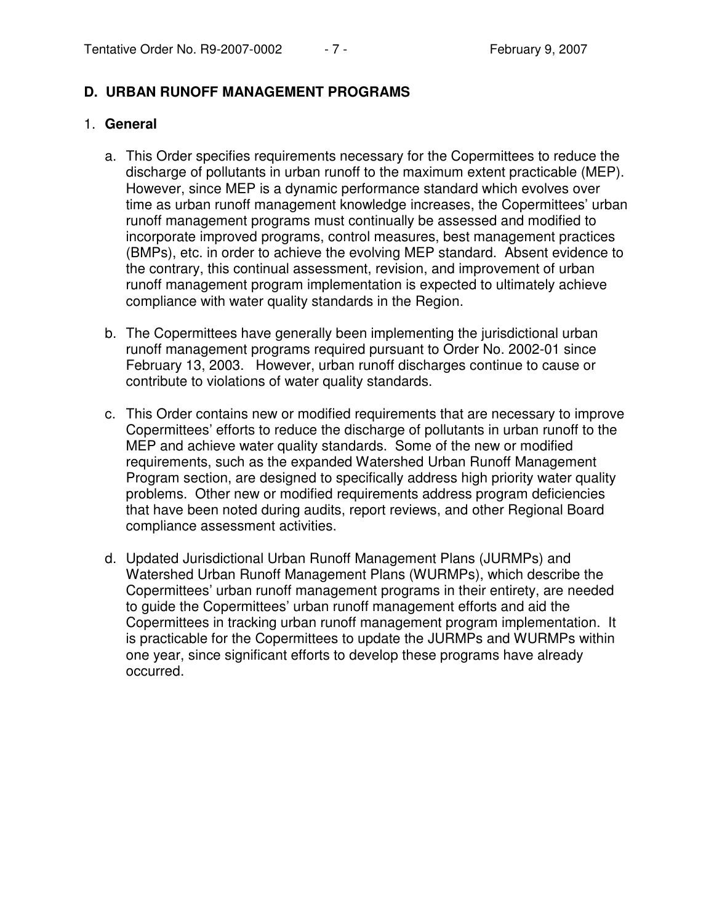### **D. URBAN RUNOFF MANAGEMENT PROGRAMS**

#### 1. **General**

- a. This Order specifies requirements necessary for the Copermittees to reduce the discharge of pollutants in urban runoff to the maximum extent practicable (MEP). However, since MEP is a dynamic performance standard which evolves over time as urban runoff management knowledge increases, the Copermittees' urban runoff management programs must continually be assessed and modified to incorporate improved programs, control measures, best management practices (BMPs), etc. in order to achieve the evolving MEP standard. Absent evidence to the contrary, this continual assessment, revision, and improvement of urban runoff management program implementation is expected to ultimately achieve compliance with water quality standards in the Region.
- b. The Copermittees have generally been implementing the jurisdictional urban runoff management programs required pursuant to Order No. 2002-01 since February 13, 2003. However, urban runoff discharges continue to cause or contribute to violations of water quality standards.
- c. This Order contains new or modified requirements that are necessary to improve Copermittees' efforts to reduce the discharge of pollutants in urban runoff to the MEP and achieve water quality standards. Some of the new or modified requirements, such as the expanded Watershed Urban Runoff Management Program section, are designed to specifically address high priority water quality problems. Other new or modified requirements address program deficiencies that have been noted during audits, report reviews, and other Regional Board compliance assessment activities.
- d. Updated Jurisdictional Urban Runoff Management Plans (JURMPs) and Watershed Urban Runoff Management Plans (WURMPs), which describe the Copermittees' urban runoff management programs in their entirety, are needed to guide the Copermittees' urban runoff management efforts and aid the Copermittees in tracking urban runoff management program implementation. It is practicable for the Copermittees to update the JURMPs and WURMPs within one year, since significant efforts to develop these programs have already occurred.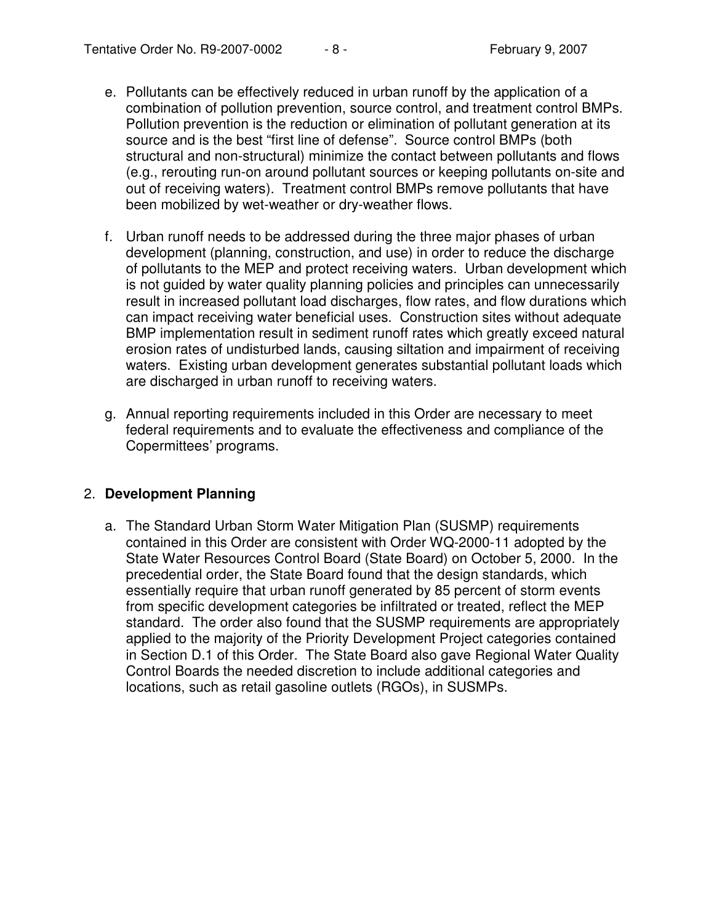- e. Pollutants can be effectively reduced in urban runoff by the application of a combination of pollution prevention, source control, and treatment control BMPs. Pollution prevention is the reduction or elimination of pollutant generation at its source and is the best "first line of defense". Source control BMPs (both structural and non-structural) minimize the contact between pollutants and flows (e.g., rerouting run-on around pollutant sources or keeping pollutants on-site and out of receiving waters). Treatment control BMPs remove pollutants that have been mobilized by wet-weather or dry-weather flows.
- f. Urban runoff needs to be addressed during the three major phases of urban development (planning, construction, and use) in order to reduce the discharge of pollutants to the MEP and protect receiving waters. Urban development which is not guided by water quality planning policies and principles can unnecessarily result in increased pollutant load discharges, flow rates, and flow durations which can impact receiving water beneficial uses. Construction sites without adequate BMP implementation result in sediment runoff rates which greatly exceed natural erosion rates of undisturbed lands, causing siltation and impairment of receiving waters. Existing urban development generates substantial pollutant loads which are discharged in urban runoff to receiving waters.
- g. Annual reporting requirements included in this Order are necessary to meet federal requirements and to evaluate the effectiveness and compliance of the Copermittees' programs.

### 2. **Development Planning**

a. The Standard Urban Storm Water Mitigation Plan (SUSMP) requirements contained in this Order are consistent with Order WQ-2000-11 adopted by the State Water Resources Control Board (State Board) on October 5, 2000. In the precedential order, the State Board found that the design standards, which essentially require that urban runoff generated by 85 percent of storm events from specific development categories be infiltrated or treated, reflect the MEP standard. The order also found that the SUSMP requirements are appropriately applied to the majority of the Priority Development Project categories contained in Section D.1 of this Order. The State Board also gave Regional Water Quality Control Boards the needed discretion to include additional categories and locations, such as retail gasoline outlets (RGOs), in SUSMPs.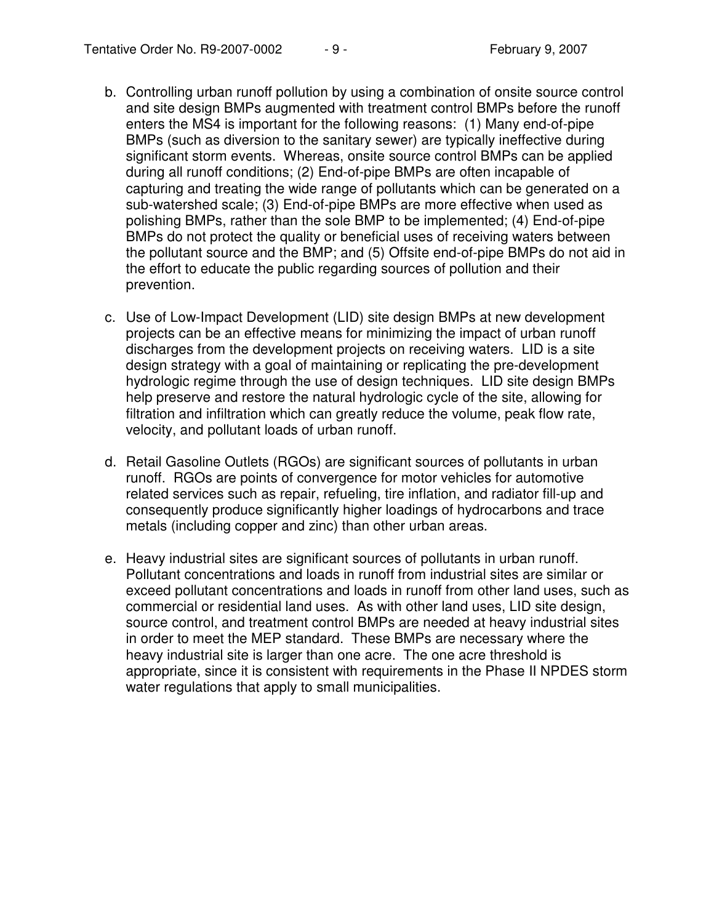- b. Controlling urban runoff pollution by using a combination of onsite source control and site design BMPs augmented with treatment control BMPs before the runoff enters the MS4 is important for the following reasons: (1) Many end-of-pipe BMPs (such as diversion to the sanitary sewer) are typically ineffective during significant storm events. Whereas, onsite source control BMPs can be applied during all runoff conditions; (2) End-of-pipe BMPs are often incapable of capturing and treating the wide range of pollutants which can be generated on a sub-watershed scale; (3) End-of-pipe BMPs are more effective when used as polishing BMPs, rather than the sole BMP to be implemented; (4) End-of-pipe BMPs do not protect the quality or beneficial uses of receiving waters between the pollutant source and the BMP; and (5) Offsite end-of-pipe BMPs do not aid in the effort to educate the public regarding sources of pollution and their prevention.
- c. Use of Low-Impact Development (LID) site design BMPs at new development projects can be an effective means for minimizing the impact of urban runoff discharges from the development projects on receiving waters. LID is a site design strategy with a goal of maintaining or replicating the pre-development hydrologic regime through the use of design techniques. LID site design BMPs help preserve and restore the natural hydrologic cycle of the site, allowing for filtration and infiltration which can greatly reduce the volume, peak flow rate, velocity, and pollutant loads of urban runoff.
- d. Retail Gasoline Outlets (RGOs) are significant sources of pollutants in urban runoff. RGOs are points of convergence for motor vehicles for automotive related services such as repair, refueling, tire inflation, and radiator fill-up and consequently produce significantly higher loadings of hydrocarbons and trace metals (including copper and zinc) than other urban areas.
- e. Heavy industrial sites are significant sources of pollutants in urban runoff. Pollutant concentrations and loads in runoff from industrial sites are similar or exceed pollutant concentrations and loads in runoff from other land uses, such as commercial or residential land uses. As with other land uses, LID site design, source control, and treatment control BMPs are needed at heavy industrial sites in order to meet the MEP standard. These BMPs are necessary where the heavy industrial site is larger than one acre. The one acre threshold is appropriate, since it is consistent with requirements in the Phase II NPDES storm water regulations that apply to small municipalities.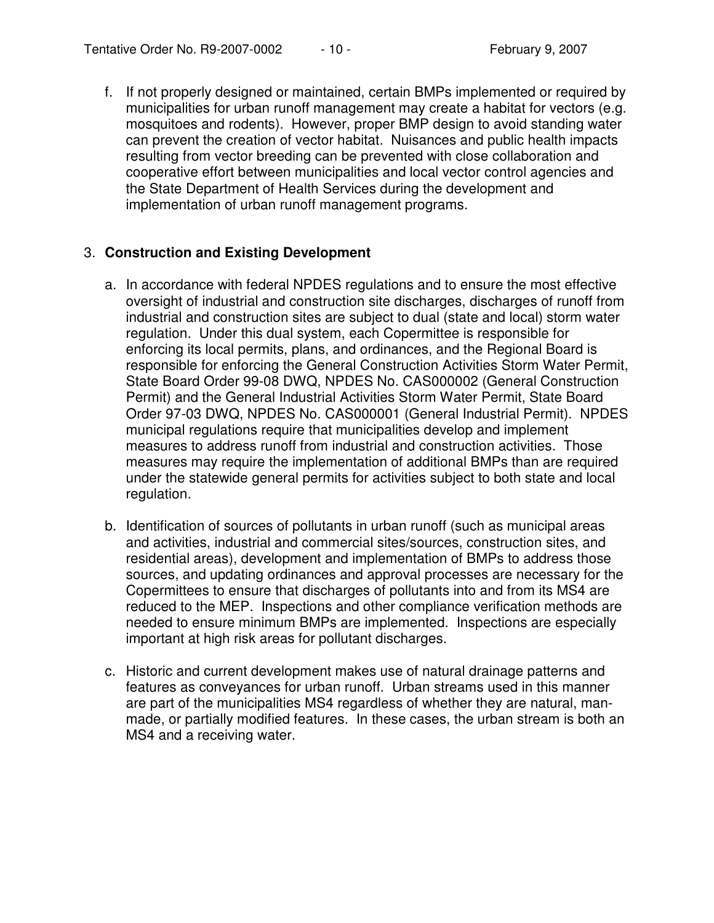f. If not properly designed or maintained, certain BMPs implemented or required by municipalities for urban runoff management may create a habitat for vectors (e.g. mosquitoes and rodents). However, proper BMP design to avoid standing water can prevent the creation of vector habitat. Nuisances and public health impacts resulting from vector breeding can be prevented with close collaboration and cooperative effort between municipalities and local vector control agencies and the State Department of Health Services during the development and implementation of urban runoff management programs.

### 3. **Construction and Existing Development**

- a. In accordance with federal NPDES regulations and to ensure the most effective oversight of industrial and construction site discharges, discharges of runoff from industrial and construction sites are subject to dual (state and local) storm water regulation. Under this dual system, each Copermittee is responsible for enforcing its local permits, plans, and ordinances, and the Regional Board is responsible for enforcing the General Construction Activities Storm Water Permit, State Board Order 99-08 DWQ, NPDES No. CAS000002 (General Construction Permit) and the General Industrial Activities Storm Water Permit, State Board Order 97-03 DWQ, NPDES No. CAS000001 (General Industrial Permit). NPDES municipal regulations require that municipalities develop and implement measures to address runoff from industrial and construction activities. Those measures may require the implementation of additional BMPs than are required under the statewide general permits for activities subject to both state and local regulation.
- b. Identification of sources of pollutants in urban runoff (such as municipal areas and activities, industrial and commercial sites/sources, construction sites, and residential areas), development and implementation of BMPs to address those sources, and updating ordinances and approval processes are necessary for the Copermittees to ensure that discharges of pollutants into and from its MS4 are reduced to the MEP. Inspections and other compliance verification methods are needed to ensure minimum BMPs are implemented. Inspections are especially important at high risk areas for pollutant discharges.
- c. Historic and current development makes use of natural drainage patterns and features as conveyances for urban runoff. Urban streams used in this manner are part of the municipalities MS4 regardless of whether they are natural, manmade, or partially modified features. In these cases, the urban stream is both an MS4 and a receiving water.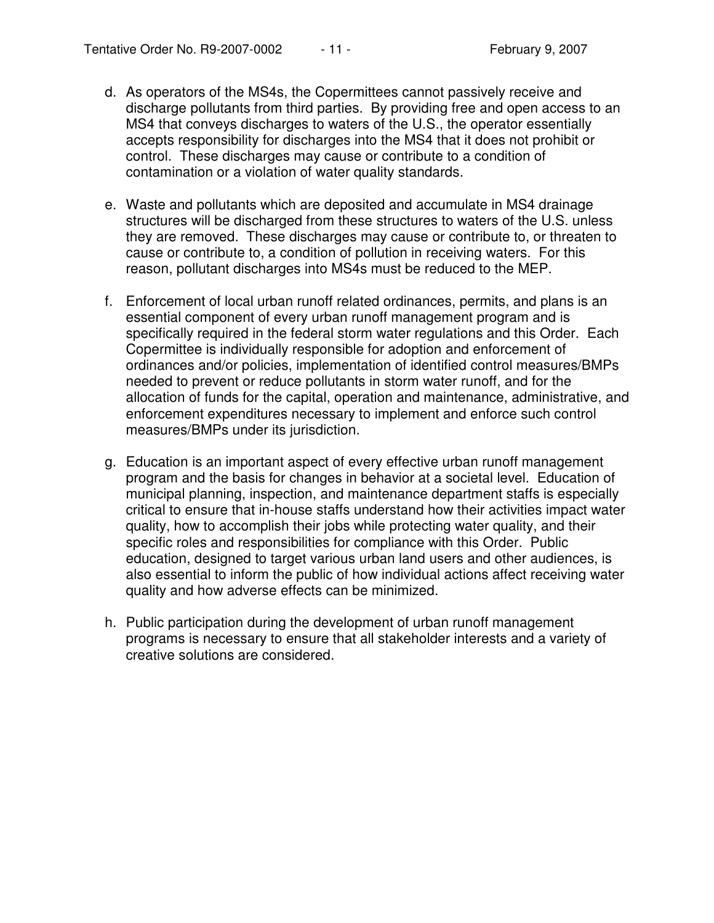- d. As operators of the MS4s, the Copermittees cannot passively receive and discharge pollutants from third parties. By providing free and open access to an MS4 that conveys discharges to waters of the U.S., the operator essentially accepts responsibility for discharges into the MS4 that it does not prohibit or control. These discharges may cause or contribute to a condition of contamination or a violation of water quality standards.
- e. Waste and pollutants which are deposited and accumulate in MS4 drainage structures will be discharged from these structures to waters of the U.S. unless they are removed. These discharges may cause or contribute to, or threaten to cause or contribute to, a condition of pollution in receiving waters. For this reason, pollutant discharges into MS4s must be reduced to the MEP.
- f. Enforcement of local urban runoff related ordinances, permits, and plans is an essential component of every urban runoff management program and is specifically required in the federal storm water regulations and this Order. Each Copermittee is individually responsible for adoption and enforcement of ordinances and/or policies, implementation of identified control measures/BMPs needed to prevent or reduce pollutants in storm water runoff, and for the allocation of funds for the capital, operation and maintenance, administrative, and enforcement expenditures necessary to implement and enforce such control measures/BMPs under its jurisdiction.
- g. Education is an important aspect of every effective urban runoff management program and the basis for changes in behavior at a societal level. Education of municipal planning, inspection, and maintenance department staffs is especially critical to ensure that in-house staffs understand how their activities impact water quality, how to accomplish their jobs while protecting water quality, and their specific roles and responsibilities for compliance with this Order. Public education, designed to target various urban land users and other audiences, is also essential to inform the public of how individual actions affect receiving water quality and how adverse effects can be minimized.
- h. Public participation during the development of urban runoff management programs is necessary to ensure that all stakeholder interests and a variety of creative solutions are considered.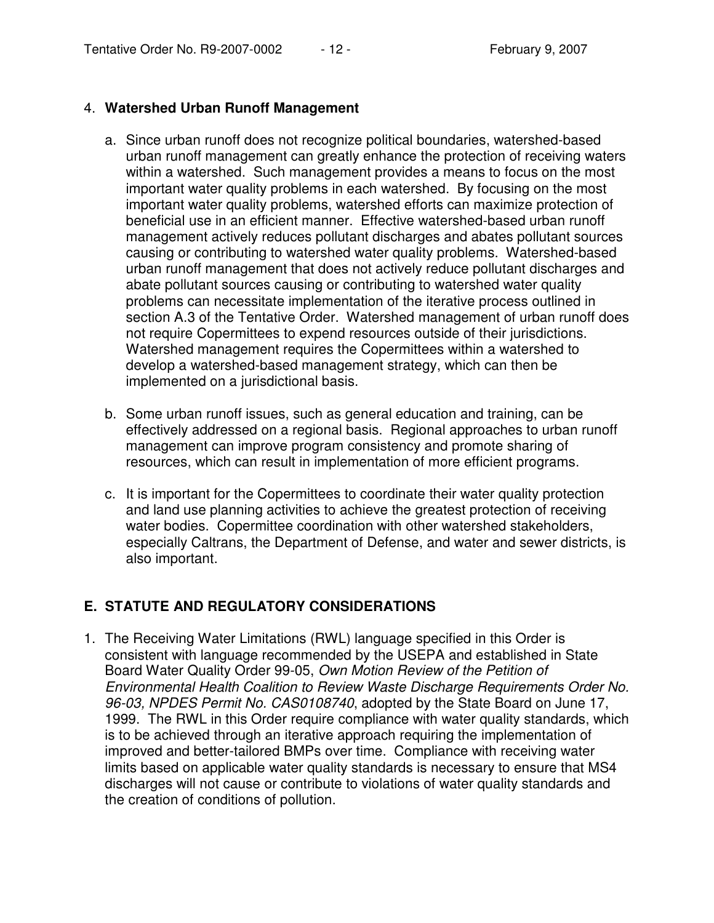### 4. **Watershed Urban Runoff Management**

- a. Since urban runoff does not recognize political boundaries, watershed-based urban runoff management can greatly enhance the protection of receiving waters within a watershed. Such management provides a means to focus on the most important water quality problems in each watershed. By focusing on the most important water quality problems, watershed efforts can maximize protection of beneficial use in an efficient manner. Effective watershed-based urban runoff management actively reduces pollutant discharges and abates pollutant sources causing or contributing to watershed water quality problems. Watershed-based urban runoff management that does not actively reduce pollutant discharges and abate pollutant sources causing or contributing to watershed water quality problems can necessitate implementation of the iterative process outlined in section A.3 of the Tentative Order. Watershed management of urban runoff does not require Copermittees to expend resources outside of their jurisdictions. Watershed management requires the Copermittees within a watershed to develop a watershed-based management strategy, which can then be implemented on a jurisdictional basis.
- b. Some urban runoff issues, such as general education and training, can be effectively addressed on a regional basis. Regional approaches to urban runoff management can improve program consistency and promote sharing of resources, which can result in implementation of more efficient programs.
- c. It is important for the Copermittees to coordinate their water quality protection and land use planning activities to achieve the greatest protection of receiving water bodies. Copermittee coordination with other watershed stakeholders, especially Caltrans, the Department of Defense, and water and sewer districts, is also important.

### **E. STATUTE AND REGULATORY CONSIDERATIONS**

1. The Receiving Water Limitations (RWL) language specified in this Order is consistent with language recommended by the USEPA and established in State Board Water Quality Order 99-05, *Own Motion Review of the Petition of Environmental Health Coalition to Review Waste Discharge Requirements Order No. 96-03, NPDES Permit No. CAS0108740*, adopted by the State Board on June 17, 1999. The RWL in this Order require compliance with water quality standards, which is to be achieved through an iterative approach requiring the implementation of improved and better-tailored BMPs over time. Compliance with receiving water limits based on applicable water quality standards is necessary to ensure that MS4 discharges will not cause or contribute to violations of water quality standards and the creation of conditions of pollution.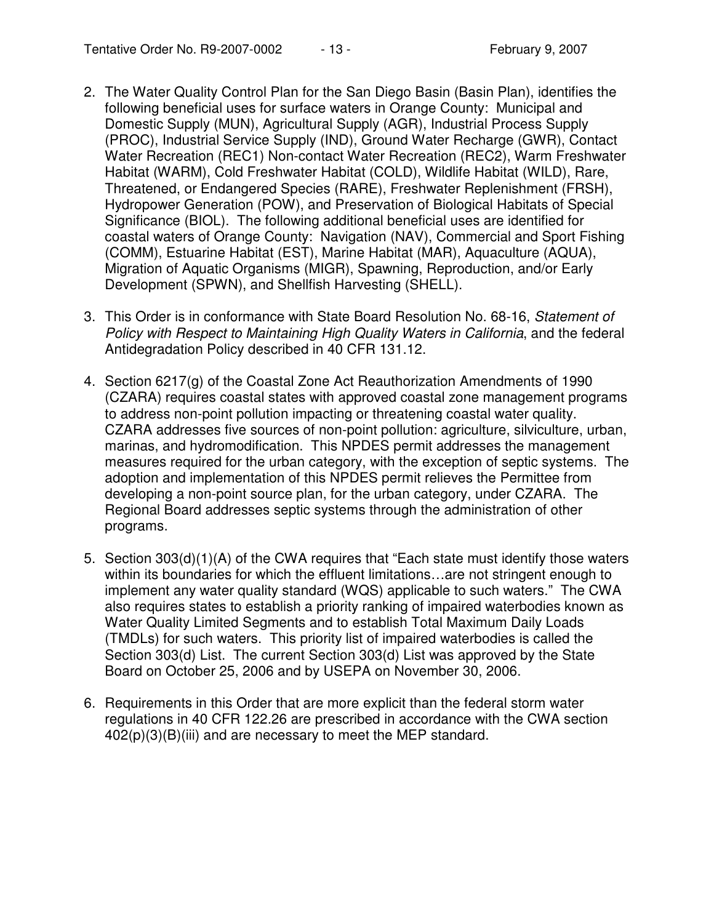- 2. The Water Quality Control Plan for the San Diego Basin (Basin Plan), identifies the following beneficial uses for surface waters in Orange County: Municipal and Domestic Supply (MUN), Agricultural Supply (AGR), Industrial Process Supply (PROC), Industrial Service Supply (IND), Ground Water Recharge (GWR), Contact Water Recreation (REC1) Non-contact Water Recreation (REC2), Warm Freshwater Habitat (WARM), Cold Freshwater Habitat (COLD), Wildlife Habitat (WILD), Rare, Threatened, or Endangered Species (RARE), Freshwater Replenishment (FRSH), Hydropower Generation (POW), and Preservation of Biological Habitats of Special Significance (BIOL). The following additional beneficial uses are identified for coastal waters of Orange County: Navigation (NAV), Commercial and Sport Fishing (COMM), Estuarine Habitat (EST), Marine Habitat (MAR), Aquaculture (AQUA), Migration of Aquatic Organisms (MIGR), Spawning, Reproduction, and/or Early Development (SPWN), and Shellfish Harvesting (SHELL).
- 3. This Order is in conformance with State Board Resolution No. 68-16, *Statement of Policy with Respect to Maintaining High Quality Waters in California*, and the federal Antidegradation Policy described in 40 CFR 131.12.
- 4. Section 6217(g) of the Coastal Zone Act Reauthorization Amendments of 1990 (CZARA) requires coastal states with approved coastal zone management programs to address non-point pollution impacting or threatening coastal water quality. CZARA addresses five sources of non-point pollution: agriculture, silviculture, urban, marinas, and hydromodification. This NPDES permit addresses the management measures required for the urban category, with the exception of septic systems. The adoption and implementation of this NPDES permit relieves the Permittee from developing a non-point source plan, for the urban category, under CZARA. The Regional Board addresses septic systems through the administration of other programs.
- 5. Section 303(d)(1)(A) of the CWA requires that "Each state must identify those waters within its boundaries for which the effluent limitations...are not stringent enough to implement any water quality standard (WQS) applicable to such waters." The CWA also requires states to establish a priority ranking of impaired waterbodies known as Water Quality Limited Segments and to establish Total Maximum Daily Loads (TMDLs) for such waters. This priority list of impaired waterbodies is called the Section 303(d) List. The current Section 303(d) List was approved by the State Board on October 25, 2006 and by USEPA on November 30, 2006.
- 6. Requirements in this Order that are more explicit than the federal storm water regulations in 40 CFR 122.26 are prescribed in accordance with the CWA section 402(p)(3)(B)(iii) and are necessary to meet the MEP standard.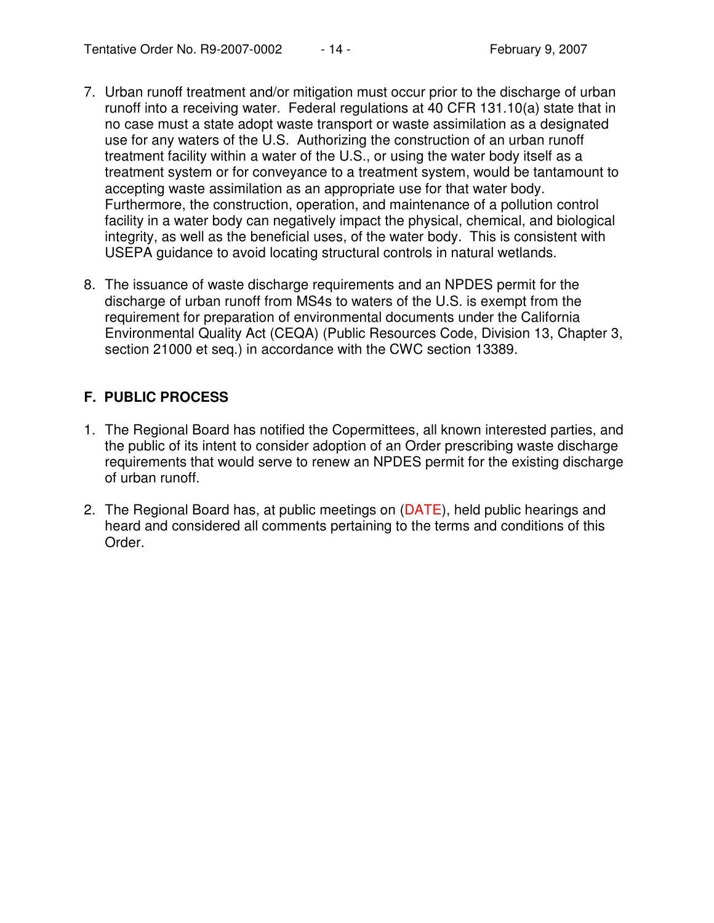- 7. Urban runoff treatment and/or mitigation must occur prior to the discharge of urban runoff into a receiving water. Federal regulations at 40 CFR 131.10(a) state that in no case must a state adopt waste transport or waste assimilation as a designated use for any waters of the U.S. Authorizing the construction of an urban runoff treatment facility within a water of the U.S., or using the water body itself as a treatment system or for conveyance to a treatment system, would be tantamount to accepting waste assimilation as an appropriate use for that water body. Furthermore, the construction, operation, and maintenance of a pollution control facility in a water body can negatively impact the physical, chemical, and biological integrity, as well as the beneficial uses, of the water body. This is consistent with USEPA guidance to avoid locating structural controls in natural wetlands.
- 8. The issuance of waste discharge requirements and an NPDES permit for the discharge of urban runoff from MS4s to waters of the U.S. is exempt from the requirement for preparation of environmental documents under the California Environmental Quality Act (CEQA) (Public Resources Code, Division 13, Chapter 3, section 21000 et seq.) in accordance with the CWC section 13389.

# **F. PUBLIC PROCESS**

- 1. The Regional Board has notified the Copermittees, all known interested parties, and the public of its intent to consider adoption of an Order prescribing waste discharge requirements that would serve to renew an NPDES permit for the existing discharge of urban runoff.
- 2. The Regional Board has, at public meetings on (DATE), held public hearings and heard and considered all comments pertaining to the terms and conditions of this Order.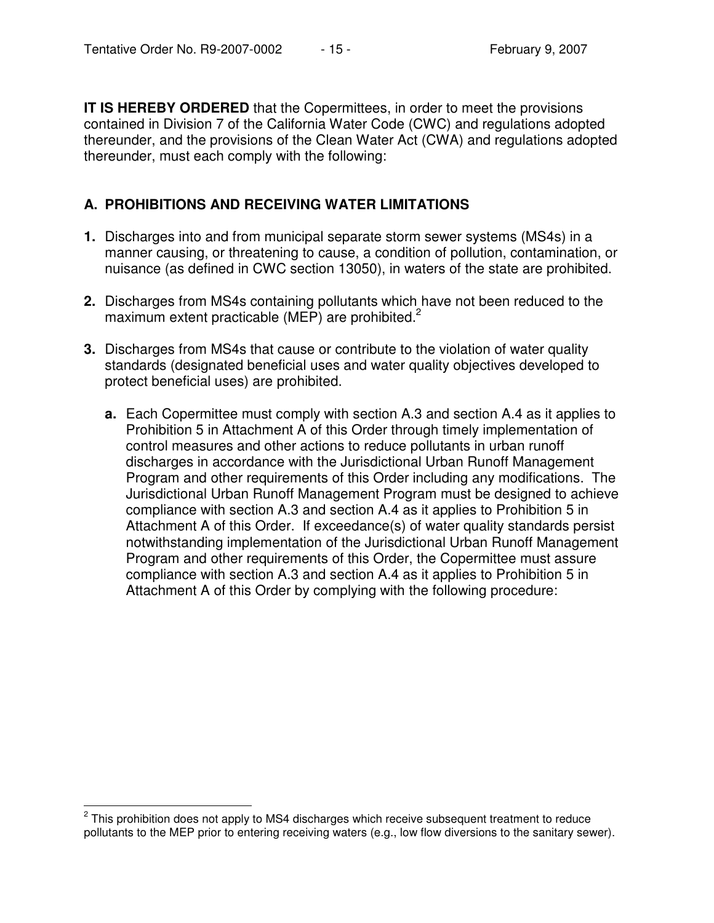**IT IS HEREBY ORDERED** that the Copermittees, in order to meet the provisions contained in Division 7 of the California Water Code (CWC) and regulations adopted thereunder, and the provisions of the Clean Water Act (CWA) and regulations adopted thereunder, must each comply with the following:

### **A. PROHIBITIONS AND RECEIVING WATER LIMITATIONS**

- **1.** Discharges into and from municipal separate storm sewer systems (MS4s) in a manner causing, or threatening to cause, a condition of pollution, contamination, or nuisance (as defined in CWC section 13050), in waters of the state are prohibited.
- **2.** Discharges from MS4s containing pollutants which have not been reduced to the maximum extent practicable (MEP) are prohibited.<sup>2</sup>
- **3.** Discharges from MS4s that cause or contribute to the violation of water quality standards (designated beneficial uses and water quality objectives developed to protect beneficial uses) are prohibited.
	- **a.** Each Copermittee must comply with section A.3 and section A.4 as it applies to Prohibition 5 in Attachment A of this Order through timely implementation of control measures and other actions to reduce pollutants in urban runoff discharges in accordance with the Jurisdictional Urban Runoff Management Program and other requirements of this Order including any modifications. The Jurisdictional Urban Runoff Management Program must be designed to achieve compliance with section A.3 and section A.4 as it applies to Prohibition 5 in Attachment A of this Order. If exceedance(s) of water quality standards persist notwithstanding implementation of the Jurisdictional Urban Runoff Management Program and other requirements of this Order, the Copermittee must assure compliance with section A.3 and section A.4 as it applies to Prohibition 5 in Attachment A of this Order by complying with the following procedure:

 $2$  This prohibition does not apply to MS4 discharges which receive subsequent treatment to reduce pollutants to the MEP prior to entering receiving waters (e.g., low flow diversions to the sanitary sewer).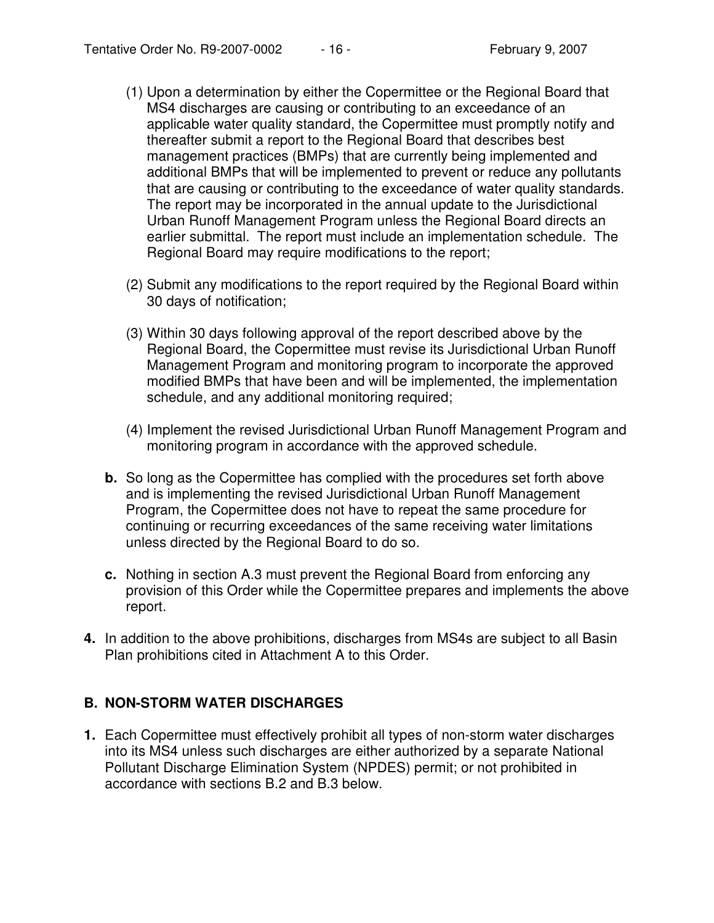- (1) Upon a determination by either the Copermittee or the Regional Board that MS4 discharges are causing or contributing to an exceedance of an applicable water quality standard, the Copermittee must promptly notify and thereafter submit a report to the Regional Board that describes best management practices (BMPs) that are currently being implemented and additional BMPs that will be implemented to prevent or reduce any pollutants that are causing or contributing to the exceedance of water quality standards. The report may be incorporated in the annual update to the Jurisdictional Urban Runoff Management Program unless the Regional Board directs an earlier submittal. The report must include an implementation schedule. The Regional Board may require modifications to the report;
- (2) Submit any modifications to the report required by the Regional Board within 30 days of notification;
- (3) Within 30 days following approval of the report described above by the Regional Board, the Copermittee must revise its Jurisdictional Urban Runoff Management Program and monitoring program to incorporate the approved modified BMPs that have been and will be implemented, the implementation schedule, and any additional monitoring required;
- (4) Implement the revised Jurisdictional Urban Runoff Management Program and monitoring program in accordance with the approved schedule.
- **b.** So long as the Copermittee has complied with the procedures set forth above and is implementing the revised Jurisdictional Urban Runoff Management Program, the Copermittee does not have to repeat the same procedure for continuing or recurring exceedances of the same receiving water limitations unless directed by the Regional Board to do so.
- **c.** Nothing in section A.3 must prevent the Regional Board from enforcing any provision of this Order while the Copermittee prepares and implements the above report.
- **4.** In addition to the above prohibitions, discharges from MS4s are subject to all Basin Plan prohibitions cited in Attachment A to this Order.

### **B. NON-STORM WATER DISCHARGES**

**1.** Each Copermittee must effectively prohibit all types of non-storm water discharges into its MS4 unless such discharges are either authorized by a separate National Pollutant Discharge Elimination System (NPDES) permit; or not prohibited in accordance with sections B.2 and B.3 below.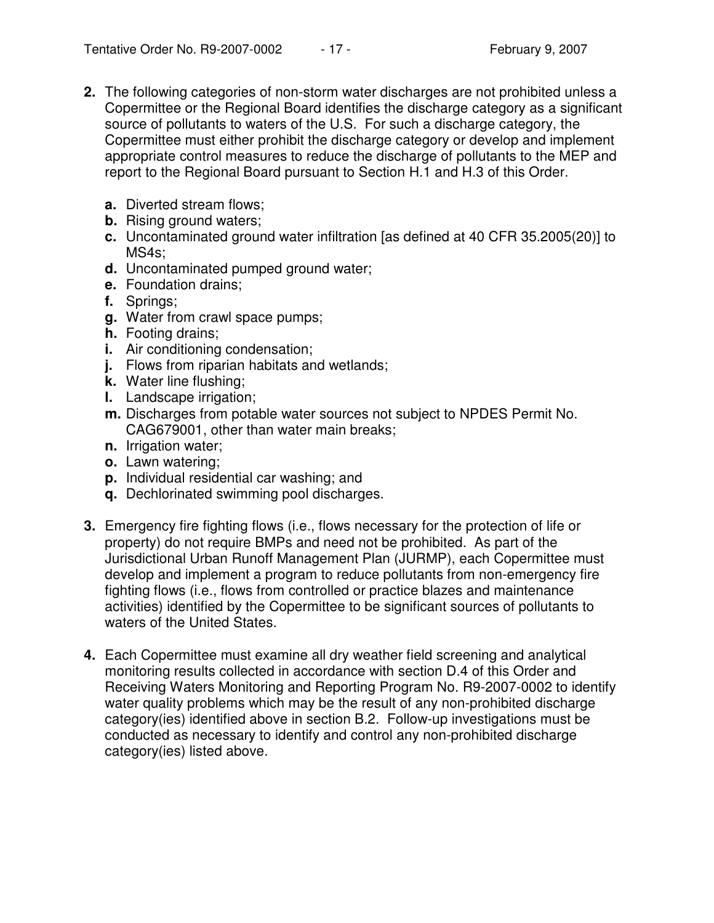- **2.** The following categories of non-storm water discharges are not prohibited unless a Copermittee or the Regional Board identifies the discharge category as a significant source of pollutants to waters of the U.S. For such a discharge category, the Copermittee must either prohibit the discharge category or develop and implement appropriate control measures to reduce the discharge of pollutants to the MEP and report to the Regional Board pursuant to Section H.1 and H.3 of this Order.
	- **a.** Diverted stream flows;
	- **b.** Rising ground waters;
	- **c.** Uncontaminated ground water infiltration [as defined at 40 CFR 35.2005(20)] to MS4s;
	- **d.** Uncontaminated pumped ground water;
	- **e.** Foundation drains;
	- **f.** Springs;
	- **g.** Water from crawl space pumps;
	- **h.** Footing drains;
	- **i.** Air conditioning condensation;
	- **j.** Flows from riparian habitats and wetlands;
	- **k.** Water line flushing;
	- **l.** Landscape irrigation;
	- **m.** Discharges from potable water sources not subject to NPDES Permit No. CAG679001, other than water main breaks;
	- **n.** Irrigation water;
	- **o.** Lawn watering;
	- **p.** Individual residential car washing; and
	- **q.** Dechlorinated swimming pool discharges.
- **3.** Emergency fire fighting flows (i.e., flows necessary for the protection of life or property) do not require BMPs and need not be prohibited. As part of the Jurisdictional Urban Runoff Management Plan (JURMP), each Copermittee must develop and implement a program to reduce pollutants from non-emergency fire fighting flows (i.e., flows from controlled or practice blazes and maintenance activities) identified by the Copermittee to be significant sources of pollutants to waters of the United States.
- **4.** Each Copermittee must examine all dry weather field screening and analytical monitoring results collected in accordance with section D.4 of this Order and Receiving Waters Monitoring and Reporting Program No. R9-2007-0002 to identify water quality problems which may be the result of any non-prohibited discharge category(ies) identified above in section B.2. Follow-up investigations must be conducted as necessary to identify and control any non-prohibited discharge category(ies) listed above.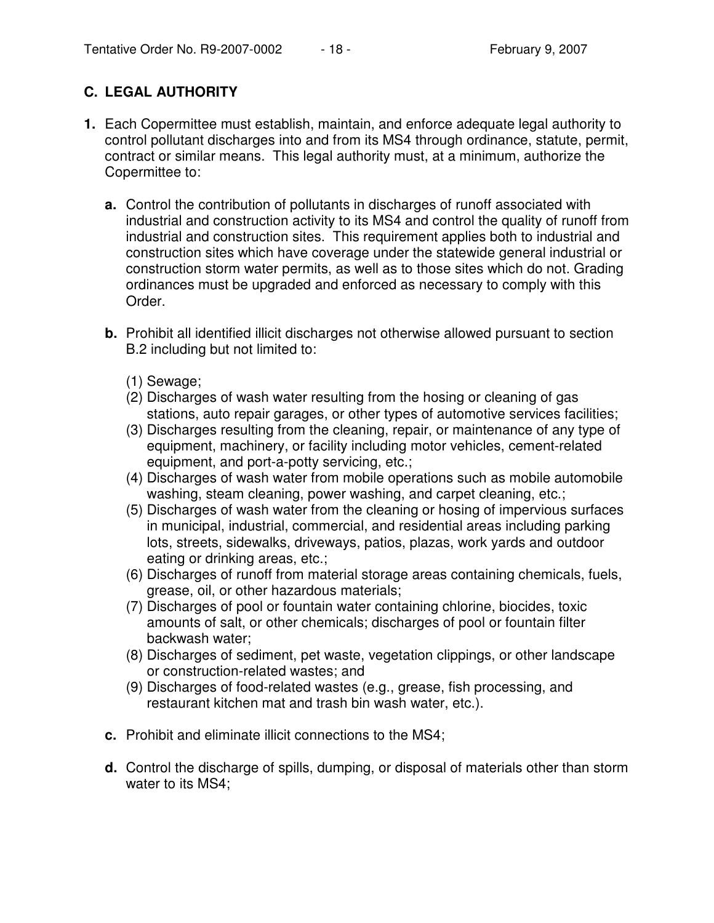# **C. LEGAL AUTHORITY**

- **1.** Each Copermittee must establish, maintain, and enforce adequate legal authority to control pollutant discharges into and from its MS4 through ordinance, statute, permit, contract or similar means. This legal authority must, at a minimum, authorize the Copermittee to:
	- **a.** Control the contribution of pollutants in discharges of runoff associated with industrial and construction activity to its MS4 and control the quality of runoff from industrial and construction sites. This requirement applies both to industrial and construction sites which have coverage under the statewide general industrial or construction storm water permits, as well as to those sites which do not. Grading ordinances must be upgraded and enforced as necessary to comply with this Order.
	- **b.** Prohibit all identified illicit discharges not otherwise allowed pursuant to section B.2 including but not limited to:
		- (1) Sewage;
		- (2) Discharges of wash water resulting from the hosing or cleaning of gas stations, auto repair garages, or other types of automotive services facilities;
		- (3) Discharges resulting from the cleaning, repair, or maintenance of any type of equipment, machinery, or facility including motor vehicles, cement-related equipment, and port-a-potty servicing, etc.;
		- (4) Discharges of wash water from mobile operations such as mobile automobile washing, steam cleaning, power washing, and carpet cleaning, etc.;
		- (5) Discharges of wash water from the cleaning or hosing of impervious surfaces in municipal, industrial, commercial, and residential areas including parking lots, streets, sidewalks, driveways, patios, plazas, work yards and outdoor eating or drinking areas, etc.;
		- (6) Discharges of runoff from material storage areas containing chemicals, fuels, grease, oil, or other hazardous materials;
		- (7) Discharges of pool or fountain water containing chlorine, biocides, toxic amounts of salt, or other chemicals; discharges of pool or fountain filter backwash water;
		- (8) Discharges of sediment, pet waste, vegetation clippings, or other landscape or construction-related wastes; and
		- (9) Discharges of food-related wastes (e.g., grease, fish processing, and restaurant kitchen mat and trash bin wash water, etc.).
	- **c.** Prohibit and eliminate illicit connections to the MS4;
	- **d.** Control the discharge of spills, dumping, or disposal of materials other than storm water to its MS4;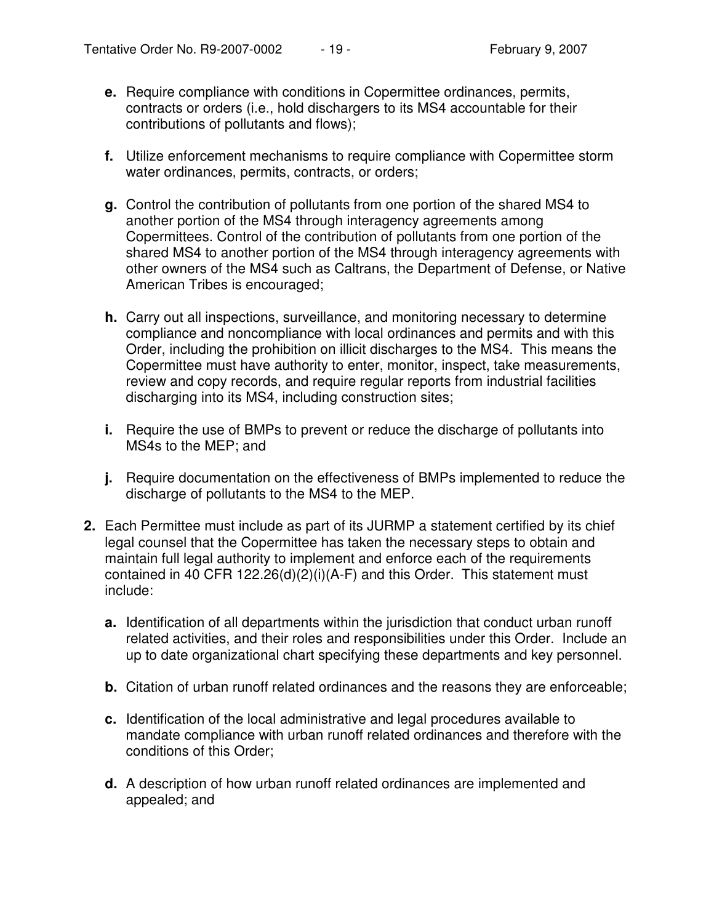- **e.** Require compliance with conditions in Copermittee ordinances, permits, contracts or orders (i.e., hold dischargers to its MS4 accountable for their contributions of pollutants and flows);
- **f.** Utilize enforcement mechanisms to require compliance with Copermittee storm water ordinances, permits, contracts, or orders;
- **g.** Control the contribution of pollutants from one portion of the shared MS4 to another portion of the MS4 through interagency agreements among Copermittees. Control of the contribution of pollutants from one portion of the shared MS4 to another portion of the MS4 through interagency agreements with other owners of the MS4 such as Caltrans, the Department of Defense, or Native American Tribes is encouraged;
- **h.** Carry out all inspections, surveillance, and monitoring necessary to determine compliance and noncompliance with local ordinances and permits and with this Order, including the prohibition on illicit discharges to the MS4. This means the Copermittee must have authority to enter, monitor, inspect, take measurements, review and copy records, and require regular reports from industrial facilities discharging into its MS4, including construction sites;
- **i.** Require the use of BMPs to prevent or reduce the discharge of pollutants into MS4s to the MEP; and
- **j.** Require documentation on the effectiveness of BMPs implemented to reduce the discharge of pollutants to the MS4 to the MEP.
- **2.** Each Permittee must include as part of its JURMP a statement certified by its chief legal counsel that the Copermittee has taken the necessary steps to obtain and maintain full legal authority to implement and enforce each of the requirements contained in 40 CFR 122.26(d)(2)(i)(A-F) and this Order. This statement must include:
	- **a.** Identification of all departments within the jurisdiction that conduct urban runoff related activities, and their roles and responsibilities under this Order. Include an up to date organizational chart specifying these departments and key personnel.
	- **b.** Citation of urban runoff related ordinances and the reasons they are enforceable;
	- **c.** Identification of the local administrative and legal procedures available to mandate compliance with urban runoff related ordinances and therefore with the conditions of this Order;
	- **d.** A description of how urban runoff related ordinances are implemented and appealed; and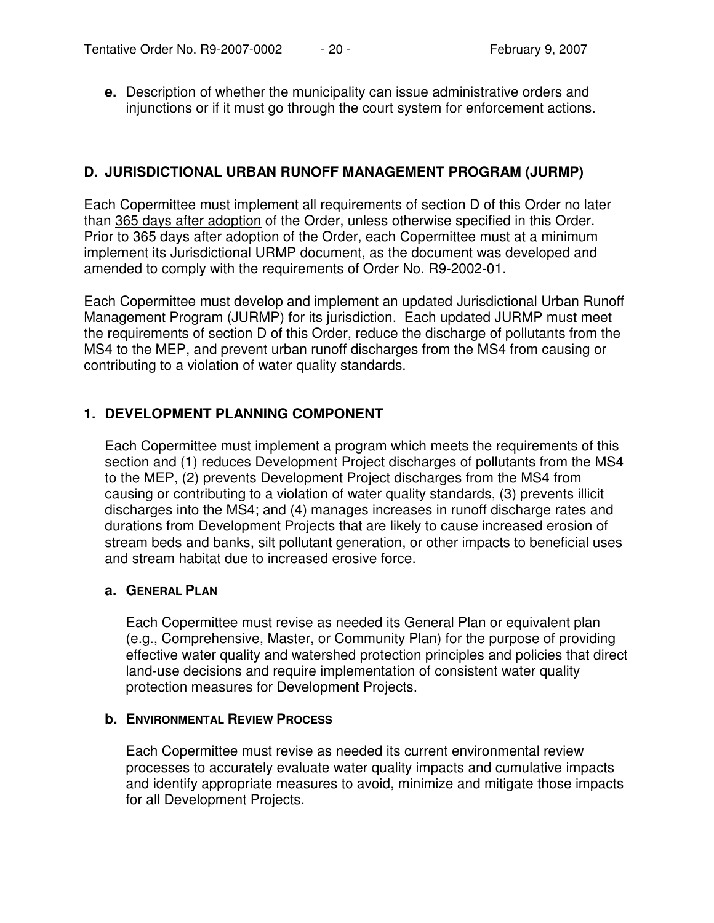**e.** Description of whether the municipality can issue administrative orders and injunctions or if it must go through the court system for enforcement actions.

### **D. JURISDICTIONAL URBAN RUNOFF MANAGEMENT PROGRAM (JURMP)**

Each Copermittee must implement all requirements of section D of this Order no later than 365 days after adoption of the Order, unless otherwise specified in this Order. Prior to 365 days after adoption of the Order, each Copermittee must at a minimum implement its Jurisdictional URMP document, as the document was developed and amended to comply with the requirements of Order No. R9-2002-01.

Each Copermittee must develop and implement an updated Jurisdictional Urban Runoff Management Program (JURMP) for its jurisdiction. Each updated JURMP must meet the requirements of section D of this Order, reduce the discharge of pollutants from the MS4 to the MEP, and prevent urban runoff discharges from the MS4 from causing or contributing to a violation of water quality standards.

## **1. DEVELOPMENT PLANNING COMPONENT**

Each Copermittee must implement a program which meets the requirements of this section and (1) reduces Development Project discharges of pollutants from the MS4 to the MEP, (2) prevents Development Project discharges from the MS4 from causing or contributing to a violation of water quality standards, (3) prevents illicit discharges into the MS4; and (4) manages increases in runoff discharge rates and durations from Development Projects that are likely to cause increased erosion of stream beds and banks, silt pollutant generation, or other impacts to beneficial uses and stream habitat due to increased erosive force.

### **a. GENERAL PLAN**

Each Copermittee must revise as needed its General Plan or equivalent plan (e.g., Comprehensive, Master, or Community Plan) for the purpose of providing effective water quality and watershed protection principles and policies that direct land-use decisions and require implementation of consistent water quality protection measures for Development Projects.

### **b. ENVIRONMENTAL REVIEW PROCESS**

Each Copermittee must revise as needed its current environmental review processes to accurately evaluate water quality impacts and cumulative impacts and identify appropriate measures to avoid, minimize and mitigate those impacts for all Development Projects.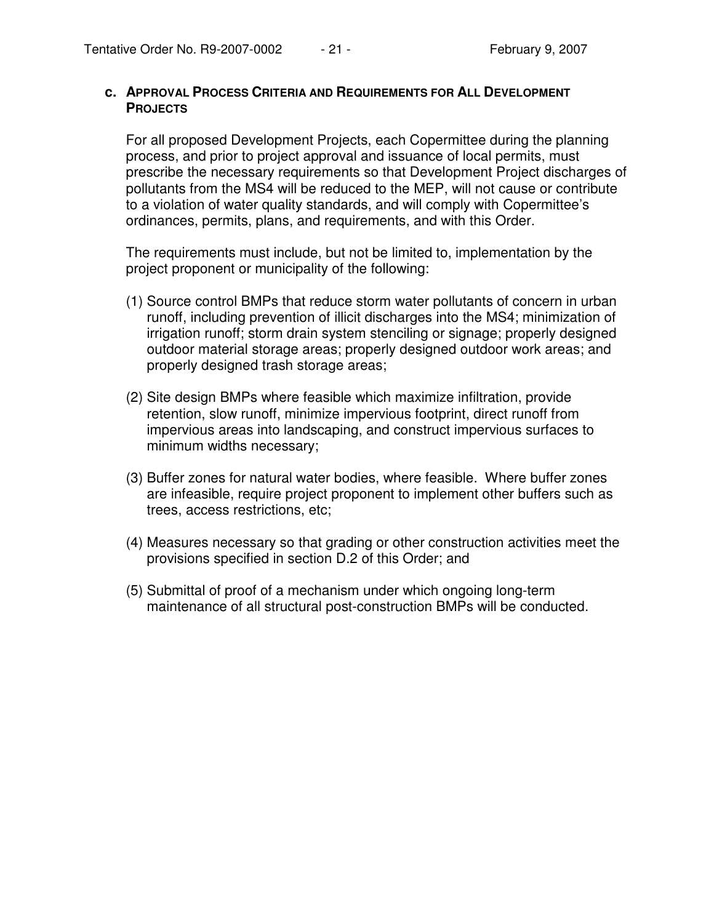#### **c. APPROVAL PROCESS CRITERIA AND REQUIREMENTS FOR ALL DEVELOPMENT PROJECTS**

For all proposed Development Projects, each Copermittee during the planning process, and prior to project approval and issuance of local permits, must prescribe the necessary requirements so that Development Project discharges of pollutants from the MS4 will be reduced to the MEP, will not cause or contribute to a violation of water quality standards, and will comply with Copermittee's ordinances, permits, plans, and requirements, and with this Order.

The requirements must include, but not be limited to, implementation by the project proponent or municipality of the following:

- (1) Source control BMPs that reduce storm water pollutants of concern in urban runoff, including prevention of illicit discharges into the MS4; minimization of irrigation runoff; storm drain system stenciling or signage; properly designed outdoor material storage areas; properly designed outdoor work areas; and properly designed trash storage areas;
- (2) Site design BMPs where feasible which maximize infiltration, provide retention, slow runoff, minimize impervious footprint, direct runoff from impervious areas into landscaping, and construct impervious surfaces to minimum widths necessary;
- (3) Buffer zones for natural water bodies, where feasible. Where buffer zones are infeasible, require project proponent to implement other buffers such as trees, access restrictions, etc;
- (4) Measures necessary so that grading or other construction activities meet the provisions specified in section D.2 of this Order; and
- (5) Submittal of proof of a mechanism under which ongoing long-term maintenance of all structural post-construction BMPs will be conducted.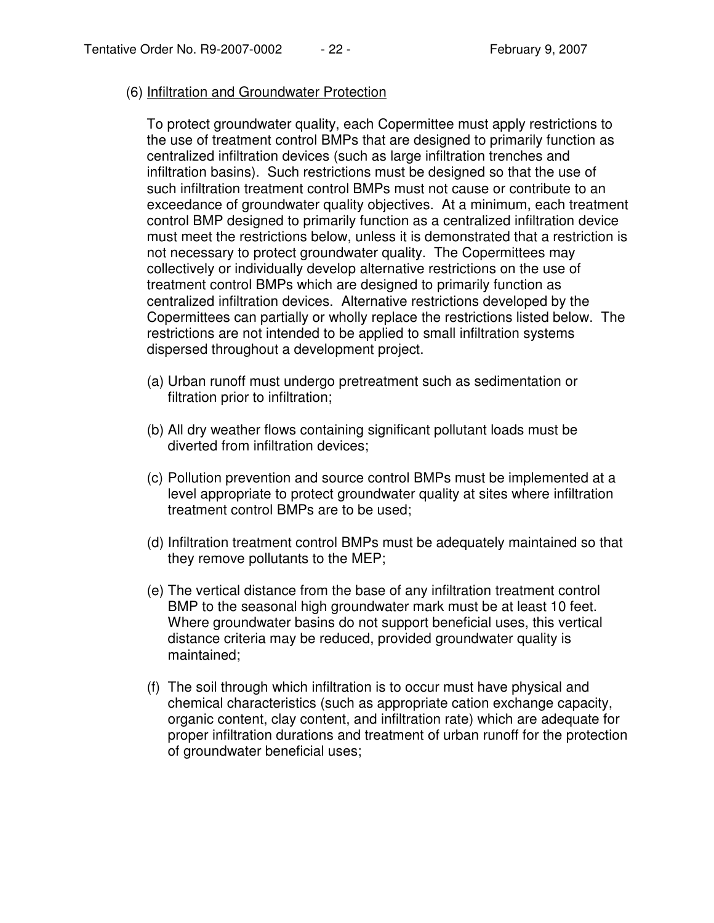#### (6) Infiltration and Groundwater Protection

To protect groundwater quality, each Copermittee must apply restrictions to the use of treatment control BMPs that are designed to primarily function as centralized infiltration devices (such as large infiltration trenches and infiltration basins). Such restrictions must be designed so that the use of such infiltration treatment control BMPs must not cause or contribute to an exceedance of groundwater quality objectives. At a minimum, each treatment control BMP designed to primarily function as a centralized infiltration device must meet the restrictions below, unless it is demonstrated that a restriction is not necessary to protect groundwater quality. The Copermittees may collectively or individually develop alternative restrictions on the use of treatment control BMPs which are designed to primarily function as centralized infiltration devices. Alternative restrictions developed by the Copermittees can partially or wholly replace the restrictions listed below. The restrictions are not intended to be applied to small infiltration systems dispersed throughout a development project.

- (a) Urban runoff must undergo pretreatment such as sedimentation or filtration prior to infiltration;
- (b) All dry weather flows containing significant pollutant loads must be diverted from infiltration devices;
- (c) Pollution prevention and source control BMPs must be implemented at a level appropriate to protect groundwater quality at sites where infiltration treatment control BMPs are to be used;
- (d) Infiltration treatment control BMPs must be adequately maintained so that they remove pollutants to the MEP;
- (e) The vertical distance from the base of any infiltration treatment control BMP to the seasonal high groundwater mark must be at least 10 feet. Where groundwater basins do not support beneficial uses, this vertical distance criteria may be reduced, provided groundwater quality is maintained;
- (f) The soil through which infiltration is to occur must have physical and chemical characteristics (such as appropriate cation exchange capacity, organic content, clay content, and infiltration rate) which are adequate for proper infiltration durations and treatment of urban runoff for the protection of groundwater beneficial uses;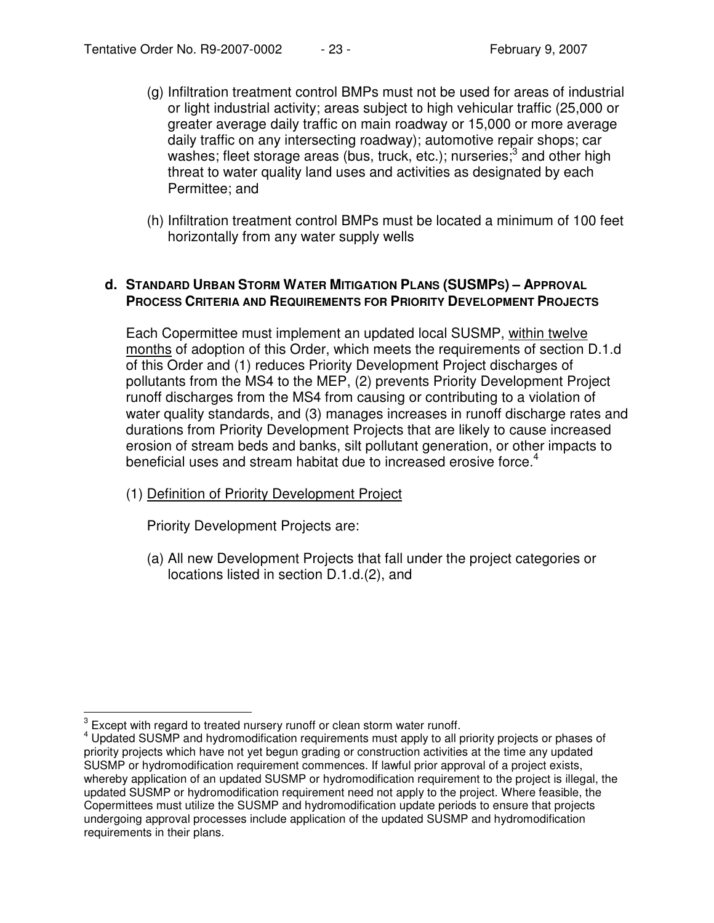- (g) Infiltration treatment control BMPs must not be used for areas of industrial or light industrial activity; areas subject to high vehicular traffic (25,000 or greater average daily traffic on main roadway or 15,000 or more average daily traffic on any intersecting roadway); automotive repair shops; car washes; fleet storage areas (bus, truck, etc.); nurseries;<sup>3</sup> and other high threat to water quality land uses and activities as designated by each Permittee; and
- (h) Infiltration treatment control BMPs must be located a minimum of 100 feet horizontally from any water supply wells

#### **d. STANDARD URBAN STORM WATER MITIGATION PLANS (SUSMPS) – APPROVAL PROCESS CRITERIA AND REQUIREMENTS FOR PRIORITY DEVELOPMENT PROJECTS**

Each Copermittee must implement an updated local SUSMP, within twelve months of adoption of this Order, which meets the requirements of section D.1.d of this Order and (1) reduces Priority Development Project discharges of pollutants from the MS4 to the MEP, (2) prevents Priority Development Project runoff discharges from the MS4 from causing or contributing to a violation of water quality standards, and (3) manages increases in runoff discharge rates and durations from Priority Development Projects that are likely to cause increased erosion of stream beds and banks, silt pollutant generation, or other impacts to beneficial uses and stream habitat due to increased erosive force.<sup>4</sup>

(1) Definition of Priority Development Project

Priority Development Projects are:

(a) All new Development Projects that fall under the project categories or locations listed in section D.1.d.(2), and

 $3$  Except with regard to treated nursery runoff or clean storm water runoff.

<sup>4</sup> Updated SUSMP and hydromodification requirements must apply to all priority projects or phases of priority projects which have not yet begun grading or construction activities at the time any updated SUSMP or hydromodification requirement commences. If lawful prior approval of a project exists, whereby application of an updated SUSMP or hydromodification requirement to the project is illegal, the updated SUSMP or hydromodification requirement need not apply to the project. Where feasible, the Copermittees must utilize the SUSMP and hydromodification update periods to ensure that projects undergoing approval processes include application of the updated SUSMP and hydromodification requirements in their plans.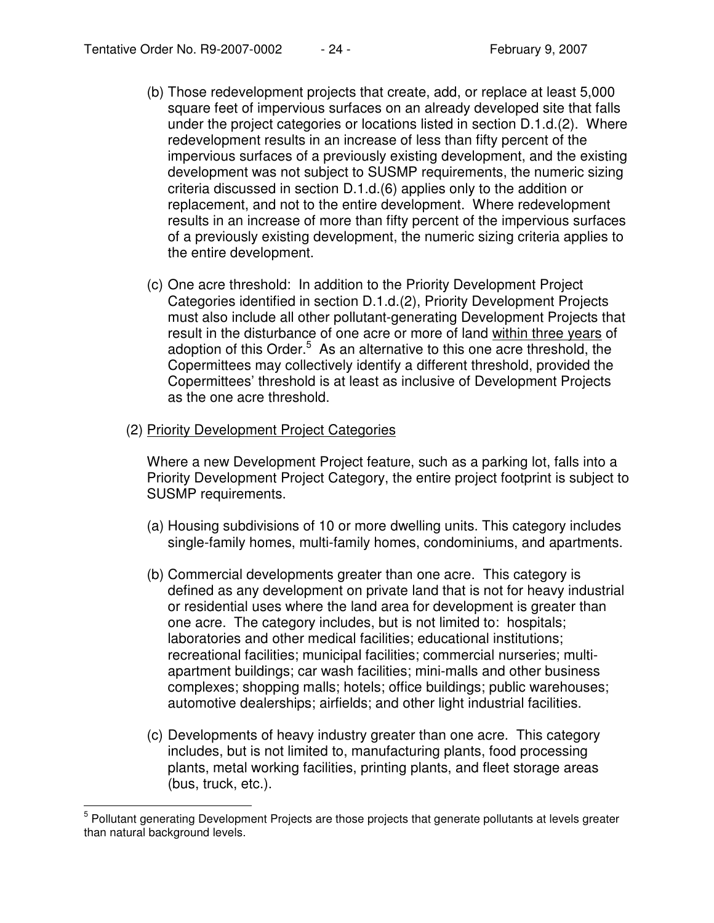- (b) Those redevelopment projects that create, add, or replace at least 5,000 square feet of impervious surfaces on an already developed site that falls under the project categories or locations listed in section D.1.d.(2). Where redevelopment results in an increase of less than fifty percent of the impervious surfaces of a previously existing development, and the existing development was not subject to SUSMP requirements, the numeric sizing criteria discussed in section D.1.d.(6) applies only to the addition or replacement, and not to the entire development. Where redevelopment results in an increase of more than fifty percent of the impervious surfaces of a previously existing development, the numeric sizing criteria applies to the entire development.
- (c) One acre threshold: In addition to the Priority Development Project Categories identified in section D.1.d.(2), Priority Development Projects must also include all other pollutant-generating Development Projects that result in the disturbance of one acre or more of land within three years of adoption of this Order.<sup>5</sup> As an alternative to this one acre threshold, the Copermittees may collectively identify a different threshold, provided the Copermittees' threshold is at least as inclusive of Development Projects as the one acre threshold.
- (2) Priority Development Project Categories

Where a new Development Project feature, such as a parking lot, falls into a Priority Development Project Category, the entire project footprint is subject to SUSMP requirements.

- (a) Housing subdivisions of 10 or more dwelling units. This category includes single-family homes, multi-family homes, condominiums, and apartments.
- (b) Commercial developments greater than one acre. This category is defined as any development on private land that is not for heavy industrial or residential uses where the land area for development is greater than one acre. The category includes, but is not limited to: hospitals; laboratories and other medical facilities; educational institutions; recreational facilities; municipal facilities; commercial nurseries; multiapartment buildings; car wash facilities; mini-malls and other business complexes; shopping malls; hotels; office buildings; public warehouses; automotive dealerships; airfields; and other light industrial facilities.
- (c) Developments of heavy industry greater than one acre. This category includes, but is not limited to, manufacturing plants, food processing plants, metal working facilities, printing plants, and fleet storage areas (bus, truck, etc.).

<sup>&</sup>lt;sup>5</sup> Pollutant generating Development Projects are those projects that generate pollutants at levels greater than natural background levels.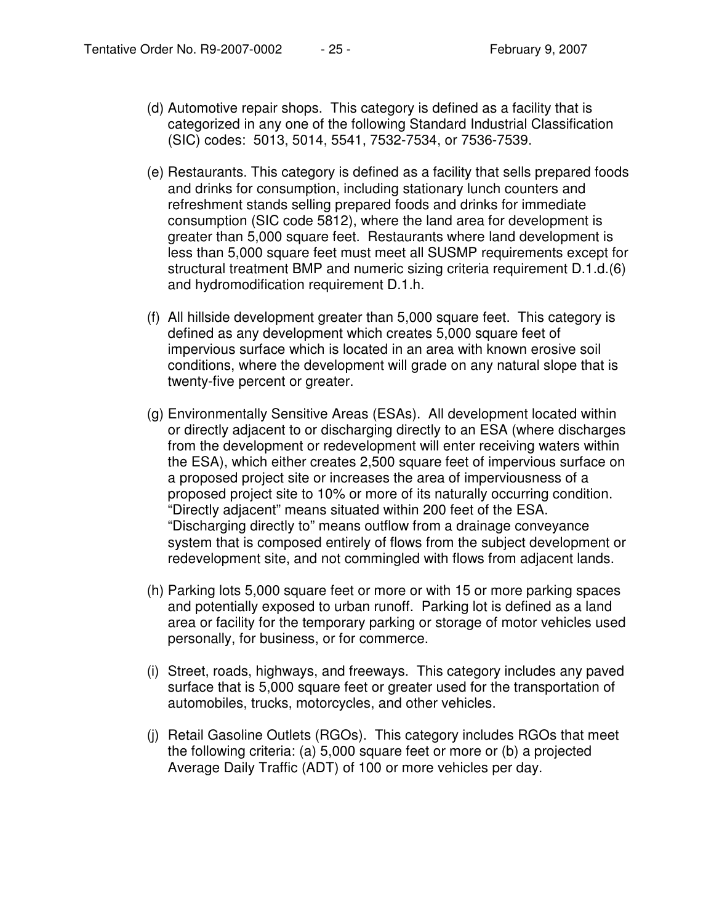- (d) Automotive repair shops. This category is defined as a facility that is categorized in any one of the following Standard Industrial Classification (SIC) codes: 5013, 5014, 5541, 7532-7534, or 7536-7539.
- (e) Restaurants. This category is defined as a facility that sells prepared foods and drinks for consumption, including stationary lunch counters and refreshment stands selling prepared foods and drinks for immediate consumption (SIC code 5812), where the land area for development is greater than 5,000 square feet. Restaurants where land development is less than 5,000 square feet must meet all SUSMP requirements except for structural treatment BMP and numeric sizing criteria requirement D.1.d.(6) and hydromodification requirement D.1.h.
- (f) All hillside development greater than 5,000 square feet. This category is defined as any development which creates 5,000 square feet of impervious surface which is located in an area with known erosive soil conditions, where the development will grade on any natural slope that is twenty-five percent or greater.
- (g) Environmentally Sensitive Areas (ESAs). All development located within or directly adjacent to or discharging directly to an ESA (where discharges from the development or redevelopment will enter receiving waters within the ESA), which either creates 2,500 square feet of impervious surface on a proposed project site or increases the area of imperviousness of a proposed project site to 10% or more of its naturally occurring condition. "Directly adjacent" means situated within 200 feet of the ESA. "Discharging directly to" means outflow from a drainage conveyance system that is composed entirely of flows from the subject development or redevelopment site, and not commingled with flows from adjacent lands.
- (h) Parking lots 5,000 square feet or more or with 15 or more parking spaces and potentially exposed to urban runoff. Parking lot is defined as a land area or facility for the temporary parking or storage of motor vehicles used personally, for business, or for commerce.
- (i) Street, roads, highways, and freeways. This category includes any paved surface that is 5,000 square feet or greater used for the transportation of automobiles, trucks, motorcycles, and other vehicles.
- (j) Retail Gasoline Outlets (RGOs). This category includes RGOs that meet the following criteria: (a) 5,000 square feet or more or (b) a projected Average Daily Traffic (ADT) of 100 or more vehicles per day.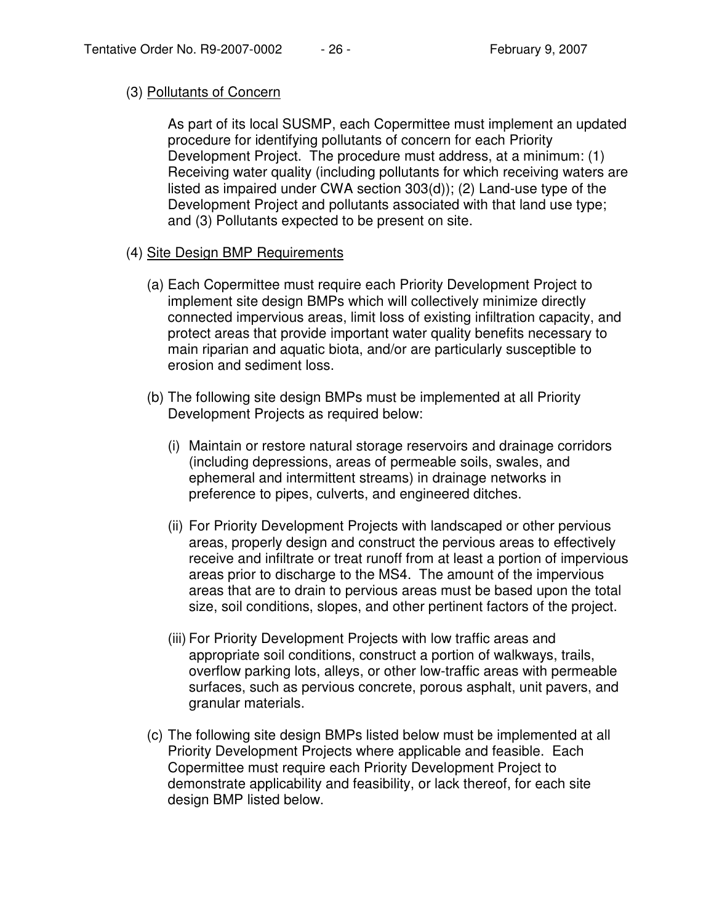### (3) Pollutants of Concern

As part of its local SUSMP, each Copermittee must implement an updated procedure for identifying pollutants of concern for each Priority Development Project. The procedure must address, at a minimum: (1) Receiving water quality (including pollutants for which receiving waters are listed as impaired under CWA section 303(d)); (2) Land-use type of the Development Project and pollutants associated with that land use type; and (3) Pollutants expected to be present on site.

- (4) Site Design BMP Requirements
	- (a) Each Copermittee must require each Priority Development Project to implement site design BMPs which will collectively minimize directly connected impervious areas, limit loss of existing infiltration capacity, and protect areas that provide important water quality benefits necessary to main riparian and aquatic biota, and/or are particularly susceptible to erosion and sediment loss.
	- (b) The following site design BMPs must be implemented at all Priority Development Projects as required below:
		- (i) Maintain or restore natural storage reservoirs and drainage corridors (including depressions, areas of permeable soils, swales, and ephemeral and intermittent streams) in drainage networks in preference to pipes, culverts, and engineered ditches.
		- (ii) For Priority Development Projects with landscaped or other pervious areas, properly design and construct the pervious areas to effectively receive and infiltrate or treat runoff from at least a portion of impervious areas prior to discharge to the MS4. The amount of the impervious areas that are to drain to pervious areas must be based upon the total size, soil conditions, slopes, and other pertinent factors of the project.
		- (iii) For Priority Development Projects with low traffic areas and appropriate soil conditions, construct a portion of walkways, trails, overflow parking lots, alleys, or other low-traffic areas with permeable surfaces, such as pervious concrete, porous asphalt, unit pavers, and granular materials.
	- (c) The following site design BMPs listed below must be implemented at all Priority Development Projects where applicable and feasible. Each Copermittee must require each Priority Development Project to demonstrate applicability and feasibility, or lack thereof, for each site design BMP listed below.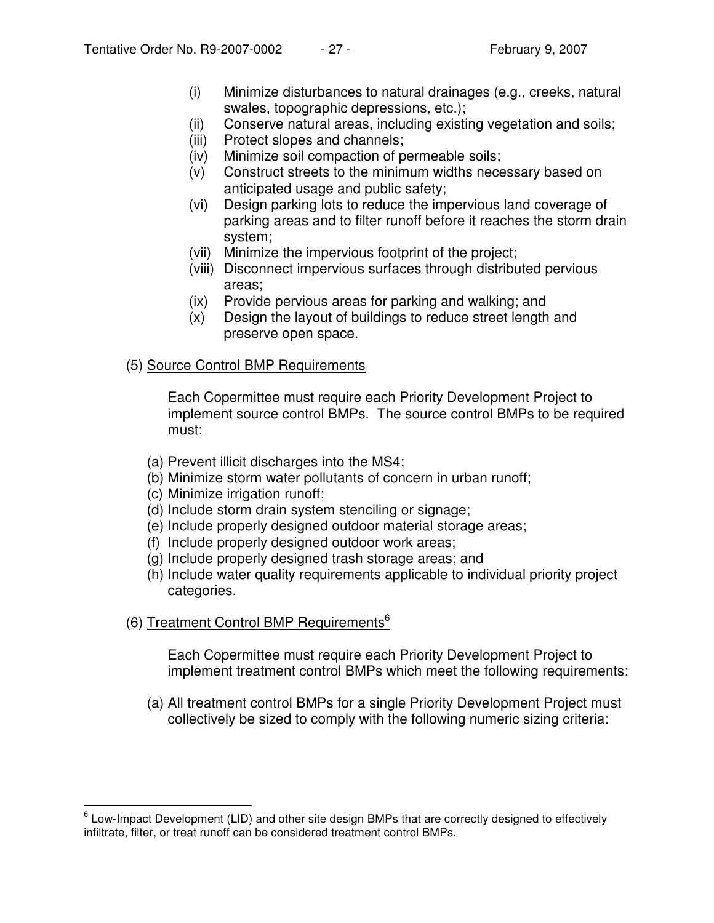- (i) Minimize disturbances to natural drainages (e.g., creeks, natural swales, topographic depressions, etc.);
- (ii) Conserve natural areas, including existing vegetation and soils;
- (iii) Protect slopes and channels;
- (iv) Minimize soil compaction of permeable soils;
- (v) Construct streets to the minimum widths necessary based on anticipated usage and public safety;
- (vi) Design parking lots to reduce the impervious land coverage of parking areas and to filter runoff before it reaches the storm drain system;
- (vii) Minimize the impervious footprint of the project;
- (viii) Disconnect impervious surfaces through distributed pervious areas;
- (ix) Provide pervious areas for parking and walking; and
- (x) Design the layout of buildings to reduce street length and preserve open space.

### (5) Source Control BMP Requirements

Each Copermittee must require each Priority Development Project to implement source control BMPs. The source control BMPs to be required must:

- (a) Prevent illicit discharges into the MS4;
- (b) Minimize storm water pollutants of concern in urban runoff;
- (c) Minimize irrigation runoff;
- (d) Include storm drain system stenciling or signage;
- (e) Include properly designed outdoor material storage areas;
- (f) Include properly designed outdoor work areas;
- (g) Include properly designed trash storage areas; and
- (h) Include water quality requirements applicable to individual priority project categories.
- (6) Treatment Control BMP Requirements<sup>6</sup>

Each Copermittee must require each Priority Development Project to implement treatment control BMPs which meet the following requirements:

(a) All treatment control BMPs for a single Priority Development Project must collectively be sized to comply with the following numeric sizing criteria:

 $^6$  Low-Impact Development (LID) and other site design BMPs that are correctly designed to effectively infiltrate, filter, or treat runoff can be considered treatment control BMPs.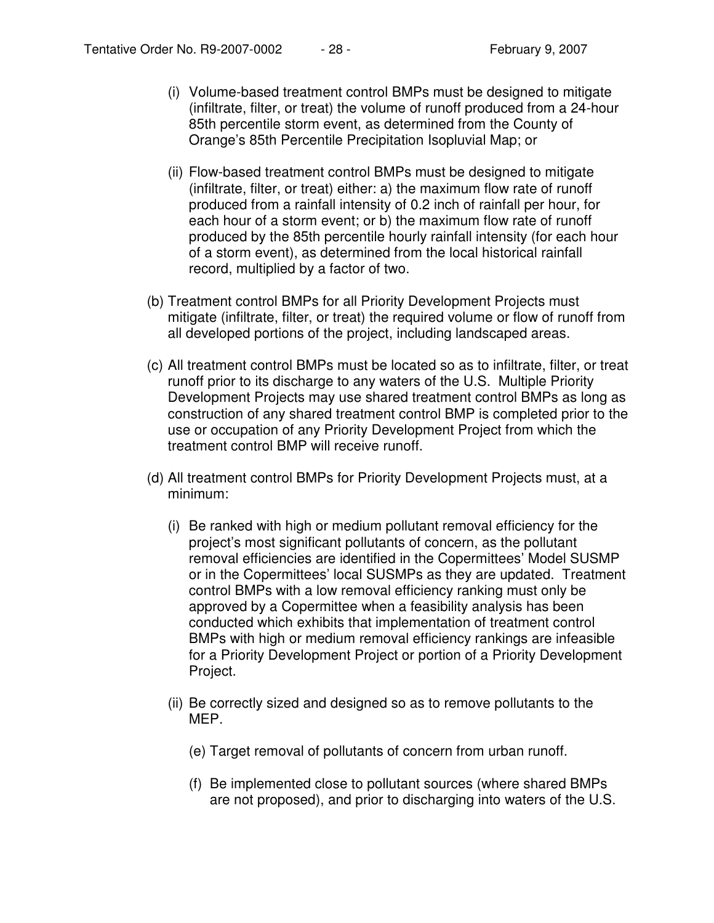- (i) Volume-based treatment control BMPs must be designed to mitigate (infiltrate, filter, or treat) the volume of runoff produced from a 24-hour 85th percentile storm event, as determined from the County of Orange's 85th Percentile Precipitation Isopluvial Map; or
- (ii) Flow-based treatment control BMPs must be designed to mitigate (infiltrate, filter, or treat) either: a) the maximum flow rate of runoff produced from a rainfall intensity of 0.2 inch of rainfall per hour, for each hour of a storm event; or b) the maximum flow rate of runoff produced by the 85th percentile hourly rainfall intensity (for each hour of a storm event), as determined from the local historical rainfall record, multiplied by a factor of two.
- (b) Treatment control BMPs for all Priority Development Projects must mitigate (infiltrate, filter, or treat) the required volume or flow of runoff from all developed portions of the project, including landscaped areas.
- (c) All treatment control BMPs must be located so as to infiltrate, filter, or treat runoff prior to its discharge to any waters of the U.S. Multiple Priority Development Projects may use shared treatment control BMPs as long as construction of any shared treatment control BMP is completed prior to the use or occupation of any Priority Development Project from which the treatment control BMP will receive runoff.
- (d) All treatment control BMPs for Priority Development Projects must, at a minimum:
	- (i) Be ranked with high or medium pollutant removal efficiency for the project's most significant pollutants of concern, as the pollutant removal efficiencies are identified in the Copermittees' Model SUSMP or in the Copermittees' local SUSMPs as they are updated. Treatment control BMPs with a low removal efficiency ranking must only be approved by a Copermittee when a feasibility analysis has been conducted which exhibits that implementation of treatment control BMPs with high or medium removal efficiency rankings are infeasible for a Priority Development Project or portion of a Priority Development Project.
	- (ii) Be correctly sized and designed so as to remove pollutants to the MEP.
		- (e) Target removal of pollutants of concern from urban runoff.
		- (f) Be implemented close to pollutant sources (where shared BMPs are not proposed), and prior to discharging into waters of the U.S.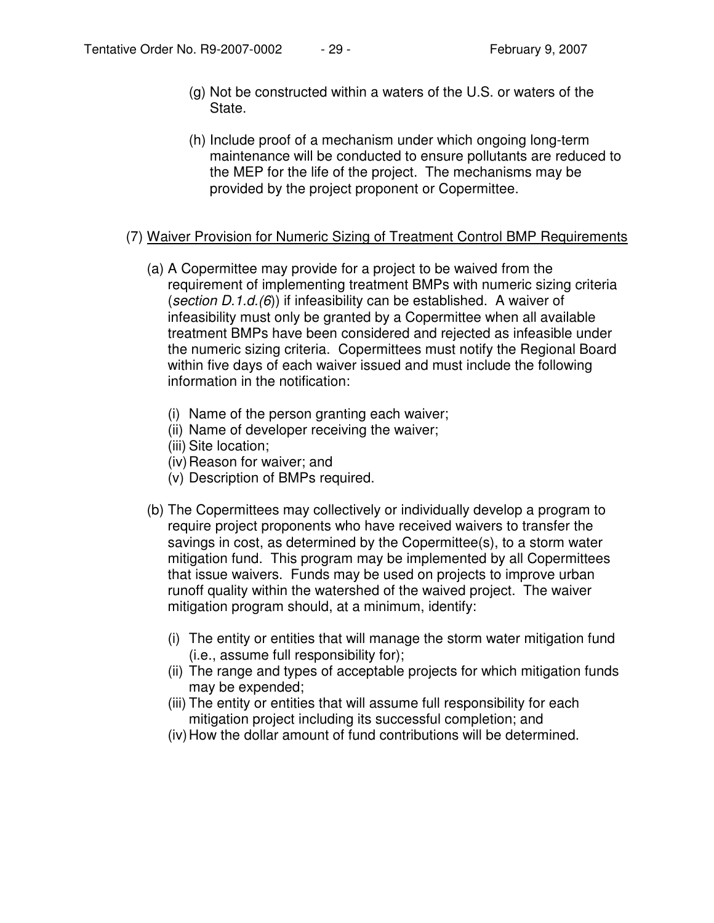- (g) Not be constructed within a waters of the U.S. or waters of the State.
- (h) Include proof of a mechanism under which ongoing long-term maintenance will be conducted to ensure pollutants are reduced to the MEP for the life of the project. The mechanisms may be provided by the project proponent or Copermittee.

### (7) Waiver Provision for Numeric Sizing of Treatment Control BMP Requirements

- (a) A Copermittee may provide for a project to be waived from the requirement of implementing treatment BMPs with numeric sizing criteria (*section D.1.d.(6*)) if infeasibility can be established. A waiver of infeasibility must only be granted by a Copermittee when all available treatment BMPs have been considered and rejected as infeasible under the numeric sizing criteria. Copermittees must notify the Regional Board within five days of each waiver issued and must include the following information in the notification:
	- (i) Name of the person granting each waiver;
	- (ii) Name of developer receiving the waiver;
	- (iii) Site location;
	- (iv) Reason for waiver; and
	- (v) Description of BMPs required.
- (b) The Copermittees may collectively or individually develop a program to require project proponents who have received waivers to transfer the savings in cost, as determined by the Copermittee(s), to a storm water mitigation fund. This program may be implemented by all Copermittees that issue waivers. Funds may be used on projects to improve urban runoff quality within the watershed of the waived project. The waiver mitigation program should, at a minimum, identify:
	- (i) The entity or entities that will manage the storm water mitigation fund (i.e., assume full responsibility for);
	- (ii) The range and types of acceptable projects for which mitigation funds may be expended;
	- (iii) The entity or entities that will assume full responsibility for each mitigation project including its successful completion; and
	- (iv)How the dollar amount of fund contributions will be determined.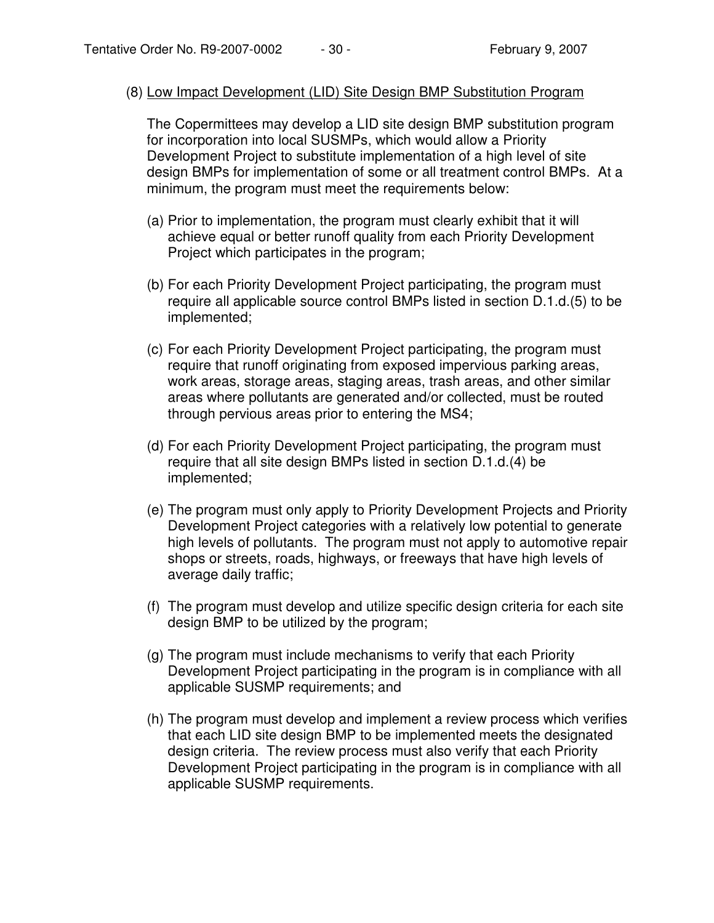#### (8) Low Impact Development (LID) Site Design BMP Substitution Program

The Copermittees may develop a LID site design BMP substitution program for incorporation into local SUSMPs, which would allow a Priority Development Project to substitute implementation of a high level of site design BMPs for implementation of some or all treatment control BMPs. At a minimum, the program must meet the requirements below:

- (a) Prior to implementation, the program must clearly exhibit that it will achieve equal or better runoff quality from each Priority Development Project which participates in the program;
- (b) For each Priority Development Project participating, the program must require all applicable source control BMPs listed in section D.1.d.(5) to be implemented;
- (c) For each Priority Development Project participating, the program must require that runoff originating from exposed impervious parking areas, work areas, storage areas, staging areas, trash areas, and other similar areas where pollutants are generated and/or collected, must be routed through pervious areas prior to entering the MS4;
- (d) For each Priority Development Project participating, the program must require that all site design BMPs listed in section D.1.d.(4) be implemented;
- (e) The program must only apply to Priority Development Projects and Priority Development Project categories with a relatively low potential to generate high levels of pollutants. The program must not apply to automotive repair shops or streets, roads, highways, or freeways that have high levels of average daily traffic;
- (f) The program must develop and utilize specific design criteria for each site design BMP to be utilized by the program;
- (g) The program must include mechanisms to verify that each Priority Development Project participating in the program is in compliance with all applicable SUSMP requirements; and
- (h) The program must develop and implement a review process which verifies that each LID site design BMP to be implemented meets the designated design criteria. The review process must also verify that each Priority Development Project participating in the program is in compliance with all applicable SUSMP requirements.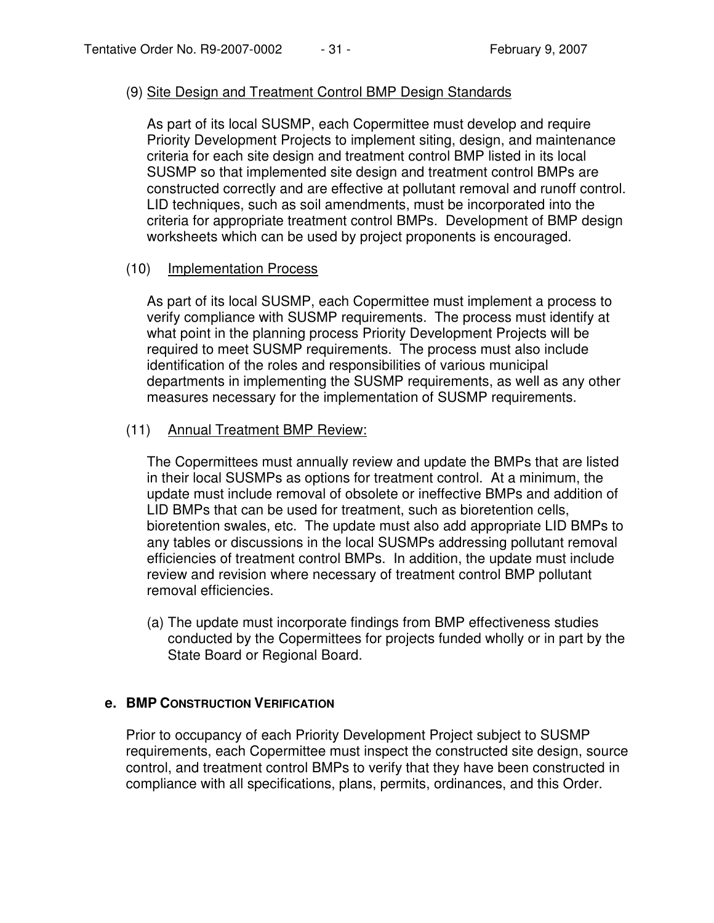#### (9) Site Design and Treatment Control BMP Design Standards

As part of its local SUSMP, each Copermittee must develop and require Priority Development Projects to implement siting, design, and maintenance criteria for each site design and treatment control BMP listed in its local SUSMP so that implemented site design and treatment control BMPs are constructed correctly and are effective at pollutant removal and runoff control. LID techniques, such as soil amendments, must be incorporated into the criteria for appropriate treatment control BMPs. Development of BMP design worksheets which can be used by project proponents is encouraged.

#### (10) Implementation Process

As part of its local SUSMP, each Copermittee must implement a process to verify compliance with SUSMP requirements. The process must identify at what point in the planning process Priority Development Projects will be required to meet SUSMP requirements. The process must also include identification of the roles and responsibilities of various municipal departments in implementing the SUSMP requirements, as well as any other measures necessary for the implementation of SUSMP requirements.

#### (11) Annual Treatment BMP Review:

The Copermittees must annually review and update the BMPs that are listed in their local SUSMPs as options for treatment control. At a minimum, the update must include removal of obsolete or ineffective BMPs and addition of LID BMPs that can be used for treatment, such as bioretention cells, bioretention swales, etc. The update must also add appropriate LID BMPs to any tables or discussions in the local SUSMPs addressing pollutant removal efficiencies of treatment control BMPs. In addition, the update must include review and revision where necessary of treatment control BMP pollutant removal efficiencies.

(a) The update must incorporate findings from BMP effectiveness studies conducted by the Copermittees for projects funded wholly or in part by the State Board or Regional Board.

### **e. BMP CONSTRUCTION VERIFICATION**

Prior to occupancy of each Priority Development Project subject to SUSMP requirements, each Copermittee must inspect the constructed site design, source control, and treatment control BMPs to verify that they have been constructed in compliance with all specifications, plans, permits, ordinances, and this Order.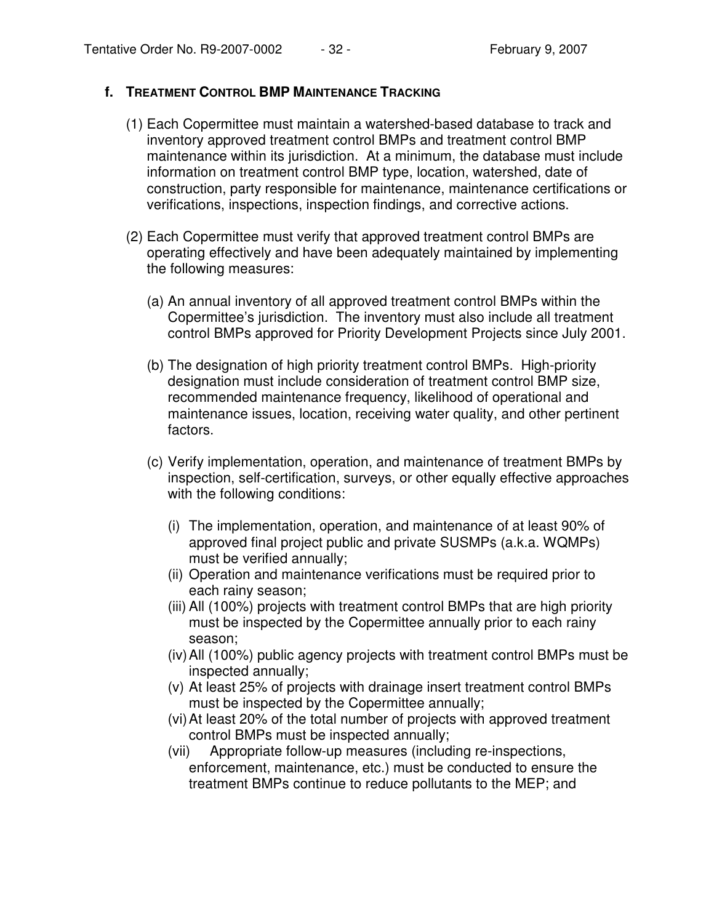### **f. TREATMENT CONTROL BMP MAINTENANCE TRACKING**

- (1) Each Copermittee must maintain a watershed-based database to track and inventory approved treatment control BMPs and treatment control BMP maintenance within its jurisdiction. At a minimum, the database must include information on treatment control BMP type, location, watershed, date of construction, party responsible for maintenance, maintenance certifications or verifications, inspections, inspection findings, and corrective actions.
- (2) Each Copermittee must verify that approved treatment control BMPs are operating effectively and have been adequately maintained by implementing the following measures:
	- (a) An annual inventory of all approved treatment control BMPs within the Copermittee's jurisdiction. The inventory must also include all treatment control BMPs approved for Priority Development Projects since July 2001.
	- (b) The designation of high priority treatment control BMPs. High-priority designation must include consideration of treatment control BMP size, recommended maintenance frequency, likelihood of operational and maintenance issues, location, receiving water quality, and other pertinent factors.
	- (c) Verify implementation, operation, and maintenance of treatment BMPs by inspection, self-certification, surveys, or other equally effective approaches with the following conditions:
		- (i) The implementation, operation, and maintenance of at least 90% of approved final project public and private SUSMPs (a.k.a. WQMPs) must be verified annually;
		- (ii) Operation and maintenance verifications must be required prior to each rainy season;
		- (iii) All (100%) projects with treatment control BMPs that are high priority must be inspected by the Copermittee annually prior to each rainy season;
		- (iv)All (100%) public agency projects with treatment control BMPs must be inspected annually;
		- (v) At least 25% of projects with drainage insert treatment control BMPs must be inspected by the Copermittee annually;
		- (vi)At least 20% of the total number of projects with approved treatment control BMPs must be inspected annually;
		- (vii) Appropriate follow-up measures (including re-inspections, enforcement, maintenance, etc.) must be conducted to ensure the treatment BMPs continue to reduce pollutants to the MEP; and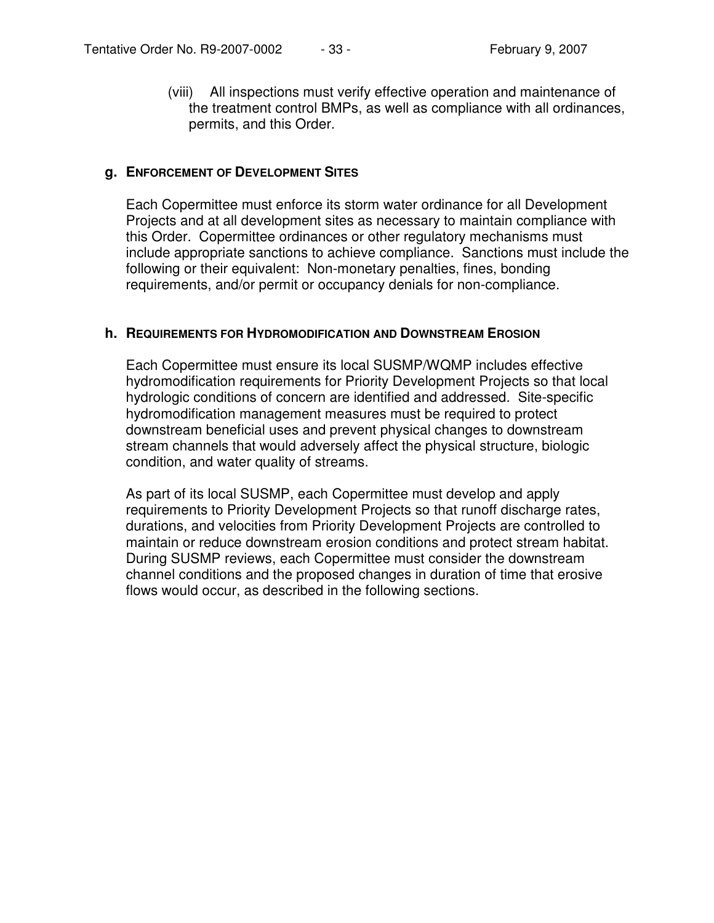(viii) All inspections must verify effective operation and maintenance of the treatment control BMPs, as well as compliance with all ordinances, permits, and this Order.

#### **g. ENFORCEMENT OF DEVELOPMENT SITES**

Each Copermittee must enforce its storm water ordinance for all Development Projects and at all development sites as necessary to maintain compliance with this Order. Copermittee ordinances or other regulatory mechanisms must include appropriate sanctions to achieve compliance. Sanctions must include the following or their equivalent: Non-monetary penalties, fines, bonding requirements, and/or permit or occupancy denials for non-compliance.

#### **h. REQUIREMENTS FOR HYDROMODIFICATION AND DOWNSTREAM EROSION**

Each Copermittee must ensure its local SUSMP/WQMP includes effective hydromodification requirements for Priority Development Projects so that local hydrologic conditions of concern are identified and addressed. Site-specific hydromodification management measures must be required to protect downstream beneficial uses and prevent physical changes to downstream stream channels that would adversely affect the physical structure, biologic condition, and water quality of streams.

As part of its local SUSMP, each Copermittee must develop and apply requirements to Priority Development Projects so that runoff discharge rates, durations, and velocities from Priority Development Projects are controlled to maintain or reduce downstream erosion conditions and protect stream habitat. During SUSMP reviews, each Copermittee must consider the downstream channel conditions and the proposed changes in duration of time that erosive flows would occur, as described in the following sections.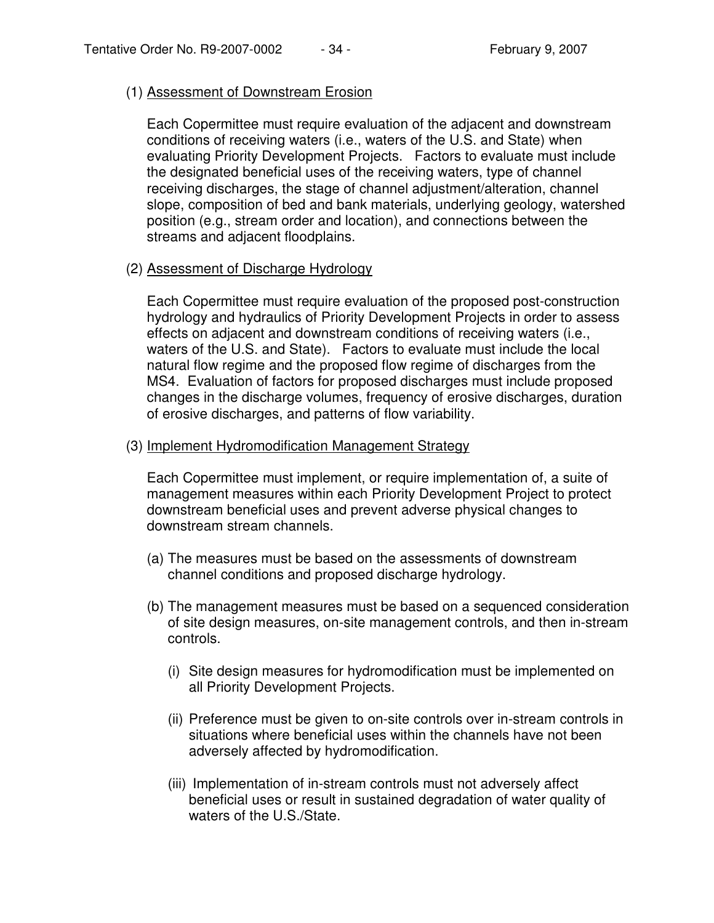#### (1) Assessment of Downstream Erosion

Each Copermittee must require evaluation of the adjacent and downstream conditions of receiving waters (i.e., waters of the U.S. and State) when evaluating Priority Development Projects. Factors to evaluate must include the designated beneficial uses of the receiving waters, type of channel receiving discharges, the stage of channel adjustment/alteration, channel slope, composition of bed and bank materials, underlying geology, watershed position (e.g., stream order and location), and connections between the streams and adjacent floodplains.

(2) Assessment of Discharge Hydrology

Each Copermittee must require evaluation of the proposed post-construction hydrology and hydraulics of Priority Development Projects in order to assess effects on adjacent and downstream conditions of receiving waters (i.e., waters of the U.S. and State). Factors to evaluate must include the local natural flow regime and the proposed flow regime of discharges from the MS4. Evaluation of factors for proposed discharges must include proposed changes in the discharge volumes, frequency of erosive discharges, duration of erosive discharges, and patterns of flow variability.

#### (3) Implement Hydromodification Management Strategy

Each Copermittee must implement, or require implementation of, a suite of management measures within each Priority Development Project to protect downstream beneficial uses and prevent adverse physical changes to downstream stream channels.

- (a) The measures must be based on the assessments of downstream channel conditions and proposed discharge hydrology.
- (b) The management measures must be based on a sequenced consideration of site design measures, on-site management controls, and then in-stream controls.
	- (i) Site design measures for hydromodification must be implemented on all Priority Development Projects.
	- (ii) Preference must be given to on-site controls over in-stream controls in situations where beneficial uses within the channels have not been adversely affected by hydromodification.
	- (iii) Implementation of in-stream controls must not adversely affect beneficial uses or result in sustained degradation of water quality of waters of the U.S./State.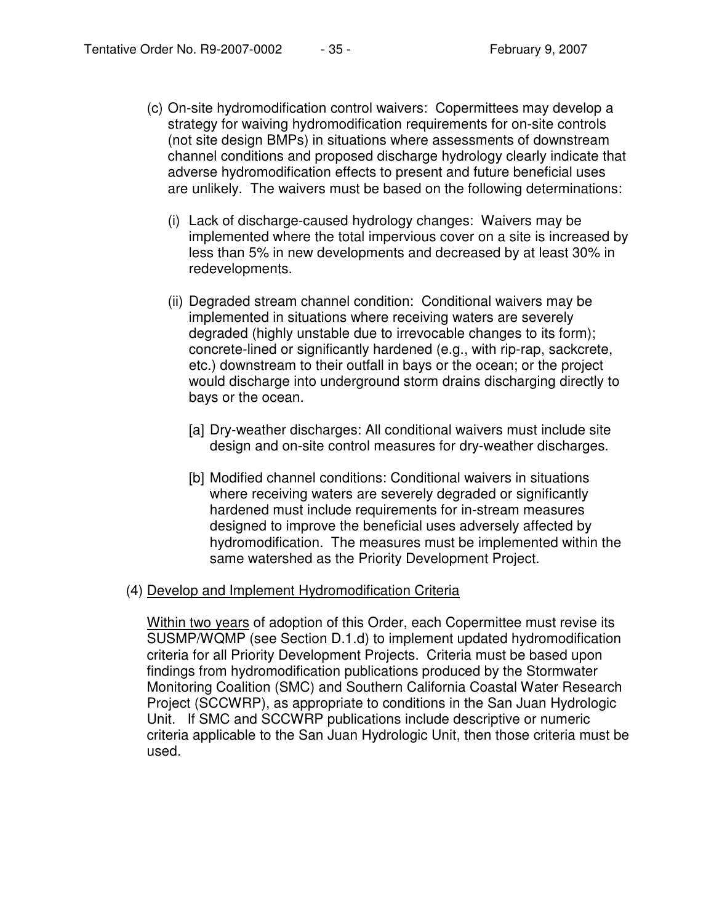- (c) On-site hydromodification control waivers: Copermittees may develop a strategy for waiving hydromodification requirements for on-site controls (not site design BMPs) in situations where assessments of downstream channel conditions and proposed discharge hydrology clearly indicate that adverse hydromodification effects to present and future beneficial uses are unlikely. The waivers must be based on the following determinations:
	- (i) Lack of discharge-caused hydrology changes: Waivers may be implemented where the total impervious cover on a site is increased by less than 5% in new developments and decreased by at least 30% in redevelopments.
	- (ii) Degraded stream channel condition: Conditional waivers may be implemented in situations where receiving waters are severely degraded (highly unstable due to irrevocable changes to its form); concrete-lined or significantly hardened (e.g., with rip-rap, sackcrete, etc.) downstream to their outfall in bays or the ocean; or the project would discharge into underground storm drains discharging directly to bays or the ocean.
		- [a] Dry-weather discharges: All conditional waivers must include site design and on-site control measures for dry-weather discharges.
		- [b] Modified channel conditions: Conditional waivers in situations where receiving waters are severely degraded or significantly hardened must include requirements for in-stream measures designed to improve the beneficial uses adversely affected by hydromodification. The measures must be implemented within the same watershed as the Priority Development Project.

#### (4) Develop and Implement Hydromodification Criteria

Within two years of adoption of this Order, each Copermittee must revise its SUSMP/WQMP (see Section D.1.d) to implement updated hydromodification criteria for all Priority Development Projects. Criteria must be based upon findings from hydromodification publications produced by the Stormwater Monitoring Coalition (SMC) and Southern California Coastal Water Research Project (SCCWRP), as appropriate to conditions in the San Juan Hydrologic Unit. If SMC and SCCWRP publications include descriptive or numeric criteria applicable to the San Juan Hydrologic Unit, then those criteria must be used.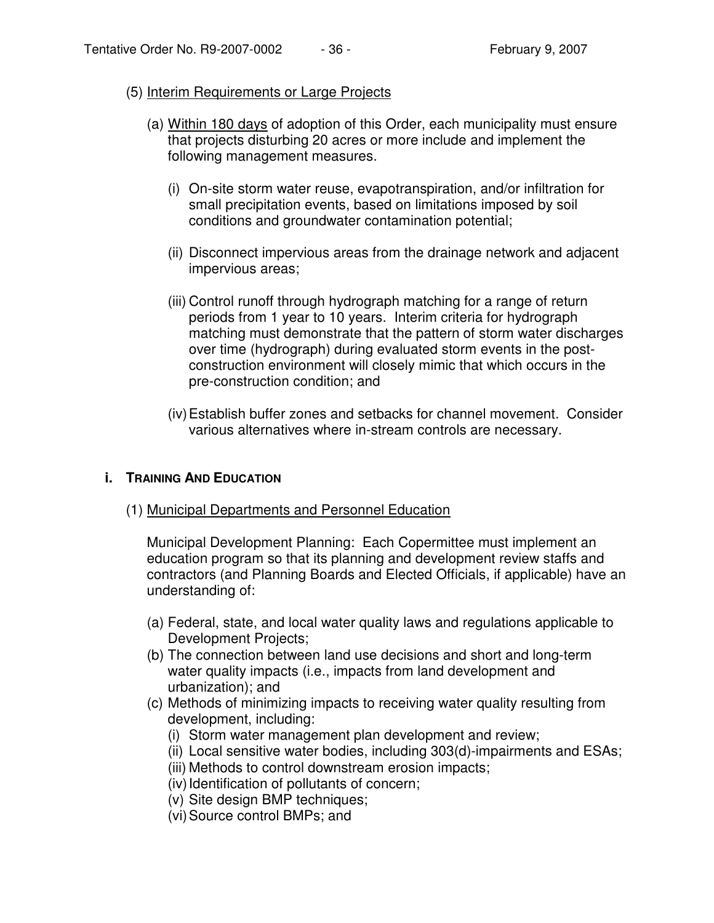#### (5) Interim Requirements or Large Projects

- (a) Within 180 days of adoption of this Order, each municipality must ensure that projects disturbing 20 acres or more include and implement the following management measures.
	- (i) On-site storm water reuse, evapotranspiration, and/or infiltration for small precipitation events, based on limitations imposed by soil conditions and groundwater contamination potential;
	- (ii) Disconnect impervious areas from the drainage network and adjacent impervious areas;
	- (iii) Control runoff through hydrograph matching for a range of return periods from 1 year to 10 years. Interim criteria for hydrograph matching must demonstrate that the pattern of storm water discharges over time (hydrograph) during evaluated storm events in the postconstruction environment will closely mimic that which occurs in the pre-construction condition; and
	- (iv)Establish buffer zones and setbacks for channel movement. Consider various alternatives where in-stream controls are necessary.

#### **i. TRAINING AND EDUCATION**

(1) Municipal Departments and Personnel Education

Municipal Development Planning: Each Copermittee must implement an education program so that its planning and development review staffs and contractors (and Planning Boards and Elected Officials, if applicable) have an understanding of:

- (a) Federal, state, and local water quality laws and regulations applicable to Development Projects;
- (b) The connection between land use decisions and short and long-term water quality impacts (i.e., impacts from land development and urbanization); and
- (c) Methods of minimizing impacts to receiving water quality resulting from development, including:
	- (i) Storm water management plan development and review;
	- (ii) Local sensitive water bodies, including 303(d)-impairments and ESAs;
	- (iii) Methods to control downstream erosion impacts;
	- (iv) Identification of pollutants of concern;
	- (v) Site design BMP techniques;
	- (vi)Source control BMPs; and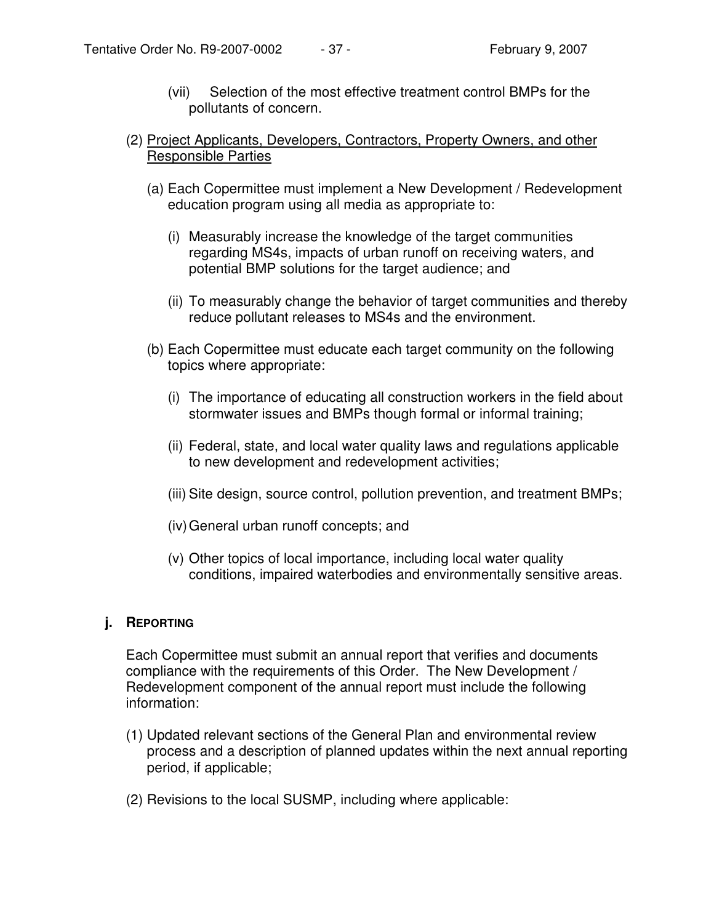- (vii) Selection of the most effective treatment control BMPs for the pollutants of concern.
- (2) Project Applicants, Developers, Contractors, Property Owners, and other Responsible Parties
	- (a) Each Copermittee must implement a New Development / Redevelopment education program using all media as appropriate to:
		- (i) Measurably increase the knowledge of the target communities regarding MS4s, impacts of urban runoff on receiving waters, and potential BMP solutions for the target audience; and
		- (ii) To measurably change the behavior of target communities and thereby reduce pollutant releases to MS4s and the environment.
	- (b) Each Copermittee must educate each target community on the following topics where appropriate:
		- (i) The importance of educating all construction workers in the field about stormwater issues and BMPs though formal or informal training;
		- (ii) Federal, state, and local water quality laws and regulations applicable to new development and redevelopment activities;
		- (iii) Site design, source control, pollution prevention, and treatment BMPs;
		- (iv)General urban runoff concepts; and
		- (v) Other topics of local importance, including local water quality conditions, impaired waterbodies and environmentally sensitive areas.

### **j. REPORTING**

Each Copermittee must submit an annual report that verifies and documents compliance with the requirements of this Order. The New Development / Redevelopment component of the annual report must include the following information:

- (1) Updated relevant sections of the General Plan and environmental review process and a description of planned updates within the next annual reporting period, if applicable;
- (2) Revisions to the local SUSMP, including where applicable: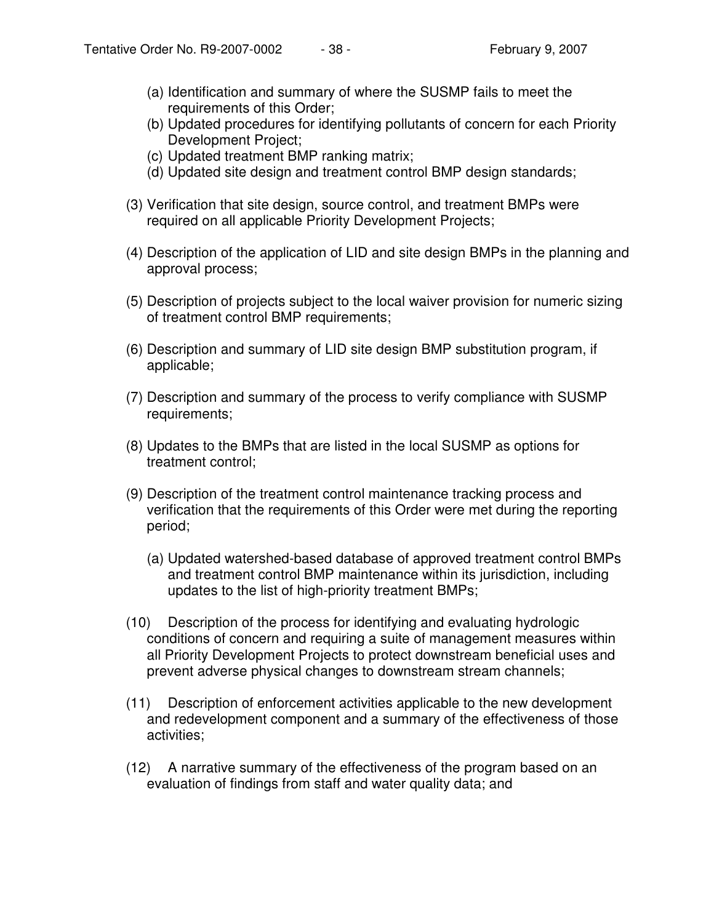- (a) Identification and summary of where the SUSMP fails to meet the requirements of this Order;
- (b) Updated procedures for identifying pollutants of concern for each Priority Development Project;
- (c) Updated treatment BMP ranking matrix;
- (d) Updated site design and treatment control BMP design standards;
- (3) Verification that site design, source control, and treatment BMPs were required on all applicable Priority Development Projects;
- (4) Description of the application of LID and site design BMPs in the planning and approval process;
- (5) Description of projects subject to the local waiver provision for numeric sizing of treatment control BMP requirements;
- (6) Description and summary of LID site design BMP substitution program, if applicable;
- (7) Description and summary of the process to verify compliance with SUSMP requirements;
- (8) Updates to the BMPs that are listed in the local SUSMP as options for treatment control;
- (9) Description of the treatment control maintenance tracking process and verification that the requirements of this Order were met during the reporting period;
	- (a) Updated watershed-based database of approved treatment control BMPs and treatment control BMP maintenance within its jurisdiction, including updates to the list of high-priority treatment BMPs;
- (10) Description of the process for identifying and evaluating hydrologic conditions of concern and requiring a suite of management measures within all Priority Development Projects to protect downstream beneficial uses and prevent adverse physical changes to downstream stream channels;
- (11) Description of enforcement activities applicable to the new development and redevelopment component and a summary of the effectiveness of those activities;
- (12) A narrative summary of the effectiveness of the program based on an evaluation of findings from staff and water quality data; and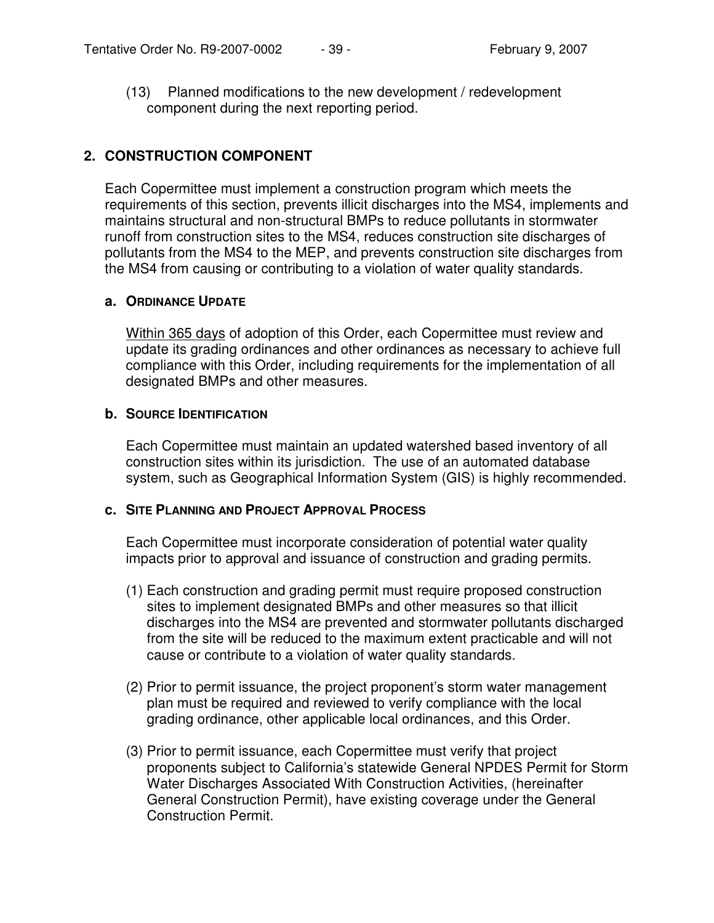(13) Planned modifications to the new development / redevelopment component during the next reporting period.

# **2. CONSTRUCTION COMPONENT**

Each Copermittee must implement a construction program which meets the requirements of this section, prevents illicit discharges into the MS4, implements and maintains structural and non-structural BMPs to reduce pollutants in stormwater runoff from construction sites to the MS4, reduces construction site discharges of pollutants from the MS4 to the MEP, and prevents construction site discharges from the MS4 from causing or contributing to a violation of water quality standards.

### **a. ORDINANCE UPDATE**

Within 365 days of adoption of this Order, each Copermittee must review and update its grading ordinances and other ordinances as necessary to achieve full compliance with this Order, including requirements for the implementation of all designated BMPs and other measures.

### **b. SOURCE IDENTIFICATION**

Each Copermittee must maintain an updated watershed based inventory of all construction sites within its jurisdiction. The use of an automated database system, such as Geographical Information System (GIS) is highly recommended.

### **c. SITE PLANNING AND PROJECT APPROVAL PROCESS**

Each Copermittee must incorporate consideration of potential water quality impacts prior to approval and issuance of construction and grading permits.

- (1) Each construction and grading permit must require proposed construction sites to implement designated BMPs and other measures so that illicit discharges into the MS4 are prevented and stormwater pollutants discharged from the site will be reduced to the maximum extent practicable and will not cause or contribute to a violation of water quality standards.
- (2) Prior to permit issuance, the project proponent's storm water management plan must be required and reviewed to verify compliance with the local grading ordinance, other applicable local ordinances, and this Order.
- (3) Prior to permit issuance, each Copermittee must verify that project proponents subject to California's statewide General NPDES Permit for Storm Water Discharges Associated With Construction Activities, (hereinafter General Construction Permit), have existing coverage under the General Construction Permit.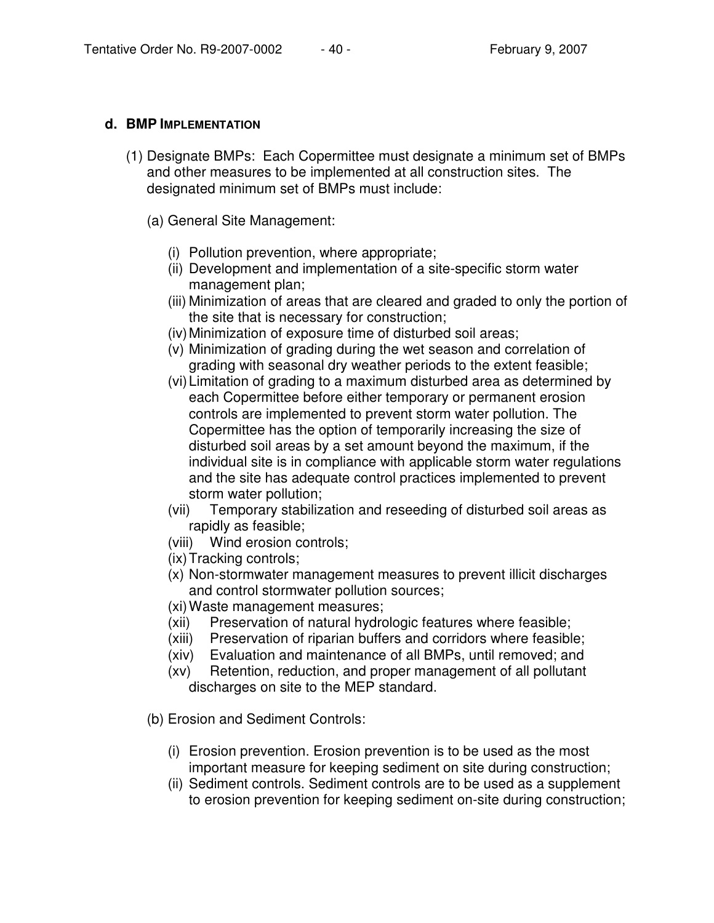## **d. BMP IMPLEMENTATION**

- (1) Designate BMPs: Each Copermittee must designate a minimum set of BMPs and other measures to be implemented at all construction sites. The designated minimum set of BMPs must include:
	- (a) General Site Management:
		- (i) Pollution prevention, where appropriate;
		- (ii) Development and implementation of a site-specific storm water management plan;
		- (iii) Minimization of areas that are cleared and graded to only the portion of the site that is necessary for construction;
		- (iv)Minimization of exposure time of disturbed soil areas;
		- (v) Minimization of grading during the wet season and correlation of grading with seasonal dry weather periods to the extent feasible;
		- (vi)Limitation of grading to a maximum disturbed area as determined by each Copermittee before either temporary or permanent erosion controls are implemented to prevent storm water pollution. The Copermittee has the option of temporarily increasing the size of disturbed soil areas by a set amount beyond the maximum, if the individual site is in compliance with applicable storm water regulations and the site has adequate control practices implemented to prevent storm water pollution;
		- (vii) Temporary stabilization and reseeding of disturbed soil areas as rapidly as feasible;
		- (viii) Wind erosion controls;
		- (ix) Tracking controls;
		- (x) Non-stormwater management measures to prevent illicit discharges and control stormwater pollution sources;
		- (xi) Waste management measures;
		- (xii) Preservation of natural hydrologic features where feasible;
		- (xiii) Preservation of riparian buffers and corridors where feasible;
		- (xiv) Evaluation and maintenance of all BMPs, until removed; and
		- (xv) Retention, reduction, and proper management of all pollutant discharges on site to the MEP standard.
	- (b) Erosion and Sediment Controls:
		- (i) Erosion prevention. Erosion prevention is to be used as the most important measure for keeping sediment on site during construction;
		- (ii) Sediment controls. Sediment controls are to be used as a supplement to erosion prevention for keeping sediment on-site during construction;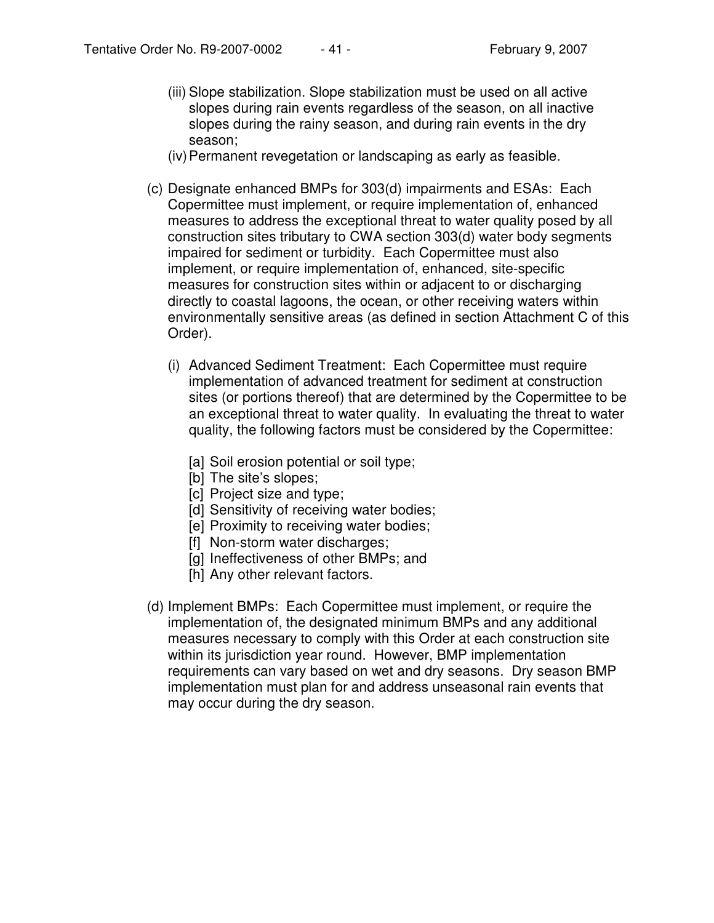- (iii) Slope stabilization. Slope stabilization must be used on all active slopes during rain events regardless of the season, on all inactive slopes during the rainy season, and during rain events in the dry season;
- (iv)Permanent revegetation or landscaping as early as feasible.
- (c) Designate enhanced BMPs for 303(d) impairments and ESAs: Each Copermittee must implement, or require implementation of, enhanced measures to address the exceptional threat to water quality posed by all construction sites tributary to CWA section 303(d) water body segments impaired for sediment or turbidity. Each Copermittee must also implement, or require implementation of, enhanced, site-specific measures for construction sites within or adjacent to or discharging directly to coastal lagoons, the ocean, or other receiving waters within environmentally sensitive areas (as defined in section Attachment C of this Order).
	- (i) Advanced Sediment Treatment: Each Copermittee must require implementation of advanced treatment for sediment at construction sites (or portions thereof) that are determined by the Copermittee to be an exceptional threat to water quality. In evaluating the threat to water quality, the following factors must be considered by the Copermittee:
		- [a] Soil erosion potential or soil type;
		- [b] The site's slopes;
		- [c] Project size and type;
		- [d] Sensitivity of receiving water bodies;
		- [e] Proximity to receiving water bodies;
		- [f] Non-storm water discharges;
		- [g] Ineffectiveness of other BMPs; and
		- [h] Any other relevant factors.
- (d) Implement BMPs: Each Copermittee must implement, or require the implementation of, the designated minimum BMPs and any additional measures necessary to comply with this Order at each construction site within its jurisdiction year round. However, BMP implementation requirements can vary based on wet and dry seasons. Dry season BMP implementation must plan for and address unseasonal rain events that may occur during the dry season.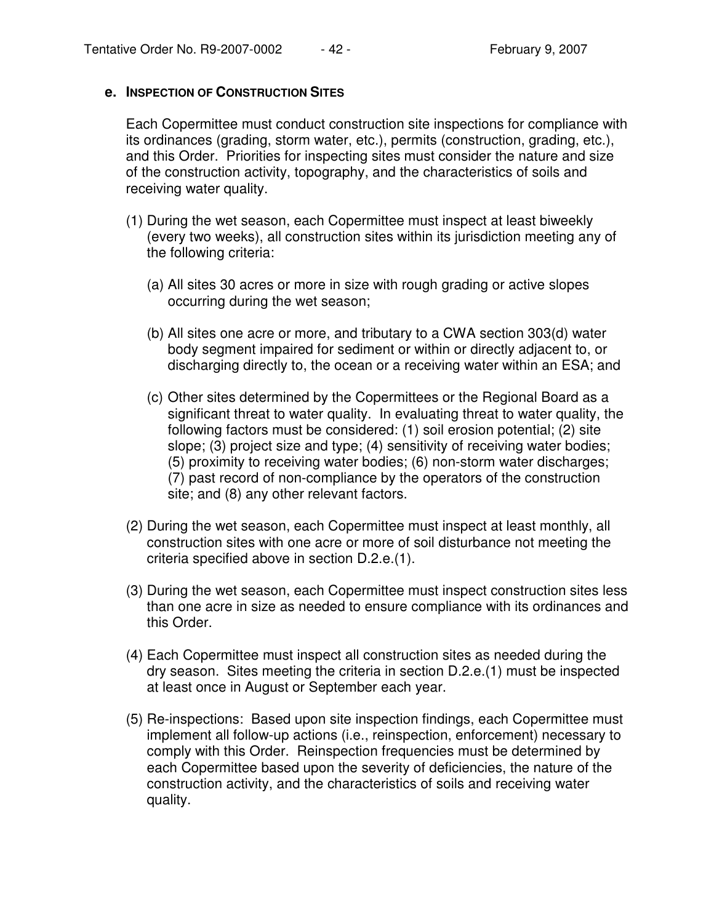#### **e. INSPECTION OF CONSTRUCTION SITES**

Each Copermittee must conduct construction site inspections for compliance with its ordinances (grading, storm water, etc.), permits (construction, grading, etc.), and this Order. Priorities for inspecting sites must consider the nature and size of the construction activity, topography, and the characteristics of soils and receiving water quality.

- (1) During the wet season, each Copermittee must inspect at least biweekly (every two weeks), all construction sites within its jurisdiction meeting any of the following criteria:
	- (a) All sites 30 acres or more in size with rough grading or active slopes occurring during the wet season;
	- (b) All sites one acre or more, and tributary to a CWA section 303(d) water body segment impaired for sediment or within or directly adjacent to, or discharging directly to, the ocean or a receiving water within an ESA; and
	- (c) Other sites determined by the Copermittees or the Regional Board as a significant threat to water quality. In evaluating threat to water quality, the following factors must be considered: (1) soil erosion potential; (2) site slope; (3) project size and type; (4) sensitivity of receiving water bodies; (5) proximity to receiving water bodies; (6) non-storm water discharges; (7) past record of non-compliance by the operators of the construction site; and (8) any other relevant factors.
- (2) During the wet season, each Copermittee must inspect at least monthly, all construction sites with one acre or more of soil disturbance not meeting the criteria specified above in section D.2.e.(1).
- (3) During the wet season, each Copermittee must inspect construction sites less than one acre in size as needed to ensure compliance with its ordinances and this Order.
- (4) Each Copermittee must inspect all construction sites as needed during the dry season. Sites meeting the criteria in section D.2.e.(1) must be inspected at least once in August or September each year.
- (5) Re-inspections: Based upon site inspection findings, each Copermittee must implement all follow-up actions (i.e., reinspection, enforcement) necessary to comply with this Order. Reinspection frequencies must be determined by each Copermittee based upon the severity of deficiencies, the nature of the construction activity, and the characteristics of soils and receiving water quality.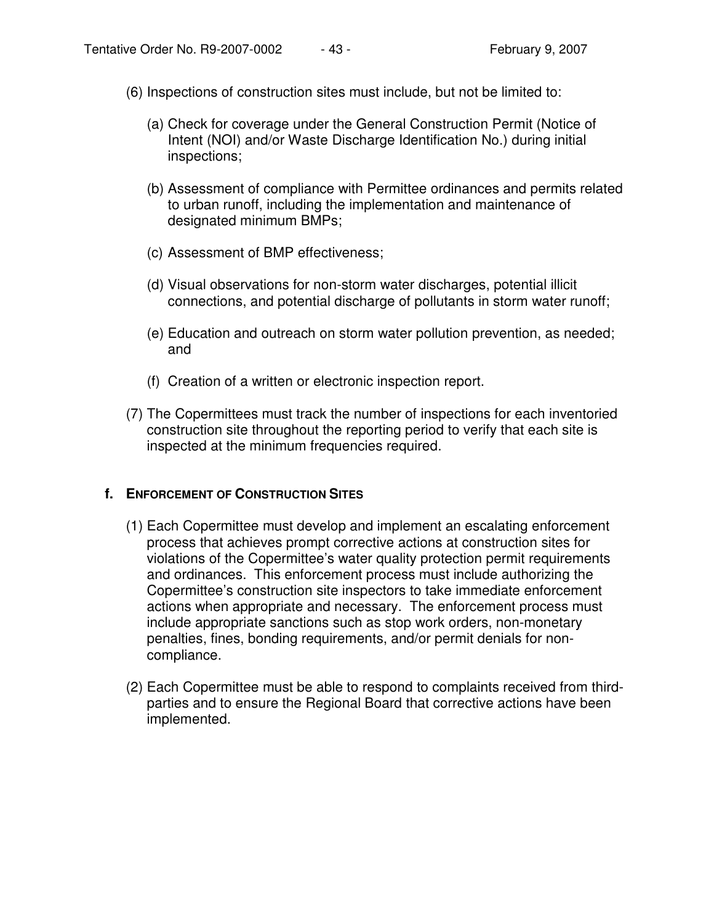- (6) Inspections of construction sites must include, but not be limited to:
	- (a) Check for coverage under the General Construction Permit (Notice of Intent (NOI) and/or Waste Discharge Identification No.) during initial inspections;
	- (b) Assessment of compliance with Permittee ordinances and permits related to urban runoff, including the implementation and maintenance of designated minimum BMPs;
	- (c) Assessment of BMP effectiveness;
	- (d) Visual observations for non-storm water discharges, potential illicit connections, and potential discharge of pollutants in storm water runoff;
	- (e) Education and outreach on storm water pollution prevention, as needed; and
	- (f) Creation of a written or electronic inspection report.
- (7) The Copermittees must track the number of inspections for each inventoried construction site throughout the reporting period to verify that each site is inspected at the minimum frequencies required.

### **f. ENFORCEMENT OF CONSTRUCTION SITES**

- (1) Each Copermittee must develop and implement an escalating enforcement process that achieves prompt corrective actions at construction sites for violations of the Copermittee's water quality protection permit requirements and ordinances. This enforcement process must include authorizing the Copermittee's construction site inspectors to take immediate enforcement actions when appropriate and necessary. The enforcement process must include appropriate sanctions such as stop work orders, non-monetary penalties, fines, bonding requirements, and/or permit denials for noncompliance.
- (2) Each Copermittee must be able to respond to complaints received from thirdparties and to ensure the Regional Board that corrective actions have been implemented.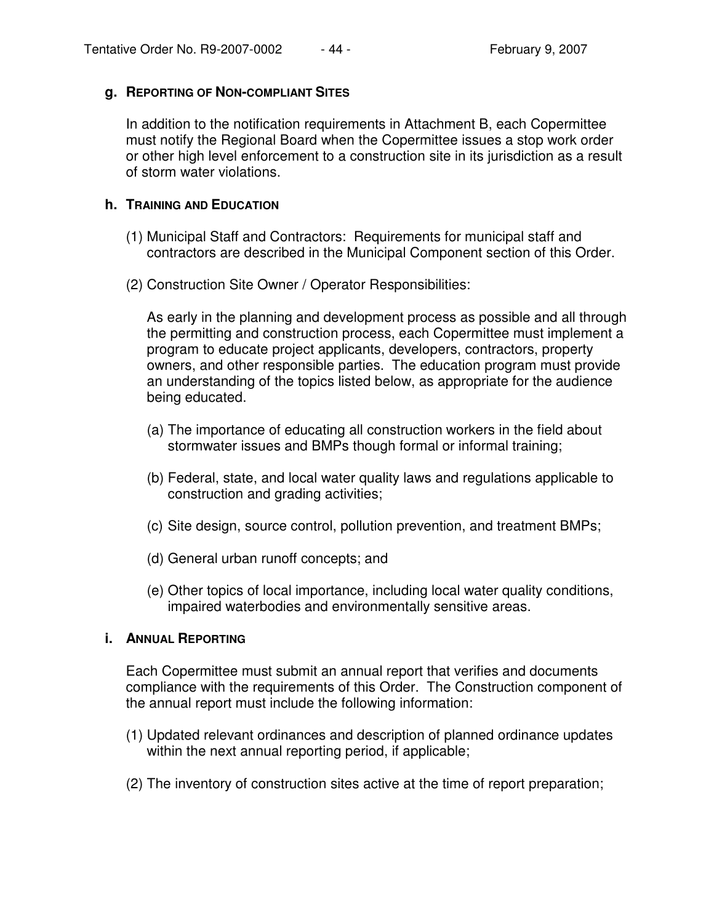### **g. REPORTING OF NON-COMPLIANT SITES**

In addition to the notification requirements in Attachment B, each Copermittee must notify the Regional Board when the Copermittee issues a stop work order or other high level enforcement to a construction site in its jurisdiction as a result of storm water violations.

# **h. TRAINING AND EDUCATION**

- (1) Municipal Staff and Contractors: Requirements for municipal staff and contractors are described in the Municipal Component section of this Order.
- (2) Construction Site Owner / Operator Responsibilities:

As early in the planning and development process as possible and all through the permitting and construction process, each Copermittee must implement a program to educate project applicants, developers, contractors, property owners, and other responsible parties. The education program must provide an understanding of the topics listed below, as appropriate for the audience being educated.

- (a) The importance of educating all construction workers in the field about stormwater issues and BMPs though formal or informal training;
- (b) Federal, state, and local water quality laws and regulations applicable to construction and grading activities;
- (c) Site design, source control, pollution prevention, and treatment BMPs;
- (d) General urban runoff concepts; and
- (e) Other topics of local importance, including local water quality conditions, impaired waterbodies and environmentally sensitive areas.

### **i. ANNUAL REPORTING**

Each Copermittee must submit an annual report that verifies and documents compliance with the requirements of this Order. The Construction component of the annual report must include the following information:

- (1) Updated relevant ordinances and description of planned ordinance updates within the next annual reporting period, if applicable;
- (2) The inventory of construction sites active at the time of report preparation;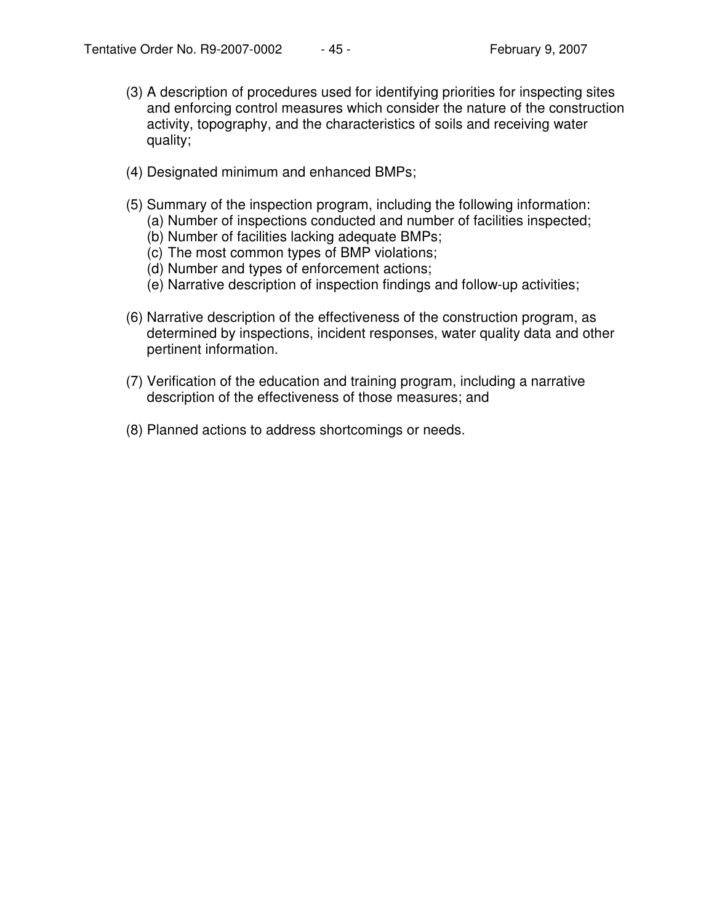- (3) A description of procedures used for identifying priorities for inspecting sites and enforcing control measures which consider the nature of the construction activity, topography, and the characteristics of soils and receiving water quality;
- (4) Designated minimum and enhanced BMPs;
- (5) Summary of the inspection program, including the following information: (a) Number of inspections conducted and number of facilities inspected;
	- (b) Number of facilities lacking adequate BMPs;
	- (c) The most common types of BMP violations;
	- (d) Number and types of enforcement actions;
	- (e) Narrative description of inspection findings and follow-up activities;
- (6) Narrative description of the effectiveness of the construction program, as determined by inspections, incident responses, water quality data and other pertinent information.
- (7) Verification of the education and training program, including a narrative description of the effectiveness of those measures; and
- (8) Planned actions to address shortcomings or needs.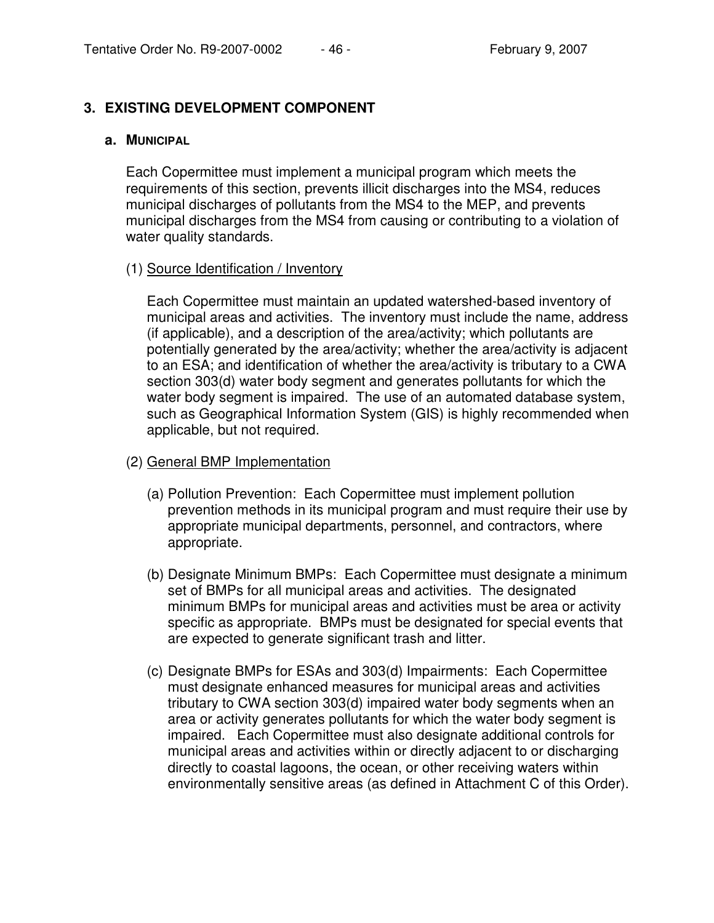# **3. EXISTING DEVELOPMENT COMPONENT**

#### **a. MUNICIPAL**

Each Copermittee must implement a municipal program which meets the requirements of this section, prevents illicit discharges into the MS4, reduces municipal discharges of pollutants from the MS4 to the MEP, and prevents municipal discharges from the MS4 from causing or contributing to a violation of water quality standards.

#### (1) Source Identification / Inventory

Each Copermittee must maintain an updated watershed-based inventory of municipal areas and activities. The inventory must include the name, address (if applicable), and a description of the area/activity; which pollutants are potentially generated by the area/activity; whether the area/activity is adjacent to an ESA; and identification of whether the area/activity is tributary to a CWA section 303(d) water body segment and generates pollutants for which the water body segment is impaired. The use of an automated database system, such as Geographical Information System (GIS) is highly recommended when applicable, but not required.

### (2) General BMP Implementation

- (a) Pollution Prevention: Each Copermittee must implement pollution prevention methods in its municipal program and must require their use by appropriate municipal departments, personnel, and contractors, where appropriate.
- (b) Designate Minimum BMPs: Each Copermittee must designate a minimum set of BMPs for all municipal areas and activities. The designated minimum BMPs for municipal areas and activities must be area or activity specific as appropriate. BMPs must be designated for special events that are expected to generate significant trash and litter.
- (c) Designate BMPs for ESAs and 303(d) Impairments: Each Copermittee must designate enhanced measures for municipal areas and activities tributary to CWA section 303(d) impaired water body segments when an area or activity generates pollutants for which the water body segment is impaired. Each Copermittee must also designate additional controls for municipal areas and activities within or directly adjacent to or discharging directly to coastal lagoons, the ocean, or other receiving waters within environmentally sensitive areas (as defined in Attachment C of this Order).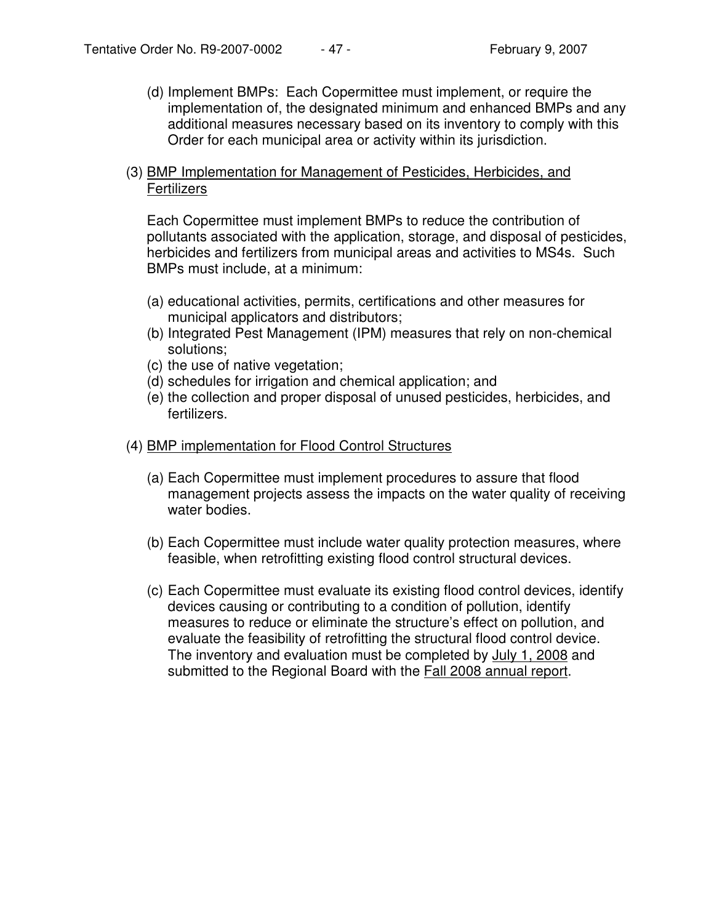(d) Implement BMPs: Each Copermittee must implement, or require the implementation of, the designated minimum and enhanced BMPs and any additional measures necessary based on its inventory to comply with this Order for each municipal area or activity within its jurisdiction.

### (3) BMP Implementation for Management of Pesticides, Herbicides, and **Fertilizers**

Each Copermittee must implement BMPs to reduce the contribution of pollutants associated with the application, storage, and disposal of pesticides, herbicides and fertilizers from municipal areas and activities to MS4s. Such BMPs must include, at a minimum:

- (a) educational activities, permits, certifications and other measures for municipal applicators and distributors;
- (b) Integrated Pest Management (IPM) measures that rely on non-chemical solutions;
- (c) the use of native vegetation;
- (d) schedules for irrigation and chemical application; and
- (e) the collection and proper disposal of unused pesticides, herbicides, and fertilizers.
- (4) BMP implementation for Flood Control Structures
	- (a) Each Copermittee must implement procedures to assure that flood management projects assess the impacts on the water quality of receiving water bodies.
	- (b) Each Copermittee must include water quality protection measures, where feasible, when retrofitting existing flood control structural devices.
	- (c) Each Copermittee must evaluate its existing flood control devices, identify devices causing or contributing to a condition of pollution, identify measures to reduce or eliminate the structure's effect on pollution, and evaluate the feasibility of retrofitting the structural flood control device. The inventory and evaluation must be completed by July 1, 2008 and submitted to the Regional Board with the **Fall 2008** annual report.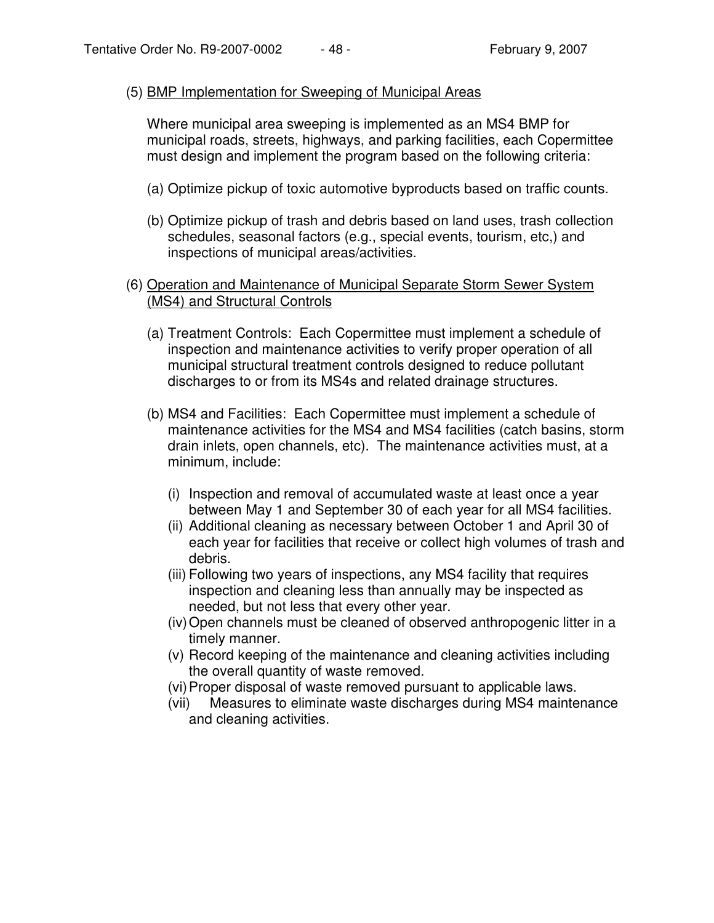### (5) BMP Implementation for Sweeping of Municipal Areas

Where municipal area sweeping is implemented as an MS4 BMP for municipal roads, streets, highways, and parking facilities, each Copermittee must design and implement the program based on the following criteria:

- (a) Optimize pickup of toxic automotive byproducts based on traffic counts.
- (b) Optimize pickup of trash and debris based on land uses, trash collection schedules, seasonal factors (e.g., special events, tourism, etc,) and inspections of municipal areas/activities.
- (6) Operation and Maintenance of Municipal Separate Storm Sewer System (MS4) and Structural Controls
	- (a) Treatment Controls: Each Copermittee must implement a schedule of inspection and maintenance activities to verify proper operation of all municipal structural treatment controls designed to reduce pollutant discharges to or from its MS4s and related drainage structures.
	- (b) MS4 and Facilities: Each Copermittee must implement a schedule of maintenance activities for the MS4 and MS4 facilities (catch basins, storm drain inlets, open channels, etc). The maintenance activities must, at a minimum, include:
		- (i) Inspection and removal of accumulated waste at least once a year between May 1 and September 30 of each year for all MS4 facilities.
		- (ii) Additional cleaning as necessary between October 1 and April 30 of each year for facilities that receive or collect high volumes of trash and debris.
		- (iii) Following two years of inspections, any MS4 facility that requires inspection and cleaning less than annually may be inspected as needed, but not less that every other year.
		- (iv)Open channels must be cleaned of observed anthropogenic litter in a timely manner.
		- (v) Record keeping of the maintenance and cleaning activities including the overall quantity of waste removed.
		- (vi)Proper disposal of waste removed pursuant to applicable laws.
		- (vii) Measures to eliminate waste discharges during MS4 maintenance and cleaning activities.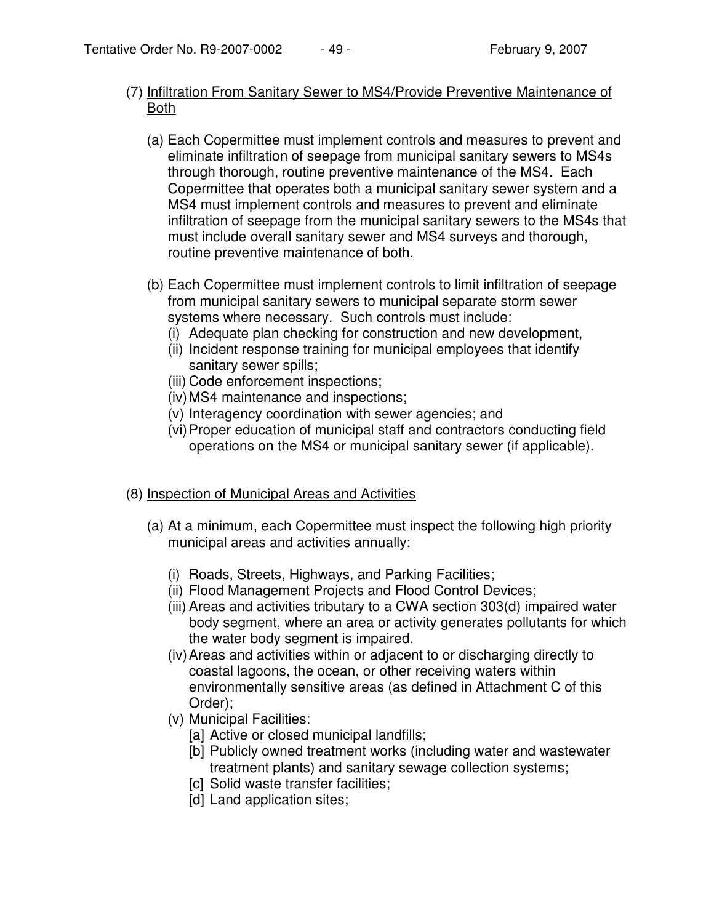## (7) Infiltration From Sanitary Sewer to MS4/Provide Preventive Maintenance of Both

- (a) Each Copermittee must implement controls and measures to prevent and eliminate infiltration of seepage from municipal sanitary sewers to MS4s through thorough, routine preventive maintenance of the MS4. Each Copermittee that operates both a municipal sanitary sewer system and a MS4 must implement controls and measures to prevent and eliminate infiltration of seepage from the municipal sanitary sewers to the MS4s that must include overall sanitary sewer and MS4 surveys and thorough, routine preventive maintenance of both.
- (b) Each Copermittee must implement controls to limit infiltration of seepage from municipal sanitary sewers to municipal separate storm sewer systems where necessary. Such controls must include:
	- (i) Adequate plan checking for construction and new development,
	- (ii) Incident response training for municipal employees that identify sanitary sewer spills;
	- (iii) Code enforcement inspections;
	- (iv)MS4 maintenance and inspections;
	- (v) Interagency coordination with sewer agencies; and
	- (vi)Proper education of municipal staff and contractors conducting field operations on the MS4 or municipal sanitary sewer (if applicable).

# (8) Inspection of Municipal Areas and Activities

- (a) At a minimum, each Copermittee must inspect the following high priority municipal areas and activities annually:
	- (i) Roads, Streets, Highways, and Parking Facilities;
	- (ii) Flood Management Projects and Flood Control Devices;
	- (iii) Areas and activities tributary to a CWA section 303(d) impaired water body segment, where an area or activity generates pollutants for which the water body segment is impaired.
	- (iv)Areas and activities within or adjacent to or discharging directly to coastal lagoons, the ocean, or other receiving waters within environmentally sensitive areas (as defined in Attachment C of this Order);
	- (v) Municipal Facilities:
		- [a] Active or closed municipal landfills;
		- [b] Publicly owned treatment works (including water and wastewater treatment plants) and sanitary sewage collection systems;
		- [c] Solid waste transfer facilities;
		- [d] Land application sites;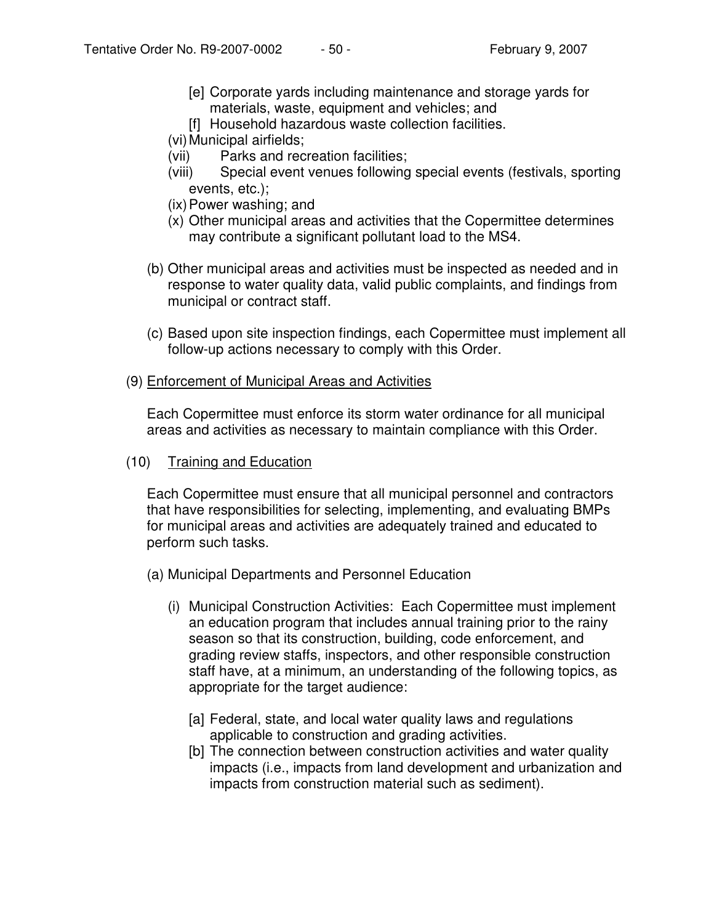- [e] Corporate yards including maintenance and storage yards for materials, waste, equipment and vehicles; and
- [f] Household hazardous waste collection facilities.
- (vi) Municipal airfields;
- (vii) Parks and recreation facilities;
- (viii) Special event venues following special events (festivals, sporting events, etc.);
- (ix)Power washing; and
- (x) Other municipal areas and activities that the Copermittee determines may contribute a significant pollutant load to the MS4.
- (b) Other municipal areas and activities must be inspected as needed and in response to water quality data, valid public complaints, and findings from municipal or contract staff.
- (c) Based upon site inspection findings, each Copermittee must implement all follow-up actions necessary to comply with this Order.
- (9) Enforcement of Municipal Areas and Activities

Each Copermittee must enforce its storm water ordinance for all municipal areas and activities as necessary to maintain compliance with this Order.

### (10) Training and Education

Each Copermittee must ensure that all municipal personnel and contractors that have responsibilities for selecting, implementing, and evaluating BMPs for municipal areas and activities are adequately trained and educated to perform such tasks.

- (a) Municipal Departments and Personnel Education
	- (i) Municipal Construction Activities: Each Copermittee must implement an education program that includes annual training prior to the rainy season so that its construction, building, code enforcement, and grading review staffs, inspectors, and other responsible construction staff have, at a minimum, an understanding of the following topics, as appropriate for the target audience:
		- [a] Federal, state, and local water quality laws and regulations applicable to construction and grading activities.
		- [b] The connection between construction activities and water quality impacts (i.e., impacts from land development and urbanization and impacts from construction material such as sediment).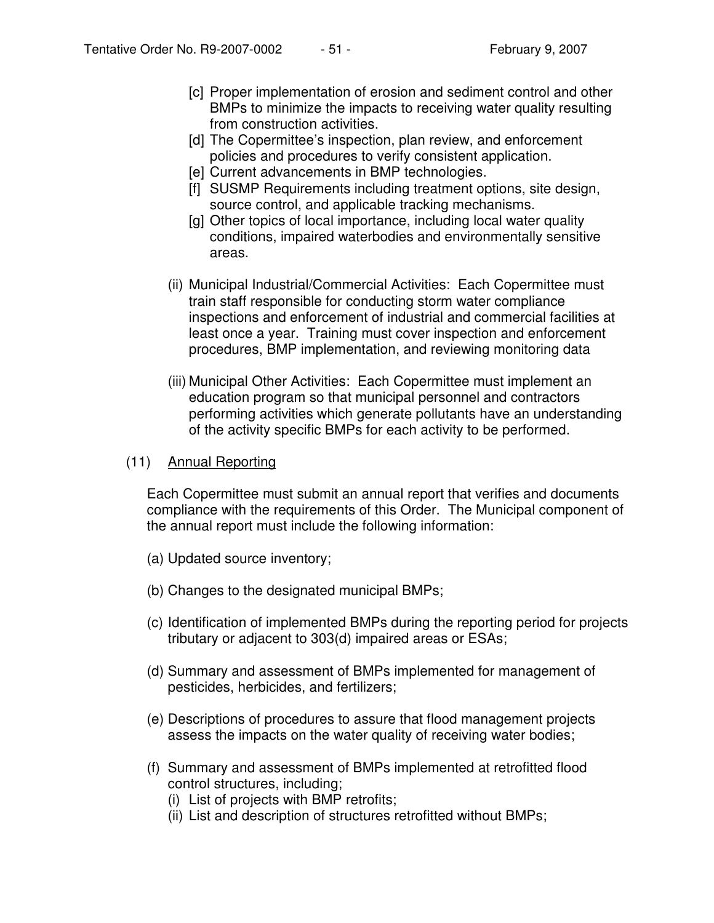- [c] Proper implementation of erosion and sediment control and other BMPs to minimize the impacts to receiving water quality resulting from construction activities.
- [d] The Copermittee's inspection, plan review, and enforcement policies and procedures to verify consistent application.
- [e] Current advancements in BMP technologies.
- [f] SUSMP Requirements including treatment options, site design, source control, and applicable tracking mechanisms.
- [g] Other topics of local importance, including local water quality conditions, impaired waterbodies and environmentally sensitive areas.
- (ii) Municipal Industrial/Commercial Activities: Each Copermittee must train staff responsible for conducting storm water compliance inspections and enforcement of industrial and commercial facilities at least once a year. Training must cover inspection and enforcement procedures, BMP implementation, and reviewing monitoring data
- (iii) Municipal Other Activities: Each Copermittee must implement an education program so that municipal personnel and contractors performing activities which generate pollutants have an understanding of the activity specific BMPs for each activity to be performed.

### (11) Annual Reporting

Each Copermittee must submit an annual report that verifies and documents compliance with the requirements of this Order. The Municipal component of the annual report must include the following information:

- (a) Updated source inventory;
- (b) Changes to the designated municipal BMPs;
- (c) Identification of implemented BMPs during the reporting period for projects tributary or adjacent to 303(d) impaired areas or ESAs;
- (d) Summary and assessment of BMPs implemented for management of pesticides, herbicides, and fertilizers;
- (e) Descriptions of procedures to assure that flood management projects assess the impacts on the water quality of receiving water bodies;
- (f) Summary and assessment of BMPs implemented at retrofitted flood control structures, including;
	- (i) List of projects with BMP retrofits;
	- (ii) List and description of structures retrofitted without BMPs;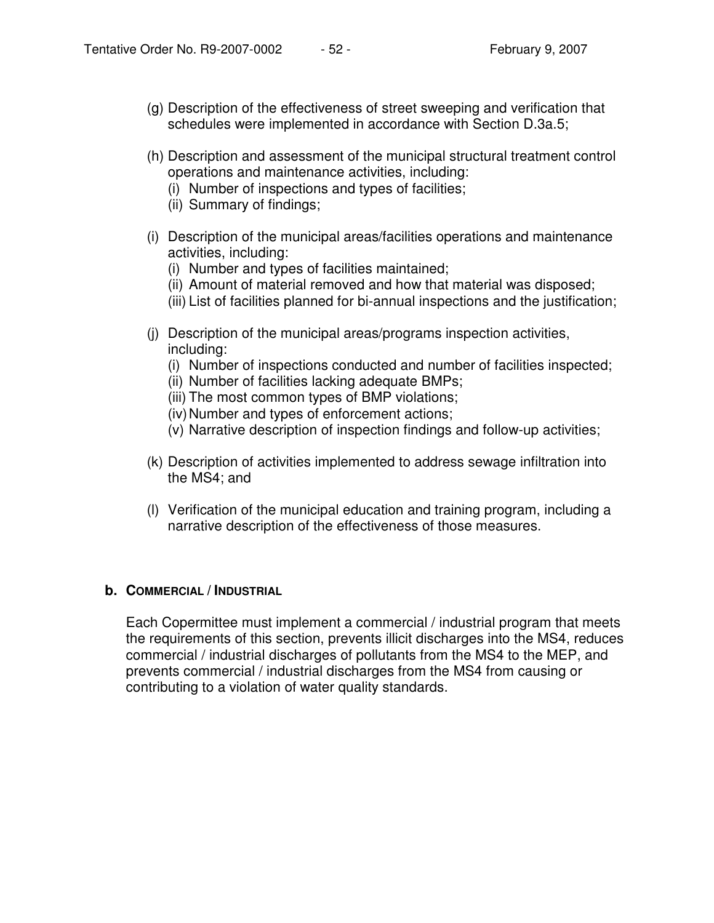- (g) Description of the effectiveness of street sweeping and verification that schedules were implemented in accordance with Section D.3a.5;
- (h) Description and assessment of the municipal structural treatment control operations and maintenance activities, including:
	- (i) Number of inspections and types of facilities;
	- (ii) Summary of findings;
- (i) Description of the municipal areas/facilities operations and maintenance activities, including:
	- (i) Number and types of facilities maintained;
	- (ii) Amount of material removed and how that material was disposed;
	- (iii) List of facilities planned for bi-annual inspections and the justification;
- (j) Description of the municipal areas/programs inspection activities, including:
	- (i) Number of inspections conducted and number of facilities inspected;
	- (ii) Number of facilities lacking adequate BMPs;
	- (iii) The most common types of BMP violations;
	- (iv) Number and types of enforcement actions;
	- (v) Narrative description of inspection findings and follow-up activities;
- (k) Description of activities implemented to address sewage infiltration into the MS4; and
- (l) Verification of the municipal education and training program, including a narrative description of the effectiveness of those measures.

### **b. COMMERCIAL / INDUSTRIAL**

Each Copermittee must implement a commercial / industrial program that meets the requirements of this section, prevents illicit discharges into the MS4, reduces commercial / industrial discharges of pollutants from the MS4 to the MEP, and prevents commercial / industrial discharges from the MS4 from causing or contributing to a violation of water quality standards.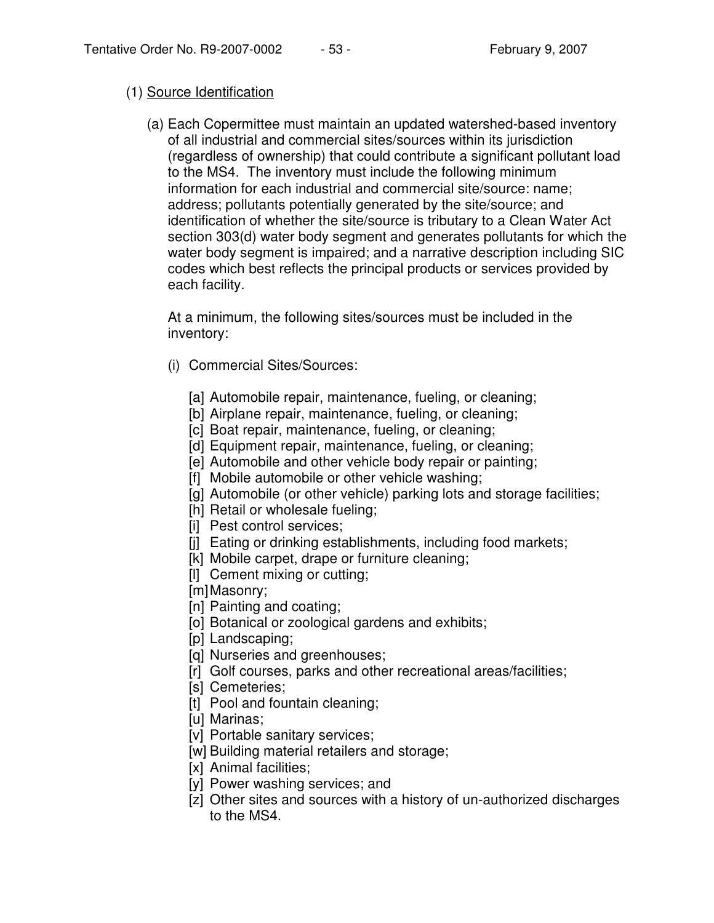### (1) Source Identification

(a) Each Copermittee must maintain an updated watershed-based inventory of all industrial and commercial sites/sources within its jurisdiction (regardless of ownership) that could contribute a significant pollutant load to the MS4. The inventory must include the following minimum information for each industrial and commercial site/source: name; address; pollutants potentially generated by the site/source; and identification of whether the site/source is tributary to a Clean Water Act section 303(d) water body segment and generates pollutants for which the water body segment is impaired; and a narrative description including SIC codes which best reflects the principal products or services provided by each facility.

At a minimum, the following sites/sources must be included in the inventory:

- (i) Commercial Sites/Sources:
	- [a] Automobile repair, maintenance, fueling, or cleaning;
	- [b] Airplane repair, maintenance, fueling, or cleaning;
	- [c] Boat repair, maintenance, fueling, or cleaning;
	- [d] Equipment repair, maintenance, fueling, or cleaning;
	- [e] Automobile and other vehicle body repair or painting;
	- [f] Mobile automobile or other vehicle washing;
	- [g] Automobile (or other vehicle) parking lots and storage facilities;
	- [h] Retail or wholesale fueling;
	- [i] Pest control services;
	- [j] Eating or drinking establishments, including food markets;
	- [k] Mobile carpet, drape or furniture cleaning;
	- [l] Cement mixing or cutting;
	- [m]Masonry;
	- [n] Painting and coating;
	- [o] Botanical or zoological gardens and exhibits;
	- [p] Landscaping;
	- [q] Nurseries and greenhouses;
	- [r] Golf courses, parks and other recreational areas/facilities;
	- [s] Cemeteries;
	- [t] Pool and fountain cleaning;
	- [u] Marinas;
	- [v] Portable sanitary services;
	- [w] Building material retailers and storage;
	- [x] Animal facilities;
	- [y] Power washing services; and
	- [z] Other sites and sources with a history of un-authorized discharges to the MS4.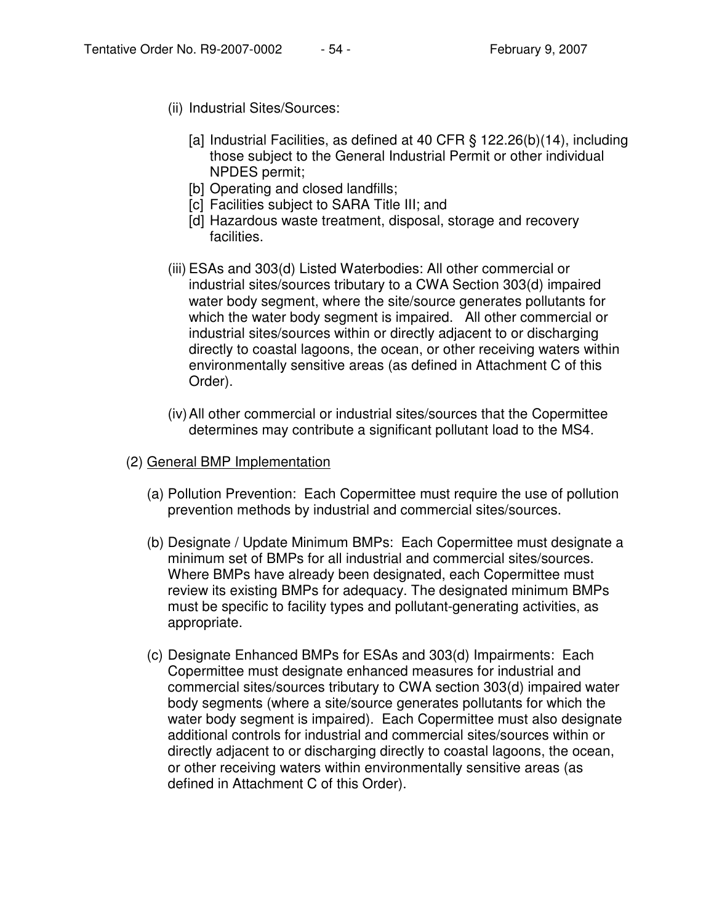- (ii) Industrial Sites/Sources:
	- [a] Industrial Facilities, as defined at 40 CFR § 122.26(b)(14), including those subject to the General Industrial Permit or other individual NPDES permit;
	- [b] Operating and closed landfills;
	- [c] Facilities subject to SARA Title III; and
	- [d] Hazardous waste treatment, disposal, storage and recovery facilities.
- (iii) ESAs and 303(d) Listed Waterbodies: All other commercial or industrial sites/sources tributary to a CWA Section 303(d) impaired water body segment, where the site/source generates pollutants for which the water body segment is impaired. All other commercial or industrial sites/sources within or directly adjacent to or discharging directly to coastal lagoons, the ocean, or other receiving waters within environmentally sensitive areas (as defined in Attachment C of this Order).
- (iv)All other commercial or industrial sites/sources that the Copermittee determines may contribute a significant pollutant load to the MS4.
- (2) General BMP Implementation
	- (a) Pollution Prevention: Each Copermittee must require the use of pollution prevention methods by industrial and commercial sites/sources.
	- (b) Designate / Update Minimum BMPs: Each Copermittee must designate a minimum set of BMPs for all industrial and commercial sites/sources. Where BMPs have already been designated, each Copermittee must review its existing BMPs for adequacy. The designated minimum BMPs must be specific to facility types and pollutant-generating activities, as appropriate.
	- (c) Designate Enhanced BMPs for ESAs and 303(d) Impairments: Each Copermittee must designate enhanced measures for industrial and commercial sites/sources tributary to CWA section 303(d) impaired water body segments (where a site/source generates pollutants for which the water body segment is impaired). Each Copermittee must also designate additional controls for industrial and commercial sites/sources within or directly adjacent to or discharging directly to coastal lagoons, the ocean, or other receiving waters within environmentally sensitive areas (as defined in Attachment C of this Order).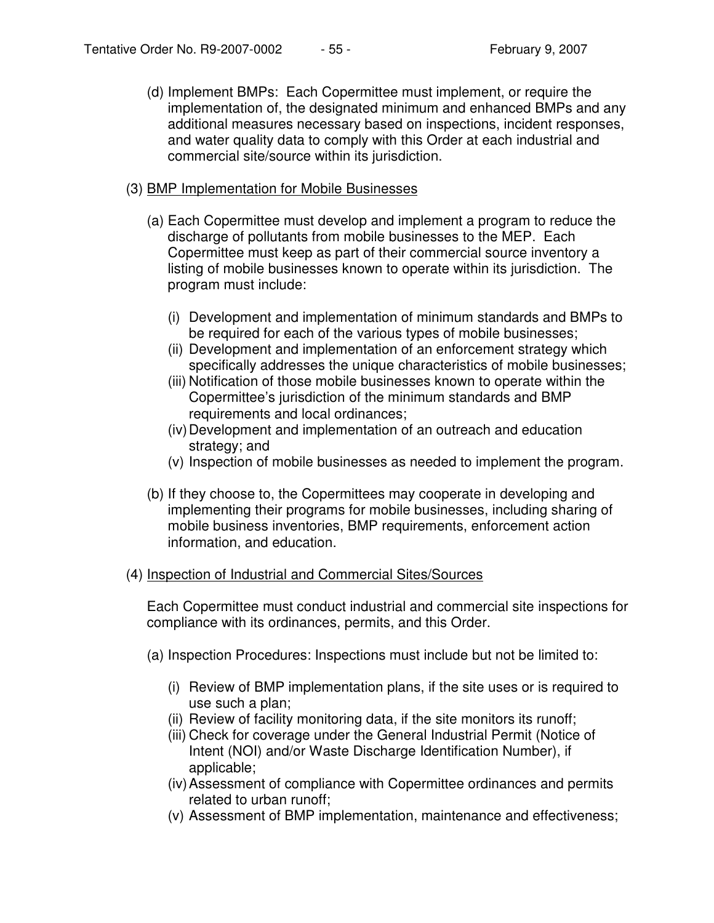(d) Implement BMPs: Each Copermittee must implement, or require the implementation of, the designated minimum and enhanced BMPs and any additional measures necessary based on inspections, incident responses, and water quality data to comply with this Order at each industrial and commercial site/source within its jurisdiction.

## (3) BMP Implementation for Mobile Businesses

- (a) Each Copermittee must develop and implement a program to reduce the discharge of pollutants from mobile businesses to the MEP. Each Copermittee must keep as part of their commercial source inventory a listing of mobile businesses known to operate within its jurisdiction. The program must include:
	- (i) Development and implementation of minimum standards and BMPs to be required for each of the various types of mobile businesses;
	- (ii) Development and implementation of an enforcement strategy which specifically addresses the unique characteristics of mobile businesses;
	- (iii) Notification of those mobile businesses known to operate within the Copermittee's jurisdiction of the minimum standards and BMP requirements and local ordinances;
	- (iv)Development and implementation of an outreach and education strategy; and
	- (v) Inspection of mobile businesses as needed to implement the program.
- (b) If they choose to, the Copermittees may cooperate in developing and implementing their programs for mobile businesses, including sharing of mobile business inventories, BMP requirements, enforcement action information, and education.

### (4) Inspection of Industrial and Commercial Sites/Sources

Each Copermittee must conduct industrial and commercial site inspections for compliance with its ordinances, permits, and this Order.

- (a) Inspection Procedures: Inspections must include but not be limited to:
	- (i) Review of BMP implementation plans, if the site uses or is required to use such a plan;
	- (ii) Review of facility monitoring data, if the site monitors its runoff;
	- (iii) Check for coverage under the General Industrial Permit (Notice of Intent (NOI) and/or Waste Discharge Identification Number), if applicable;
	- (iv)Assessment of compliance with Copermittee ordinances and permits related to urban runoff;
	- (v) Assessment of BMP implementation, maintenance and effectiveness;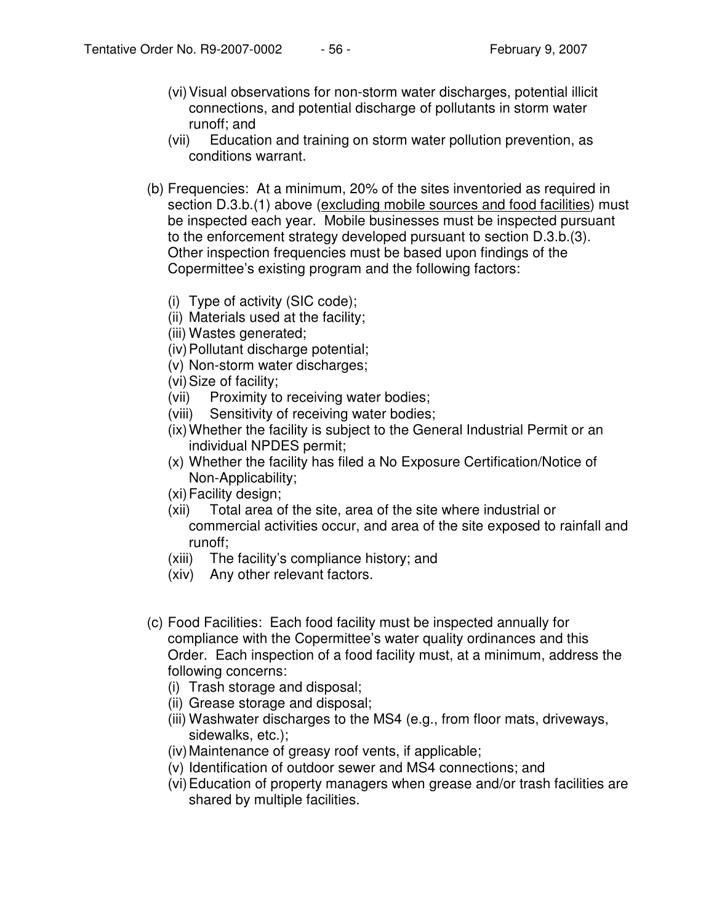- (vi)Visual observations for non-storm water discharges, potential illicit connections, and potential discharge of pollutants in storm water runoff; and
- (vii) Education and training on storm water pollution prevention, as conditions warrant.
- (b) Frequencies: At a minimum, 20% of the sites inventoried as required in section D.3.b.(1) above (excluding mobile sources and food facilities) must be inspected each year. Mobile businesses must be inspected pursuant to the enforcement strategy developed pursuant to section D.3.b.(3). Other inspection frequencies must be based upon findings of the Copermittee's existing program and the following factors:
	- (i) Type of activity (SIC code);
	- (ii) Materials used at the facility;
	- (iii) Wastes generated;
	- (iv)Pollutant discharge potential;
	- (v) Non-storm water discharges;
	- (vi)Size of facility;
	- (vii) Proximity to receiving water bodies;
	- (viii) Sensitivity of receiving water bodies;
	- (ix)Whether the facility is subject to the General Industrial Permit or an individual NPDES permit;
	- (x) Whether the facility has filed a No Exposure Certification/Notice of Non-Applicability;
	- (xi)Facility design;
	- (xii) Total area of the site, area of the site where industrial or commercial activities occur, and area of the site exposed to rainfall and runoff;
	- (xiii) The facility's compliance history; and
	- (xiv) Any other relevant factors.
- (c) Food Facilities: Each food facility must be inspected annually for compliance with the Copermittee's water quality ordinances and this Order. Each inspection of a food facility must, at a minimum, address the following concerns:
	- (i) Trash storage and disposal;
	- (ii) Grease storage and disposal;
	- (iii) Washwater discharges to the MS4 (e.g., from floor mats, driveways, sidewalks, etc.);
	- (iv)Maintenance of greasy roof vents, if applicable;
	- (v) Identification of outdoor sewer and MS4 connections; and
	- (vi)Education of property managers when grease and/or trash facilities are shared by multiple facilities.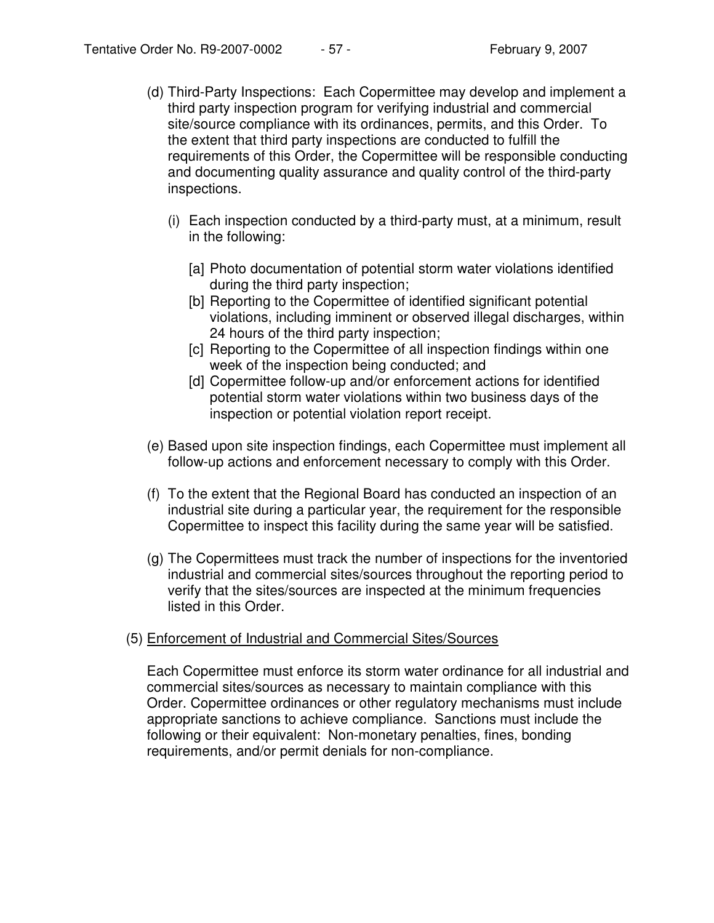- (d) Third-Party Inspections: Each Copermittee may develop and implement a third party inspection program for verifying industrial and commercial site/source compliance with its ordinances, permits, and this Order. To the extent that third party inspections are conducted to fulfill the requirements of this Order, the Copermittee will be responsible conducting and documenting quality assurance and quality control of the third-party inspections.
	- (i) Each inspection conducted by a third-party must, at a minimum, result in the following:
		- [a] Photo documentation of potential storm water violations identified during the third party inspection;
		- [b] Reporting to the Copermittee of identified significant potential violations, including imminent or observed illegal discharges, within 24 hours of the third party inspection;
		- [c] Reporting to the Copermittee of all inspection findings within one week of the inspection being conducted; and
		- [d] Copermittee follow-up and/or enforcement actions for identified potential storm water violations within two business days of the inspection or potential violation report receipt.
- (e) Based upon site inspection findings, each Copermittee must implement all follow-up actions and enforcement necessary to comply with this Order.
- (f) To the extent that the Regional Board has conducted an inspection of an industrial site during a particular year, the requirement for the responsible Copermittee to inspect this facility during the same year will be satisfied.
- (g) The Copermittees must track the number of inspections for the inventoried industrial and commercial sites/sources throughout the reporting period to verify that the sites/sources are inspected at the minimum frequencies listed in this Order.

### (5) Enforcement of Industrial and Commercial Sites/Sources

Each Copermittee must enforce its storm water ordinance for all industrial and commercial sites/sources as necessary to maintain compliance with this Order. Copermittee ordinances or other regulatory mechanisms must include appropriate sanctions to achieve compliance. Sanctions must include the following or their equivalent: Non-monetary penalties, fines, bonding requirements, and/or permit denials for non-compliance.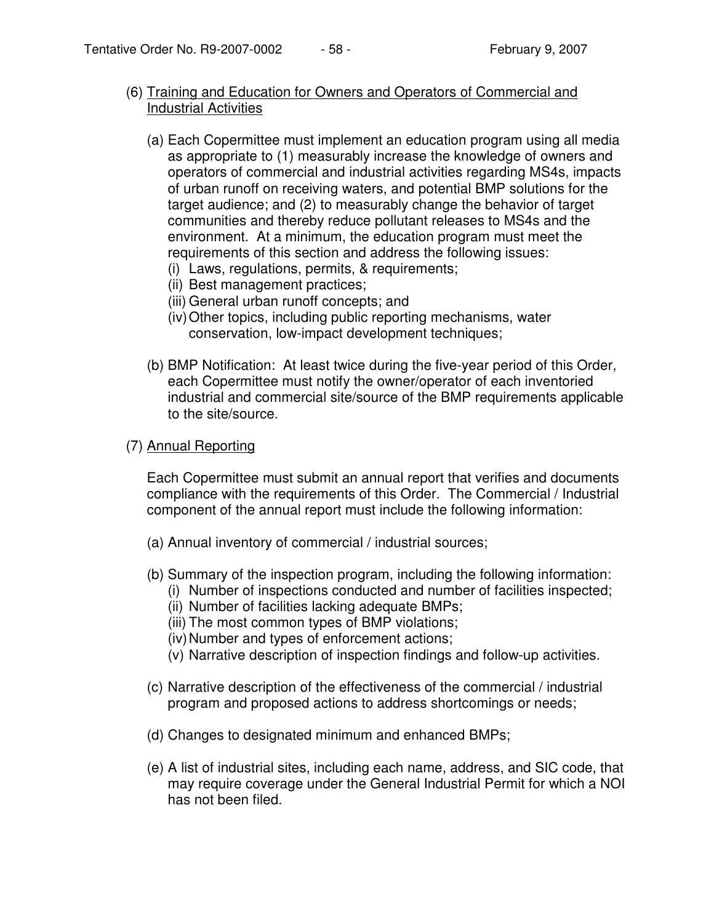- (6) Training and Education for Owners and Operators of Commercial and Industrial Activities
	- (a) Each Copermittee must implement an education program using all media as appropriate to (1) measurably increase the knowledge of owners and operators of commercial and industrial activities regarding MS4s, impacts of urban runoff on receiving waters, and potential BMP solutions for the target audience; and (2) to measurably change the behavior of target communities and thereby reduce pollutant releases to MS4s and the environment. At a minimum, the education program must meet the requirements of this section and address the following issues:
		- (i) Laws, regulations, permits, & requirements;
		- (ii) Best management practices;
		- (iii) General urban runoff concepts; and
		- (iv)Other topics, including public reporting mechanisms, water conservation, low-impact development techniques;
	- (b) BMP Notification: At least twice during the five-year period of this Order, each Copermittee must notify the owner/operator of each inventoried industrial and commercial site/source of the BMP requirements applicable to the site/source.

## (7) Annual Reporting

Each Copermittee must submit an annual report that verifies and documents compliance with the requirements of this Order. The Commercial / Industrial component of the annual report must include the following information:

- (a) Annual inventory of commercial / industrial sources;
- (b) Summary of the inspection program, including the following information:
	- (i) Number of inspections conducted and number of facilities inspected;
		- (ii) Number of facilities lacking adequate BMPs;
		- (iii) The most common types of BMP violations;
		- (iv) Number and types of enforcement actions;
		- (v) Narrative description of inspection findings and follow-up activities.
- (c) Narrative description of the effectiveness of the commercial / industrial program and proposed actions to address shortcomings or needs;
- (d) Changes to designated minimum and enhanced BMPs;
- (e) A list of industrial sites, including each name, address, and SIC code, that may require coverage under the General Industrial Permit for which a NOI has not been filed.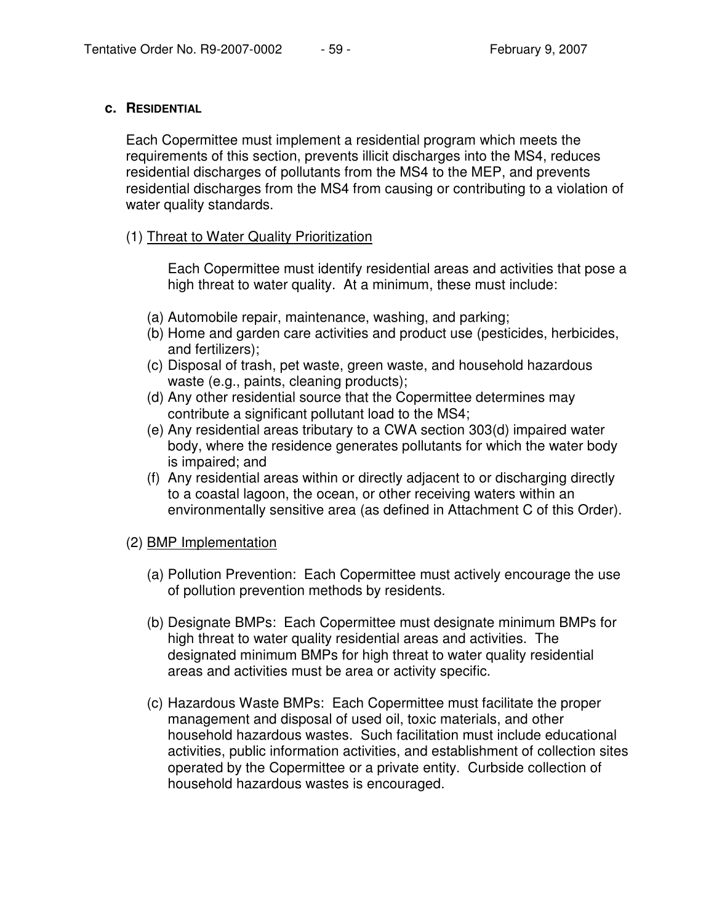#### **c. RESIDENTIAL**

Each Copermittee must implement a residential program which meets the requirements of this section, prevents illicit discharges into the MS4, reduces residential discharges of pollutants from the MS4 to the MEP, and prevents residential discharges from the MS4 from causing or contributing to a violation of water quality standards.

### (1) Threat to Water Quality Prioritization

Each Copermittee must identify residential areas and activities that pose a high threat to water quality. At a minimum, these must include:

- (a) Automobile repair, maintenance, washing, and parking;
- (b) Home and garden care activities and product use (pesticides, herbicides, and fertilizers);
- (c) Disposal of trash, pet waste, green waste, and household hazardous waste (e.g., paints, cleaning products);
- (d) Any other residential source that the Copermittee determines may contribute a significant pollutant load to the MS4;
- (e) Any residential areas tributary to a CWA section 303(d) impaired water body, where the residence generates pollutants for which the water body is impaired; and
- (f) Any residential areas within or directly adjacent to or discharging directly to a coastal lagoon, the ocean, or other receiving waters within an environmentally sensitive area (as defined in Attachment C of this Order).

### (2) BMP Implementation

- (a) Pollution Prevention: Each Copermittee must actively encourage the use of pollution prevention methods by residents.
- (b) Designate BMPs: Each Copermittee must designate minimum BMPs for high threat to water quality residential areas and activities. The designated minimum BMPs for high threat to water quality residential areas and activities must be area or activity specific.
- (c) Hazardous Waste BMPs: Each Copermittee must facilitate the proper management and disposal of used oil, toxic materials, and other household hazardous wastes. Such facilitation must include educational activities, public information activities, and establishment of collection sites operated by the Copermittee or a private entity. Curbside collection of household hazardous wastes is encouraged.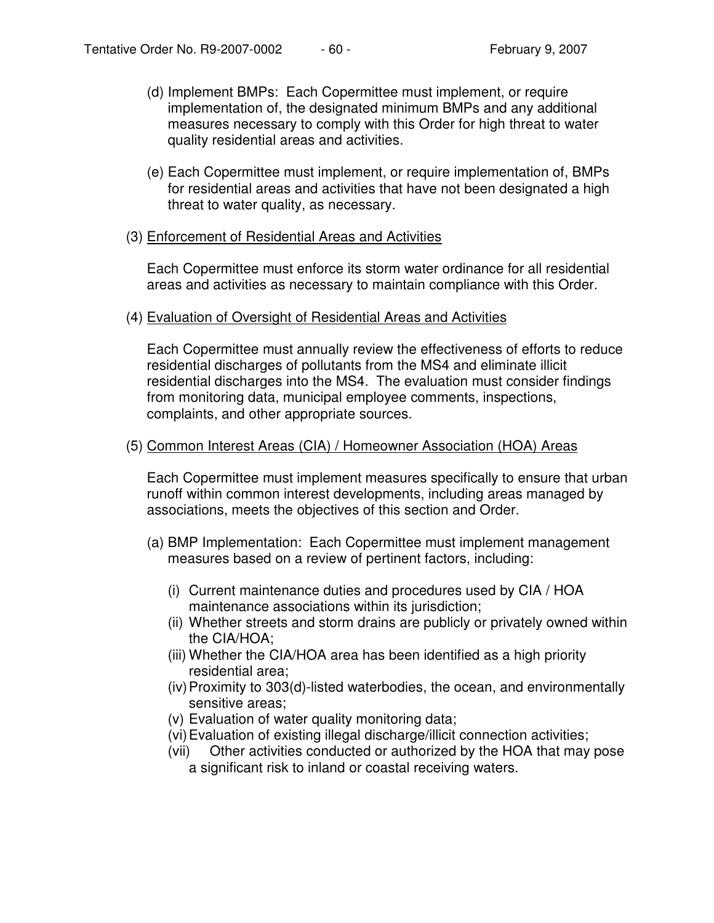- (d) Implement BMPs: Each Copermittee must implement, or require implementation of, the designated minimum BMPs and any additional measures necessary to comply with this Order for high threat to water quality residential areas and activities.
- (e) Each Copermittee must implement, or require implementation of, BMPs for residential areas and activities that have not been designated a high threat to water quality, as necessary.

#### (3) Enforcement of Residential Areas and Activities

Each Copermittee must enforce its storm water ordinance for all residential areas and activities as necessary to maintain compliance with this Order.

#### (4) Evaluation of Oversight of Residential Areas and Activities

Each Copermittee must annually review the effectiveness of efforts to reduce residential discharges of pollutants from the MS4 and eliminate illicit residential discharges into the MS4. The evaluation must consider findings from monitoring data, municipal employee comments, inspections, complaints, and other appropriate sources.

#### (5) Common Interest Areas (CIA) / Homeowner Association (HOA) Areas

Each Copermittee must implement measures specifically to ensure that urban runoff within common interest developments, including areas managed by associations, meets the objectives of this section and Order.

- (a) BMP Implementation: Each Copermittee must implement management measures based on a review of pertinent factors, including:
	- (i) Current maintenance duties and procedures used by CIA / HOA maintenance associations within its jurisdiction;
	- (ii) Whether streets and storm drains are publicly or privately owned within the CIA/HOA;
	- (iii) Whether the CIA/HOA area has been identified as a high priority residential area;
	- (iv)Proximity to 303(d)-listed waterbodies, the ocean, and environmentally sensitive areas;
	- (v) Evaluation of water quality monitoring data;
	- (vi)Evaluation of existing illegal discharge/illicit connection activities;
	- (vii) Other activities conducted or authorized by the HOA that may pose a significant risk to inland or coastal receiving waters.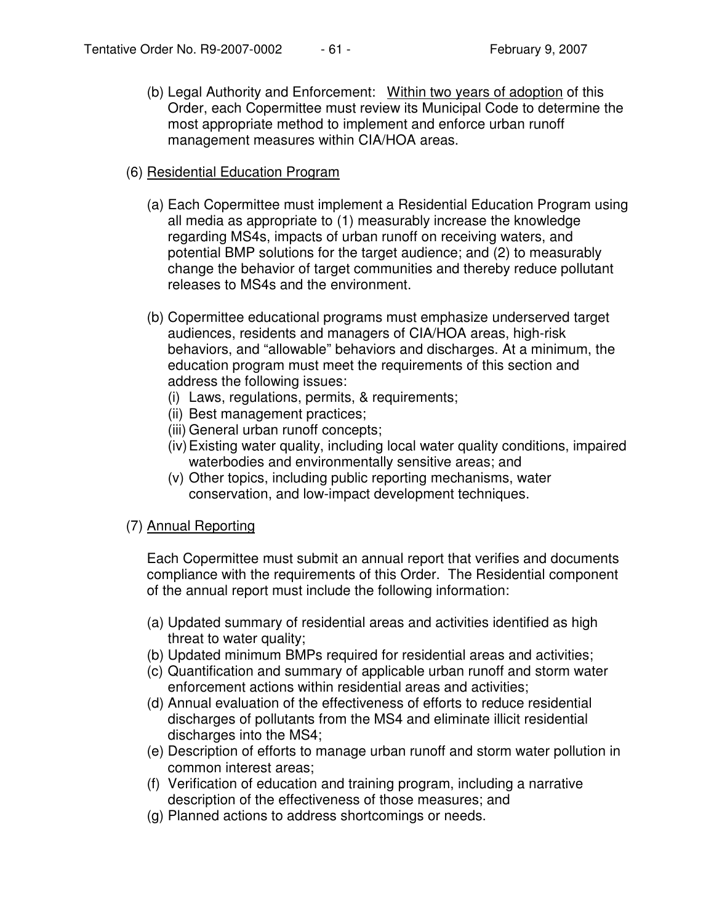(b) Legal Authority and Enforcement: Within two years of adoption of this Order, each Copermittee must review its Municipal Code to determine the most appropriate method to implement and enforce urban runoff management measures within CIA/HOA areas.

### (6) Residential Education Program

- (a) Each Copermittee must implement a Residential Education Program using all media as appropriate to (1) measurably increase the knowledge regarding MS4s, impacts of urban runoff on receiving waters, and potential BMP solutions for the target audience; and (2) to measurably change the behavior of target communities and thereby reduce pollutant releases to MS4s and the environment.
- (b) Copermittee educational programs must emphasize underserved target audiences, residents and managers of CIA/HOA areas, high-risk behaviors, and "allowable" behaviors and discharges. At a minimum, the education program must meet the requirements of this section and address the following issues:
	- (i) Laws, regulations, permits, & requirements;
	- (ii) Best management practices;
	- (iii) General urban runoff concepts;
	- (iv)Existing water quality, including local water quality conditions, impaired waterbodies and environmentally sensitive areas; and
	- (v) Other topics, including public reporting mechanisms, water conservation, and low-impact development techniques.

# (7) Annual Reporting

Each Copermittee must submit an annual report that verifies and documents compliance with the requirements of this Order. The Residential component of the annual report must include the following information:

- (a) Updated summary of residential areas and activities identified as high threat to water quality;
- (b) Updated minimum BMPs required for residential areas and activities;
- (c) Quantification and summary of applicable urban runoff and storm water enforcement actions within residential areas and activities;
- (d) Annual evaluation of the effectiveness of efforts to reduce residential discharges of pollutants from the MS4 and eliminate illicit residential discharges into the MS4;
- (e) Description of efforts to manage urban runoff and storm water pollution in common interest areas;
- (f) Verification of education and training program, including a narrative description of the effectiveness of those measures; and
- (g) Planned actions to address shortcomings or needs.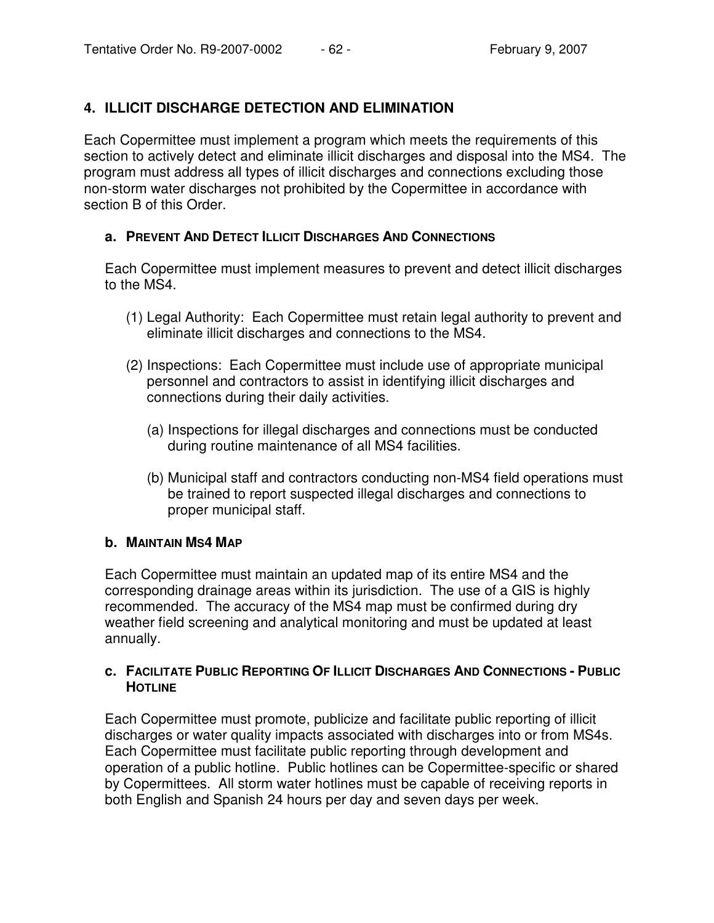# **4. ILLICIT DISCHARGE DETECTION AND ELIMINATION**

Each Copermittee must implement a program which meets the requirements of this section to actively detect and eliminate illicit discharges and disposal into the MS4. The program must address all types of illicit discharges and connections excluding those non-storm water discharges not prohibited by the Copermittee in accordance with section B of this Order.

### **a. PREVENT AND DETECT ILLICIT DISCHARGES AND CONNECTIONS**

Each Copermittee must implement measures to prevent and detect illicit discharges to the MS4.

- (1) Legal Authority: Each Copermittee must retain legal authority to prevent and eliminate illicit discharges and connections to the MS4.
- (2) Inspections: Each Copermittee must include use of appropriate municipal personnel and contractors to assist in identifying illicit discharges and connections during their daily activities.
	- (a) Inspections for illegal discharges and connections must be conducted during routine maintenance of all MS4 facilities.
	- (b) Municipal staff and contractors conducting non-MS4 field operations must be trained to report suspected illegal discharges and connections to proper municipal staff.

### **b. MAINTAIN MS4 MAP**

Each Copermittee must maintain an updated map of its entire MS4 and the corresponding drainage areas within its jurisdiction. The use of a GIS is highly recommended. The accuracy of the MS4 map must be confirmed during dry weather field screening and analytical monitoring and must be updated at least annually.

### **c. FACILITATE PUBLIC REPORTING OF ILLICIT DISCHARGES AND CONNECTIONS - PUBLIC HOTLINE**

Each Copermittee must promote, publicize and facilitate public reporting of illicit discharges or water quality impacts associated with discharges into or from MS4s. Each Copermittee must facilitate public reporting through development and operation of a public hotline. Public hotlines can be Copermittee-specific or shared by Copermittees. All storm water hotlines must be capable of receiving reports in both English and Spanish 24 hours per day and seven days per week.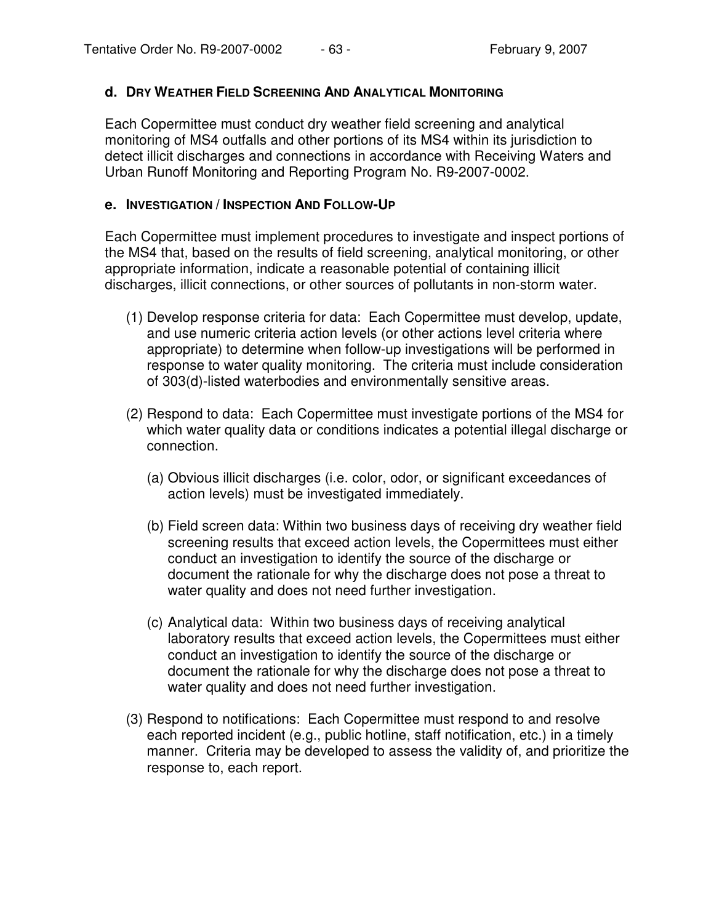### **d. DRY WEATHER FIELD SCREENING AND ANALYTICAL MONITORING**

Each Copermittee must conduct dry weather field screening and analytical monitoring of MS4 outfalls and other portions of its MS4 within its jurisdiction to detect illicit discharges and connections in accordance with Receiving Waters and Urban Runoff Monitoring and Reporting Program No. R9-2007-0002.

#### **e. INVESTIGATION / INSPECTION AND FOLLOW-UP**

Each Copermittee must implement procedures to investigate and inspect portions of the MS4 that, based on the results of field screening, analytical monitoring, or other appropriate information, indicate a reasonable potential of containing illicit discharges, illicit connections, or other sources of pollutants in non-storm water.

- (1) Develop response criteria for data: Each Copermittee must develop, update, and use numeric criteria action levels (or other actions level criteria where appropriate) to determine when follow-up investigations will be performed in response to water quality monitoring. The criteria must include consideration of 303(d)-listed waterbodies and environmentally sensitive areas.
- (2) Respond to data: Each Copermittee must investigate portions of the MS4 for which water quality data or conditions indicates a potential illegal discharge or connection.
	- (a) Obvious illicit discharges (i.e. color, odor, or significant exceedances of action levels) must be investigated immediately.
	- (b) Field screen data: Within two business days of receiving dry weather field screening results that exceed action levels, the Copermittees must either conduct an investigation to identify the source of the discharge or document the rationale for why the discharge does not pose a threat to water quality and does not need further investigation.
	- (c) Analytical data: Within two business days of receiving analytical laboratory results that exceed action levels, the Copermittees must either conduct an investigation to identify the source of the discharge or document the rationale for why the discharge does not pose a threat to water quality and does not need further investigation.
- (3) Respond to notifications: Each Copermittee must respond to and resolve each reported incident (e.g., public hotline, staff notification, etc.) in a timely manner. Criteria may be developed to assess the validity of, and prioritize the response to, each report.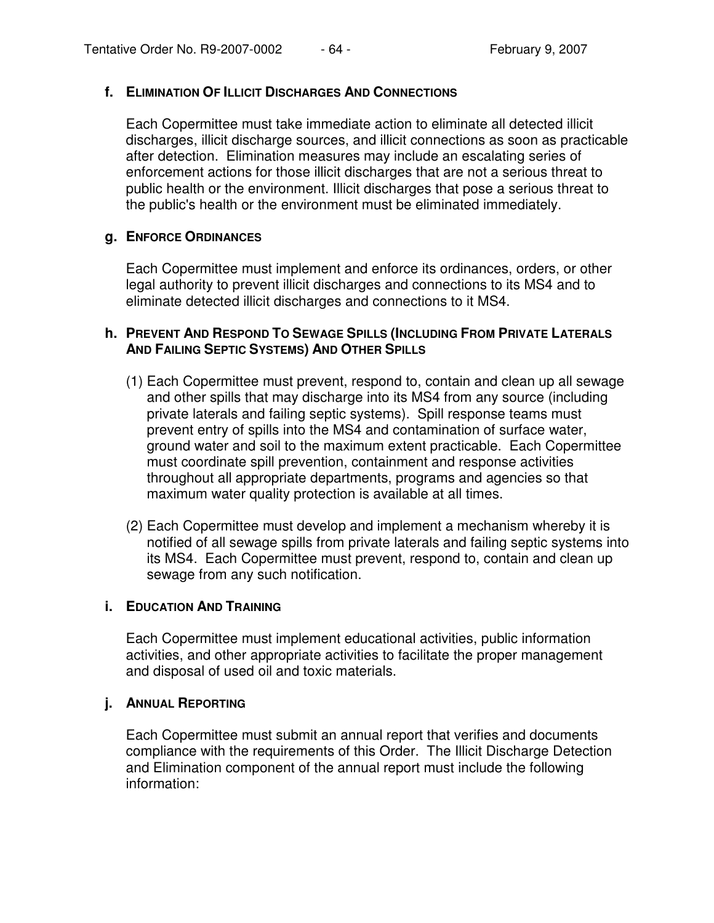### **f. ELIMINATION OF ILLICIT DISCHARGES AND CONNECTIONS**

Each Copermittee must take immediate action to eliminate all detected illicit discharges, illicit discharge sources, and illicit connections as soon as practicable after detection. Elimination measures may include an escalating series of enforcement actions for those illicit discharges that are not a serious threat to public health or the environment. Illicit discharges that pose a serious threat to the public's health or the environment must be eliminated immediately.

## **g. ENFORCE ORDINANCES**

Each Copermittee must implement and enforce its ordinances, orders, or other legal authority to prevent illicit discharges and connections to its MS4 and to eliminate detected illicit discharges and connections to it MS4.

### **h. PREVENT AND RESPOND TO SEWAGE SPILLS (INCLUDING FROM PRIVATE LATERALS AND FAILING SEPTIC SYSTEMS) AND OTHER SPILLS**

- (1) Each Copermittee must prevent, respond to, contain and clean up all sewage and other spills that may discharge into its MS4 from any source (including private laterals and failing septic systems). Spill response teams must prevent entry of spills into the MS4 and contamination of surface water, ground water and soil to the maximum extent practicable. Each Copermittee must coordinate spill prevention, containment and response activities throughout all appropriate departments, programs and agencies so that maximum water quality protection is available at all times.
- (2) Each Copermittee must develop and implement a mechanism whereby it is notified of all sewage spills from private laterals and failing septic systems into its MS4. Each Copermittee must prevent, respond to, contain and clean up sewage from any such notification.

## **i. EDUCATION AND TRAINING**

Each Copermittee must implement educational activities, public information activities, and other appropriate activities to facilitate the proper management and disposal of used oil and toxic materials.

### **j. ANNUAL REPORTING**

Each Copermittee must submit an annual report that verifies and documents compliance with the requirements of this Order. The Illicit Discharge Detection and Elimination component of the annual report must include the following information: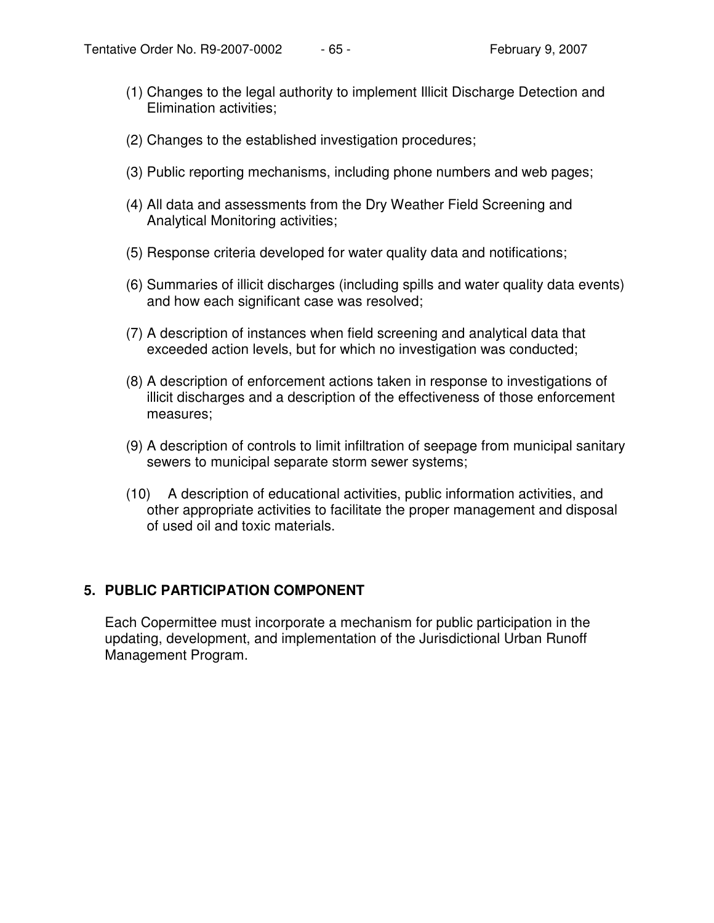- (1) Changes to the legal authority to implement Illicit Discharge Detection and Elimination activities;
- (2) Changes to the established investigation procedures;
- (3) Public reporting mechanisms, including phone numbers and web pages;
- (4) All data and assessments from the Dry Weather Field Screening and Analytical Monitoring activities;
- (5) Response criteria developed for water quality data and notifications;
- (6) Summaries of illicit discharges (including spills and water quality data events) and how each significant case was resolved;
- (7) A description of instances when field screening and analytical data that exceeded action levels, but for which no investigation was conducted;
- (8) A description of enforcement actions taken in response to investigations of illicit discharges and a description of the effectiveness of those enforcement measures;
- (9) A description of controls to limit infiltration of seepage from municipal sanitary sewers to municipal separate storm sewer systems;
- (10) A description of educational activities, public information activities, and other appropriate activities to facilitate the proper management and disposal of used oil and toxic materials.

# **5. PUBLIC PARTICIPATION COMPONENT**

Each Copermittee must incorporate a mechanism for public participation in the updating, development, and implementation of the Jurisdictional Urban Runoff Management Program.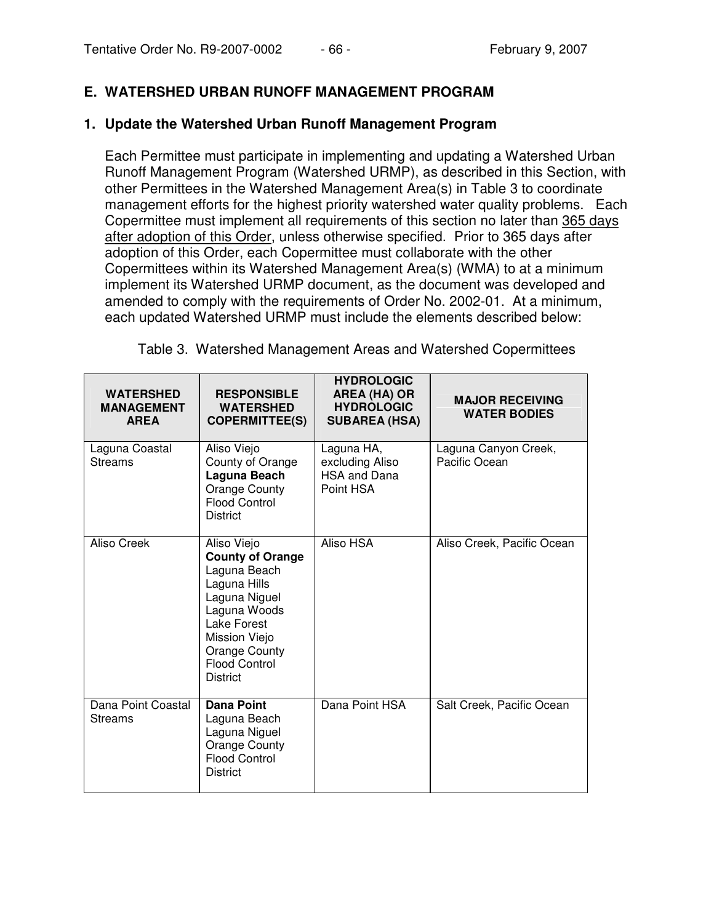## **E. WATERSHED URBAN RUNOFF MANAGEMENT PROGRAM**

#### **1. Update the Watershed Urban Runoff Management Program**

Each Permittee must participate in implementing and updating a Watershed Urban Runoff Management Program (Watershed URMP), as described in this Section, with other Permittees in the Watershed Management Area(s) in Table 3 to coordinate management efforts for the highest priority watershed water quality problems. Each Copermittee must implement all requirements of this section no later than 365 days after adoption of this Order, unless otherwise specified. Prior to 365 days after adoption of this Order, each Copermittee must collaborate with the other Copermittees within its Watershed Management Area(s) (WMA) to at a minimum implement its Watershed URMP document, as the document was developed and amended to comply with the requirements of Order No. 2002-01. At a minimum, each updated Watershed URMP must include the elements described below:

| <b>WATERSHED</b><br><b>MANAGEMENT</b><br><b>AREA</b> | <b>RESPONSIBLE</b><br><b>WATERSHED</b><br><b>COPERMITTEE(S)</b>                                                                                                                                     | <b>HYDROLOGIC</b><br><b>AREA (HA) OR</b><br><b>HYDROLOGIC</b><br><b>SUBAREA (HSA)</b> | <b>MAJOR RECEIVING</b><br><b>WATER BODIES</b> |
|------------------------------------------------------|-----------------------------------------------------------------------------------------------------------------------------------------------------------------------------------------------------|---------------------------------------------------------------------------------------|-----------------------------------------------|
| Laguna Coastal<br><b>Streams</b>                     | Aliso Viejo<br>County of Orange<br>Laguna Beach<br>Orange County<br><b>Flood Control</b><br><b>District</b>                                                                                         | Laguna HA,<br>excluding Aliso<br>HSA and Dana<br>Point HSA                            | Laguna Canyon Creek,<br>Pacific Ocean         |
| Aliso Creek                                          | Aliso Viejo<br><b>County of Orange</b><br>Laguna Beach<br>Laguna Hills<br>Laguna Niguel<br>Laguna Woods<br>Lake Forest<br>Mission Viejo<br>Orange County<br><b>Flood Control</b><br><b>District</b> | Aliso HSA                                                                             | Aliso Creek, Pacific Ocean                    |
| Dana Point Coastal<br><b>Streams</b>                 | Dana Point<br>Laguna Beach<br>Laguna Niguel<br>Orange County<br><b>Flood Control</b><br><b>District</b>                                                                                             | Dana Point HSA                                                                        | Salt Creek, Pacific Ocean                     |

Table 3. Watershed Management Areas and Watershed Copermittees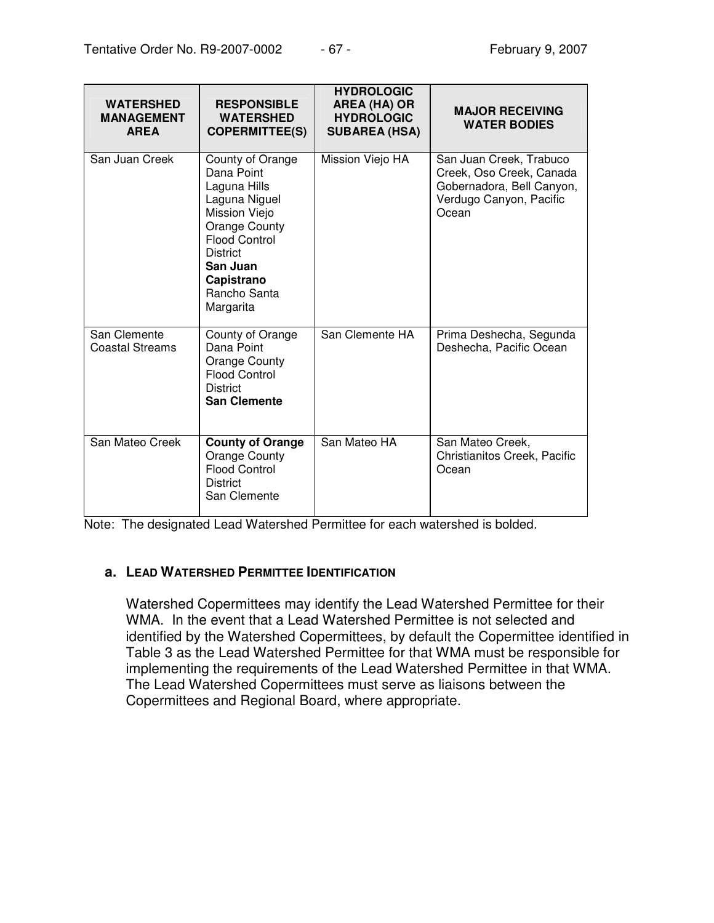| <b>WATERSHED</b><br><b>MANAGEMENT</b><br><b>AREA</b> | <b>RESPONSIBLE</b><br><b>WATERSHED</b><br><b>COPERMITTEE(S)</b>                                                                                                                                            | <b>HYDROLOGIC</b><br><b>AREA (HA) OR</b><br><b>HYDROLOGIC</b><br><b>SUBAREA (HSA)</b> | <b>MAJOR RECEIVING</b><br><b>WATER BODIES</b>                                                                        |
|------------------------------------------------------|------------------------------------------------------------------------------------------------------------------------------------------------------------------------------------------------------------|---------------------------------------------------------------------------------------|----------------------------------------------------------------------------------------------------------------------|
| San Juan Creek                                       | County of Orange<br>Dana Point<br>Laguna Hills<br>Laguna Niguel<br>Mission Viejo<br><b>Orange County</b><br><b>Flood Control</b><br><b>District</b><br>San Juan<br>Capistrano<br>Rancho Santa<br>Margarita | Mission Viejo HA                                                                      | San Juan Creek, Trabuco<br>Creek, Oso Creek, Canada<br>Gobernadora, Bell Canyon,<br>Verdugo Canyon, Pacific<br>Ocean |
| San Clemente<br><b>Coastal Streams</b>               | County of Orange<br>Dana Point<br>Orange County<br><b>Flood Control</b><br><b>District</b><br><b>San Clemente</b>                                                                                          | San Clemente HA                                                                       | Prima Deshecha, Segunda<br>Deshecha, Pacific Ocean                                                                   |
| San Mateo Creek                                      | <b>County of Orange</b><br>Orange County<br><b>Flood Control</b><br><b>District</b><br>San Clemente                                                                                                        | San Mateo HA                                                                          | San Mateo Creek,<br>Christianitos Creek, Pacific<br>Ocean                                                            |

Note: The designated Lead Watershed Permittee for each watershed is bolded.

### **a. LEAD WATERSHED PERMITTEE IDENTIFICATION**

Watershed Copermittees may identify the Lead Watershed Permittee for their WMA. In the event that a Lead Watershed Permittee is not selected and identified by the Watershed Copermittees, by default the Copermittee identified in Table 3 as the Lead Watershed Permittee for that WMA must be responsible for implementing the requirements of the Lead Watershed Permittee in that WMA. The Lead Watershed Copermittees must serve as liaisons between the Copermittees and Regional Board, where appropriate.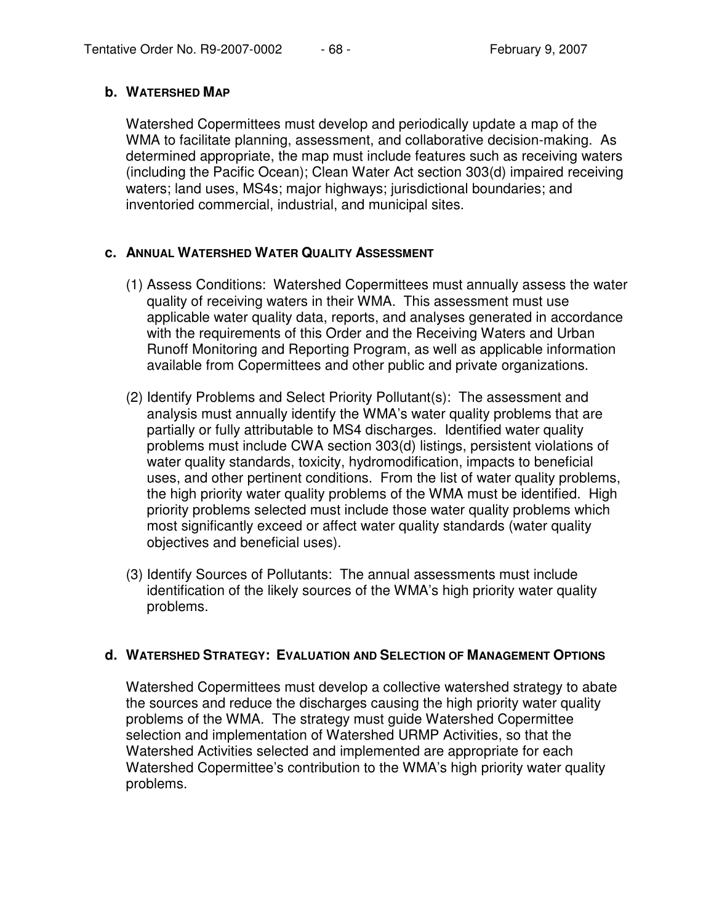## **b. WATERSHED MAP**

Watershed Copermittees must develop and periodically update a map of the WMA to facilitate planning, assessment, and collaborative decision-making. As determined appropriate, the map must include features such as receiving waters (including the Pacific Ocean); Clean Water Act section 303(d) impaired receiving waters; land uses, MS4s; major highways; jurisdictional boundaries; and inventoried commercial, industrial, and municipal sites.

## **c. ANNUAL WATERSHED WATER QUALITY ASSESSMENT**

- (1) Assess Conditions: Watershed Copermittees must annually assess the water quality of receiving waters in their WMA. This assessment must use applicable water quality data, reports, and analyses generated in accordance with the requirements of this Order and the Receiving Waters and Urban Runoff Monitoring and Reporting Program, as well as applicable information available from Copermittees and other public and private organizations.
- (2) Identify Problems and Select Priority Pollutant(s): The assessment and analysis must annually identify the WMA's water quality problems that are partially or fully attributable to MS4 discharges. Identified water quality problems must include CWA section 303(d) listings, persistent violations of water quality standards, toxicity, hydromodification, impacts to beneficial uses, and other pertinent conditions. From the list of water quality problems, the high priority water quality problems of the WMA must be identified. High priority problems selected must include those water quality problems which most significantly exceed or affect water quality standards (water quality objectives and beneficial uses).
- (3) Identify Sources of Pollutants: The annual assessments must include identification of the likely sources of the WMA's high priority water quality problems.

### **d. WATERSHED STRATEGY: EVALUATION AND SELECTION OF MANAGEMENT OPTIONS**

Watershed Copermittees must develop a collective watershed strategy to abate the sources and reduce the discharges causing the high priority water quality problems of the WMA. The strategy must guide Watershed Copermittee selection and implementation of Watershed URMP Activities, so that the Watershed Activities selected and implemented are appropriate for each Watershed Copermittee's contribution to the WMA's high priority water quality problems.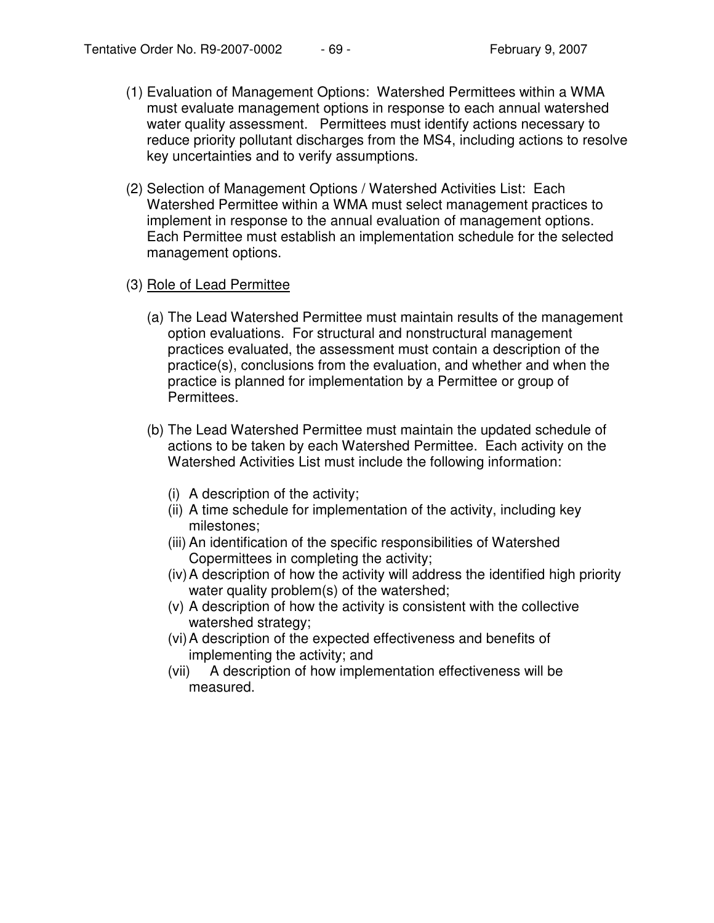- (1) Evaluation of Management Options: Watershed Permittees within a WMA must evaluate management options in response to each annual watershed water quality assessment. Permittees must identify actions necessary to reduce priority pollutant discharges from the MS4, including actions to resolve key uncertainties and to verify assumptions.
- (2) Selection of Management Options / Watershed Activities List: Each Watershed Permittee within a WMA must select management practices to implement in response to the annual evaluation of management options. Each Permittee must establish an implementation schedule for the selected management options.

#### (3) Role of Lead Permittee

- (a) The Lead Watershed Permittee must maintain results of the management option evaluations. For structural and nonstructural management practices evaluated, the assessment must contain a description of the practice(s), conclusions from the evaluation, and whether and when the practice is planned for implementation by a Permittee or group of Permittees.
- (b) The Lead Watershed Permittee must maintain the updated schedule of actions to be taken by each Watershed Permittee. Each activity on the Watershed Activities List must include the following information:
	- (i) A description of the activity;
	- (ii) A time schedule for implementation of the activity, including key milestones;
	- (iii) An identification of the specific responsibilities of Watershed Copermittees in completing the activity;
	- (iv)A description of how the activity will address the identified high priority water quality problem(s) of the watershed;
	- (v) A description of how the activity is consistent with the collective watershed strategy;
	- (vi)A description of the expected effectiveness and benefits of implementing the activity; and
	- (vii) A description of how implementation effectiveness will be measured.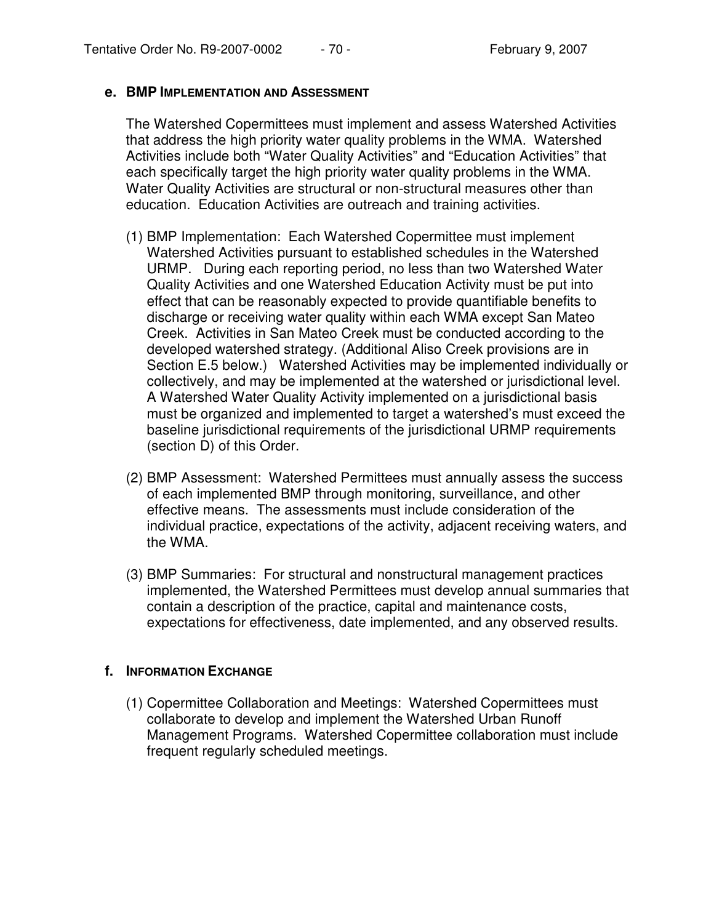#### **e. BMP IMPLEMENTATION AND ASSESSMENT**

The Watershed Copermittees must implement and assess Watershed Activities that address the high priority water quality problems in the WMA. Watershed Activities include both "Water Quality Activities" and "Education Activities" that each specifically target the high priority water quality problems in the WMA. Water Quality Activities are structural or non-structural measures other than education. Education Activities are outreach and training activities.

- (1) BMP Implementation: Each Watershed Copermittee must implement Watershed Activities pursuant to established schedules in the Watershed URMP. During each reporting period, no less than two Watershed Water Quality Activities and one Watershed Education Activity must be put into effect that can be reasonably expected to provide quantifiable benefits to discharge or receiving water quality within each WMA except San Mateo Creek. Activities in San Mateo Creek must be conducted according to the developed watershed strategy. (Additional Aliso Creek provisions are in Section E.5 below.) Watershed Activities may be implemented individually or collectively, and may be implemented at the watershed or jurisdictional level. A Watershed Water Quality Activity implemented on a jurisdictional basis must be organized and implemented to target a watershed's must exceed the baseline jurisdictional requirements of the jurisdictional URMP requirements (section D) of this Order.
- (2) BMP Assessment: Watershed Permittees must annually assess the success of each implemented BMP through monitoring, surveillance, and other effective means. The assessments must include consideration of the individual practice, expectations of the activity, adjacent receiving waters, and the WMA.
- (3) BMP Summaries: For structural and nonstructural management practices implemented, the Watershed Permittees must develop annual summaries that contain a description of the practice, capital and maintenance costs, expectations for effectiveness, date implemented, and any observed results.

### **f. INFORMATION EXCHANGE**

(1) Copermittee Collaboration and Meetings: Watershed Copermittees must collaborate to develop and implement the Watershed Urban Runoff Management Programs. Watershed Copermittee collaboration must include frequent regularly scheduled meetings.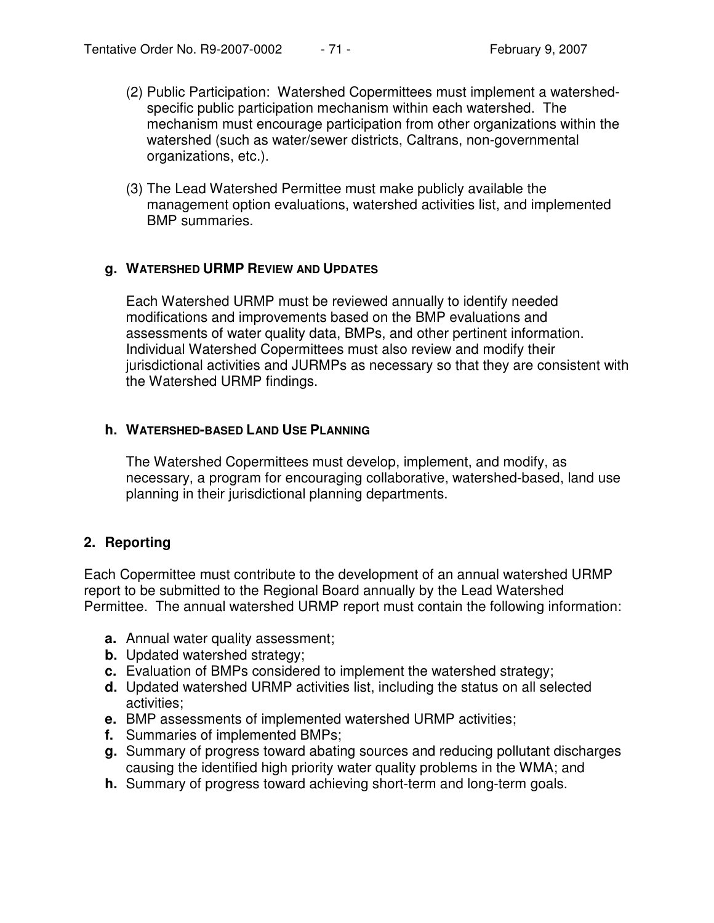- (2) Public Participation: Watershed Copermittees must implement a watershedspecific public participation mechanism within each watershed. The mechanism must encourage participation from other organizations within the watershed (such as water/sewer districts, Caltrans, non-governmental organizations, etc.).
- (3) The Lead Watershed Permittee must make publicly available the management option evaluations, watershed activities list, and implemented BMP summaries.

### **g. WATERSHED URMP REVIEW AND UPDATES**

Each Watershed URMP must be reviewed annually to identify needed modifications and improvements based on the BMP evaluations and assessments of water quality data, BMPs, and other pertinent information. Individual Watershed Copermittees must also review and modify their jurisdictional activities and JURMPs as necessary so that they are consistent with the Watershed URMP findings.

#### **h. WATERSHED-BASED LAND USE PLANNING**

The Watershed Copermittees must develop, implement, and modify, as necessary, a program for encouraging collaborative, watershed-based, land use planning in their jurisdictional planning departments.

### **2. Reporting**

Each Copermittee must contribute to the development of an annual watershed URMP report to be submitted to the Regional Board annually by the Lead Watershed Permittee. The annual watershed URMP report must contain the following information:

- **a.** Annual water quality assessment;
- **b.** Updated watershed strategy;
- **c.** Evaluation of BMPs considered to implement the watershed strategy;
- **d.** Updated watershed URMP activities list, including the status on all selected activities;
- **e.** BMP assessments of implemented watershed URMP activities;
- **f.** Summaries of implemented BMPs;
- **g.** Summary of progress toward abating sources and reducing pollutant discharges causing the identified high priority water quality problems in the WMA; and
- **h.** Summary of progress toward achieving short-term and long-term goals.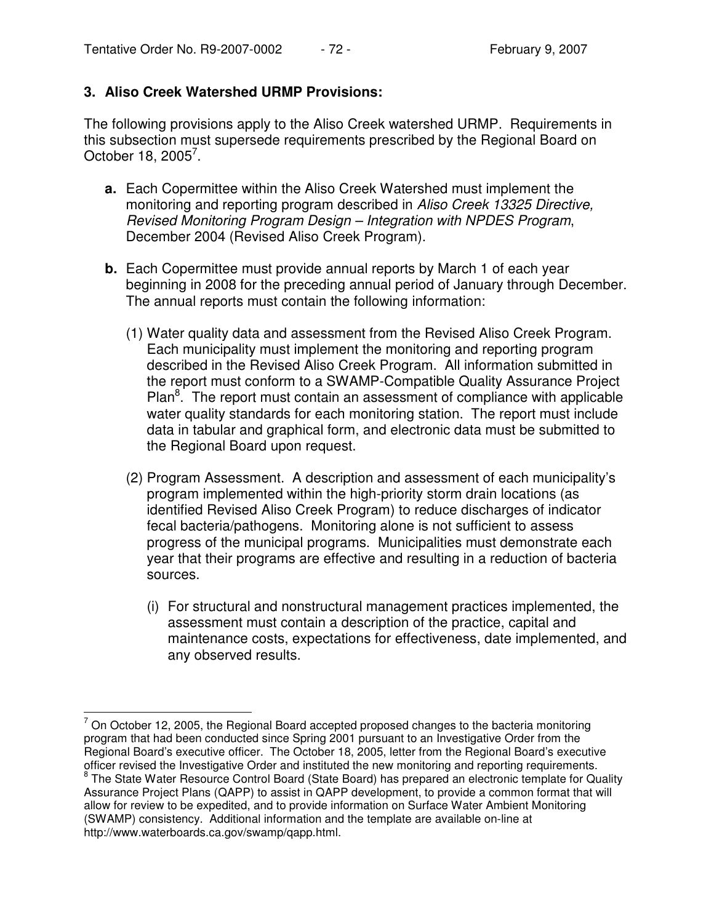# **3. Aliso Creek Watershed URMP Provisions:**

The following provisions apply to the Aliso Creek watershed URMP. Requirements in this subsection must supersede requirements prescribed by the Regional Board on October 18, 2005<sup>7</sup>.

- **a.** Each Copermittee within the Aliso Creek Watershed must implement the monitoring and reporting program described in *Aliso Creek 13325 Directive, Revised Monitoring Program Design – Integration with NPDES Program*, December 2004 (Revised Aliso Creek Program).
- **b.** Each Copermittee must provide annual reports by March 1 of each year beginning in 2008 for the preceding annual period of January through December. The annual reports must contain the following information:
	- (1) Water quality data and assessment from the Revised Aliso Creek Program. Each municipality must implement the monitoring and reporting program described in the Revised Aliso Creek Program. All information submitted in the report must conform to a SWAMP-Compatible Quality Assurance Project Plan<sup>8</sup>. The report must contain an assessment of compliance with applicable water quality standards for each monitoring station. The report must include data in tabular and graphical form, and electronic data must be submitted to the Regional Board upon request.
	- (2) Program Assessment. A description and assessment of each municipality's program implemented within the high-priority storm drain locations (as identified Revised Aliso Creek Program) to reduce discharges of indicator fecal bacteria/pathogens. Monitoring alone is not sufficient to assess progress of the municipal programs. Municipalities must demonstrate each year that their programs are effective and resulting in a reduction of bacteria sources.
		- (i) For structural and nonstructural management practices implemented, the assessment must contain a description of the practice, capital and maintenance costs, expectations for effectiveness, date implemented, and any observed results.

 $7$  On October 12, 2005, the Regional Board accepted proposed changes to the bacteria monitoring program that had been conducted since Spring 2001 pursuant to an Investigative Order from the Regional Board's executive officer. The October 18, 2005, letter from the Regional Board's executive officer revised the Investigative Order and instituted the new monitoring and reporting requirements. <sup>8</sup> The State Water Resource Control Board (State Board) has prepared an electronic template for Quality Assurance Project Plans (QAPP) to assist in QAPP development, to provide a common format that will allow for review to be expedited, and to provide information on Surface Water Ambient Monitoring (SWAMP) consistency. Additional information and the template are available on-line at http://www.waterboards.ca.gov/swamp/qapp.html.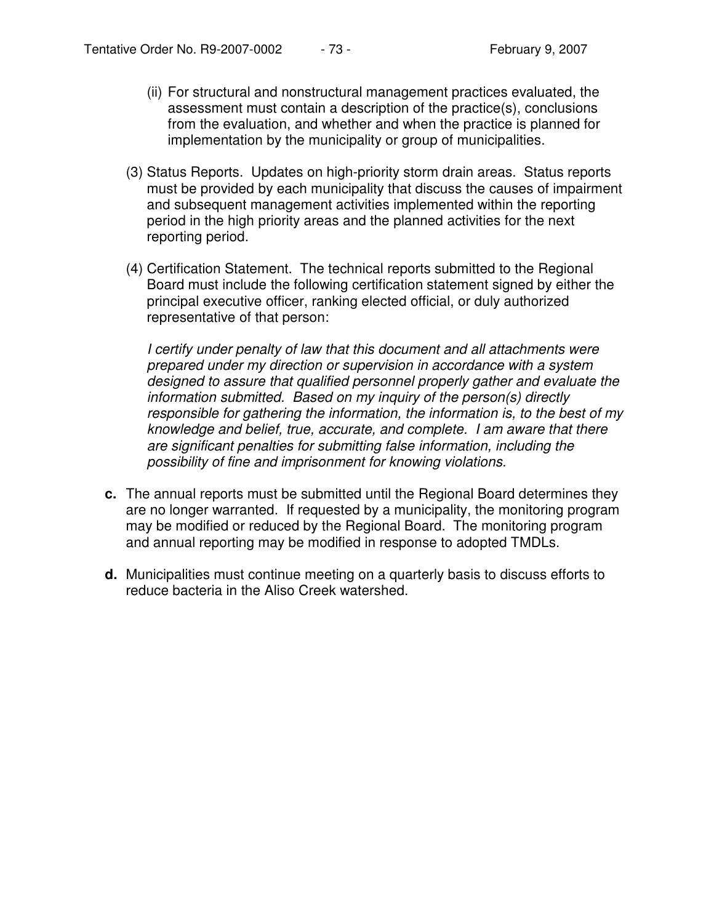- (ii) For structural and nonstructural management practices evaluated, the assessment must contain a description of the practice(s), conclusions from the evaluation, and whether and when the practice is planned for implementation by the municipality or group of municipalities.
- (3) Status Reports. Updates on high-priority storm drain areas. Status reports must be provided by each municipality that discuss the causes of impairment and subsequent management activities implemented within the reporting period in the high priority areas and the planned activities for the next reporting period.
- (4) Certification Statement. The technical reports submitted to the Regional Board must include the following certification statement signed by either the principal executive officer, ranking elected official, or duly authorized representative of that person:

*I certify under penalty of law that this document and all attachments were prepared under my direction or supervision in accordance with a system designed to assure that qualified personnel properly gather and evaluate the information submitted. Based on my inquiry of the person(s) directly responsible for gathering the information, the information is, to the best of my knowledge and belief, true, accurate, and complete. I am aware that there are significant penalties for submitting false information, including the possibility of fine and imprisonment for knowing violations.*

- **c.** The annual reports must be submitted until the Regional Board determines they are no longer warranted. If requested by a municipality, the monitoring program may be modified or reduced by the Regional Board. The monitoring program and annual reporting may be modified in response to adopted TMDLs.
- **d.** Municipalities must continue meeting on a quarterly basis to discuss efforts to reduce bacteria in the Aliso Creek watershed.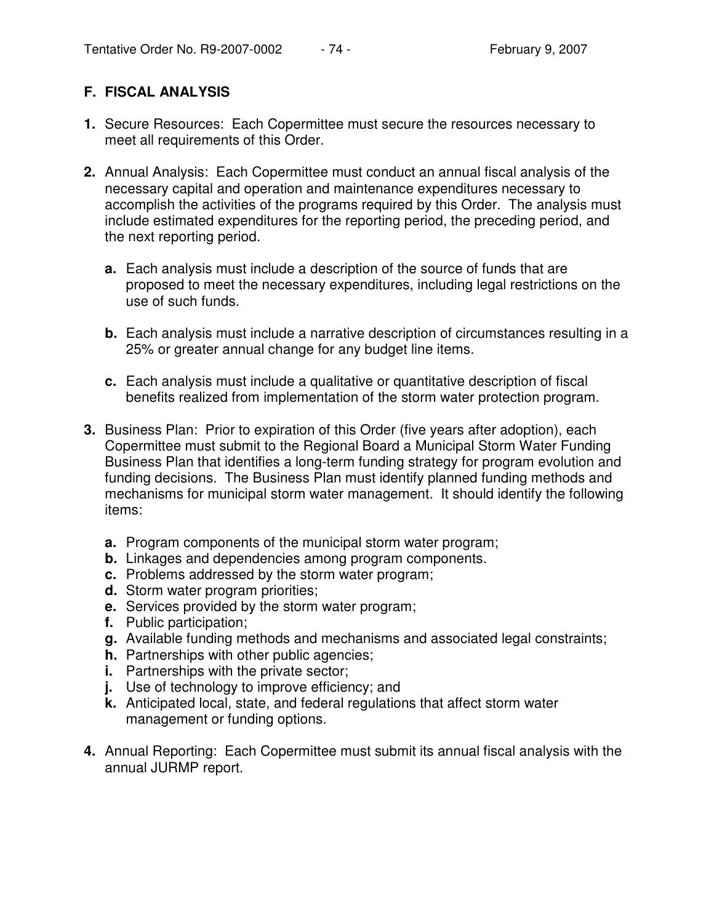# **F. FISCAL ANALYSIS**

- **1.** Secure Resources: Each Copermittee must secure the resources necessary to meet all requirements of this Order.
- **2.** Annual Analysis: Each Copermittee must conduct an annual fiscal analysis of the necessary capital and operation and maintenance expenditures necessary to accomplish the activities of the programs required by this Order. The analysis must include estimated expenditures for the reporting period, the preceding period, and the next reporting period.
	- **a.** Each analysis must include a description of the source of funds that are proposed to meet the necessary expenditures, including legal restrictions on the use of such funds.
	- **b.** Each analysis must include a narrative description of circumstances resulting in a 25% or greater annual change for any budget line items.
	- **c.** Each analysis must include a qualitative or quantitative description of fiscal benefits realized from implementation of the storm water protection program.
- **3.** Business Plan: Prior to expiration of this Order (five years after adoption), each Copermittee must submit to the Regional Board a Municipal Storm Water Funding Business Plan that identifies a long-term funding strategy for program evolution and funding decisions. The Business Plan must identify planned funding methods and mechanisms for municipal storm water management. It should identify the following items:
	- **a.** Program components of the municipal storm water program;
	- **b.** Linkages and dependencies among program components.
	- **c.** Problems addressed by the storm water program;
	- **d.** Storm water program priorities;
	- **e.** Services provided by the storm water program;
	- **f.** Public participation;
	- **g.** Available funding methods and mechanisms and associated legal constraints;
	- **h.** Partnerships with other public agencies;
	- **i.** Partnerships with the private sector;
	- **j.** Use of technology to improve efficiency; and
	- **k.** Anticipated local, state, and federal regulations that affect storm water management or funding options.
- **4.** Annual Reporting: Each Copermittee must submit its annual fiscal analysis with the annual JURMP report.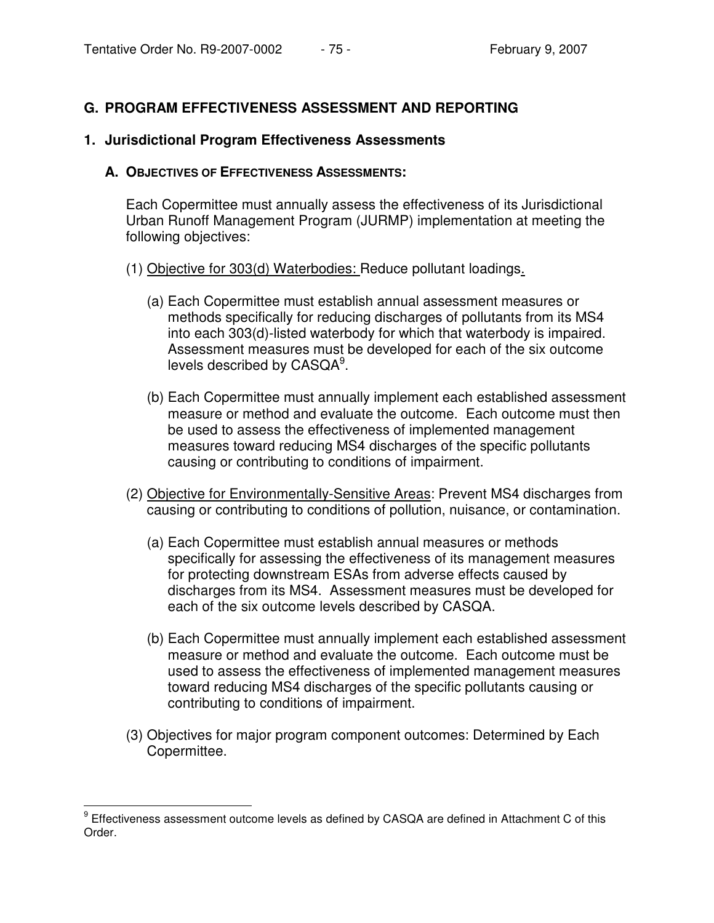# **G. PROGRAM EFFECTIVENESS ASSESSMENT AND REPORTING**

### **1. Jurisdictional Program Effectiveness Assessments**

#### **A. OBJECTIVES OF EFFECTIVENESS ASSESSMENTS:**

Each Copermittee must annually assess the effectiveness of its Jurisdictional Urban Runoff Management Program (JURMP) implementation at meeting the following objectives:

- (1) Objective for 303(d) Waterbodies: Reduce pollutant loadings.
	- (a) Each Copermittee must establish annual assessment measures or methods specifically for reducing discharges of pollutants from its MS4 into each 303(d)-listed waterbody for which that waterbody is impaired. Assessment measures must be developed for each of the six outcome levels described by  $\mathsf{CASQA}^9.$
	- (b) Each Copermittee must annually implement each established assessment measure or method and evaluate the outcome. Each outcome must then be used to assess the effectiveness of implemented management measures toward reducing MS4 discharges of the specific pollutants causing or contributing to conditions of impairment.
- (2) Objective for Environmentally-Sensitive Areas: Prevent MS4 discharges from causing or contributing to conditions of pollution, nuisance, or contamination.
	- (a) Each Copermittee must establish annual measures or methods specifically for assessing the effectiveness of its management measures for protecting downstream ESAs from adverse effects caused by discharges from its MS4. Assessment measures must be developed for each of the six outcome levels described by CASQA.
	- (b) Each Copermittee must annually implement each established assessment measure or method and evaluate the outcome. Each outcome must be used to assess the effectiveness of implemented management measures toward reducing MS4 discharges of the specific pollutants causing or contributing to conditions of impairment.
- (3) Objectives for major program component outcomes: Determined by Each Copermittee.

<sup>&</sup>lt;sup>9</sup> Effectiveness assessment outcome levels as defined by CASQA are defined in Attachment C of this Order.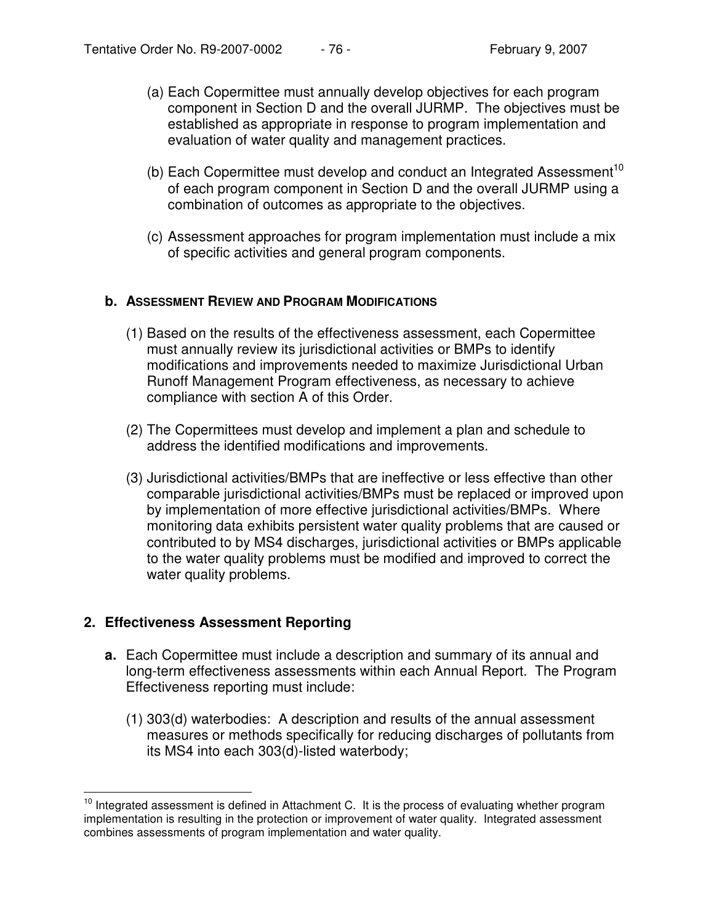- (a) Each Copermittee must annually develop objectives for each program component in Section D and the overall JURMP. The objectives must be established as appropriate in response to program implementation and evaluation of water quality and management practices.
- (b) Each Copermittee must develop and conduct an Integrated Assessment<sup>10</sup> of each program component in Section D and the overall JURMP using a combination of outcomes as appropriate to the objectives.
- (c) Assessment approaches for program implementation must include a mix of specific activities and general program components.

## **b. ASSESSMENT REVIEW AND PROGRAM MODIFICATIONS**

- (1) Based on the results of the effectiveness assessment, each Copermittee must annually review its jurisdictional activities or BMPs to identify modifications and improvements needed to maximize Jurisdictional Urban Runoff Management Program effectiveness, as necessary to achieve compliance with section A of this Order.
- (2) The Copermittees must develop and implement a plan and schedule to address the identified modifications and improvements.
- (3) Jurisdictional activities/BMPs that are ineffective or less effective than other comparable jurisdictional activities/BMPs must be replaced or improved upon by implementation of more effective jurisdictional activities/BMPs. Where monitoring data exhibits persistent water quality problems that are caused or contributed to by MS4 discharges, jurisdictional activities or BMPs applicable to the water quality problems must be modified and improved to correct the water quality problems.

## **2. Effectiveness Assessment Reporting**

- **a.** Each Copermittee must include a description and summary of its annual and long-term effectiveness assessments within each Annual Report. The Program Effectiveness reporting must include:
	- (1) 303(d) waterbodies: A description and results of the annual assessment measures or methods specifically for reducing discharges of pollutants from its MS4 into each 303(d)-listed waterbody;

<sup>&</sup>lt;sup>10</sup> Integrated assessment is defined in Attachment C. It is the process of evaluating whether program implementation is resulting in the protection or improvement of water quality. Integrated assessment combines assessments of program implementation and water quality.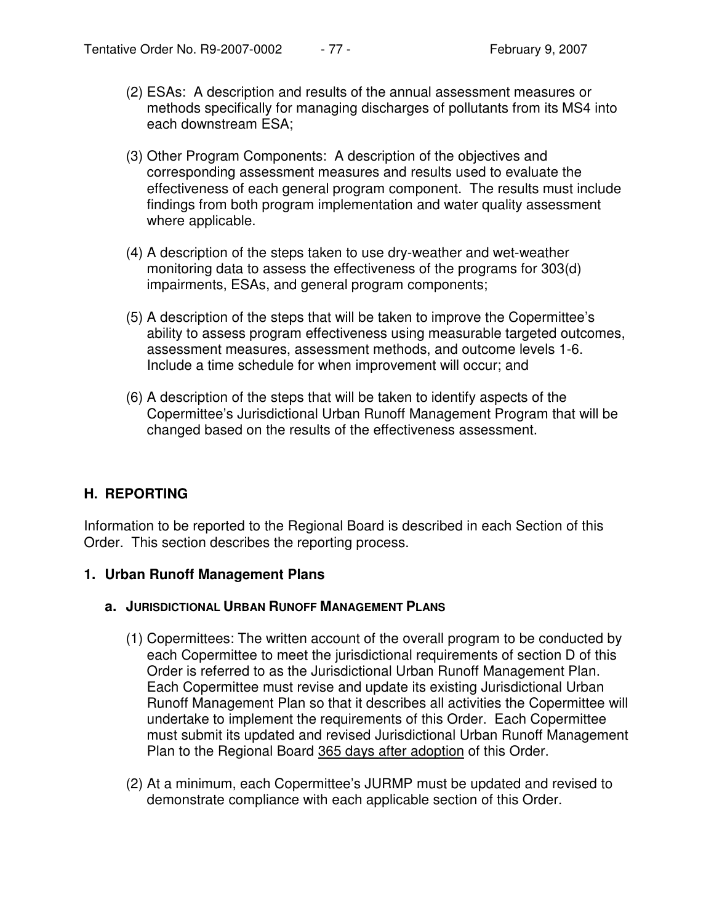- (2) ESAs: A description and results of the annual assessment measures or methods specifically for managing discharges of pollutants from its MS4 into each downstream ESA;
- (3) Other Program Components: A description of the objectives and corresponding assessment measures and results used to evaluate the effectiveness of each general program component. The results must include findings from both program implementation and water quality assessment where applicable.
- (4) A description of the steps taken to use dry-weather and wet-weather monitoring data to assess the effectiveness of the programs for 303(d) impairments, ESAs, and general program components;
- (5) A description of the steps that will be taken to improve the Copermittee's ability to assess program effectiveness using measurable targeted outcomes, assessment measures, assessment methods, and outcome levels 1-6. Include a time schedule for when improvement will occur; and
- (6) A description of the steps that will be taken to identify aspects of the Copermittee's Jurisdictional Urban Runoff Management Program that will be changed based on the results of the effectiveness assessment.

# **H. REPORTING**

Information to be reported to the Regional Board is described in each Section of this Order. This section describes the reporting process.

#### **1. Urban Runoff Management Plans**

#### **a. JURISDICTIONAL URBAN RUNOFF MANAGEMENT PLANS**

- (1) Copermittees: The written account of the overall program to be conducted by each Copermittee to meet the jurisdictional requirements of section D of this Order is referred to as the Jurisdictional Urban Runoff Management Plan. Each Copermittee must revise and update its existing Jurisdictional Urban Runoff Management Plan so that it describes all activities the Copermittee will undertake to implement the requirements of this Order. Each Copermittee must submit its updated and revised Jurisdictional Urban Runoff Management Plan to the Regional Board 365 days after adoption of this Order.
- (2) At a minimum, each Copermittee's JURMP must be updated and revised to demonstrate compliance with each applicable section of this Order.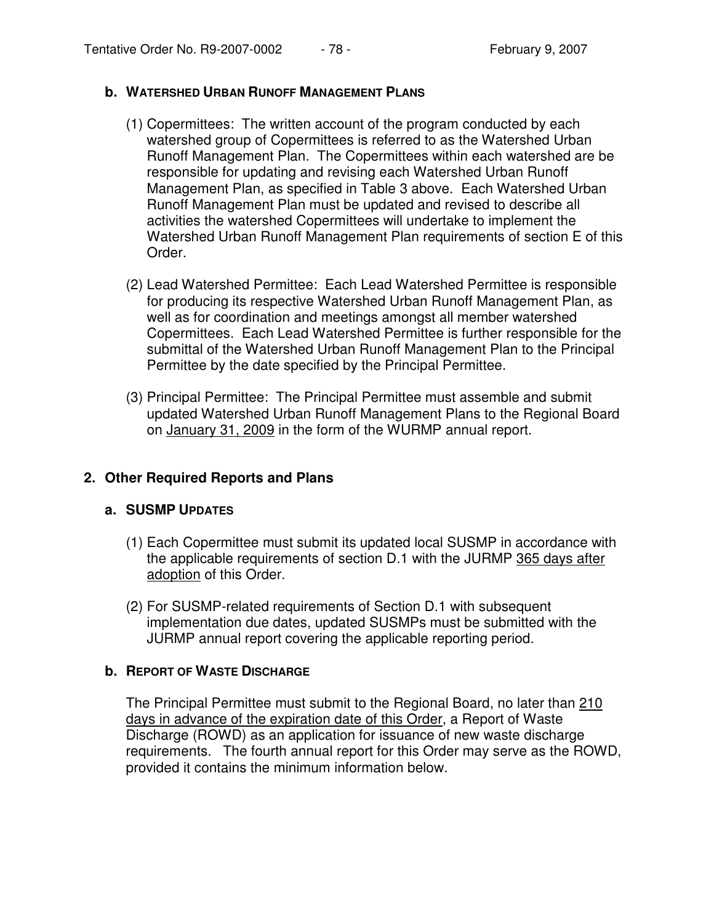## **b. WATERSHED URBAN RUNOFF MANAGEMENT PLANS**

- (1) Copermittees: The written account of the program conducted by each watershed group of Copermittees is referred to as the Watershed Urban Runoff Management Plan. The Copermittees within each watershed are be responsible for updating and revising each Watershed Urban Runoff Management Plan, as specified in Table 3 above. Each Watershed Urban Runoff Management Plan must be updated and revised to describe all activities the watershed Copermittees will undertake to implement the Watershed Urban Runoff Management Plan requirements of section E of this Order.
- (2) Lead Watershed Permittee: Each Lead Watershed Permittee is responsible for producing its respective Watershed Urban Runoff Management Plan, as well as for coordination and meetings amongst all member watershed Copermittees. Each Lead Watershed Permittee is further responsible for the submittal of the Watershed Urban Runoff Management Plan to the Principal Permittee by the date specified by the Principal Permittee.
- (3) Principal Permittee: The Principal Permittee must assemble and submit updated Watershed Urban Runoff Management Plans to the Regional Board on January 31, 2009 in the form of the WURMP annual report.

# **2. Other Required Reports and Plans**

## **a. SUSMP UPDATES**

- (1) Each Copermittee must submit its updated local SUSMP in accordance with the applicable requirements of section D.1 with the JURMP 365 days after adoption of this Order.
- (2) For SUSMP-related requirements of Section D.1 with subsequent implementation due dates, updated SUSMPs must be submitted with the JURMP annual report covering the applicable reporting period.

## **b. REPORT OF WASTE DISCHARGE**

The Principal Permittee must submit to the Regional Board, no later than 210 days in advance of the expiration date of this Order, a Report of Waste Discharge (ROWD) as an application for issuance of new waste discharge requirements. The fourth annual report for this Order may serve as the ROWD, provided it contains the minimum information below.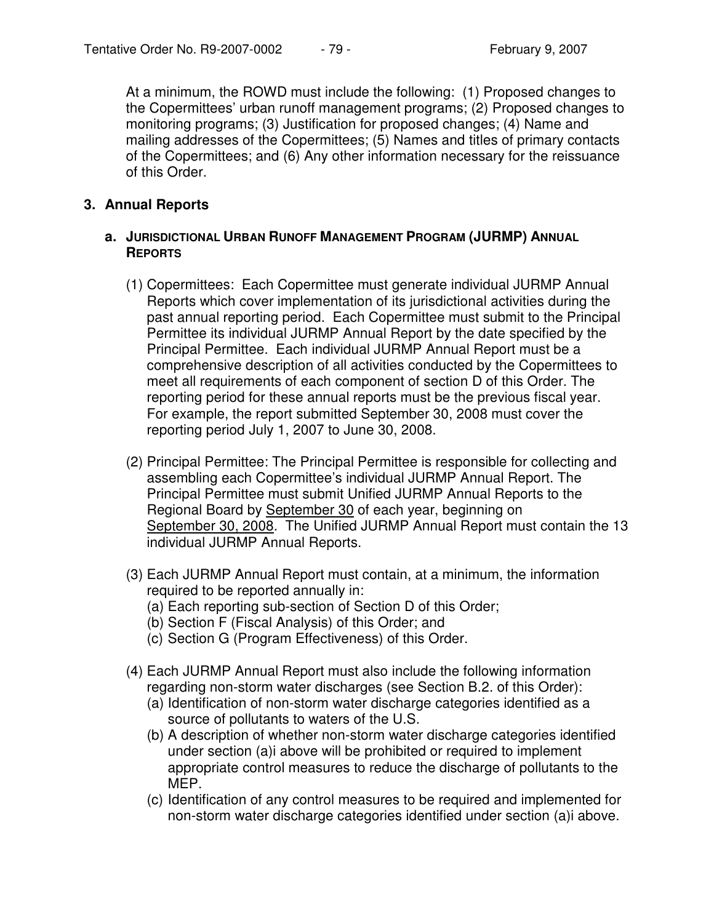At a minimum, the ROWD must include the following: (1) Proposed changes to the Copermittees' urban runoff management programs; (2) Proposed changes to monitoring programs; (3) Justification for proposed changes; (4) Name and mailing addresses of the Copermittees; (5) Names and titles of primary contacts of the Copermittees; and (6) Any other information necessary for the reissuance of this Order.

## **3. Annual Reports**

### **a. JURISDICTIONAL URBAN RUNOFF MANAGEMENT PROGRAM (JURMP) ANNUAL REPORTS**

- (1) Copermittees: Each Copermittee must generate individual JURMP Annual Reports which cover implementation of its jurisdictional activities during the past annual reporting period. Each Copermittee must submit to the Principal Permittee its individual JURMP Annual Report by the date specified by the Principal Permittee. Each individual JURMP Annual Report must be a comprehensive description of all activities conducted by the Copermittees to meet all requirements of each component of section D of this Order. The reporting period for these annual reports must be the previous fiscal year. For example, the report submitted September 30, 2008 must cover the reporting period July 1, 2007 to June 30, 2008.
- (2) Principal Permittee: The Principal Permittee is responsible for collecting and assembling each Copermittee's individual JURMP Annual Report. The Principal Permittee must submit Unified JURMP Annual Reports to the Regional Board by September 30 of each year, beginning on September 30, 2008. The Unified JURMP Annual Report must contain the 13 individual JURMP Annual Reports.
- (3) Each JURMP Annual Report must contain, at a minimum, the information required to be reported annually in:
	- (a) Each reporting sub-section of Section D of this Order;
	- (b) Section F (Fiscal Analysis) of this Order; and
	- (c) Section G (Program Effectiveness) of this Order.
- (4) Each JURMP Annual Report must also include the following information regarding non-storm water discharges (see Section B.2. of this Order):
	- (a) Identification of non-storm water discharge categories identified as a source of pollutants to waters of the U.S.
	- (b) A description of whether non-storm water discharge categories identified under section (a)i above will be prohibited or required to implement appropriate control measures to reduce the discharge of pollutants to the MEP.
	- (c) Identification of any control measures to be required and implemented for non-storm water discharge categories identified under section (a)i above.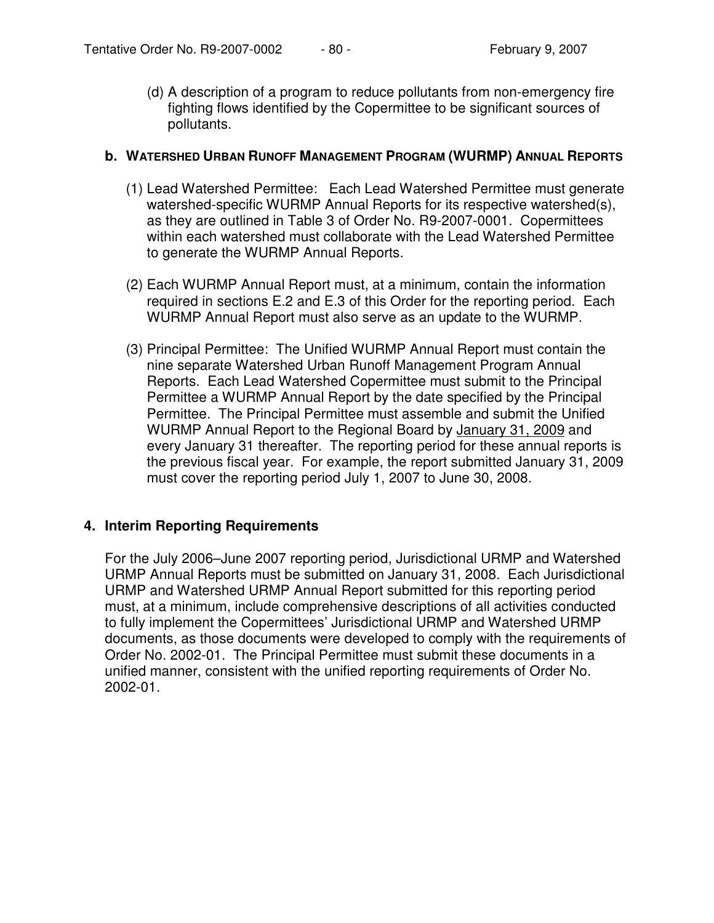(d) A description of a program to reduce pollutants from non-emergency fire fighting flows identified by the Copermittee to be significant sources of pollutants.

#### **b. WATERSHED URBAN RUNOFF MANAGEMENT PROGRAM (WURMP) ANNUAL REPORTS**

- (1) Lead Watershed Permittee: Each Lead Watershed Permittee must generate watershed-specific WURMP Annual Reports for its respective watershed(s), as they are outlined in Table 3 of Order No. R9-2007-0001. Copermittees within each watershed must collaborate with the Lead Watershed Permittee to generate the WURMP Annual Reports.
- (2) Each WURMP Annual Report must, at a minimum, contain the information required in sections E.2 and E.3 of this Order for the reporting period. Each WURMP Annual Report must also serve as an update to the WURMP.
- (3) Principal Permittee: The Unified WURMP Annual Report must contain the nine separate Watershed Urban Runoff Management Program Annual Reports. Each Lead Watershed Copermittee must submit to the Principal Permittee a WURMP Annual Report by the date specified by the Principal Permittee. The Principal Permittee must assemble and submit the Unified WURMP Annual Report to the Regional Board by January 31, 2009 and every January 31 thereafter. The reporting period for these annual reports is the previous fiscal year. For example, the report submitted January 31, 2009 must cover the reporting period July 1, 2007 to June 30, 2008.

## **4. Interim Reporting Requirements**

For the July 2006–June 2007 reporting period, Jurisdictional URMP and Watershed URMP Annual Reports must be submitted on January 31, 2008. Each Jurisdictional URMP and Watershed URMP Annual Report submitted for this reporting period must, at a minimum, include comprehensive descriptions of all activities conducted to fully implement the Copermittees' Jurisdictional URMP and Watershed URMP documents, as those documents were developed to comply with the requirements of Order No. 2002-01. The Principal Permittee must submit these documents in a unified manner, consistent with the unified reporting requirements of Order No. 2002-01.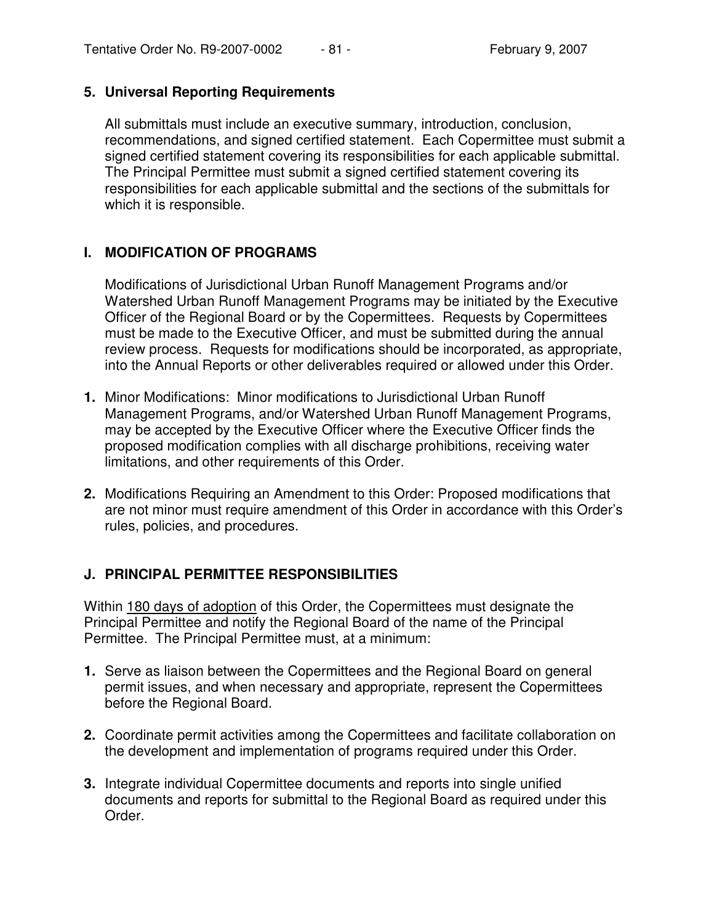## **5. Universal Reporting Requirements**

All submittals must include an executive summary, introduction, conclusion, recommendations, and signed certified statement. Each Copermittee must submit a signed certified statement covering its responsibilities for each applicable submittal. The Principal Permittee must submit a signed certified statement covering its responsibilities for each applicable submittal and the sections of the submittals for which it is responsible.

# **I. MODIFICATION OF PROGRAMS**

Modifications of Jurisdictional Urban Runoff Management Programs and/or Watershed Urban Runoff Management Programs may be initiated by the Executive Officer of the Regional Board or by the Copermittees. Requests by Copermittees must be made to the Executive Officer, and must be submitted during the annual review process. Requests for modifications should be incorporated, as appropriate, into the Annual Reports or other deliverables required or allowed under this Order.

- **1.** Minor Modifications: Minor modifications to Jurisdictional Urban Runoff Management Programs, and/or Watershed Urban Runoff Management Programs, may be accepted by the Executive Officer where the Executive Officer finds the proposed modification complies with all discharge prohibitions, receiving water limitations, and other requirements of this Order.
- **2.** Modifications Requiring an Amendment to this Order: Proposed modifications that are not minor must require amendment of this Order in accordance with this Order's rules, policies, and procedures.

# **J. PRINCIPAL PERMITTEE RESPONSIBILITIES**

Within 180 days of adoption of this Order, the Copermittees must designate the Principal Permittee and notify the Regional Board of the name of the Principal Permittee. The Principal Permittee must, at a minimum:

- **1.** Serve as liaison between the Copermittees and the Regional Board on general permit issues, and when necessary and appropriate, represent the Copermittees before the Regional Board.
- **2.** Coordinate permit activities among the Copermittees and facilitate collaboration on the development and implementation of programs required under this Order.
- **3.** Integrate individual Copermittee documents and reports into single unified documents and reports for submittal to the Regional Board as required under this Order.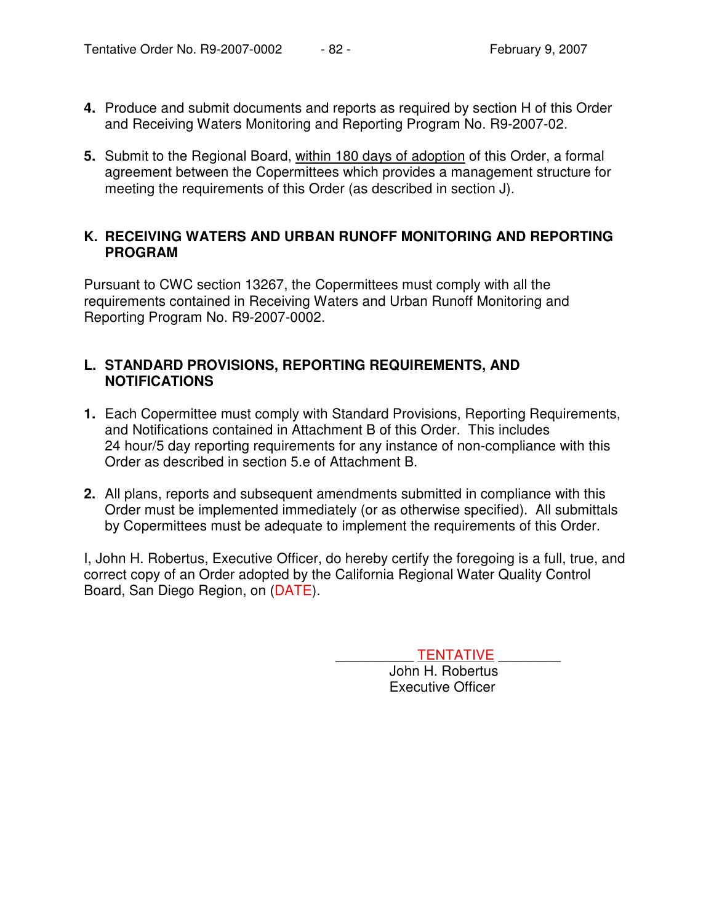- **4.** Produce and submit documents and reports as required by section H of this Order and Receiving Waters Monitoring and Reporting Program No. R9-2007-02.
- **5.** Submit to the Regional Board, within 180 days of adoption of this Order, a formal agreement between the Copermittees which provides a management structure for meeting the requirements of this Order (as described in section J).

## **K. RECEIVING WATERS AND URBAN RUNOFF MONITORING AND REPORTING PROGRAM**

Pursuant to CWC section 13267, the Copermittees must comply with all the requirements contained in Receiving Waters and Urban Runoff Monitoring and Reporting Program No. R9-2007-0002.

## **L. STANDARD PROVISIONS, REPORTING REQUIREMENTS, AND NOTIFICATIONS**

- **1.** Each Copermittee must comply with Standard Provisions, Reporting Requirements, and Notifications contained in Attachment B of this Order. This includes 24 hour/5 day reporting requirements for any instance of non-compliance with this Order as described in section 5.e of Attachment B.
- **2.** All plans, reports and subsequent amendments submitted in compliance with this Order must be implemented immediately (or as otherwise specified). All submittals by Copermittees must be adequate to implement the requirements of this Order.

I, John H. Robertus, Executive Officer, do hereby certify the foregoing is a full, true, and correct copy of an Order adopted by the California Regional Water Quality Control Board, San Diego Region, on (DATE).

TENTATIVE **WE** 

John H. Robertus Executive Officer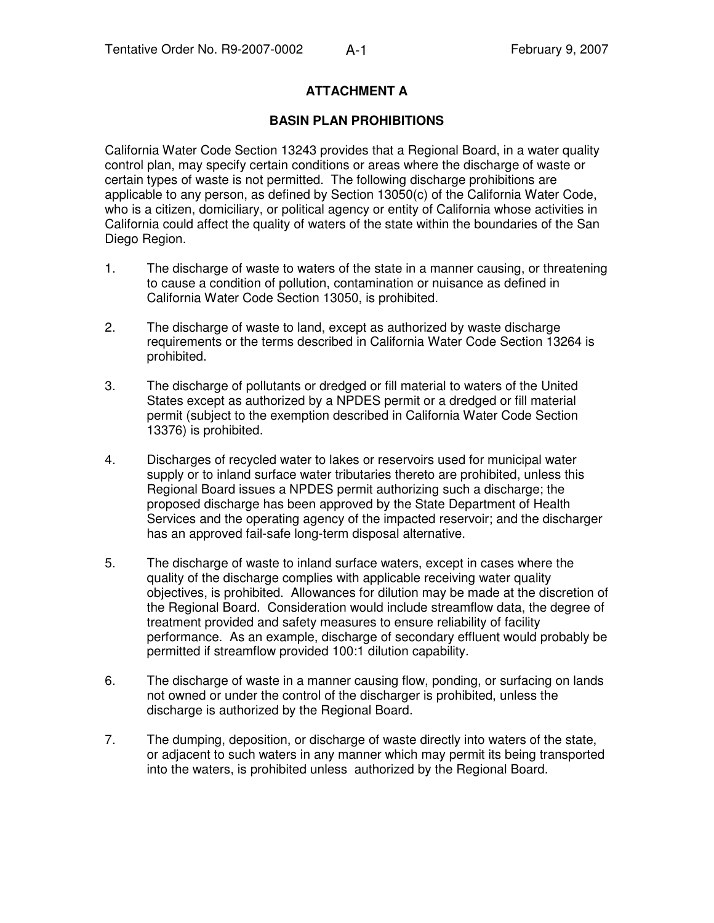## **ATTACHMENT A**

#### **BASIN PLAN PROHIBITIONS**

California Water Code Section 13243 provides that a Regional Board, in a water quality control plan, may specify certain conditions or areas where the discharge of waste or certain types of waste is not permitted. The following discharge prohibitions are applicable to any person, as defined by Section 13050(c) of the California Water Code, who is a citizen, domiciliary, or political agency or entity of California whose activities in California could affect the quality of waters of the state within the boundaries of the San Diego Region.

- 1. The discharge of waste to waters of the state in a manner causing, or threatening to cause a condition of pollution, contamination or nuisance as defined in California Water Code Section 13050, is prohibited.
- 2. The discharge of waste to land, except as authorized by waste discharge requirements or the terms described in California Water Code Section 13264 is prohibited.
- 3. The discharge of pollutants or dredged or fill material to waters of the United States except as authorized by a NPDES permit or a dredged or fill material permit (subject to the exemption described in California Water Code Section 13376) is prohibited.
- 4. Discharges of recycled water to lakes or reservoirs used for municipal water supply or to inland surface water tributaries thereto are prohibited, unless this Regional Board issues a NPDES permit authorizing such a discharge; the proposed discharge has been approved by the State Department of Health Services and the operating agency of the impacted reservoir; and the discharger has an approved fail-safe long-term disposal alternative.
- 5. The discharge of waste to inland surface waters, except in cases where the quality of the discharge complies with applicable receiving water quality objectives, is prohibited. Allowances for dilution may be made at the discretion of the Regional Board. Consideration would include streamflow data, the degree of treatment provided and safety measures to ensure reliability of facility performance. As an example, discharge of secondary effluent would probably be permitted if streamflow provided 100:1 dilution capability.
- 6. The discharge of waste in a manner causing flow, ponding, or surfacing on lands not owned or under the control of the discharger is prohibited, unless the discharge is authorized by the Regional Board.
- 7. The dumping, deposition, or discharge of waste directly into waters of the state, or adjacent to such waters in any manner which may permit its being transported into the waters, is prohibited unless authorized by the Regional Board.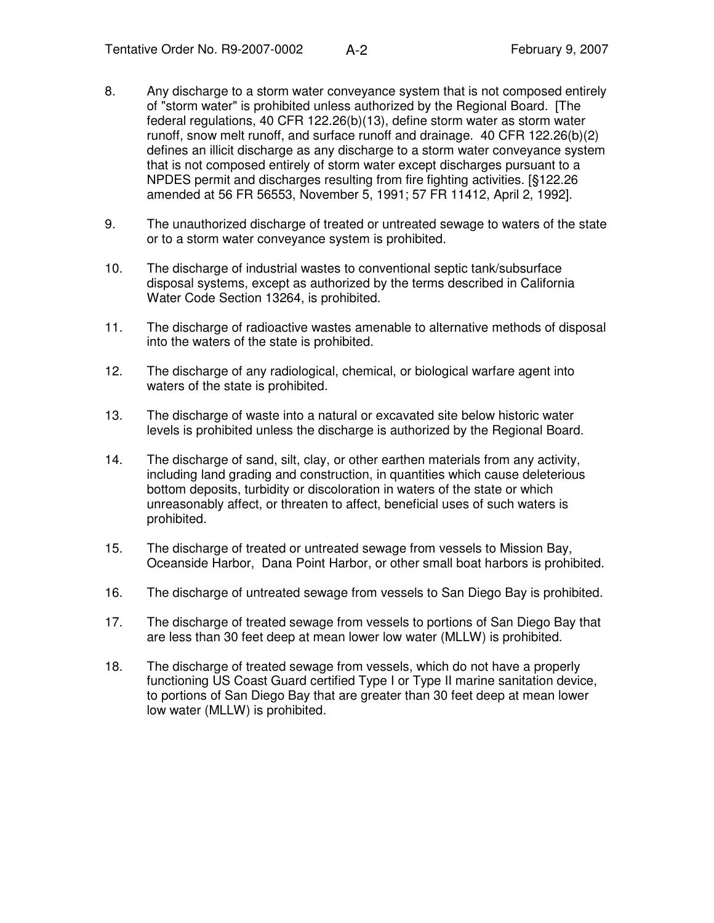- 8. Any discharge to a storm water conveyance system that is not composed entirely of "storm water" is prohibited unless authorized by the Regional Board. [The federal regulations, 40 CFR 122.26(b)(13), define storm water as storm water runoff, snow melt runoff, and surface runoff and drainage. 40 CFR 122.26(b)(2) defines an illicit discharge as any discharge to a storm water conveyance system that is not composed entirely of storm water except discharges pursuant to a NPDES permit and discharges resulting from fire fighting activities. [§122.26 amended at 56 FR 56553, November 5, 1991; 57 FR 11412, April 2, 1992].
- 9. The unauthorized discharge of treated or untreated sewage to waters of the state or to a storm water conveyance system is prohibited.
- 10. The discharge of industrial wastes to conventional septic tank/subsurface disposal systems, except as authorized by the terms described in California Water Code Section 13264, is prohibited.
- 11. The discharge of radioactive wastes amenable to alternative methods of disposal into the waters of the state is prohibited.
- 12. The discharge of any radiological, chemical, or biological warfare agent into waters of the state is prohibited.
- 13. The discharge of waste into a natural or excavated site below historic water levels is prohibited unless the discharge is authorized by the Regional Board.
- 14. The discharge of sand, silt, clay, or other earthen materials from any activity, including land grading and construction, in quantities which cause deleterious bottom deposits, turbidity or discoloration in waters of the state or which unreasonably affect, or threaten to affect, beneficial uses of such waters is prohibited.
- 15. The discharge of treated or untreated sewage from vessels to Mission Bay, Oceanside Harbor, Dana Point Harbor, or other small boat harbors is prohibited.
- 16. The discharge of untreated sewage from vessels to San Diego Bay is prohibited.
- 17. The discharge of treated sewage from vessels to portions of San Diego Bay that are less than 30 feet deep at mean lower low water (MLLW) is prohibited.
- 18. The discharge of treated sewage from vessels, which do not have a properly functioning US Coast Guard certified Type I or Type II marine sanitation device, to portions of San Diego Bay that are greater than 30 feet deep at mean lower low water (MLLW) is prohibited.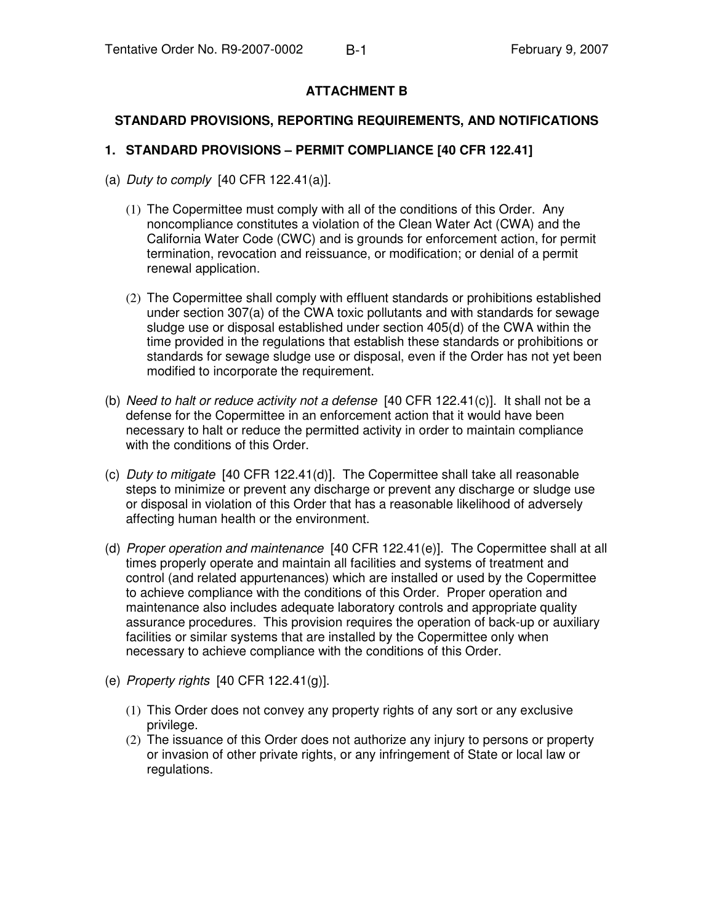## **ATTACHMENT B**

#### **STANDARD PROVISIONS, REPORTING REQUIREMENTS, AND NOTIFICATIONS**

#### **1. STANDARD PROVISIONS – PERMIT COMPLIANCE [40 CFR 122.41]**

- (a) *Duty to comply* [40 CFR 122.41(a)].
	- (1) The Copermittee must comply with all of the conditions of this Order. Any noncompliance constitutes a violation of the Clean Water Act (CWA) and the California Water Code (CWC) and is grounds for enforcement action, for permit termination, revocation and reissuance, or modification; or denial of a permit renewal application.
	- (2) The Copermittee shall comply with effluent standards or prohibitions established under section 307(a) of the CWA toxic pollutants and with standards for sewage sludge use or disposal established under section 405(d) of the CWA within the time provided in the regulations that establish these standards or prohibitions or standards for sewage sludge use or disposal, even if the Order has not yet been modified to incorporate the requirement.
- (b) *Need to halt or reduce activity not a defense* [40 CFR 122.41(c)]. It shall not be a defense for the Copermittee in an enforcement action that it would have been necessary to halt or reduce the permitted activity in order to maintain compliance with the conditions of this Order.
- (c) *Duty to mitigate* [40 CFR 122.41(d)]. The Copermittee shall take all reasonable steps to minimize or prevent any discharge or prevent any discharge or sludge use or disposal in violation of this Order that has a reasonable likelihood of adversely affecting human health or the environment.
- (d) *Proper operation and maintenance* [40 CFR 122.41(e)]. The Copermittee shall at all times properly operate and maintain all facilities and systems of treatment and control (and related appurtenances) which are installed or used by the Copermittee to achieve compliance with the conditions of this Order. Proper operation and maintenance also includes adequate laboratory controls and appropriate quality assurance procedures. This provision requires the operation of back-up or auxiliary facilities or similar systems that are installed by the Copermittee only when necessary to achieve compliance with the conditions of this Order.
- (e) *Property rights* [40 CFR 122.41(g)].
	- (1) This Order does not convey any property rights of any sort or any exclusive privilege.
	- (2) The issuance of this Order does not authorize any injury to persons or property or invasion of other private rights, or any infringement of State or local law or regulations.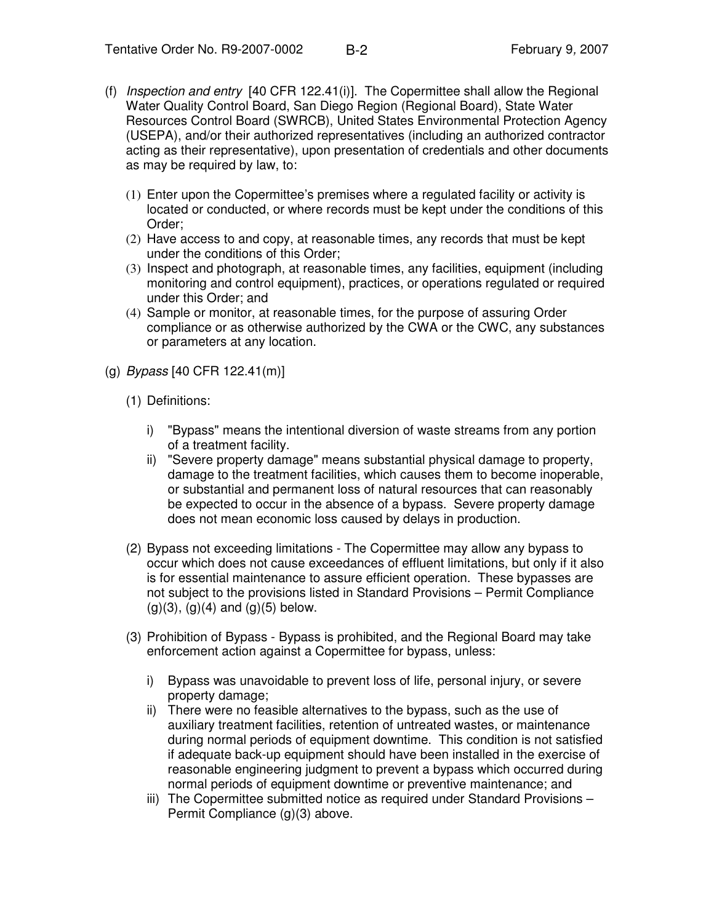- (f) *Inspection and entry* [40 CFR 122.41(i)]. The Copermittee shall allow the Regional Water Quality Control Board, San Diego Region (Regional Board), State Water Resources Control Board (SWRCB), United States Environmental Protection Agency (USEPA), and/or their authorized representatives (including an authorized contractor acting as their representative), upon presentation of credentials and other documents as may be required by law, to:
	- (1) Enter upon the Copermittee's premises where a regulated facility or activity is located or conducted, or where records must be kept under the conditions of this Order;
	- (2) Have access to and copy, at reasonable times, any records that must be kept under the conditions of this Order;
	- (3) Inspect and photograph, at reasonable times, any facilities, equipment (including monitoring and control equipment), practices, or operations regulated or required under this Order; and
	- (4) Sample or monitor, at reasonable times, for the purpose of assuring Order compliance or as otherwise authorized by the CWA or the CWC, any substances or parameters at any location.
- (g) *Bypass* [40 CFR 122.41(m)]
	- (1) Definitions:
		- i) "Bypass" means the intentional diversion of waste streams from any portion of a treatment facility.
		- ii) "Severe property damage" means substantial physical damage to property, damage to the treatment facilities, which causes them to become inoperable, or substantial and permanent loss of natural resources that can reasonably be expected to occur in the absence of a bypass. Severe property damage does not mean economic loss caused by delays in production.
	- (2) Bypass not exceeding limitations The Copermittee may allow any bypass to occur which does not cause exceedances of effluent limitations, but only if it also is for essential maintenance to assure efficient operation. These bypasses are not subject to the provisions listed in Standard Provisions – Permit Compliance  $(g)(3)$ ,  $(g)(4)$  and  $(g)(5)$  below.
	- (3) Prohibition of Bypass Bypass is prohibited, and the Regional Board may take enforcement action against a Copermittee for bypass, unless:
		- i) Bypass was unavoidable to prevent loss of life, personal injury, or severe property damage;
		- ii) There were no feasible alternatives to the bypass, such as the use of auxiliary treatment facilities, retention of untreated wastes, or maintenance during normal periods of equipment downtime. This condition is not satisfied if adequate back-up equipment should have been installed in the exercise of reasonable engineering judgment to prevent a bypass which occurred during normal periods of equipment downtime or preventive maintenance; and
		- iii) The Copermittee submitted notice as required under Standard Provisions Permit Compliance (g)(3) above.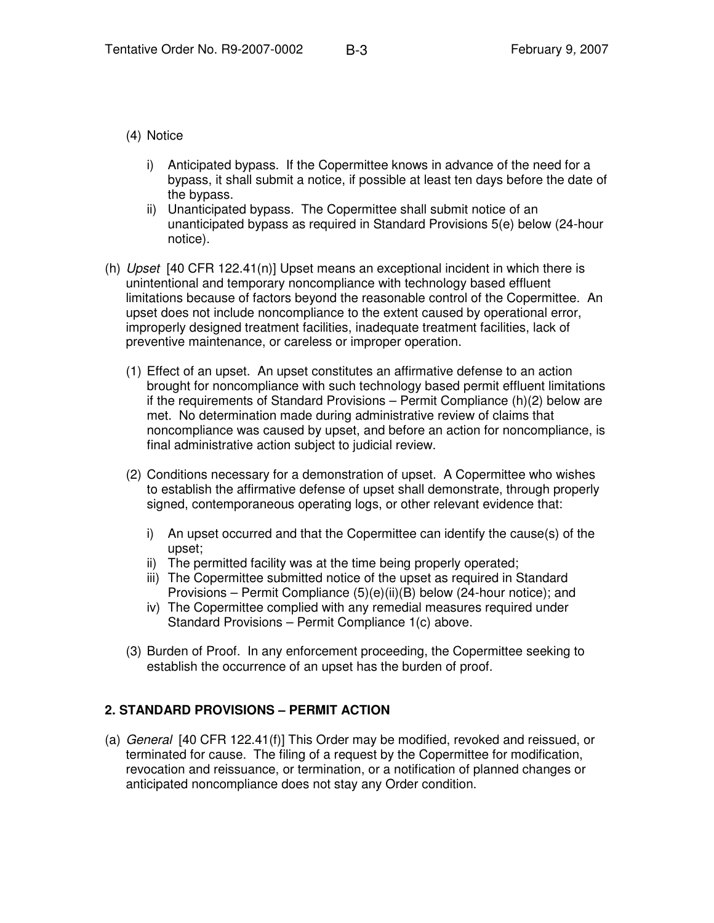#### (4) Notice

- i) Anticipated bypass. If the Copermittee knows in advance of the need for a bypass, it shall submit a notice, if possible at least ten days before the date of the bypass.
- ii) Unanticipated bypass. The Copermittee shall submit notice of an unanticipated bypass as required in Standard Provisions 5(e) below (24-hour notice).
- (h) *Upset* [40 CFR 122.41(n)] Upset means an exceptional incident in which there is unintentional and temporary noncompliance with technology based effluent limitations because of factors beyond the reasonable control of the Copermittee. An upset does not include noncompliance to the extent caused by operational error, improperly designed treatment facilities, inadequate treatment facilities, lack of preventive maintenance, or careless or improper operation.
	- (1) Effect of an upset. An upset constitutes an affirmative defense to an action brought for noncompliance with such technology based permit effluent limitations if the requirements of Standard Provisions – Permit Compliance (h)(2) below are met. No determination made during administrative review of claims that noncompliance was caused by upset, and before an action for noncompliance, is final administrative action subject to judicial review.
	- (2) Conditions necessary for a demonstration of upset. A Copermittee who wishes to establish the affirmative defense of upset shall demonstrate, through properly signed, contemporaneous operating logs, or other relevant evidence that:
		- i) An upset occurred and that the Copermittee can identify the cause(s) of the upset;
		- ii) The permitted facility was at the time being properly operated;
		- iii) The Copermittee submitted notice of the upset as required in Standard Provisions – Permit Compliance (5)(e)(ii)(B) below (24-hour notice); and
		- iv) The Copermittee complied with any remedial measures required under Standard Provisions – Permit Compliance 1(c) above.
	- (3) Burden of Proof. In any enforcement proceeding, the Copermittee seeking to establish the occurrence of an upset has the burden of proof.

## **2. STANDARD PROVISIONS – PERMIT ACTION**

(a) *General* [40 CFR 122.41(f)] This Order may be modified, revoked and reissued, or terminated for cause. The filing of a request by the Copermittee for modification, revocation and reissuance, or termination, or a notification of planned changes or anticipated noncompliance does not stay any Order condition.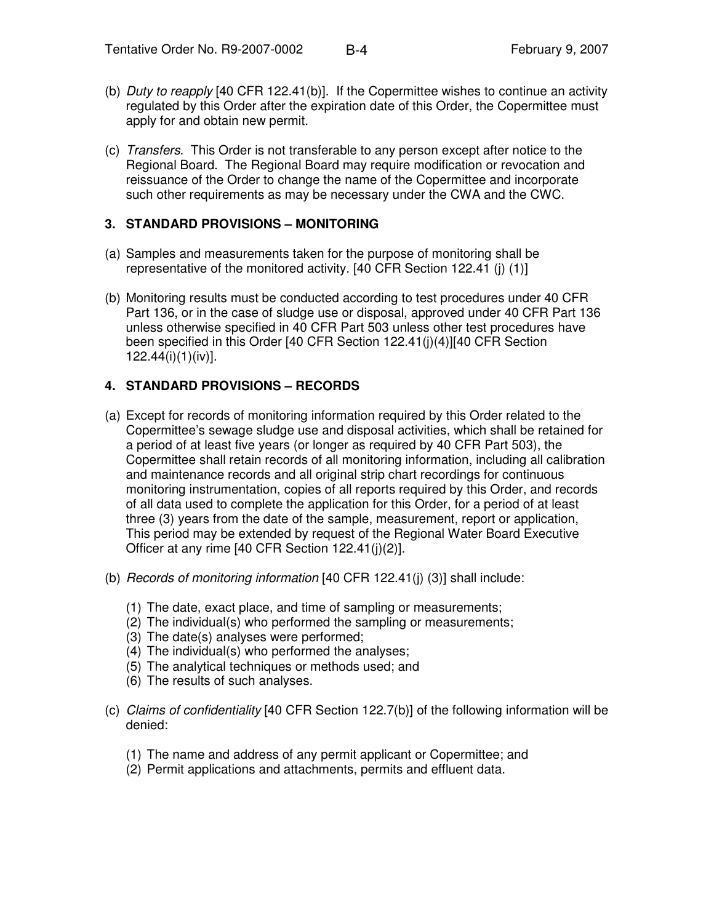- (b) *Duty to reapply* [40 CFR 122.41(b)]. If the Copermittee wishes to continue an activity regulated by this Order after the expiration date of this Order, the Copermittee must apply for and obtain new permit.
- (c) *Transfers*. This Order is not transferable to any person except after notice to the Regional Board. The Regional Board may require modification or revocation and reissuance of the Order to change the name of the Copermittee and incorporate such other requirements as may be necessary under the CWA and the CWC.

#### **3. STANDARD PROVISIONS – MONITORING**

- (a) Samples and measurements taken for the purpose of monitoring shall be representative of the monitored activity. [40 CFR Section 122.41 (j) (1)]
- (b) Monitoring results must be conducted according to test procedures under 40 CFR Part 136, or in the case of sludge use or disposal, approved under 40 CFR Part 136 unless otherwise specified in 40 CFR Part 503 unless other test procedures have been specified in this Order [40 CFR Section 122.41(j)(4)][40 CFR Section 122.44(i)(1)(iv)].

## **4. STANDARD PROVISIONS – RECORDS**

- (a) Except for records of monitoring information required by this Order related to the Copermittee's sewage sludge use and disposal activities, which shall be retained for a period of at least five years (or longer as required by 40 CFR Part 503), the Copermittee shall retain records of all monitoring information, including all calibration and maintenance records and all original strip chart recordings for continuous monitoring instrumentation, copies of all reports required by this Order, and records of all data used to complete the application for this Order, for a period of at least three (3) years from the date of the sample, measurement, report or application, This period may be extended by request of the Regional Water Board Executive Officer at any rime [40 CFR Section 122.41(j)(2)].
- (b) *Records of monitoring information* [40 CFR 122.41(j) (3)] shall include:
	- (1) The date, exact place, and time of sampling or measurements;
	- (2) The individual(s) who performed the sampling or measurements;
	- (3) The date(s) analyses were performed;
	- (4) The individual(s) who performed the analyses;
	- (5) The analytical techniques or methods used; and
	- (6) The results of such analyses.
- (c) *Claims of confidentiality* [40 CFR Section 122.7(b)] of the following information will be denied:
	- (1) The name and address of any permit applicant or Copermittee; and
	- (2) Permit applications and attachments, permits and effluent data.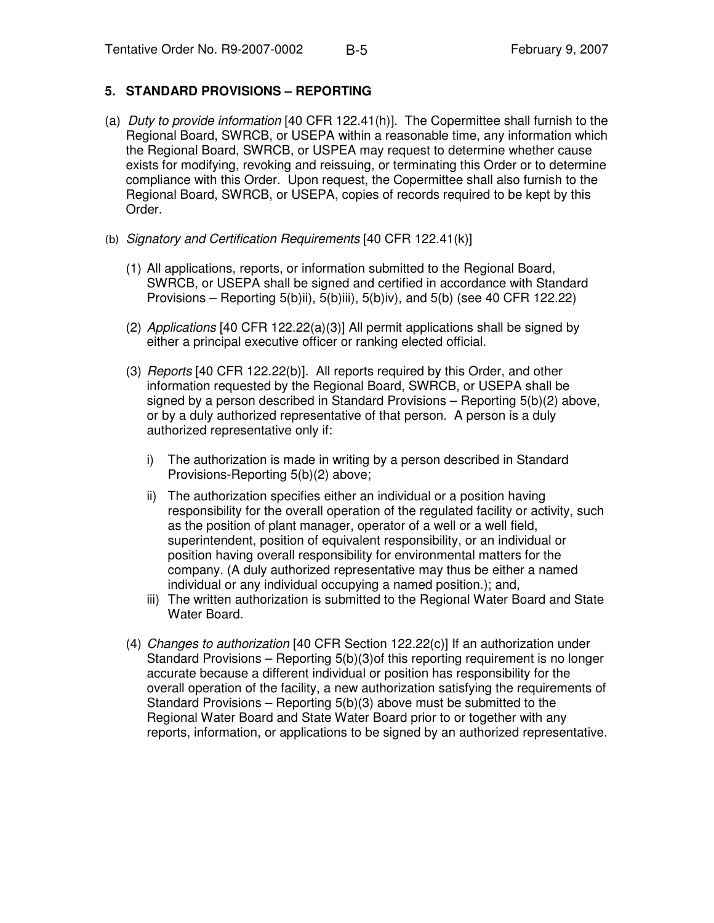### **5. STANDARD PROVISIONS – REPORTING**

- (a) *Duty to provide information* [40 CFR 122.41(h)]. The Copermittee shall furnish to the Regional Board, SWRCB, or USEPA within a reasonable time, any information which the Regional Board, SWRCB, or USPEA may request to determine whether cause exists for modifying, revoking and reissuing, or terminating this Order or to determine compliance with this Order. Upon request, the Copermittee shall also furnish to the Regional Board, SWRCB, or USEPA, copies of records required to be kept by this Order.
- *Signatory and Certification Requirements* [40 CFR 122.41(k)]
	- (1) All applications, reports, or information submitted to the Regional Board, SWRCB, or USEPA shall be signed and certified in accordance with Standard Provisions – Reporting 5(b)ii), 5(b)iii), 5(b)iv), and 5(b) (see 40 CFR 122.22)
	- (2) *Applications* [40 CFR 122.22(a)(3)] All permit applications shall be signed by either a principal executive officer or ranking elected official.
	- (3) *Reports* [40 CFR 122.22(b)]. All reports required by this Order, and other information requested by the Regional Board, SWRCB, or USEPA shall be signed by a person described in Standard Provisions – Reporting 5(b)(2) above, or by a duly authorized representative of that person. A person is a duly authorized representative only if:
		- i) The authorization is made in writing by a person described in Standard Provisions-Reporting 5(b)(2) above;
		- ii) The authorization specifies either an individual or a position having responsibility for the overall operation of the regulated facility or activity, such as the position of plant manager, operator of a well or a well field, superintendent, position of equivalent responsibility, or an individual or position having overall responsibility for environmental matters for the company. (A duly authorized representative may thus be either a named individual or any individual occupying a named position.); and,
		- iii) The written authorization is submitted to the Regional Water Board and State Water Board.
	- (4) *Changes to authorization* [40 CFR Section 122.22(c)] If an authorization under Standard Provisions – Reporting 5(b)(3)of this reporting requirement is no longer accurate because a different individual or position has responsibility for the overall operation of the facility, a new authorization satisfying the requirements of Standard Provisions – Reporting 5(b)(3) above must be submitted to the Regional Water Board and State Water Board prior to or together with any reports, information, or applications to be signed by an authorized representative.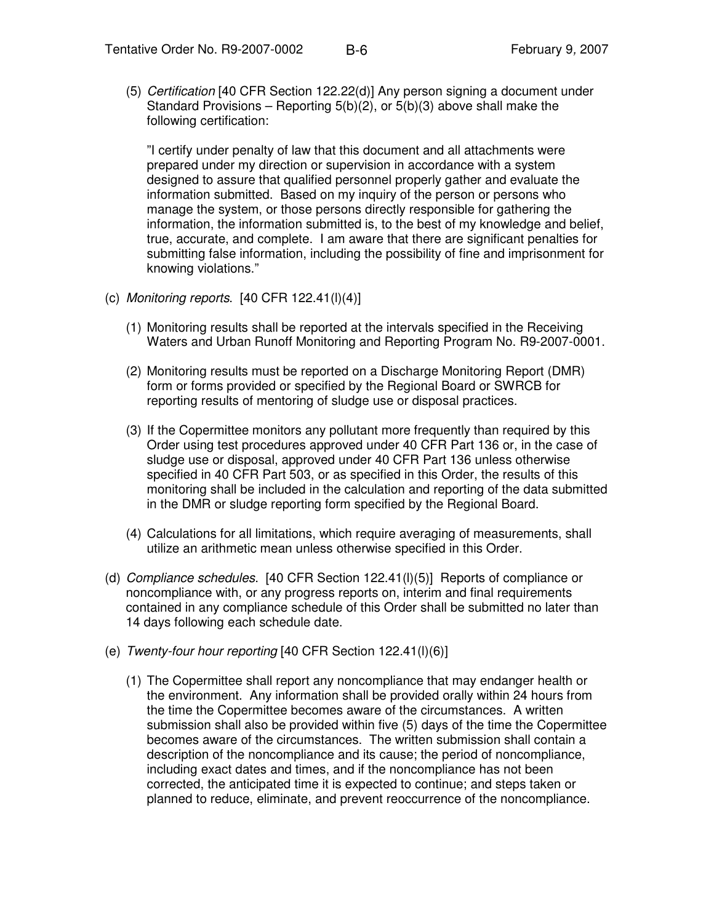(5) *Certification* [40 CFR Section 122.22(d)] Any person signing a document under Standard Provisions – Reporting 5(b)(2), or 5(b)(3) above shall make the following certification:

"I certify under penalty of law that this document and all attachments were prepared under my direction or supervision in accordance with a system designed to assure that qualified personnel properly gather and evaluate the information submitted. Based on my inquiry of the person or persons who manage the system, or those persons directly responsible for gathering the information, the information submitted is, to the best of my knowledge and belief, true, accurate, and complete. I am aware that there are significant penalties for submitting false information, including the possibility of fine and imprisonment for knowing violations."

- (c) *Monitoring reports*. [40 CFR 122.41(l)(4)]
	- (1) Monitoring results shall be reported at the intervals specified in the Receiving Waters and Urban Runoff Monitoring and Reporting Program No. R9-2007-0001.
	- (2) Monitoring results must be reported on a Discharge Monitoring Report (DMR) form or forms provided or specified by the Regional Board or SWRCB for reporting results of mentoring of sludge use or disposal practices.
	- (3) If the Copermittee monitors any pollutant more frequently than required by this Order using test procedures approved under 40 CFR Part 136 or, in the case of sludge use or disposal, approved under 40 CFR Part 136 unless otherwise specified in 40 CFR Part 503, or as specified in this Order, the results of this monitoring shall be included in the calculation and reporting of the data submitted in the DMR or sludge reporting form specified by the Regional Board.
	- (4) Calculations for all limitations, which require averaging of measurements, shall utilize an arithmetic mean unless otherwise specified in this Order.
- (d) *Compliance schedules*. [40 CFR Section 122.41(l)(5)] Reports of compliance or noncompliance with, or any progress reports on, interim and final requirements contained in any compliance schedule of this Order shall be submitted no later than 14 days following each schedule date.
- (e) *Twenty-four hour reporting* [40 CFR Section 122.41(l)(6)]
	- (1) The Copermittee shall report any noncompliance that may endanger health or the environment. Any information shall be provided orally within 24 hours from the time the Copermittee becomes aware of the circumstances. A written submission shall also be provided within five (5) days of the time the Copermittee becomes aware of the circumstances. The written submission shall contain a description of the noncompliance and its cause; the period of noncompliance, including exact dates and times, and if the noncompliance has not been corrected, the anticipated time it is expected to continue; and steps taken or planned to reduce, eliminate, and prevent reoccurrence of the noncompliance.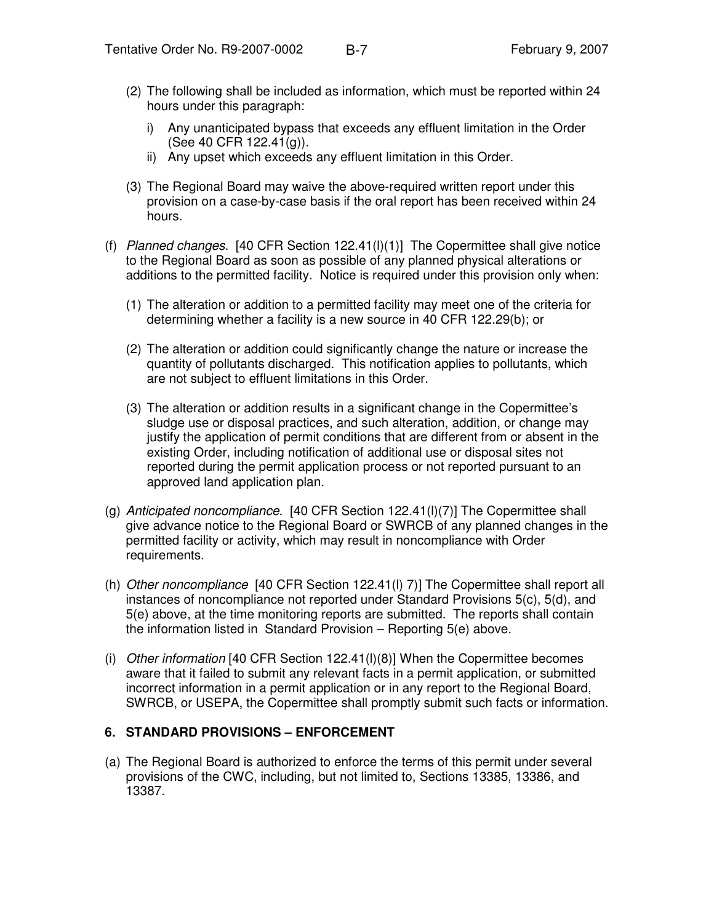- (2) The following shall be included as information, which must be reported within 24 hours under this paragraph:
	- i) Any unanticipated bypass that exceeds any effluent limitation in the Order (See 40 CFR 122.41(g)).
	- ii) Any upset which exceeds any effluent limitation in this Order.
- (3) The Regional Board may waive the above-required written report under this provision on a case-by-case basis if the oral report has been received within 24 hours.
- (f) *Planned changes*. [40 CFR Section 122.41(l)(1)] The Copermittee shall give notice to the Regional Board as soon as possible of any planned physical alterations or additions to the permitted facility. Notice is required under this provision only when:
	- (1) The alteration or addition to a permitted facility may meet one of the criteria for determining whether a facility is a new source in 40 CFR 122.29(b); or
	- (2) The alteration or addition could significantly change the nature or increase the quantity of pollutants discharged. This notification applies to pollutants, which are not subject to effluent limitations in this Order.
	- (3) The alteration or addition results in a significant change in the Copermittee's sludge use or disposal practices, and such alteration, addition, or change may justify the application of permit conditions that are different from or absent in the existing Order, including notification of additional use or disposal sites not reported during the permit application process or not reported pursuant to an approved land application plan.
- (g) *Anticipated noncompliance*. [40 CFR Section 122.41(l)(7)] The Copermittee shall give advance notice to the Regional Board or SWRCB of any planned changes in the permitted facility or activity, which may result in noncompliance with Order requirements.
- (h) *Other noncompliance* [40 CFR Section 122.41(l) 7)] The Copermittee shall report all instances of noncompliance not reported under Standard Provisions 5(c), 5(d), and 5(e) above, at the time monitoring reports are submitted. The reports shall contain the information listed in Standard Provision – Reporting 5(e) above.
- (i) *Other information* [40 CFR Section 122.41(l)(8)] When the Copermittee becomes aware that it failed to submit any relevant facts in a permit application, or submitted incorrect information in a permit application or in any report to the Regional Board, SWRCB, or USEPA, the Copermittee shall promptly submit such facts or information.

#### **6. STANDARD PROVISIONS – ENFORCEMENT**

(a) The Regional Board is authorized to enforce the terms of this permit under several provisions of the CWC, including, but not limited to, Sections 13385, 13386, and 13387.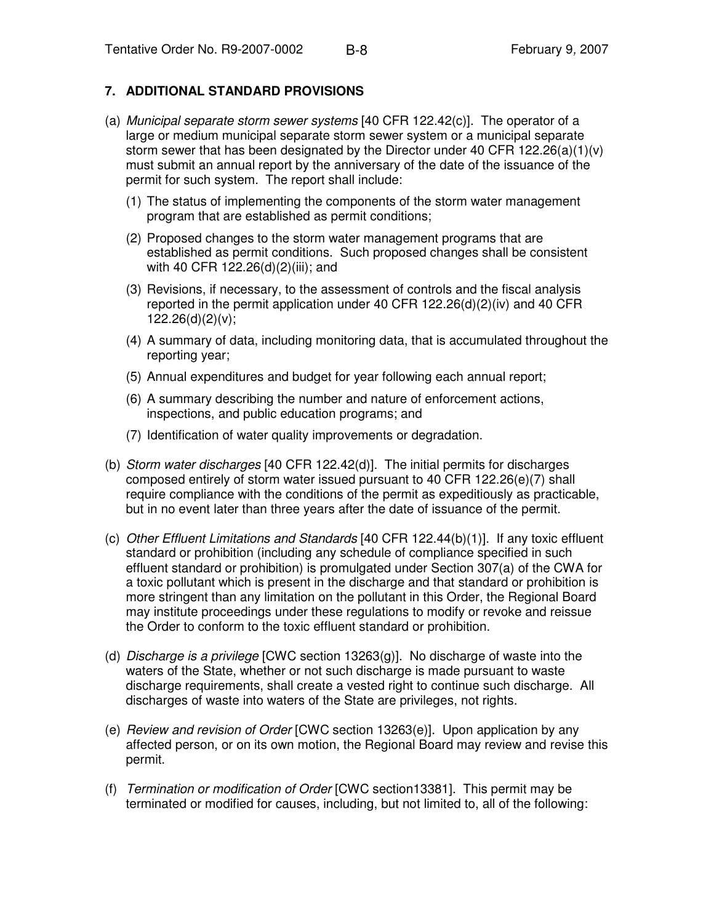#### **7. ADDITIONAL STANDARD PROVISIONS**

- (a) *Municipal separate storm sewer systems* [40 CFR 122.42(c)]. The operator of a large or medium municipal separate storm sewer system or a municipal separate storm sewer that has been designated by the Director under 40 CFR 122.26(a)(1)(v) must submit an annual report by the anniversary of the date of the issuance of the permit for such system. The report shall include:
	- (1) The status of implementing the components of the storm water management program that are established as permit conditions;
	- (2) Proposed changes to the storm water management programs that are established as permit conditions. Such proposed changes shall be consistent with 40 CFR 122.26(d)(2)(iii); and
	- (3) Revisions, if necessary, to the assessment of controls and the fiscal analysis reported in the permit application under 40 CFR 122.26(d)(2)(iv) and 40 CFR  $122.26(d)(2)(v)$ ;
	- (4) A summary of data, including monitoring data, that is accumulated throughout the reporting year;
	- (5) Annual expenditures and budget for year following each annual report;
	- (6) A summary describing the number and nature of enforcement actions, inspections, and public education programs; and
	- (7) Identification of water quality improvements or degradation.
- (b) *Storm water discharges* [40 CFR 122.42(d)]. The initial permits for discharges composed entirely of storm water issued pursuant to 40 CFR 122.26(e)(7) shall require compliance with the conditions of the permit as expeditiously as practicable, but in no event later than three years after the date of issuance of the permit.
- (c) *Other Effluent Limitations and Standards* [40 CFR 122.44(b)(1)]. If any toxic effluent standard or prohibition (including any schedule of compliance specified in such effluent standard or prohibition) is promulgated under Section 307(a) of the CWA for a toxic pollutant which is present in the discharge and that standard or prohibition is more stringent than any limitation on the pollutant in this Order, the Regional Board may institute proceedings under these regulations to modify or revoke and reissue the Order to conform to the toxic effluent standard or prohibition.
- (d) *Discharge is a privilege* [CWC section 13263(g)]. No discharge of waste into the waters of the State, whether or not such discharge is made pursuant to waste discharge requirements, shall create a vested right to continue such discharge. All discharges of waste into waters of the State are privileges, not rights.
- (e) *Review and revision of Order* [CWC section 13263(e)]. Upon application by any affected person, or on its own motion, the Regional Board may review and revise this permit.
- (f) *Termination or modification of Order* [CWC section13381]. This permit may be terminated or modified for causes, including, but not limited to, all of the following: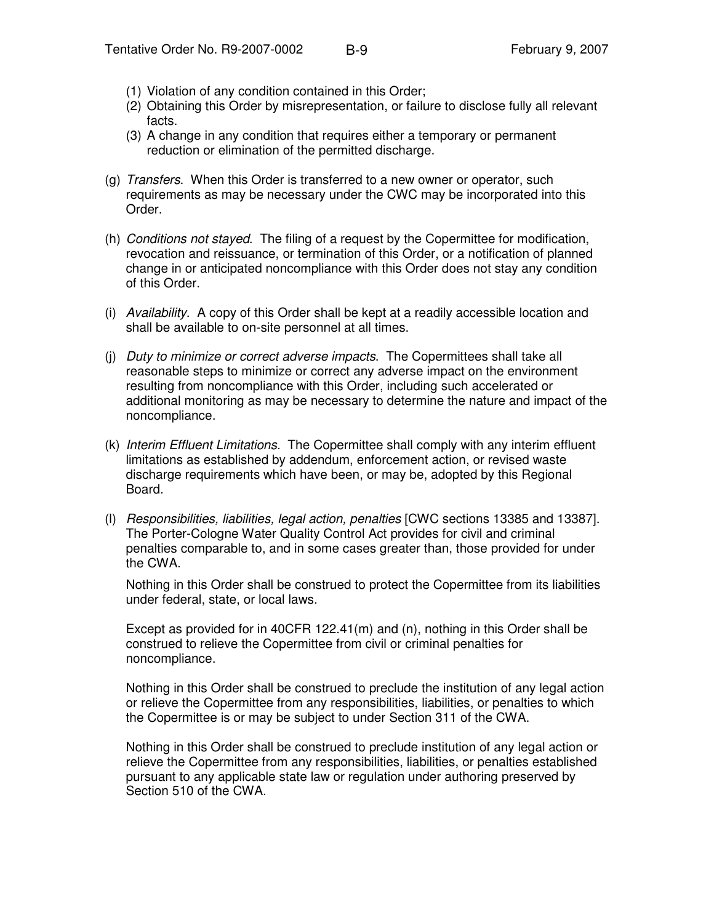- (1) Violation of any condition contained in this Order;
- (2) Obtaining this Order by misrepresentation, or failure to disclose fully all relevant facts.
- (3) A change in any condition that requires either a temporary or permanent reduction or elimination of the permitted discharge.
- (g) *Transfers*. When this Order is transferred to a new owner or operator, such requirements as may be necessary under the CWC may be incorporated into this Order.
- (h) *Conditions not stayed*. The filing of a request by the Copermittee for modification, revocation and reissuance, or termination of this Order, or a notification of planned change in or anticipated noncompliance with this Order does not stay any condition of this Order.
- (i) *Availability*. A copy of this Order shall be kept at a readily accessible location and shall be available to on-site personnel at all times.
- (j) *Duty to minimize or correct adverse impacts*. The Copermittees shall take all reasonable steps to minimize or correct any adverse impact on the environment resulting from noncompliance with this Order, including such accelerated or additional monitoring as may be necessary to determine the nature and impact of the noncompliance.
- (k) *Interim Effluent Limitations.* The Copermittee shall comply with any interim effluent limitations as established by addendum, enforcement action, or revised waste discharge requirements which have been, or may be, adopted by this Regional Board.
- (l) *Responsibilities, liabilities, legal action, penalties* [CWC sections 13385 and 13387]. The Porter-Cologne Water Quality Control Act provides for civil and criminal penalties comparable to, and in some cases greater than, those provided for under the CWA.

Nothing in this Order shall be construed to protect the Copermittee from its liabilities under federal, state, or local laws.

Except as provided for in 40CFR 122.41(m) and  $(n)$ , nothing in this Order shall be construed to relieve the Copermittee from civil or criminal penalties for noncompliance.

Nothing in this Order shall be construed to preclude the institution of any legal action or relieve the Copermittee from any responsibilities, liabilities, or penalties to which the Copermittee is or may be subject to under Section 311 of the CWA.

Nothing in this Order shall be construed to preclude institution of any legal action or relieve the Copermittee from any responsibilities, liabilities, or penalties established pursuant to any applicable state law or regulation under authoring preserved by Section 510 of the CWA.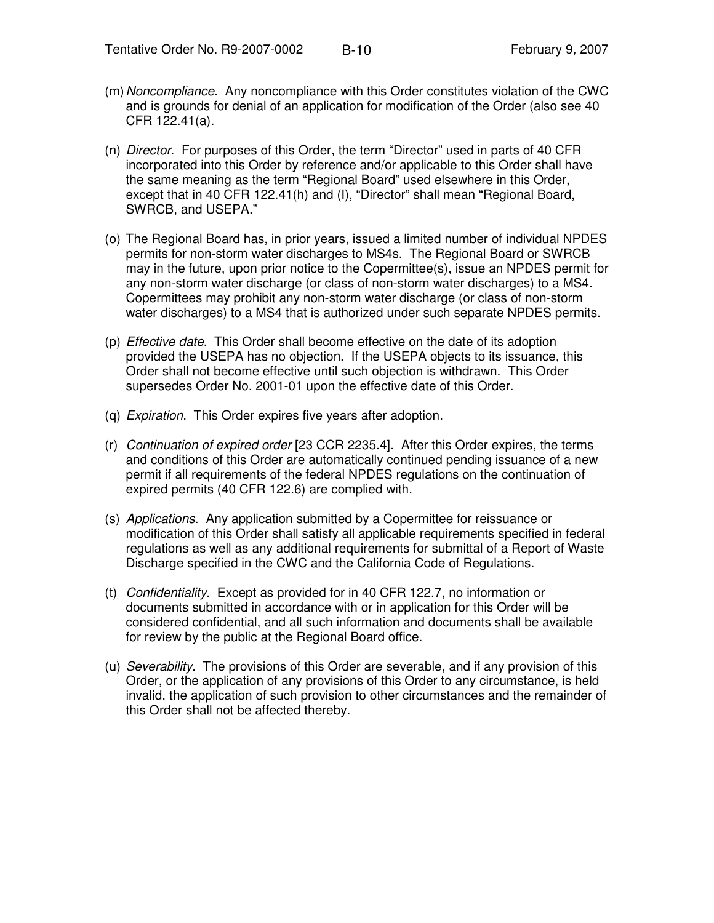- (m)*Noncompliance*. Any noncompliance with this Order constitutes violation of the CWC and is grounds for denial of an application for modification of the Order (also see 40 CFR 122.41(a).
- (n) *Director*. For purposes of this Order, the term "Director" used in parts of 40 CFR incorporated into this Order by reference and/or applicable to this Order shall have the same meaning as the term "Regional Board" used elsewhere in this Order, except that in 40 CFR 122.41(h) and (I), "Director" shall mean "Regional Board, SWRCB, and USEPA."
- (o) The Regional Board has, in prior years, issued a limited number of individual NPDES permits for non-storm water discharges to MS4s. The Regional Board or SWRCB may in the future, upon prior notice to the Copermittee(s), issue an NPDES permit for any non-storm water discharge (or class of non-storm water discharges) to a MS4. Copermittees may prohibit any non-storm water discharge (or class of non-storm water discharges) to a MS4 that is authorized under such separate NPDES permits.
- (p) *Effective date*. This Order shall become effective on the date of its adoption provided the USEPA has no objection. If the USEPA objects to its issuance, this Order shall not become effective until such objection is withdrawn. This Order supersedes Order No. 2001-01 upon the effective date of this Order.
- (q) *Expiration*. This Order expires five years after adoption.
- (r) *Continuation of expired order* [23 CCR 2235.4]. After this Order expires, the terms and conditions of this Order are automatically continued pending issuance of a new permit if all requirements of the federal NPDES regulations on the continuation of expired permits (40 CFR 122.6) are complied with.
- (s) *Applications*. Any application submitted by a Copermittee for reissuance or modification of this Order shall satisfy all applicable requirements specified in federal regulations as well as any additional requirements for submittal of a Report of Waste Discharge specified in the CWC and the California Code of Regulations.
- (t) *Confidentiality*. Except as provided for in 40 CFR 122.7, no information or documents submitted in accordance with or in application for this Order will be considered confidential, and all such information and documents shall be available for review by the public at the Regional Board office.
- (u) *Severability*. The provisions of this Order are severable, and if any provision of this Order, or the application of any provisions of this Order to any circumstance, is held invalid, the application of such provision to other circumstances and the remainder of this Order shall not be affected thereby.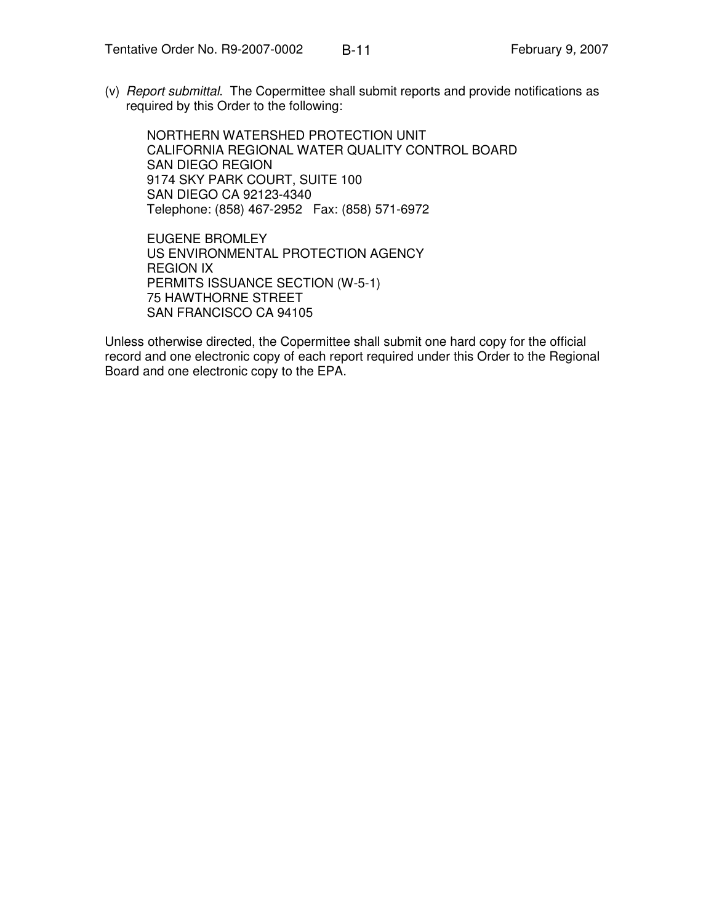(v) *Report submittal*. The Copermittee shall submit reports and provide notifications as required by this Order to the following:

NORTHERN WATERSHED PROTECTION UNIT CALIFORNIA REGIONAL WATER QUALITY CONTROL BOARD SAN DIEGO REGION 9174 SKY PARK COURT, SUITE 100 SAN DIEGO CA 92123-4340 Telephone: (858) 467-2952 Fax: (858) 571-6972

EUGENE BROMLEY US ENVIRONMENTAL PROTECTION AGENCY REGION IX PERMITS ISSUANCE SECTION (W-5-1) 75 HAWTHORNE STREET SAN FRANCISCO CA 94105

Unless otherwise directed, the Copermittee shall submit one hard copy for the official record and one electronic copy of each report required under this Order to the Regional Board and one electronic copy to the EPA.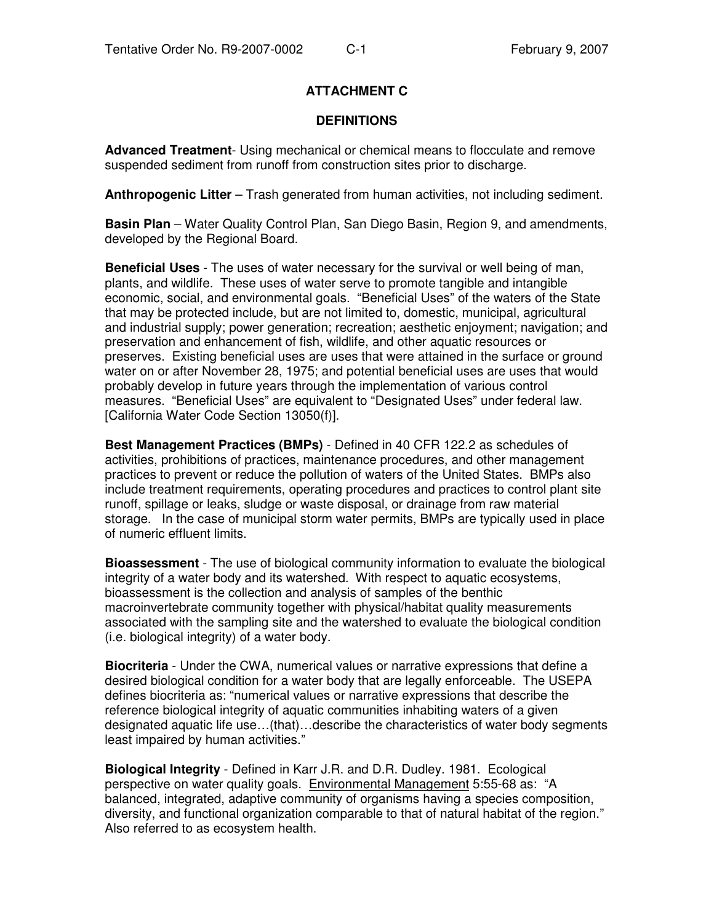## **ATTACHMENT C**

#### **DEFINITIONS**

**Advanced Treatment**- Using mechanical or chemical means to flocculate and remove suspended sediment from runoff from construction sites prior to discharge.

**Anthropogenic Litter** – Trash generated from human activities, not including sediment.

**Basin Plan** – Water Quality Control Plan, San Diego Basin, Region 9, and amendments, developed by the Regional Board.

**Beneficial Uses** - The uses of water necessary for the survival or well being of man, plants, and wildlife. These uses of water serve to promote tangible and intangible economic, social, and environmental goals. "Beneficial Uses" of the waters of the State that may be protected include, but are not limited to, domestic, municipal, agricultural and industrial supply; power generation; recreation; aesthetic enjoyment; navigation; and preservation and enhancement of fish, wildlife, and other aquatic resources or preserves. Existing beneficial uses are uses that were attained in the surface or ground water on or after November 28, 1975; and potential beneficial uses are uses that would probably develop in future years through the implementation of various control measures. "Beneficial Uses" are equivalent to "Designated Uses" under federal law. [California Water Code Section 13050(f)].

**Best Management Practices (BMPs)** - Defined in 40 CFR 122.2 as schedules of activities, prohibitions of practices, maintenance procedures, and other management practices to prevent or reduce the pollution of waters of the United States. BMPs also include treatment requirements, operating procedures and practices to control plant site runoff, spillage or leaks, sludge or waste disposal, or drainage from raw material storage. In the case of municipal storm water permits, BMPs are typically used in place of numeric effluent limits.

**Bioassessment** - The use of biological community information to evaluate the biological integrity of a water body and its watershed. With respect to aquatic ecosystems, bioassessment is the collection and analysis of samples of the benthic macroinvertebrate community together with physical/habitat quality measurements associated with the sampling site and the watershed to evaluate the biological condition (i.e. biological integrity) of a water body.

**Biocriteria** - Under the CWA, numerical values or narrative expressions that define a desired biological condition for a water body that are legally enforceable. The USEPA defines biocriteria as: "numerical values or narrative expressions that describe the reference biological integrity of aquatic communities inhabiting waters of a given designated aquatic life use…(that)…describe the characteristics of water body segments least impaired by human activities."

**Biological Integrity** - Defined in Karr J.R. and D.R. Dudley. 1981. Ecological perspective on water quality goals. Environmental Management 5:55-68 as: "A balanced, integrated, adaptive community of organisms having a species composition, diversity, and functional organization comparable to that of natural habitat of the region." Also referred to as ecosystem health.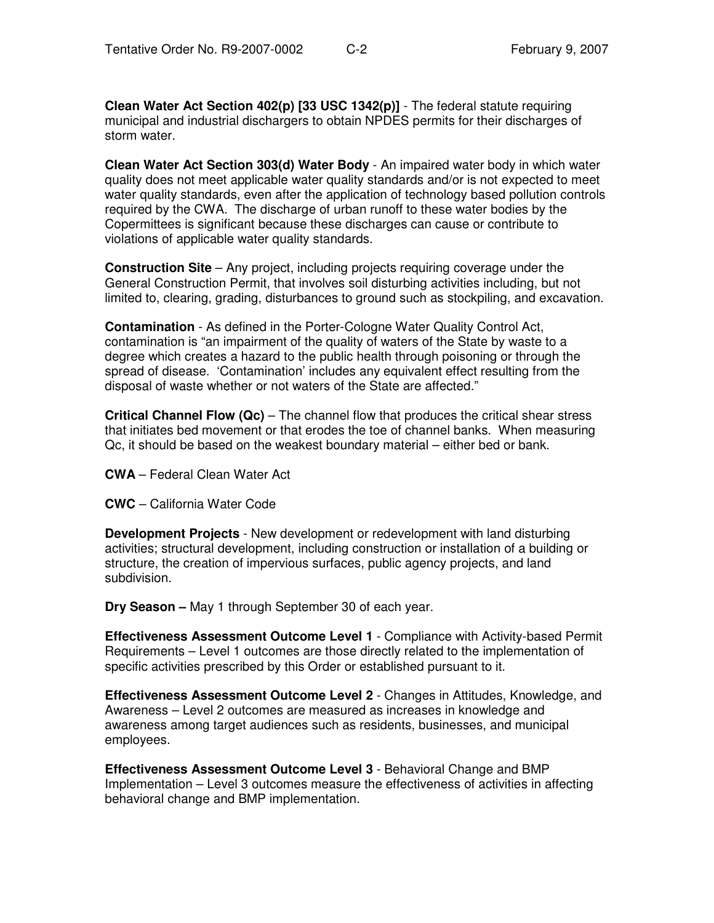**Clean Water Act Section 402(p) [33 USC 1342(p)]** - The federal statute requiring municipal and industrial dischargers to obtain NPDES permits for their discharges of storm water.

**Clean Water Act Section 303(d) Water Body** - An impaired water body in which water quality does not meet applicable water quality standards and/or is not expected to meet water quality standards, even after the application of technology based pollution controls required by the CWA. The discharge of urban runoff to these water bodies by the Copermittees is significant because these discharges can cause or contribute to violations of applicable water quality standards.

**Construction Site** – Any project, including projects requiring coverage under the General Construction Permit, that involves soil disturbing activities including, but not limited to, clearing, grading, disturbances to ground such as stockpiling, and excavation.

**Contamination** - As defined in the Porter-Cologne Water Quality Control Act, contamination is "an impairment of the quality of waters of the State by waste to a degree which creates a hazard to the public health through poisoning or through the spread of disease. 'Contamination' includes any equivalent effect resulting from the disposal of waste whether or not waters of the State are affected."

**Critical Channel Flow (Qc)** – The channel flow that produces the critical shear stress that initiates bed movement or that erodes the toe of channel banks. When measuring Qc, it should be based on the weakest boundary material – either bed or bank.

**CWA** – Federal Clean Water Act

**CWC** – California Water Code

**Development Projects** - New development or redevelopment with land disturbing activities; structural development, including construction or installation of a building or structure, the creation of impervious surfaces, public agency projects, and land subdivision.

**Dry Season –** May 1 through September 30 of each year.

**Effectiveness Assessment Outcome Level 1** - Compliance with Activity-based Permit Requirements – Level 1 outcomes are those directly related to the implementation of specific activities prescribed by this Order or established pursuant to it.

**Effectiveness Assessment Outcome Level 2** - Changes in Attitudes, Knowledge, and Awareness – Level 2 outcomes are measured as increases in knowledge and awareness among target audiences such as residents, businesses, and municipal employees.

**Effectiveness Assessment Outcome Level 3** - Behavioral Change and BMP Implementation – Level 3 outcomes measure the effectiveness of activities in affecting behavioral change and BMP implementation.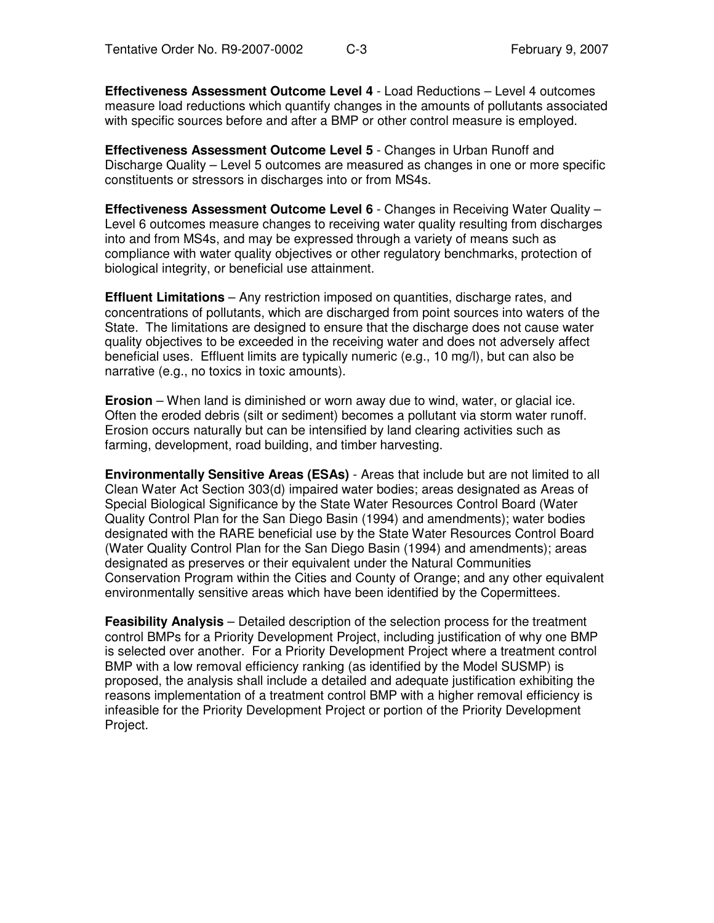**Effectiveness Assessment Outcome Level 4** - Load Reductions – Level 4 outcomes measure load reductions which quantify changes in the amounts of pollutants associated with specific sources before and after a BMP or other control measure is employed.

**Effectiveness Assessment Outcome Level 5** - Changes in Urban Runoff and Discharge Quality – Level 5 outcomes are measured as changes in one or more specific constituents or stressors in discharges into or from MS4s.

**Effectiveness Assessment Outcome Level 6** - Changes in Receiving Water Quality – Level 6 outcomes measure changes to receiving water quality resulting from discharges into and from MS4s, and may be expressed through a variety of means such as compliance with water quality objectives or other regulatory benchmarks, protection of biological integrity, or beneficial use attainment.

**Effluent Limitations** – Any restriction imposed on quantities, discharge rates, and concentrations of pollutants, which are discharged from point sources into waters of the State. The limitations are designed to ensure that the discharge does not cause water quality objectives to be exceeded in the receiving water and does not adversely affect beneficial uses. Effluent limits are typically numeric (e.g., 10 mg/l), but can also be narrative (e.g., no toxics in toxic amounts).

**Erosion** – When land is diminished or worn away due to wind, water, or glacial ice. Often the eroded debris (silt or sediment) becomes a pollutant via storm water runoff. Erosion occurs naturally but can be intensified by land clearing activities such as farming, development, road building, and timber harvesting.

**Environmentally Sensitive Areas (ESAs)** - Areas that include but are not limited to all Clean Water Act Section 303(d) impaired water bodies; areas designated as Areas of Special Biological Significance by the State Water Resources Control Board (Water Quality Control Plan for the San Diego Basin (1994) and amendments); water bodies designated with the RARE beneficial use by the State Water Resources Control Board (Water Quality Control Plan for the San Diego Basin (1994) and amendments); areas designated as preserves or their equivalent under the Natural Communities Conservation Program within the Cities and County of Orange; and any other equivalent environmentally sensitive areas which have been identified by the Copermittees.

**Feasibility Analysis** – Detailed description of the selection process for the treatment control BMPs for a Priority Development Project, including justification of why one BMP is selected over another. For a Priority Development Project where a treatment control BMP with a low removal efficiency ranking (as identified by the Model SUSMP) is proposed, the analysis shall include a detailed and adequate justification exhibiting the reasons implementation of a treatment control BMP with a higher removal efficiency is infeasible for the Priority Development Project or portion of the Priority Development Project.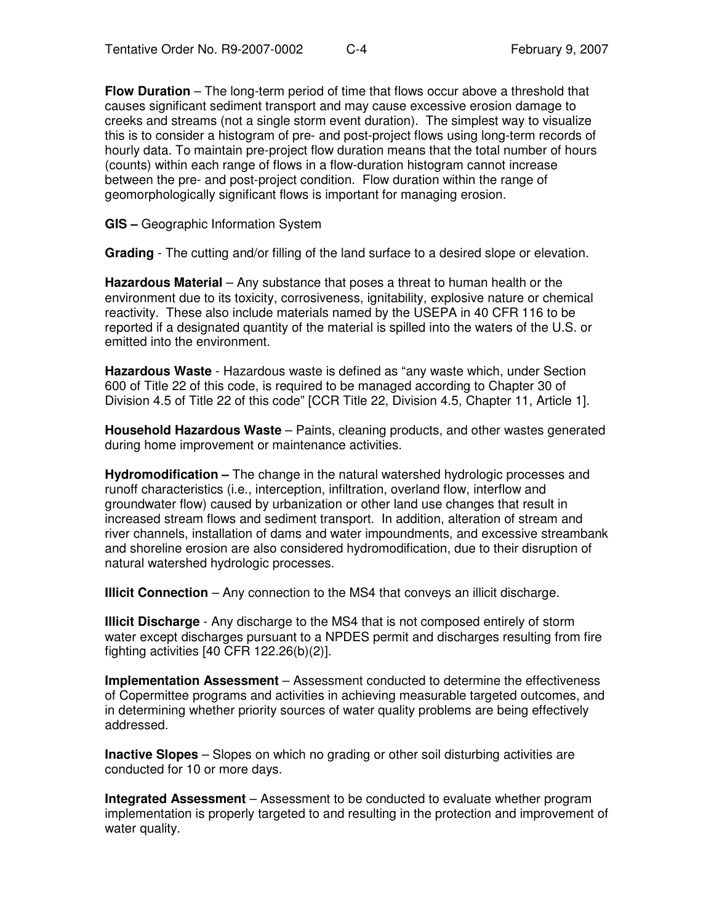**Flow Duration** – The long-term period of time that flows occur above a threshold that causes significant sediment transport and may cause excessive erosion damage to creeks and streams (not a single storm event duration). The simplest way to visualize this is to consider a histogram of pre- and post-project flows using long-term records of hourly data. To maintain pre-project flow duration means that the total number of hours (counts) within each range of flows in a flow-duration histogram cannot increase between the pre- and post-project condition. Flow duration within the range of geomorphologically significant flows is important for managing erosion.

**GIS –** Geographic Information System

**Grading** - The cutting and/or filling of the land surface to a desired slope or elevation.

**Hazardous Material** – Any substance that poses a threat to human health or the environment due to its toxicity, corrosiveness, ignitability, explosive nature or chemical reactivity. These also include materials named by the USEPA in 40 CFR 116 to be reported if a designated quantity of the material is spilled into the waters of the U.S. or emitted into the environment.

**Hazardous Waste** - Hazardous waste is defined as "any waste which, under Section 600 of Title 22 of this code, is required to be managed according to Chapter 30 of Division 4.5 of Title 22 of this code" [CCR Title 22, Division 4.5, Chapter 11, Article 1].

**Household Hazardous Waste** – Paints, cleaning products, and other wastes generated during home improvement or maintenance activities.

**Hydromodification –** The change in the natural watershed hydrologic processes and runoff characteristics (i.e., interception, infiltration, overland flow, interflow and groundwater flow) caused by urbanization or other land use changes that result in increased stream flows and sediment transport. In addition, alteration of stream and river channels, installation of dams and water impoundments, and excessive streambank and shoreline erosion are also considered hydromodification, due to their disruption of natural watershed hydrologic processes.

**Illicit Connection** – Any connection to the MS4 that conveys an illicit discharge.

**Illicit Discharge** - Any discharge to the MS4 that is not composed entirely of storm water except discharges pursuant to a NPDES permit and discharges resulting from fire fighting activities [40 CFR 122.26(b)(2)].

**Implementation Assessment** – Assessment conducted to determine the effectiveness of Copermittee programs and activities in achieving measurable targeted outcomes, and in determining whether priority sources of water quality problems are being effectively addressed.

**Inactive Slopes** – Slopes on which no grading or other soil disturbing activities are conducted for 10 or more days.

**Integrated Assessment** – Assessment to be conducted to evaluate whether program implementation is properly targeted to and resulting in the protection and improvement of water quality.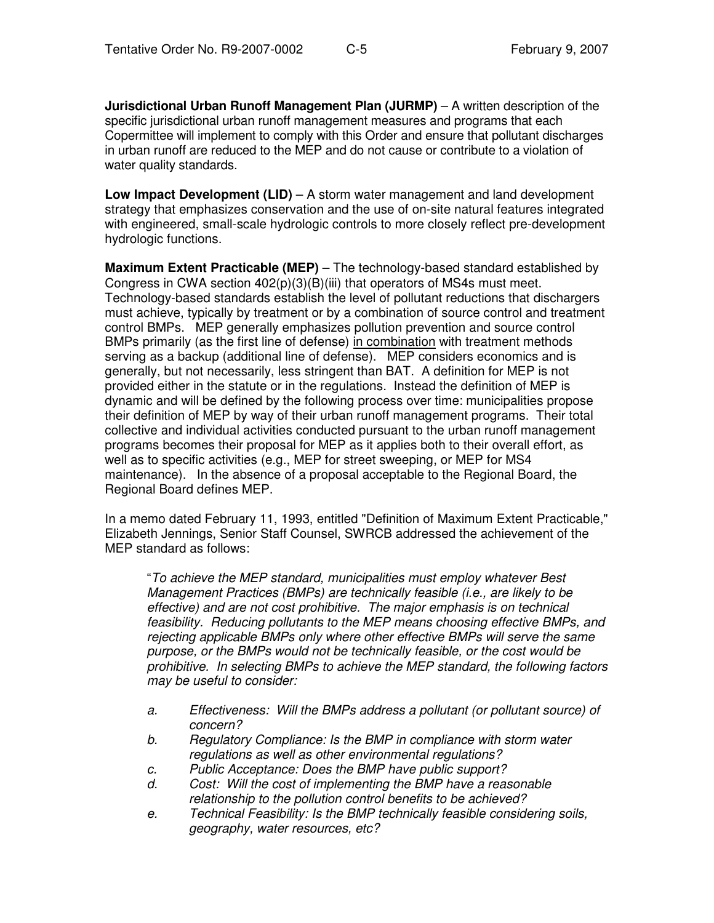**Jurisdictional Urban Runoff Management Plan (JURMP)** – A written description of the specific jurisdictional urban runoff management measures and programs that each Copermittee will implement to comply with this Order and ensure that pollutant discharges in urban runoff are reduced to the MEP and do not cause or contribute to a violation of water quality standards.

**Low Impact Development (LID)** – A storm water management and land development strategy that emphasizes conservation and the use of on-site natural features integrated with engineered, small-scale hydrologic controls to more closely reflect pre-development hydrologic functions.

**Maximum Extent Practicable (MEP)** – The technology-based standard established by Congress in CWA section 402(p)(3)(B)(iii) that operators of MS4s must meet. Technology-based standards establish the level of pollutant reductions that dischargers must achieve, typically by treatment or by a combination of source control and treatment control BMPs. MEP generally emphasizes pollution prevention and source control BMPs primarily (as the first line of defense) in combination with treatment methods serving as a backup (additional line of defense). MEP considers economics and is generally, but not necessarily, less stringent than BAT. A definition for MEP is not provided either in the statute or in the regulations. Instead the definition of MEP is dynamic and will be defined by the following process over time: municipalities propose their definition of MEP by way of their urban runoff management programs. Their total collective and individual activities conducted pursuant to the urban runoff management programs becomes their proposal for MEP as it applies both to their overall effort, as well as to specific activities (e.g., MEP for street sweeping, or MEP for MS4 maintenance). In the absence of a proposal acceptable to the Regional Board, the Regional Board defines MEP.

In a memo dated February 11, 1993, entitled "Definition of Maximum Extent Practicable," Elizabeth Jennings, Senior Staff Counsel, SWRCB addressed the achievement of the MEP standard as follows:

"*To achieve the MEP standard, municipalities must employ whatever Best Management Practices (BMPs) are technically feasible (i.e., are likely to be effective) and are not cost prohibitive. The major emphasis is on technical feasibility. Reducing pollutants to the MEP means choosing effective BMPs, and rejecting applicable BMPs only where other effective BMPs will serve the same purpose, or the BMPs would not be technically feasible, or the cost would be prohibitive. In selecting BMPs to achieve the MEP standard, the following factors may be useful to consider:*

- *a. Effectiveness: Will the BMPs address a pollutant (or pollutant source) of concern?*
- *b. Regulatory Compliance: Is the BMP in compliance with storm water regulations as well as other environmental regulations?*
- *c. Public Acceptance: Does the BMP have public support?*
- *d. Cost: Will the cost of implementing the BMP have a reasonable relationship to the pollution control benefits to be achieved?*
- *e. Technical Feasibility: Is the BMP technically feasible considering soils, geography, water resources, etc?*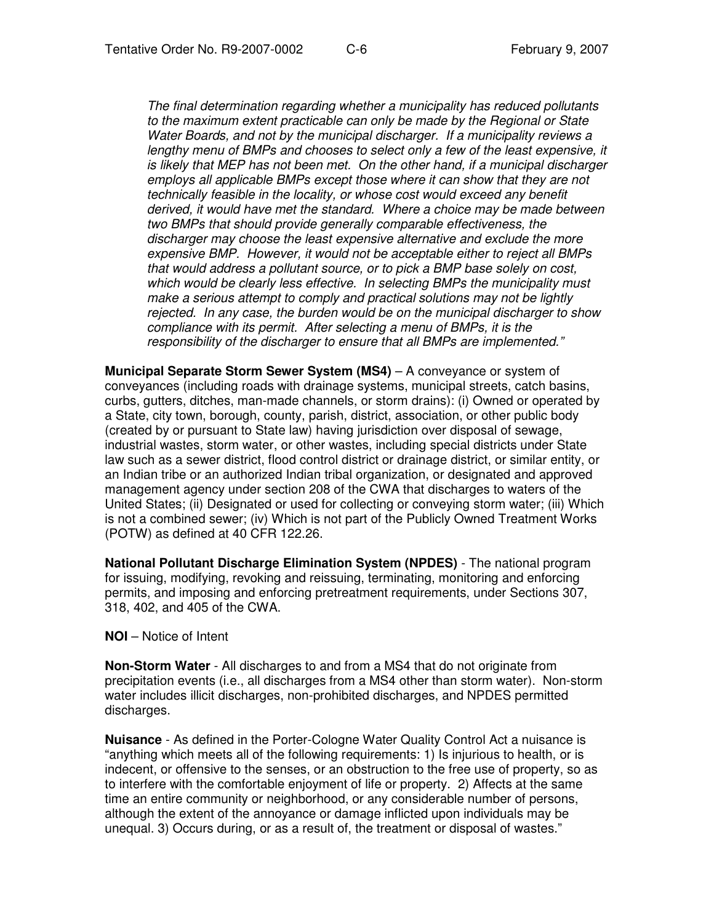*The final determination regarding whether a municipality has reduced pollutants to the maximum extent practicable can only be made by the Regional or State Water Boards, and not by the municipal discharger. If a municipality reviews a lengthy menu of BMPs and chooses to select only a few of the least expensive, it is likely that MEP has not been met. On the other hand, if a municipal discharger employs all applicable BMPs except those where it can show that they are not technically feasible in the locality, or whose cost would exceed any benefit derived, it would have met the standard. Where a choice may be made between two BMPs that should provide generally comparable effectiveness, the discharger may choose the least expensive alternative and exclude the more expensive BMP. However, it would not be acceptable either to reject all BMPs that would address a pollutant source, or to pick a BMP base solely on cost, which would be clearly less effective. In selecting BMPs the municipality must make a serious attempt to comply and practical solutions may not be lightly rejected. In any case, the burden would be on the municipal discharger to show compliance with its permit. After selecting a menu of BMPs, it is the responsibility of the discharger to ensure that all BMPs are implemented."*

**Municipal Separate Storm Sewer System (MS4)** – A conveyance or system of conveyances (including roads with drainage systems, municipal streets, catch basins, curbs, gutters, ditches, man-made channels, or storm drains): (i) Owned or operated by a State, city town, borough, county, parish, district, association, or other public body (created by or pursuant to State law) having jurisdiction over disposal of sewage, industrial wastes, storm water, or other wastes, including special districts under State law such as a sewer district, flood control district or drainage district, or similar entity, or an Indian tribe or an authorized Indian tribal organization, or designated and approved management agency under section 208 of the CWA that discharges to waters of the United States; (ii) Designated or used for collecting or conveying storm water; (iii) Which is not a combined sewer; (iv) Which is not part of the Publicly Owned Treatment Works (POTW) as defined at 40 CFR 122.26.

**National Pollutant Discharge Elimination System (NPDES)** - The national program for issuing, modifying, revoking and reissuing, terminating, monitoring and enforcing permits, and imposing and enforcing pretreatment requirements, under Sections 307, 318, 402, and 405 of the CWA.

**NOI** – Notice of Intent

**Non-Storm Water** - All discharges to and from a MS4 that do not originate from precipitation events (i.e., all discharges from a MS4 other than storm water). Non-storm water includes illicit discharges, non-prohibited discharges, and NPDES permitted discharges.

**Nuisance** - As defined in the Porter-Cologne Water Quality Control Act a nuisance is "anything which meets all of the following requirements: 1) Is injurious to health, or is indecent, or offensive to the senses, or an obstruction to the free use of property, so as to interfere with the comfortable enjoyment of life or property. 2) Affects at the same time an entire community or neighborhood, or any considerable number of persons, although the extent of the annoyance or damage inflicted upon individuals may be unequal. 3) Occurs during, or as a result of, the treatment or disposal of wastes."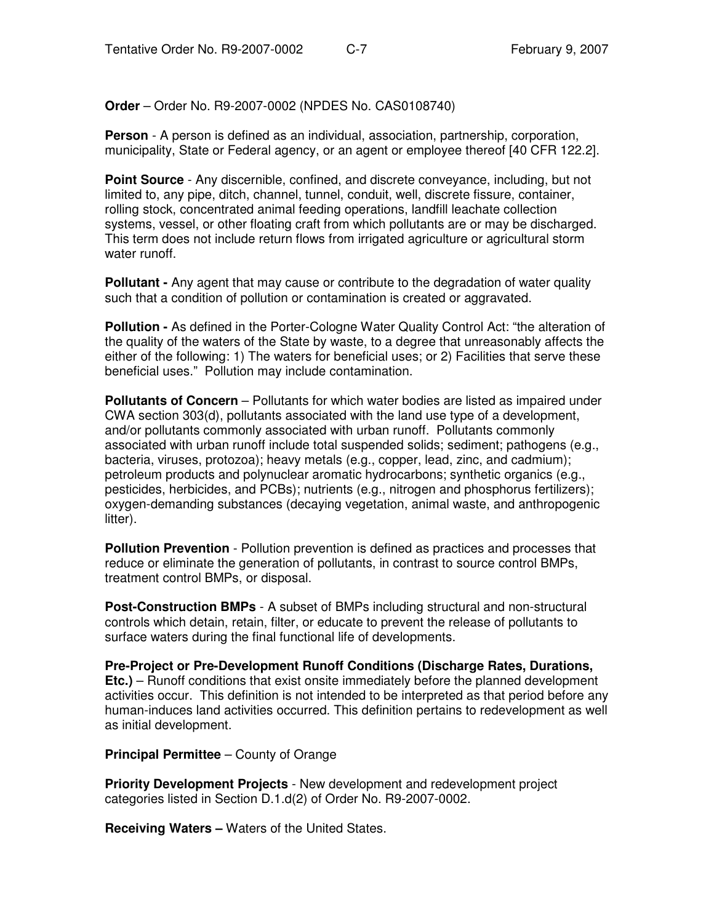**Order** – Order No. R9-2007-0002 (NPDES No. CAS0108740)

**Person** - A person is defined as an individual, association, partnership, corporation, municipality, State or Federal agency, or an agent or employee thereof [40 CFR 122.2].

**Point Source** - Any discernible, confined, and discrete conveyance, including, but not limited to, any pipe, ditch, channel, tunnel, conduit, well, discrete fissure, container, rolling stock, concentrated animal feeding operations, landfill leachate collection systems, vessel, or other floating craft from which pollutants are or may be discharged. This term does not include return flows from irrigated agriculture or agricultural storm water runoff.

**Pollutant -** Any agent that may cause or contribute to the degradation of water quality such that a condition of pollution or contamination is created or aggravated.

**Pollution -** As defined in the Porter-Cologne Water Quality Control Act: "the alteration of the quality of the waters of the State by waste, to a degree that unreasonably affects the either of the following: 1) The waters for beneficial uses; or 2) Facilities that serve these beneficial uses." Pollution may include contamination.

**Pollutants of Concern** – Pollutants for which water bodies are listed as impaired under CWA section 303(d), pollutants associated with the land use type of a development, and/or pollutants commonly associated with urban runoff. Pollutants commonly associated with urban runoff include total suspended solids; sediment; pathogens (e.g., bacteria, viruses, protozoa); heavy metals (e.g., copper, lead, zinc, and cadmium); petroleum products and polynuclear aromatic hydrocarbons; synthetic organics (e.g., pesticides, herbicides, and PCBs); nutrients (e.g., nitrogen and phosphorus fertilizers); oxygen-demanding substances (decaying vegetation, animal waste, and anthropogenic litter).

**Pollution Prevention** - Pollution prevention is defined as practices and processes that reduce or eliminate the generation of pollutants, in contrast to source control BMPs, treatment control BMPs, or disposal.

**Post-Construction BMPs** - A subset of BMPs including structural and non-structural controls which detain, retain, filter, or educate to prevent the release of pollutants to surface waters during the final functional life of developments.

**Pre-Project or Pre-Development Runoff Conditions (Discharge Rates, Durations, Etc.)** – Runoff conditions that exist onsite immediately before the planned development activities occur. This definition is not intended to be interpreted as that period before any human-induces land activities occurred. This definition pertains to redevelopment as well as initial development.

**Principal Permittee** – County of Orange

**Priority Development Projects** - New development and redevelopment project categories listed in Section D.1.d(2) of Order No. R9-2007-0002.

**Receiving Waters –** Waters of the United States.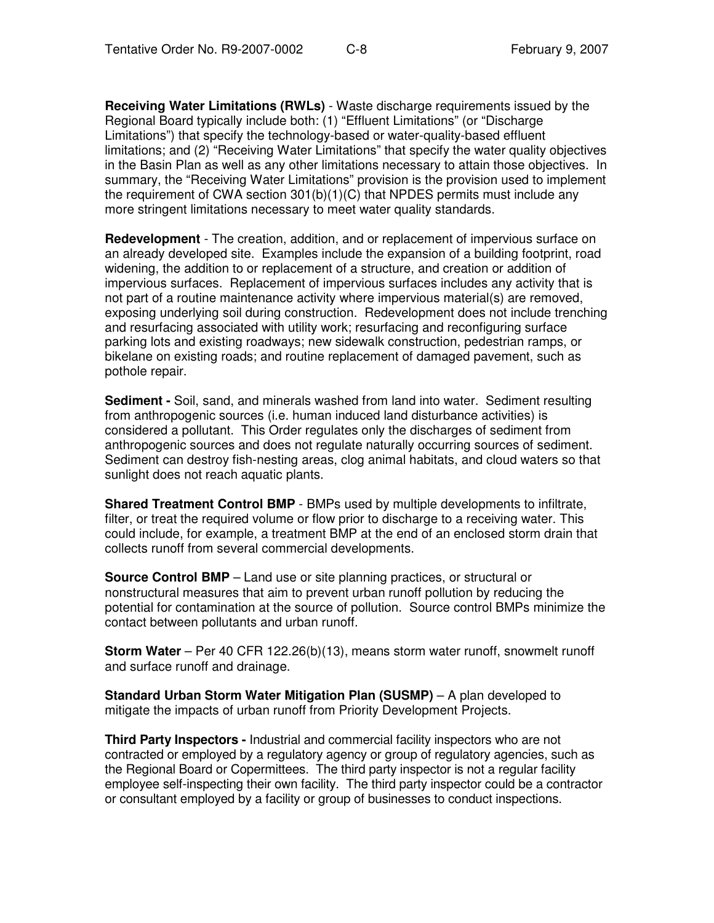**Receiving Water Limitations (RWLs)** - Waste discharge requirements issued by the Regional Board typically include both: (1) "Effluent Limitations" (or "Discharge Limitations") that specify the technology-based or water-quality-based effluent limitations; and (2) "Receiving Water Limitations" that specify the water quality objectives in the Basin Plan as well as any other limitations necessary to attain those objectives. In summary, the "Receiving Water Limitations" provision is the provision used to implement the requirement of CWA section  $301(b)(1)(C)$  that NPDES permits must include any more stringent limitations necessary to meet water quality standards.

**Redevelopment** - The creation, addition, and or replacement of impervious surface on an already developed site. Examples include the expansion of a building footprint, road widening, the addition to or replacement of a structure, and creation or addition of impervious surfaces. Replacement of impervious surfaces includes any activity that is not part of a routine maintenance activity where impervious material(s) are removed, exposing underlying soil during construction. Redevelopment does not include trenching and resurfacing associated with utility work; resurfacing and reconfiguring surface parking lots and existing roadways; new sidewalk construction, pedestrian ramps, or bikelane on existing roads; and routine replacement of damaged pavement, such as pothole repair.

**Sediment -** Soil, sand, and minerals washed from land into water. Sediment resulting from anthropogenic sources (i.e. human induced land disturbance activities) is considered a pollutant. This Order regulates only the discharges of sediment from anthropogenic sources and does not regulate naturally occurring sources of sediment. Sediment can destroy fish-nesting areas, clog animal habitats, and cloud waters so that sunlight does not reach aquatic plants.

**Shared Treatment Control BMP** - BMPs used by multiple developments to infiltrate, filter, or treat the required volume or flow prior to discharge to a receiving water. This could include, for example, a treatment BMP at the end of an enclosed storm drain that collects runoff from several commercial developments.

**Source Control BMP** – Land use or site planning practices, or structural or nonstructural measures that aim to prevent urban runoff pollution by reducing the potential for contamination at the source of pollution. Source control BMPs minimize the contact between pollutants and urban runoff.

**Storm Water** – Per 40 CFR 122.26(b)(13), means storm water runoff, snowmelt runoff and surface runoff and drainage.

**Standard Urban Storm Water Mitigation Plan (SUSMP)** – A plan developed to mitigate the impacts of urban runoff from Priority Development Projects.

**Third Party Inspectors -** Industrial and commercial facility inspectors who are not contracted or employed by a regulatory agency or group of regulatory agencies, such as the Regional Board or Copermittees. The third party inspector is not a regular facility employee self-inspecting their own facility. The third party inspector could be a contractor or consultant employed by a facility or group of businesses to conduct inspections.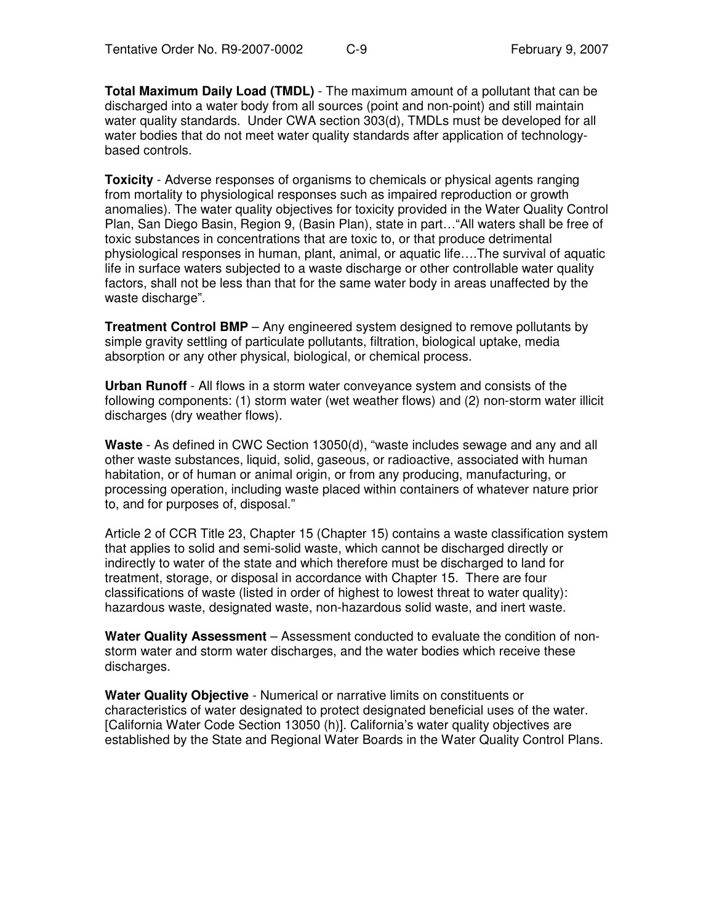**Total Maximum Daily Load (TMDL)** - The maximum amount of a pollutant that can be discharged into a water body from all sources (point and non-point) and still maintain water quality standards. Under CWA section 303(d), TMDLs must be developed for all water bodies that do not meet water quality standards after application of technologybased controls.

**Toxicity** - Adverse responses of organisms to chemicals or physical agents ranging from mortality to physiological responses such as impaired reproduction or growth anomalies). The water quality objectives for toxicity provided in the Water Quality Control Plan, San Diego Basin, Region 9, (Basin Plan), state in part…"All waters shall be free of toxic substances in concentrations that are toxic to, or that produce detrimental physiological responses in human, plant, animal, or aquatic life….The survival of aquatic life in surface waters subjected to a waste discharge or other controllable water quality factors, shall not be less than that for the same water body in areas unaffected by the waste discharge".

**Treatment Control BMP** – Any engineered system designed to remove pollutants by simple gravity settling of particulate pollutants, filtration, biological uptake, media absorption or any other physical, biological, or chemical process.

**Urban Runoff** - All flows in a storm water conveyance system and consists of the following components: (1) storm water (wet weather flows) and (2) non-storm water illicit discharges (dry weather flows).

**Waste** - As defined in CWC Section 13050(d), "waste includes sewage and any and all other waste substances, liquid, solid, gaseous, or radioactive, associated with human habitation, or of human or animal origin, or from any producing, manufacturing, or processing operation, including waste placed within containers of whatever nature prior to, and for purposes of, disposal."

Article 2 of CCR Title 23, Chapter 15 (Chapter 15) contains a waste classification system that applies to solid and semi-solid waste, which cannot be discharged directly or indirectly to water of the state and which therefore must be discharged to land for treatment, storage, or disposal in accordance with Chapter 15. There are four classifications of waste (listed in order of highest to lowest threat to water quality): hazardous waste, designated waste, non-hazardous solid waste, and inert waste.

**Water Quality Assessment** – Assessment conducted to evaluate the condition of nonstorm water and storm water discharges, and the water bodies which receive these discharges.

**Water Quality Objective** - Numerical or narrative limits on constituents or characteristics of water designated to protect designated beneficial uses of the water. [California Water Code Section 13050 (h)]. California's water quality objectives are established by the State and Regional Water Boards in the Water Quality Control Plans.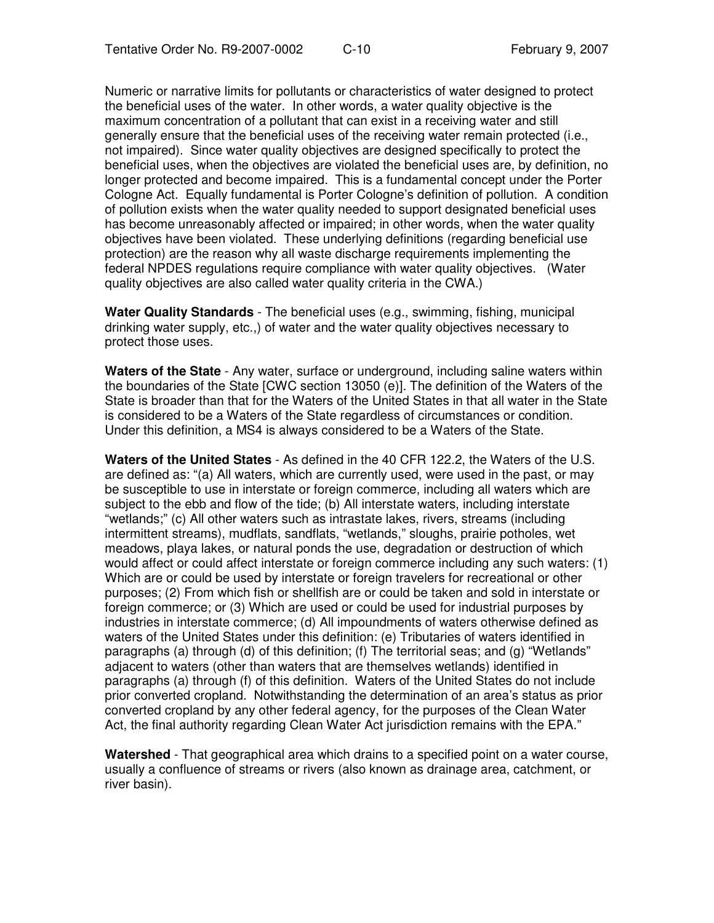Numeric or narrative limits for pollutants or characteristics of water designed to protect the beneficial uses of the water. In other words, a water quality objective is the maximum concentration of a pollutant that can exist in a receiving water and still generally ensure that the beneficial uses of the receiving water remain protected (i.e., not impaired). Since water quality objectives are designed specifically to protect the beneficial uses, when the objectives are violated the beneficial uses are, by definition, no longer protected and become impaired. This is a fundamental concept under the Porter Cologne Act. Equally fundamental is Porter Cologne's definition of pollution. A condition of pollution exists when the water quality needed to support designated beneficial uses has become unreasonably affected or impaired; in other words, when the water quality objectives have been violated. These underlying definitions (regarding beneficial use protection) are the reason why all waste discharge requirements implementing the federal NPDES regulations require compliance with water quality objectives. (Water quality objectives are also called water quality criteria in the CWA.)

**Water Quality Standards** - The beneficial uses (e.g., swimming, fishing, municipal drinking water supply, etc.,) of water and the water quality objectives necessary to protect those uses.

**Waters of the State** - Any water, surface or underground, including saline waters within the boundaries of the State [CWC section 13050 (e)]. The definition of the Waters of the State is broader than that for the Waters of the United States in that all water in the State is considered to be a Waters of the State regardless of circumstances or condition. Under this definition, a MS4 is always considered to be a Waters of the State.

**Waters of the United States** - As defined in the 40 CFR 122.2, the Waters of the U.S. are defined as: "(a) All waters, which are currently used, were used in the past, or may be susceptible to use in interstate or foreign commerce, including all waters which are subject to the ebb and flow of the tide; (b) All interstate waters, including interstate "wetlands;" (c) All other waters such as intrastate lakes, rivers, streams (including intermittent streams), mudflats, sandflats, "wetlands," sloughs, prairie potholes, wet meadows, playa lakes, or natural ponds the use, degradation or destruction of which would affect or could affect interstate or foreign commerce including any such waters: (1) Which are or could be used by interstate or foreign travelers for recreational or other purposes; (2) From which fish or shellfish are or could be taken and sold in interstate or foreign commerce; or (3) Which are used or could be used for industrial purposes by industries in interstate commerce; (d) All impoundments of waters otherwise defined as waters of the United States under this definition: (e) Tributaries of waters identified in paragraphs (a) through (d) of this definition; (f) The territorial seas; and (g) "Wetlands" adjacent to waters (other than waters that are themselves wetlands) identified in paragraphs (a) through (f) of this definition. Waters of the United States do not include prior converted cropland. Notwithstanding the determination of an area's status as prior converted cropland by any other federal agency, for the purposes of the Clean Water Act, the final authority regarding Clean Water Act jurisdiction remains with the EPA."

**Watershed** - That geographical area which drains to a specified point on a water course, usually a confluence of streams or rivers (also known as drainage area, catchment, or river basin).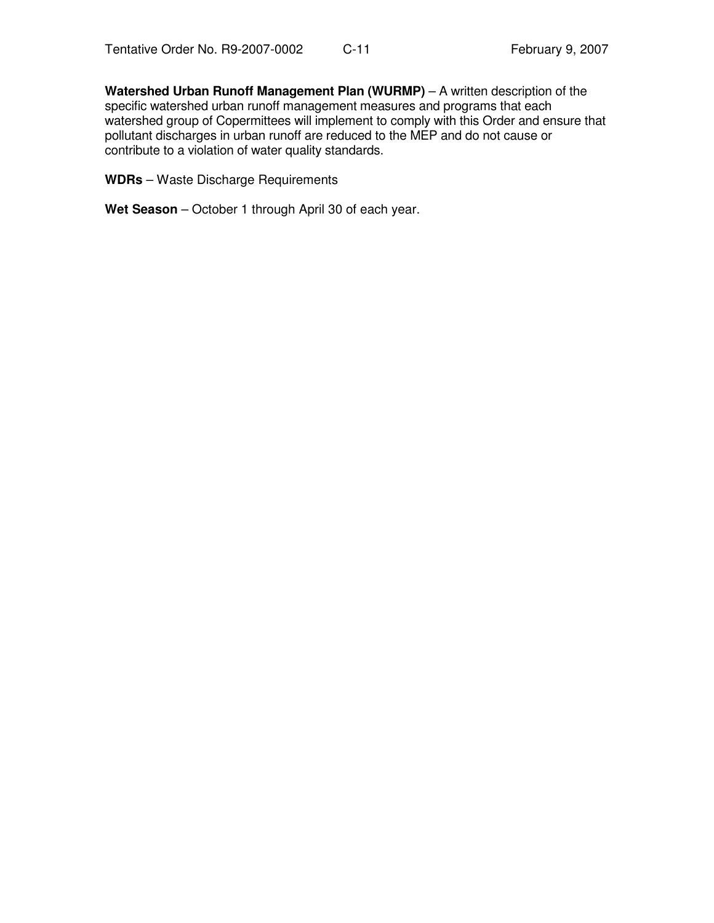**Watershed Urban Runoff Management Plan (WURMP)** – A written description of the specific watershed urban runoff management measures and programs that each watershed group of Copermittees will implement to comply with this Order and ensure that pollutant discharges in urban runoff are reduced to the MEP and do not cause or contribute to a violation of water quality standards.

**WDRs** – Waste Discharge Requirements

**Wet Season** – October 1 through April 30 of each year.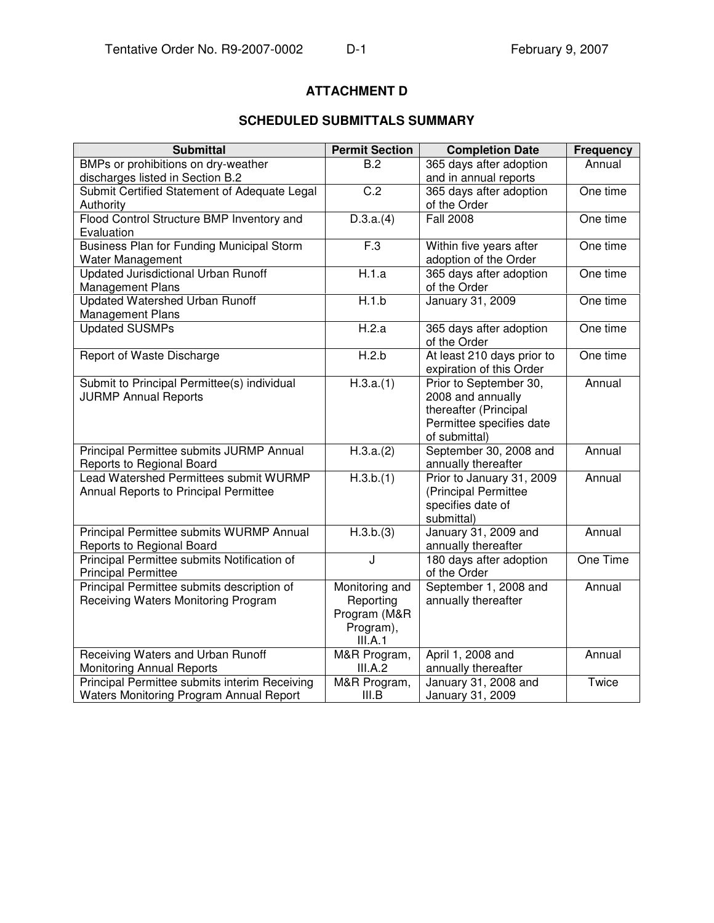# **ATTACHMENT D**

## **SCHEDULED SUBMITTALS SUMMARY**

| <b>Submittal</b>                                 | <b>Permit Section</b> | <b>Completion Date</b>                      | <b>Frequency</b> |
|--------------------------------------------------|-----------------------|---------------------------------------------|------------------|
| BMPs or prohibitions on dry-weather              | B.2                   | 365 days after adoption                     | Annual           |
| discharges listed in Section B.2                 |                       | and in annual reports                       |                  |
| Submit Certified Statement of Adequate Legal     | C.2                   | 365 days after adoption                     | One time         |
| Authority                                        |                       | of the Order                                |                  |
| Flood Control Structure BMP Inventory and        | D.3.a.(4)             | <b>Fall 2008</b>                            | One time         |
| Evaluation                                       |                       |                                             |                  |
| <b>Business Plan for Funding Municipal Storm</b> | F.3                   | Within five years after                     | One time         |
| Water Management                                 |                       | adoption of the Order                       |                  |
| Updated Jurisdictional Urban Runoff              | H.1.a                 | 365 days after adoption                     | One time         |
| Management Plans                                 |                       | of the Order                                |                  |
| Updated Watershed Urban Runoff                   | H.1.b                 | January 31, 2009                            | One time         |
| Management Plans                                 |                       |                                             |                  |
| <b>Updated SUSMPs</b>                            | H.2.a                 | 365 days after adoption                     | One time         |
|                                                  |                       | of the Order                                |                  |
| Report of Waste Discharge                        | H.2.b                 | At least 210 days prior to                  | One time         |
|                                                  |                       | expiration of this Order                    |                  |
| Submit to Principal Permittee(s) individual      | H.3.a.(1)             | Prior to September 30,                      | Annual           |
| <b>JURMP Annual Reports</b>                      |                       | 2008 and annually                           |                  |
|                                                  |                       | thereafter (Principal                       |                  |
|                                                  |                       | Permittee specifies date                    |                  |
|                                                  |                       | of submittal)                               |                  |
| Principal Permittee submits JURMP Annual         | H.3.a.(2)             | September 30, 2008 and                      | Annual           |
| Reports to Regional Board                        |                       | annually thereafter                         |                  |
| Lead Watershed Permittees submit WURMP           | H.3.b.(1)             | Prior to January 31, 2009                   | Annual           |
| Annual Reports to Principal Permittee            |                       | (Principal Permittee                        |                  |
|                                                  |                       | specifies date of                           |                  |
| Principal Permittee submits WURMP Annual         | H.3.b.(3)             | submittal)                                  | Annual           |
| Reports to Regional Board                        |                       | January 31, 2009 and<br>annually thereafter |                  |
| Principal Permittee submits Notification of      | J                     | 180 days after adoption                     | One Time         |
| <b>Principal Permittee</b>                       |                       | of the Order                                |                  |
| Principal Permittee submits description of       | Monitoring and        | September 1, 2008 and                       | Annual           |
| Receiving Waters Monitoring Program              | Reporting             | annually thereafter                         |                  |
|                                                  | Program (M&R          |                                             |                  |
|                                                  | Program),             |                                             |                  |
|                                                  | III.A.1               |                                             |                  |
| Receiving Waters and Urban Runoff                | M&R Program,          | April 1, 2008 and                           | Annual           |
| <b>Monitoring Annual Reports</b>                 | III.A.2               | annually thereafter                         |                  |
| Principal Permittee submits interim Receiving    | M&R Program,          | January 31, 2008 and                        | Twice            |
| Waters Monitoring Program Annual Report          | III.B                 | January 31, 2009                            |                  |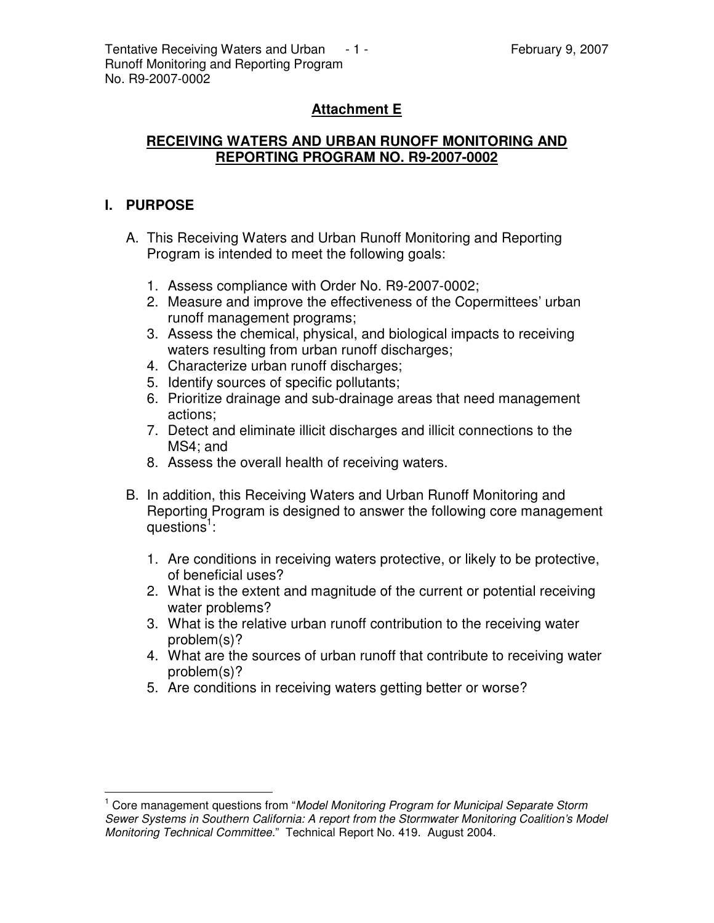# **Attachment E**

## **RECEIVING WATERS AND URBAN RUNOFF MONITORING AND REPORTING PROGRAM NO. R9-2007-0002**

## **I. PURPOSE**

- A. This Receiving Waters and Urban Runoff Monitoring and Reporting Program is intended to meet the following goals:
	- 1. Assess compliance with Order No. R9-2007-0002;
	- 2. Measure and improve the effectiveness of the Copermittees' urban runoff management programs;
	- 3. Assess the chemical, physical, and biological impacts to receiving waters resulting from urban runoff discharges;
	- 4. Characterize urban runoff discharges;
	- 5. Identify sources of specific pollutants;
	- 6. Prioritize drainage and sub-drainage areas that need management actions;
	- 7. Detect and eliminate illicit discharges and illicit connections to the MS4; and
	- 8. Assess the overall health of receiving waters.
- B. In addition, this Receiving Waters and Urban Runoff Monitoring and Reporting Program is designed to answer the following core management questions<sup>1</sup>:
	- 1. Are conditions in receiving waters protective, or likely to be protective, of beneficial uses?
	- 2. What is the extent and magnitude of the current or potential receiving water problems?
	- 3. What is the relative urban runoff contribution to the receiving water problem(s)?
	- 4. What are the sources of urban runoff that contribute to receiving water problem(s)?
	- 5. Are conditions in receiving waters getting better or worse?

<sup>1</sup> Core management questions from "*Model Monitoring Program for Municipal Separate Storm Sewer Systems in Southern California: A report from the Stormwater Monitoring Coalition's Model Monitoring Technical Committee.*" Technical Report No. 419. August 2004.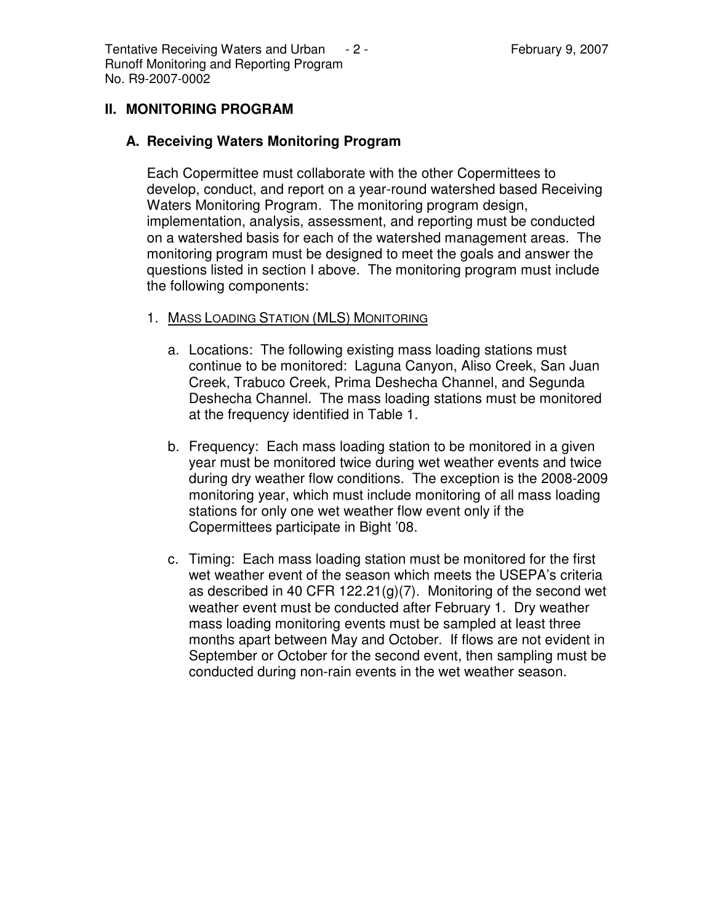Tentative Receiving Waters and Urban  $-2$  - Tentative Receiving Waters and Urban  $-2$  -Runoff Monitoring and Reporting Program No. R9-2007-0002

### **II. MONITORING PROGRAM**

#### **A. Receiving Waters Monitoring Program**

Each Copermittee must collaborate with the other Copermittees to develop, conduct, and report on a year-round watershed based Receiving Waters Monitoring Program. The monitoring program design, implementation, analysis, assessment, and reporting must be conducted on a watershed basis for each of the watershed management areas. The monitoring program must be designed to meet the goals and answer the questions listed in section I above. The monitoring program must include the following components:

- 1. MASS LOADING STATION (MLS) MONITORING
	- a. Locations: The following existing mass loading stations must continue to be monitored: Laguna Canyon, Aliso Creek, San Juan Creek, Trabuco Creek, Prima Deshecha Channel, and Segunda Deshecha Channel. The mass loading stations must be monitored at the frequency identified in Table 1.
	- b. Frequency: Each mass loading station to be monitored in a given year must be monitored twice during wet weather events and twice during dry weather flow conditions. The exception is the 2008-2009 monitoring year, which must include monitoring of all mass loading stations for only one wet weather flow event only if the Copermittees participate in Bight '08.
	- c. Timing: Each mass loading station must be monitored for the first wet weather event of the season which meets the USEPA's criteria as described in 40 CFR 122.21(g)(7). Monitoring of the second wet weather event must be conducted after February 1. Dry weather mass loading monitoring events must be sampled at least three months apart between May and October. If flows are not evident in September or October for the second event, then sampling must be conducted during non-rain events in the wet weather season.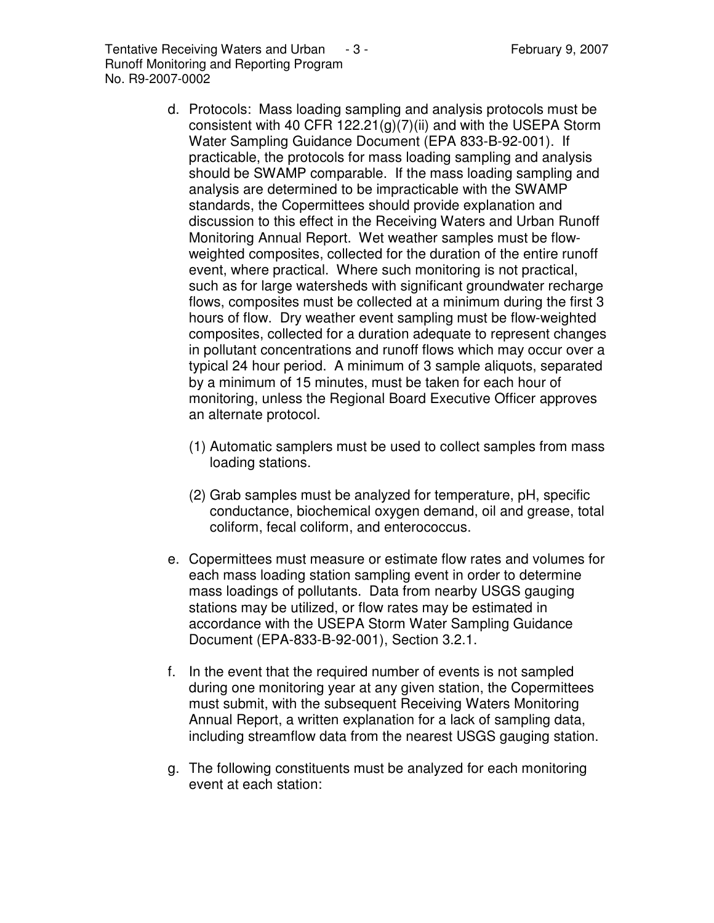- d. Protocols: Mass loading sampling and analysis protocols must be consistent with 40 CFR 122.21(g)(7)(ii) and with the USEPA Storm Water Sampling Guidance Document (EPA 833-B-92-001). If practicable, the protocols for mass loading sampling and analysis should be SWAMP comparable. If the mass loading sampling and analysis are determined to be impracticable with the SWAMP standards, the Copermittees should provide explanation and discussion to this effect in the Receiving Waters and Urban Runoff Monitoring Annual Report. Wet weather samples must be flowweighted composites, collected for the duration of the entire runoff event, where practical. Where such monitoring is not practical, such as for large watersheds with significant groundwater recharge flows, composites must be collected at a minimum during the first 3 hours of flow. Dry weather event sampling must be flow-weighted composites, collected for a duration adequate to represent changes in pollutant concentrations and runoff flows which may occur over a typical 24 hour period. A minimum of 3 sample aliquots, separated by a minimum of 15 minutes, must be taken for each hour of monitoring, unless the Regional Board Executive Officer approves an alternate protocol.
	- (1) Automatic samplers must be used to collect samples from mass loading stations.
	- (2) Grab samples must be analyzed for temperature, pH, specific conductance, biochemical oxygen demand, oil and grease, total coliform, fecal coliform, and enterococcus.
- e. Copermittees must measure or estimate flow rates and volumes for each mass loading station sampling event in order to determine mass loadings of pollutants. Data from nearby USGS gauging stations may be utilized, or flow rates may be estimated in accordance with the USEPA Storm Water Sampling Guidance Document (EPA-833-B-92-001), Section 3.2.1.
- f. In the event that the required number of events is not sampled during one monitoring year at any given station, the Copermittees must submit, with the subsequent Receiving Waters Monitoring Annual Report, a written explanation for a lack of sampling data, including streamflow data from the nearest USGS gauging station.
- g. The following constituents must be analyzed for each monitoring event at each station: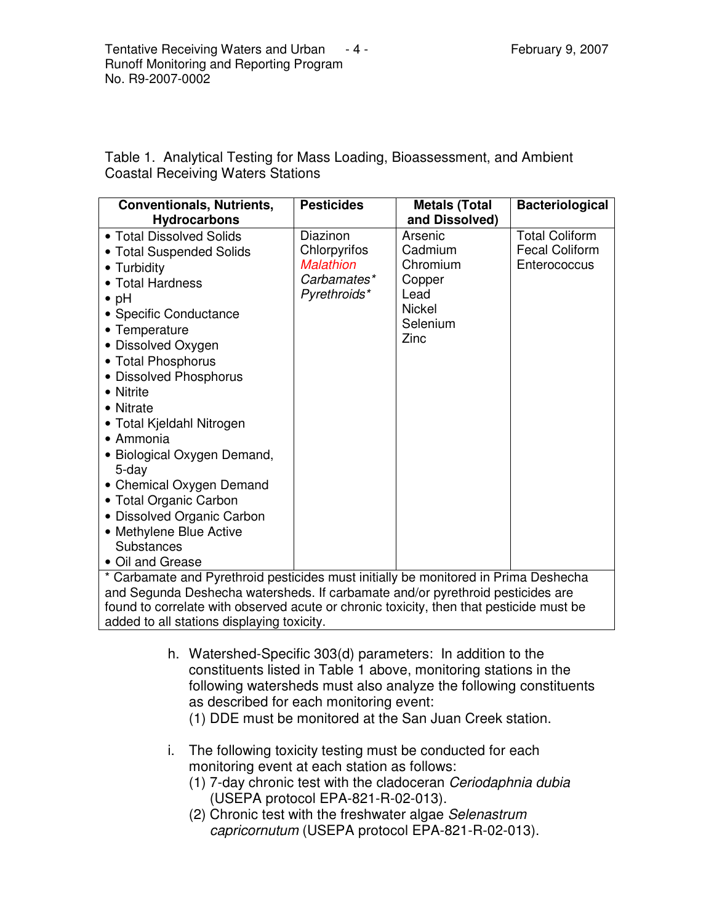Table 1. Analytical Testing for Mass Loading, Bioassessment, and Ambient Coastal Receiving Waters Stations

| <b>Conventionals, Nutrients,</b><br><b>Hydrocarbons</b>                                                                                                                                                                                                                                                                                                                                                                                                                                       | <b>Pesticides</b>                                                           | <b>Metals (Total</b><br>and Dissolved)                                                | <b>Bacteriological</b>                                         |
|-----------------------------------------------------------------------------------------------------------------------------------------------------------------------------------------------------------------------------------------------------------------------------------------------------------------------------------------------------------------------------------------------------------------------------------------------------------------------------------------------|-----------------------------------------------------------------------------|---------------------------------------------------------------------------------------|----------------------------------------------------------------|
| • Total Dissolved Solids<br>• Total Suspended Solids<br>• Turbidity<br>• Total Hardness<br>$\bullet$ pH<br>• Specific Conductance<br>• Temperature<br>• Dissolved Oxygen<br>• Total Phosphorus<br>• Dissolved Phosphorus<br>• Nitrite<br>• Nitrate<br>• Total Kjeldahl Nitrogen<br>$\bullet$ Ammonia<br>• Biological Oxygen Demand,<br>5-day<br>• Chemical Oxygen Demand<br>• Total Organic Carbon<br>· Dissolved Organic Carbon<br>• Methylene Blue Active<br>Substances<br>• Oil and Grease | Diazinon<br>Chlorpyrifos<br><b>Malathion</b><br>Carbamates*<br>Pyrethroids* | Arsenic<br>Cadmium<br>Chromium<br>Copper<br>Lead<br><b>Nickel</b><br>Selenium<br>Zinc | <b>Total Coliform</b><br><b>Fecal Coliform</b><br>Enterococcus |
| * Carbamate and Pyrethroid pesticides must initially be monitored in Prima Deshecha<br>and Segunda Deshecha watersheds. If carbamate and/or pyrethroid pesticides are<br>found to correlate with observed acute or chronic toxicity, then that pesticide must be                                                                                                                                                                                                                              |                                                                             |                                                                                       |                                                                |

added to all stations displaying toxicity.

- h. Watershed-Specific 303(d) parameters: In addition to the constituents listed in Table 1 above, monitoring stations in the following watersheds must also analyze the following constituents as described for each monitoring event:
	- (1) DDE must be monitored at the San Juan Creek station.
- i. The following toxicity testing must be conducted for each monitoring event at each station as follows:
	- (1) 7-day chronic test with the cladoceran *Ceriodaphnia dubia* (USEPA protocol EPA-821-R-02-013).
	- (2) Chronic test with the freshwater algae *Selenastrum capricornutum* (USEPA protocol EPA-821-R-02-013).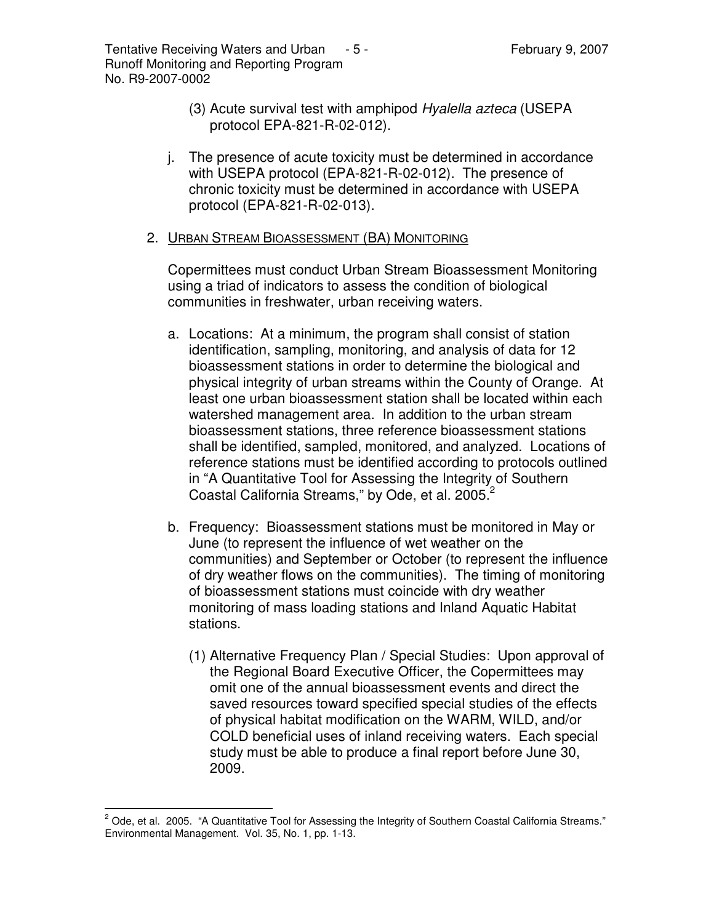Tentative Receiving Waters and Urban  $-5$  - February 9, 2007 Runoff Monitoring and Reporting Program No. R9-2007-0002

- (3) Acute survival test with amphipod *Hyalella azteca* (USEPA protocol EPA-821-R-02-012).
- j. The presence of acute toxicity must be determined in accordance with USEPA protocol (EPA-821-R-02-012). The presence of chronic toxicity must be determined in accordance with USEPA protocol (EPA-821-R-02-013).

#### 2. URBAN STREAM BIOASSESSMENT (BA) MONITORING

Copermittees must conduct Urban Stream Bioassessment Monitoring using a triad of indicators to assess the condition of biological communities in freshwater, urban receiving waters.

- a. Locations: At a minimum, the program shall consist of station identification, sampling, monitoring, and analysis of data for 12 bioassessment stations in order to determine the biological and physical integrity of urban streams within the County of Orange. At least one urban bioassessment station shall be located within each watershed management area. In addition to the urban stream bioassessment stations, three reference bioassessment stations shall be identified, sampled, monitored, and analyzed. Locations of reference stations must be identified according to protocols outlined in "A Quantitative Tool for Assessing the Integrity of Southern Coastal California Streams," by Ode, et al. 2005.<sup>2</sup>
- b. Frequency: Bioassessment stations must be monitored in May or June (to represent the influence of wet weather on the communities) and September or October (to represent the influence of dry weather flows on the communities). The timing of monitoring of bioassessment stations must coincide with dry weather monitoring of mass loading stations and Inland Aquatic Habitat stations.
	- (1) Alternative Frequency Plan / Special Studies: Upon approval of the Regional Board Executive Officer, the Copermittees may omit one of the annual bioassessment events and direct the saved resources toward specified special studies of the effects of physical habitat modification on the WARM, WILD, and/or COLD beneficial uses of inland receiving waters. Each special study must be able to produce a final report before June 30, 2009.

 $2$  Ode, et al. 2005. "A Quantitative Tool for Assessing the Integrity of Southern Coastal California Streams." Environmental Management. Vol. 35, No. 1, pp. 1-13.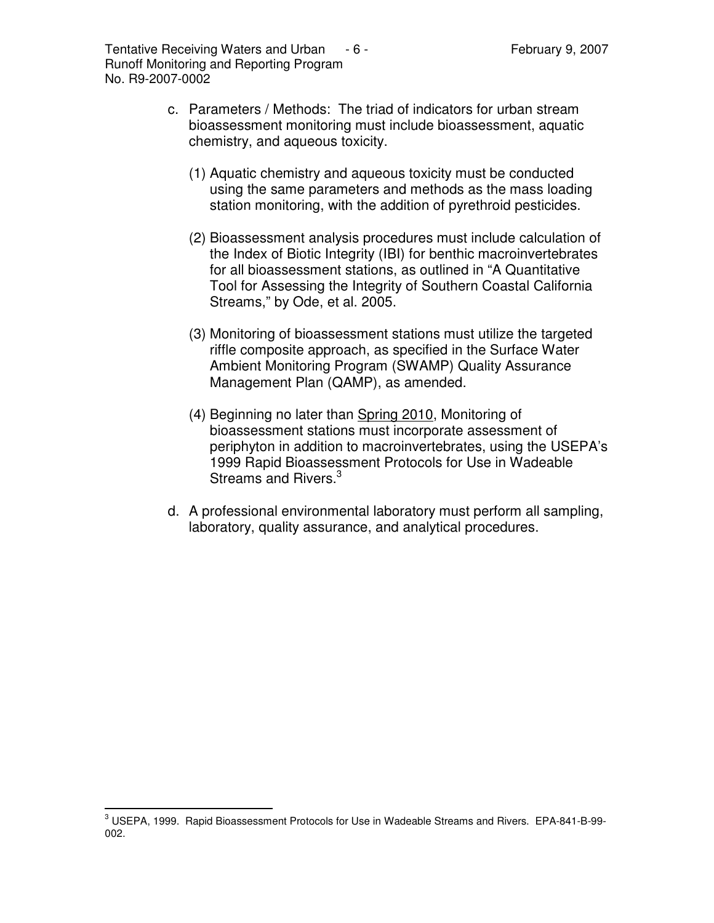- c. Parameters / Methods: The triad of indicators for urban stream bioassessment monitoring must include bioassessment, aquatic chemistry, and aqueous toxicity.
	- (1) Aquatic chemistry and aqueous toxicity must be conducted using the same parameters and methods as the mass loading station monitoring, with the addition of pyrethroid pesticides.
	- (2) Bioassessment analysis procedures must include calculation of the Index of Biotic Integrity (IBI) for benthic macroinvertebrates for all bioassessment stations, as outlined in "A Quantitative Tool for Assessing the Integrity of Southern Coastal California Streams," by Ode, et al. 2005.
	- (3) Monitoring of bioassessment stations must utilize the targeted riffle composite approach, as specified in the Surface Water Ambient Monitoring Program (SWAMP) Quality Assurance Management Plan (QAMP), as amended.
	- (4) Beginning no later than Spring 2010, Monitoring of bioassessment stations must incorporate assessment of periphyton in addition to macroinvertebrates, using the USEPA's 1999 Rapid Bioassessment Protocols for Use in Wadeable Streams and Rivers.<sup>3</sup>
- d. A professional environmental laboratory must perform all sampling, laboratory, quality assurance, and analytical procedures.

<sup>3</sup> USEPA, 1999. Rapid Bioassessment Protocols for Use in Wadeable Streams and Rivers. EPA-841-B-99- 002.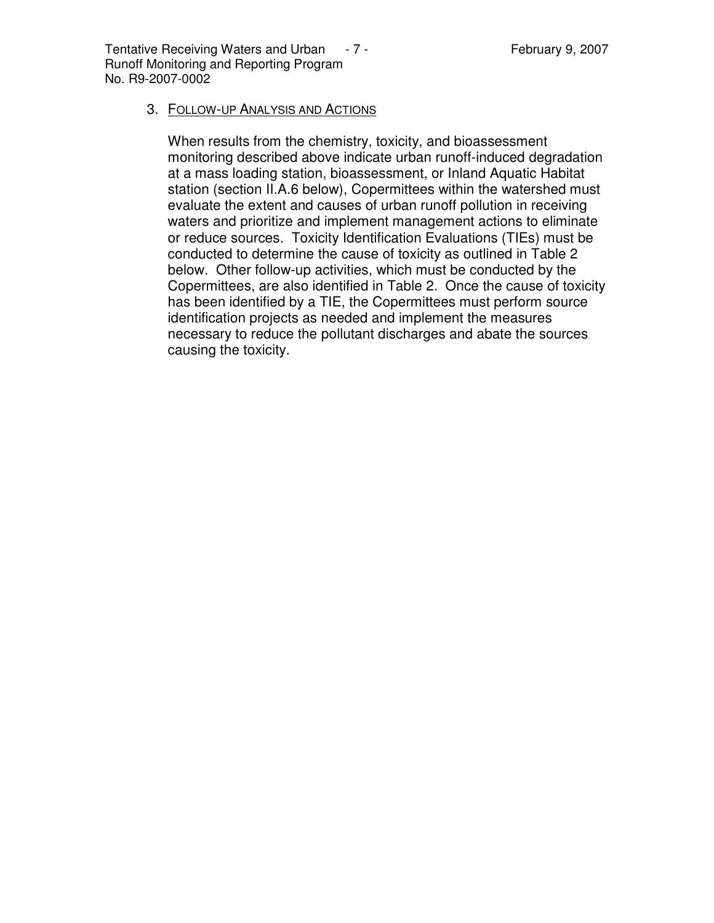Tentative Receiving Waters and Urban  $-7$  - Tentative Rebruary 9, 2007 Runoff Monitoring and Reporting Program No. R9-2007-0002

#### 3. FOLLOW-UP ANALYSIS AND ACTIONS

When results from the chemistry, toxicity, and bioassessment monitoring described above indicate urban runoff-induced degradation at a mass loading station, bioassessment, or Inland Aquatic Habitat station (section II.A.6 below), Copermittees within the watershed must evaluate the extent and causes of urban runoff pollution in receiving waters and prioritize and implement management actions to eliminate or reduce sources. Toxicity Identification Evaluations (TIEs) must be conducted to determine the cause of toxicity as outlined in Table 2 below. Other follow-up activities, which must be conducted by the Copermittees, are also identified in Table 2. Once the cause of toxicity has been identified by a TIE, the Copermittees must perform source identification projects as needed and implement the measures necessary to reduce the pollutant discharges and abate the sources causing the toxicity.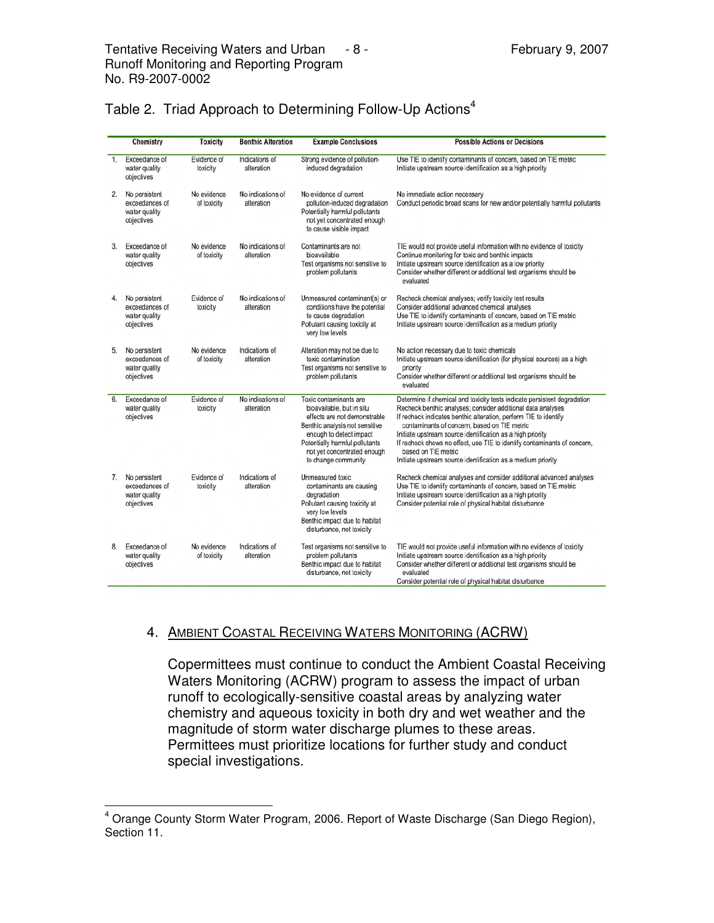|    | Chemistry                                                      | <b>Toxicity</b>            | <b>Benthic Alteration</b>       | <b>Example Conclusions</b>                                                                                                                                                                                                               | <b>Possible Actions or Decisions</b>                                                                                                                                                                                                                                                                                                                                                                                                                                                         |  |
|----|----------------------------------------------------------------|----------------------------|---------------------------------|------------------------------------------------------------------------------------------------------------------------------------------------------------------------------------------------------------------------------------------|----------------------------------------------------------------------------------------------------------------------------------------------------------------------------------------------------------------------------------------------------------------------------------------------------------------------------------------------------------------------------------------------------------------------------------------------------------------------------------------------|--|
| 1. | Exceedance of<br>water quality<br>objectives                   | Evidence of<br>toxicity    | Indications of<br>alteration    | Strong evidence of pollution-<br>induced degradation                                                                                                                                                                                     | Use TIE to identify contaminants of concern, based on TIE metric<br>Initiate upstream source identification as a high priority                                                                                                                                                                                                                                                                                                                                                               |  |
| 2. | No persistent<br>exceedances of<br>water quality<br>objectives | No evidence<br>of toxicity | No indications of<br>alteration | No evidence of current<br>pollution-induced degradation<br>Potentially harmful pollutants<br>not yet concentrated enough<br>to cause visible impact                                                                                      | No immediate action necessary<br>Conduct periodic broad scans for new and/or potentially harmful pollutants                                                                                                                                                                                                                                                                                                                                                                                  |  |
| 3. | Exceedance of<br>water quality<br>objectives                   | No evidence<br>of toxicity | No indications of<br>alteration | Contaminants are not<br>bioavailable<br>Test organisms not sensitive to<br>problem pollutants                                                                                                                                            | TIE would not provide useful information with no evidence of toxicity<br>Continue monitoring for toxic and benthic impacts<br>Initiate upstream source identification as a low priority<br>Consider whether different or additional test organisms should be<br>evaluated                                                                                                                                                                                                                    |  |
| 4. | No persistent<br>exceedances of<br>water quality<br>objectives | Evidence of<br>toxicity    | No indications of<br>alteration | Unmeasured contaminant(s) or<br>conditions have the potential<br>to cause degradation<br>Pollutant causing toxicity at<br>very low levels                                                                                                | Recheck chemical analyses; verify toxicity test results<br>Consider additional advanced chemical analyses<br>Use TIE to identify contaminants of concern, based on TIE metric<br>Initiate upstream source identification as a medium priority                                                                                                                                                                                                                                                |  |
| 5. | No persistent<br>exceedances of<br>water quality<br>objectives | No evidence<br>of toxicity | Indications of<br>alteration    | Alteration may not be due to<br>toxic contamination<br>Test organisms not sensitive to<br>problem pollutants                                                                                                                             | No action necessary due to toxic chemicals<br>Initiate upstream source identification (for physical sources) as a high<br>priority<br>Consider whether different or additional test organisms should be<br>evaluated                                                                                                                                                                                                                                                                         |  |
| 6. | Exceedance of<br>water quality<br>objectives                   | Evidence of<br>toxicity    | No indications of<br>alteration | Toxic contaminants are<br>bioavailable, but in situ<br>effects are not demonstrable<br>Benthic analysis not sensitive<br>enough to detect impact<br>Potentially harmful pollutants<br>not yet concentrated enough<br>to change community | Determine if chemical and toxicity tests indicate persistent degradation<br>Recheck benthic analyses; consider additional data analyses<br>If recheck indicates benthic alteration, perform TIE to identify<br>contaminants of concern, based on TIE metric<br>Initiate upstream source identification as a high priority<br>If recheck shows no effect, use TIE to identify contaminants of concern,<br>based on TIE metric<br>Initiate upstream source identification as a medium priority |  |
| 7. | No persistent<br>exceedances of<br>water quality<br>objectives | Evidence of<br>toxicity    | Indications of<br>alteration    | Unmeasured toxic<br>contaminants are causing<br>degradation<br>Pollutant causing toxicity at<br>very low levels<br>Benthic impact due to habitat<br>disturbance, not toxicity                                                            | Recheck chemical analyses and consider additional advanced analyses<br>Use TIE to identify contaminants of concern, based on TIE metric<br>Initiate upstream source identification as a high priority<br>Consider potential role of physical habitat disturbance                                                                                                                                                                                                                             |  |
| 8. | Exceedance of<br>water quality<br>objectives                   | No evidence<br>of toxicity | Indications of<br>alteration    | Test organisms not sensitive to<br>problem pollutants<br>Benthic impact due to habitat<br>disturbance, not toxicity                                                                                                                      | TIE would not provide useful information with no evidence of toxicity<br>Initiate upstream source identification as a high priority<br>Consider whether different or additional test organisms should be<br>evaluated<br>Consider potential role of physical habitat disturbance                                                                                                                                                                                                             |  |

| Table 2. Triad Approach to Determining Follow-Up Actions <sup>4</sup> |  |  |
|-----------------------------------------------------------------------|--|--|
|                                                                       |  |  |

#### 4. AMBIENT COASTAL RECEIVING WATERS MONITORING (ACRW)

Copermittees must continue to conduct the Ambient Coastal Receiving Waters Monitoring (ACRW) program to assess the impact of urban runoff to ecologically-sensitive coastal areas by analyzing water chemistry and aqueous toxicity in both dry and wet weather and the magnitude of storm water discharge plumes to these areas. Permittees must prioritize locations for further study and conduct special investigations.

<sup>4</sup> Orange County Storm Water Program, 2006. Report of Waste Discharge (San Diego Region), Section 11.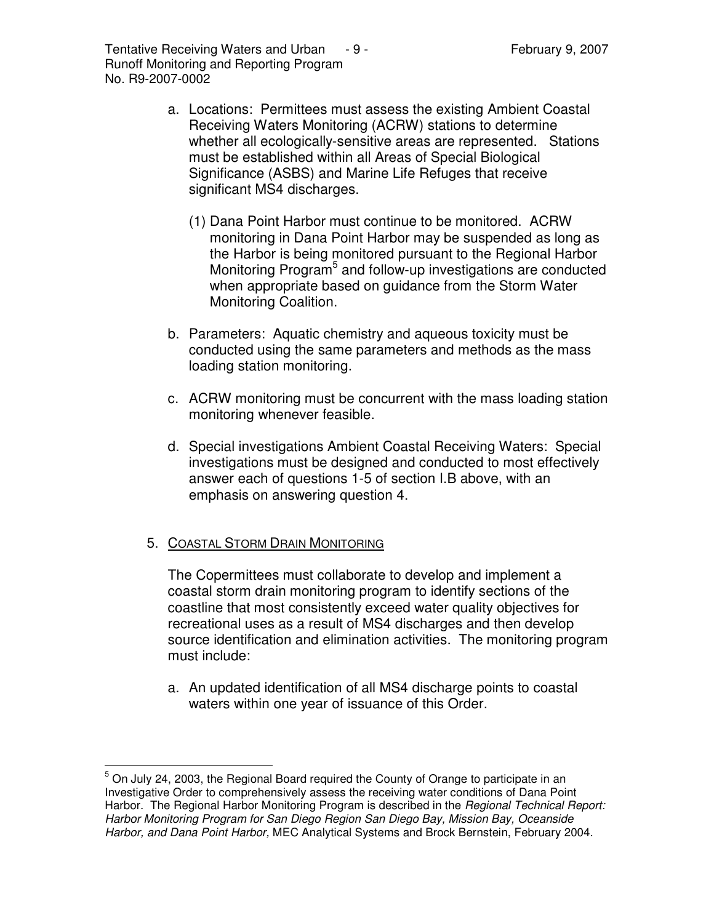Tentative Receiving Waters and Urban  $-9$  - Tentative Represent 19, 2007 Runoff Monitoring and Reporting Program No. R9-2007-0002

- a. Locations: Permittees must assess the existing Ambient Coastal Receiving Waters Monitoring (ACRW) stations to determine whether all ecologically-sensitive areas are represented. Stations must be established within all Areas of Special Biological Significance (ASBS) and Marine Life Refuges that receive significant MS4 discharges.
	- (1) Dana Point Harbor must continue to be monitored. ACRW monitoring in Dana Point Harbor may be suspended as long as the Harbor is being monitored pursuant to the Regional Harbor Monitoring Program<sup>5</sup> and follow-up investigations are conducted when appropriate based on guidance from the Storm Water Monitoring Coalition.
- b. Parameters: Aquatic chemistry and aqueous toxicity must be conducted using the same parameters and methods as the mass loading station monitoring.
- c. ACRW monitoring must be concurrent with the mass loading station monitoring whenever feasible.
- d. Special investigations Ambient Coastal Receiving Waters: Special investigations must be designed and conducted to most effectively answer each of questions 1-5 of section I.B above, with an emphasis on answering question 4.

# 5. COASTAL STORM DRAIN MONITORING

The Copermittees must collaborate to develop and implement a coastal storm drain monitoring program to identify sections of the coastline that most consistently exceed water quality objectives for recreational uses as a result of MS4 discharges and then develop source identification and elimination activities. The monitoring program must include:

a. An updated identification of all MS4 discharge points to coastal waters within one year of issuance of this Order.

<sup>&</sup>lt;sup>5</sup> On July 24, 2003, the Regional Board required the County of Orange to participate in an Investigative Order to comprehensively assess the receiving water conditions of Dana Point Harbor. The Regional Harbor Monitoring Program is described in the *Regional Technical Report: Harbor Monitoring Program for San Diego Region San Diego Bay, Mission Bay, Oceanside Harbor, and Dana Point Harbor,* MEC Analytical Systems and Brock Bernstein, February 2004.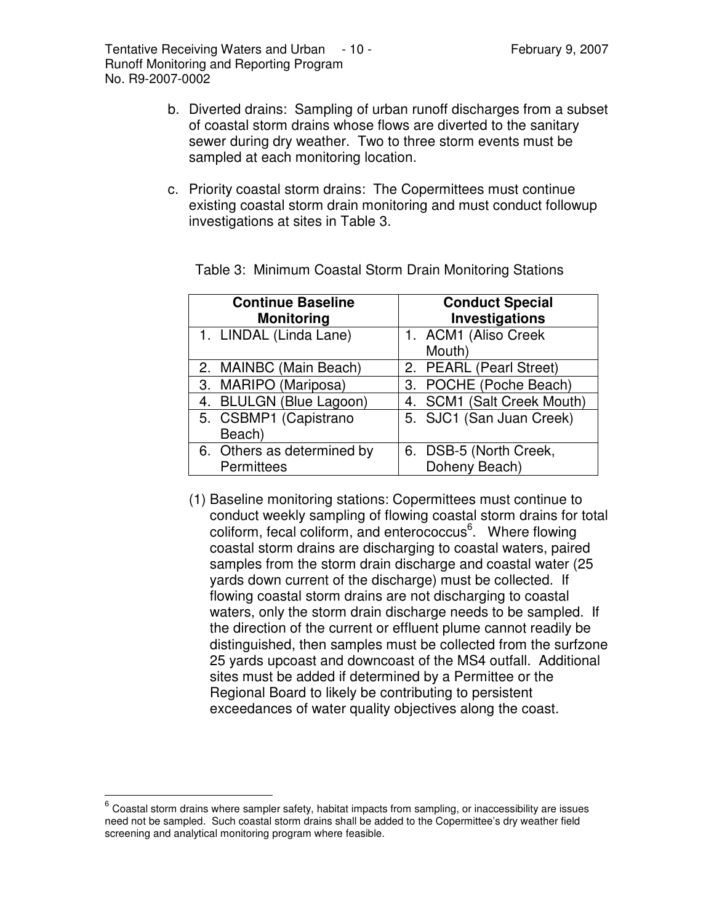- b. Diverted drains: Sampling of urban runoff discharges from a subset of coastal storm drains whose flows are diverted to the sanitary sewer during dry weather. Two to three storm events must be sampled at each monitoring location.
- c. Priority coastal storm drains: The Copermittees must continue existing coastal storm drain monitoring and must conduct followup investigations at sites in Table 3.

| <b>Continue Baseline</b><br><b>Monitoring</b> | <b>Conduct Special</b><br>Investigations |
|-----------------------------------------------|------------------------------------------|
| 1. LINDAL (Linda Lane)                        | 1. ACM1 (Aliso Creek<br>Mouth)           |
| 2. MAINBC (Main Beach)                        | 2. PEARL (Pearl Street)                  |
| 3. MARIPO (Mariposa)                          | 3. POCHE (Poche Beach)                   |
| 4. BLULGN (Blue Lagoon)                       | 4. SCM1 (Salt Creek Mouth)               |
| 5. CSBMP1 (Capistrano<br>Beach)               | 5. SJC1 (San Juan Creek)                 |
| 6. Others as determined by<br>Permittees      | 6. DSB-5 (North Creek,<br>Doheny Beach)  |

Table 3: Minimum Coastal Storm Drain Monitoring Stations

(1) Baseline monitoring stations: Copermittees must continue to conduct weekly sampling of flowing coastal storm drains for total coliform, fecal coliform, and enterococcus 6 . Where flowing coastal storm drains are discharging to coastal waters, paired samples from the storm drain discharge and coastal water (25 yards down current of the discharge) must be collected. If flowing coastal storm drains are not discharging to coastal waters, only the storm drain discharge needs to be sampled. If the direction of the current or effluent plume cannot readily be distinguished, then samples must be collected from the surfzone 25 yards upcoast and downcoast of the MS4 outfall. Additional sites must be added if determined by a Permittee or the Regional Board to likely be contributing to persistent exceedances of water quality objectives along the coast.

 $^6$  Coastal storm drains where sampler safety, habitat impacts from sampling, or inaccessibility are issues need not be sampled. Such coastal storm drains shall be added to the Copermittee's dry weather field screening and analytical monitoring program where feasible.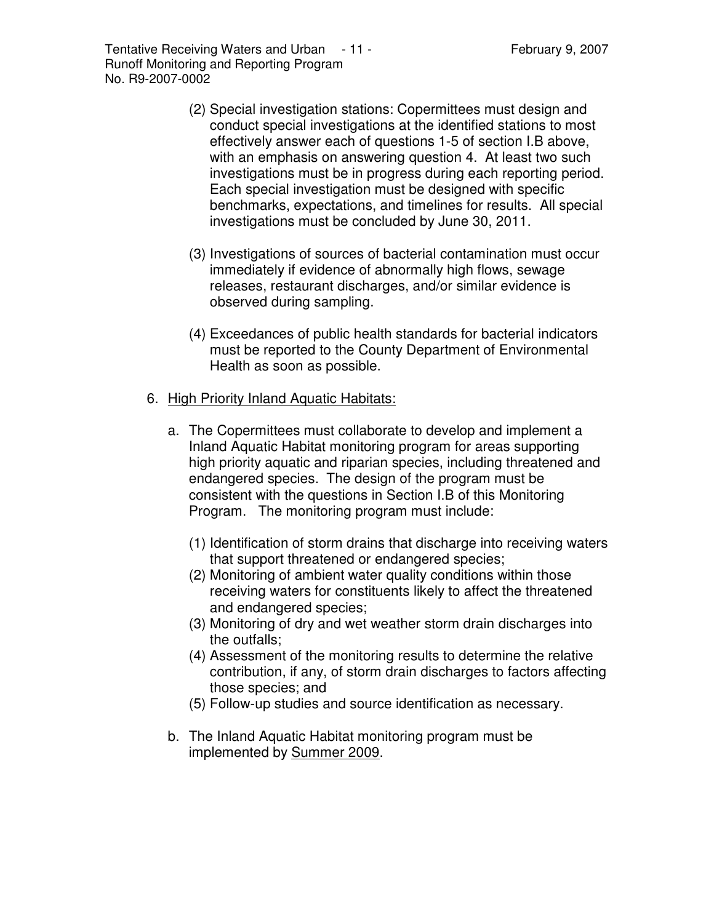- (2) Special investigation stations: Copermittees must design and conduct special investigations at the identified stations to most effectively answer each of questions 1-5 of section I.B above, with an emphasis on answering question 4. At least two such investigations must be in progress during each reporting period. Each special investigation must be designed with specific benchmarks, expectations, and timelines for results. All special investigations must be concluded by June 30, 2011.
- (3) Investigations of sources of bacterial contamination must occur immediately if evidence of abnormally high flows, sewage releases, restaurant discharges, and/or similar evidence is observed during sampling.
- (4) Exceedances of public health standards for bacterial indicators must be reported to the County Department of Environmental Health as soon as possible.
- 6. High Priority Inland Aquatic Habitats:
	- a. The Copermittees must collaborate to develop and implement a Inland Aquatic Habitat monitoring program for areas supporting high priority aquatic and riparian species, including threatened and endangered species. The design of the program must be consistent with the questions in Section I.B of this Monitoring Program. The monitoring program must include:
		- (1) Identification of storm drains that discharge into receiving waters that support threatened or endangered species;
		- (2) Monitoring of ambient water quality conditions within those receiving waters for constituents likely to affect the threatened and endangered species;
		- (3) Monitoring of dry and wet weather storm drain discharges into the outfalls;
		- (4) Assessment of the monitoring results to determine the relative contribution, if any, of storm drain discharges to factors affecting those species; and
		- (5) Follow-up studies and source identification as necessary.
	- b. The Inland Aquatic Habitat monitoring program must be implemented by Summer 2009.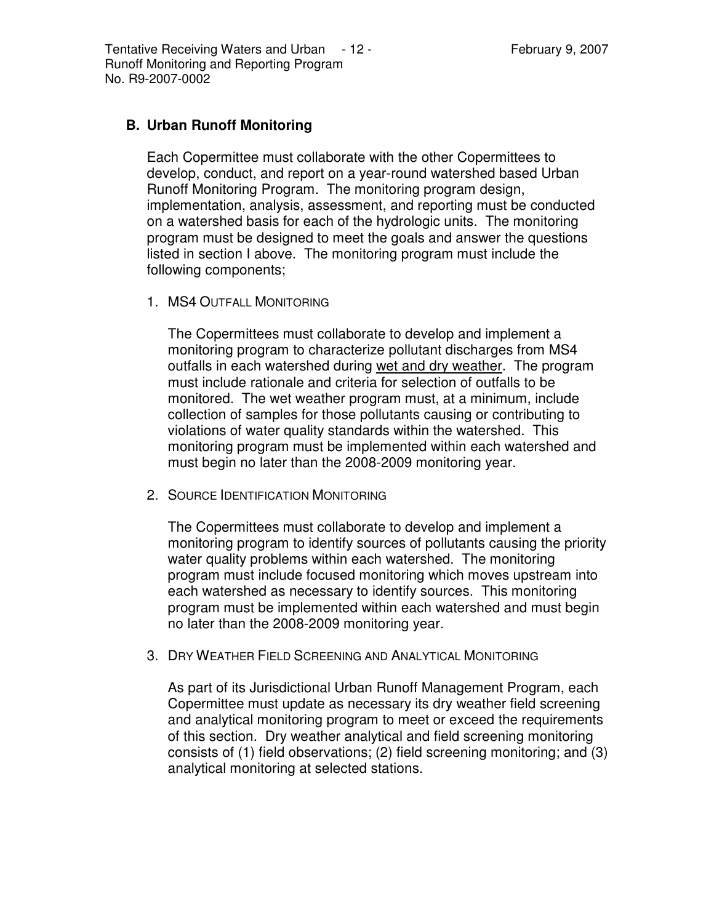### **B. Urban Runoff Monitoring**

Each Copermittee must collaborate with the other Copermittees to develop, conduct, and report on a year-round watershed based Urban Runoff Monitoring Program. The monitoring program design, implementation, analysis, assessment, and reporting must be conducted on a watershed basis for each of the hydrologic units. The monitoring program must be designed to meet the goals and answer the questions listed in section I above. The monitoring program must include the following components;

1. MS4 OUTFALL MONITORING

The Copermittees must collaborate to develop and implement a monitoring program to characterize pollutant discharges from MS4 outfalls in each watershed during wet and dry weather. The program must include rationale and criteria for selection of outfalls to be monitored. The wet weather program must, at a minimum, include collection of samples for those pollutants causing or contributing to violations of water quality standards within the watershed. This monitoring program must be implemented within each watershed and must begin no later than the 2008-2009 monitoring year.

2. SOURCE IDENTIFICATION MONITORING

The Copermittees must collaborate to develop and implement a monitoring program to identify sources of pollutants causing the priority water quality problems within each watershed. The monitoring program must include focused monitoring which moves upstream into each watershed as necessary to identify sources. This monitoring program must be implemented within each watershed and must begin no later than the 2008-2009 monitoring year.

3. DRY WEATHER FIELD SCREENING AND ANALYTICAL MONITORING

As part of its Jurisdictional Urban Runoff Management Program, each Copermittee must update as necessary its dry weather field screening and analytical monitoring program to meet or exceed the requirements of this section. Dry weather analytical and field screening monitoring consists of (1) field observations; (2) field screening monitoring; and (3) analytical monitoring at selected stations.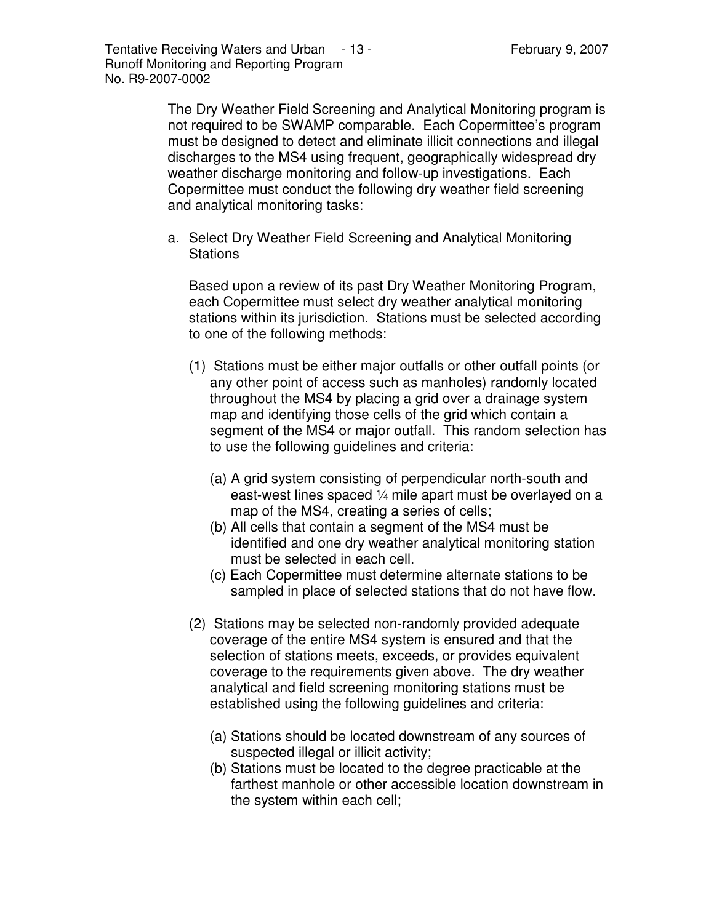The Dry Weather Field Screening and Analytical Monitoring program is not required to be SWAMP comparable. Each Copermittee's program must be designed to detect and eliminate illicit connections and illegal discharges to the MS4 using frequent, geographically widespread dry weather discharge monitoring and follow-up investigations. Each Copermittee must conduct the following dry weather field screening and analytical monitoring tasks:

a. Select Dry Weather Field Screening and Analytical Monitoring **Stations** 

Based upon a review of its past Dry Weather Monitoring Program, each Copermittee must select dry weather analytical monitoring stations within its jurisdiction. Stations must be selected according to one of the following methods:

- (1) Stations must be either major outfalls or other outfall points (or any other point of access such as manholes) randomly located throughout the MS4 by placing a grid over a drainage system map and identifying those cells of the grid which contain a segment of the MS4 or major outfall. This random selection has to use the following guidelines and criteria:
	- (a) A grid system consisting of perpendicular north-south and east-west lines spaced ¼ mile apart must be overlayed on a map of the MS4, creating a series of cells;
	- (b) All cells that contain a segment of the MS4 must be identified and one dry weather analytical monitoring station must be selected in each cell.
	- (c) Each Copermittee must determine alternate stations to be sampled in place of selected stations that do not have flow.
- (2) Stations may be selected non-randomly provided adequate coverage of the entire MS4 system is ensured and that the selection of stations meets, exceeds, or provides equivalent coverage to the requirements given above. The dry weather analytical and field screening monitoring stations must be established using the following guidelines and criteria:
	- (a) Stations should be located downstream of any sources of suspected illegal or illicit activity;
	- (b) Stations must be located to the degree practicable at the farthest manhole or other accessible location downstream in the system within each cell;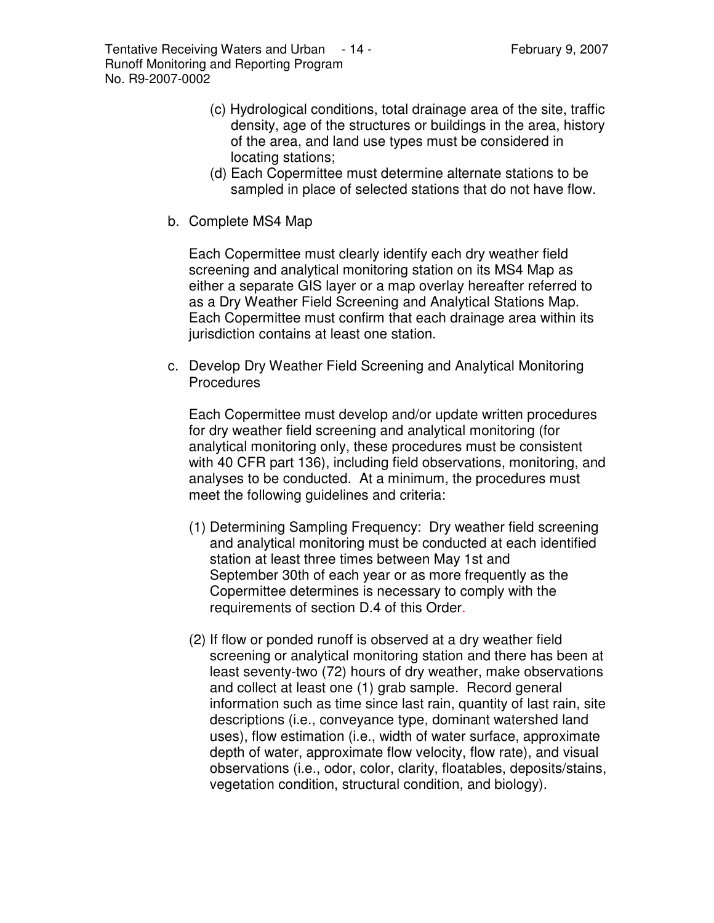Tentative Receiving Waters and Urban - 14 - Tentative Receiving Waters and Urban - 14 - Tentation Represent and Runoff Monitoring and Reporting Program No. R9-2007-0002

- (c) Hydrological conditions, total drainage area of the site, traffic density, age of the structures or buildings in the area, history of the area, and land use types must be considered in locating stations;
- (d) Each Copermittee must determine alternate stations to be sampled in place of selected stations that do not have flow.
- b. Complete MS4 Map

Each Copermittee must clearly identify each dry weather field screening and analytical monitoring station on its MS4 Map as either a separate GIS layer or a map overlay hereafter referred to as a Dry Weather Field Screening and Analytical Stations Map. Each Copermittee must confirm that each drainage area within its jurisdiction contains at least one station.

c. Develop Dry Weather Field Screening and Analytical Monitoring **Procedures** 

Each Copermittee must develop and/or update written procedures for dry weather field screening and analytical monitoring (for analytical monitoring only, these procedures must be consistent with 40 CFR part 136), including field observations, monitoring, and analyses to be conducted. At a minimum, the procedures must meet the following guidelines and criteria:

- (1) Determining Sampling Frequency: Dry weather field screening and analytical monitoring must be conducted at each identified station at least three times between May 1st and September 30th of each year or as more frequently as the Copermittee determines is necessary to comply with the requirements of section D.4 of this Order.
- (2) If flow or ponded runoff is observed at a dry weather field screening or analytical monitoring station and there has been at least seventy-two (72) hours of dry weather, make observations and collect at least one (1) grab sample. Record general information such as time since last rain, quantity of last rain, site descriptions (i.e., conveyance type, dominant watershed land uses), flow estimation (i.e., width of water surface, approximate depth of water, approximate flow velocity, flow rate), and visual observations (i.e., odor, color, clarity, floatables, deposits/stains, vegetation condition, structural condition, and biology).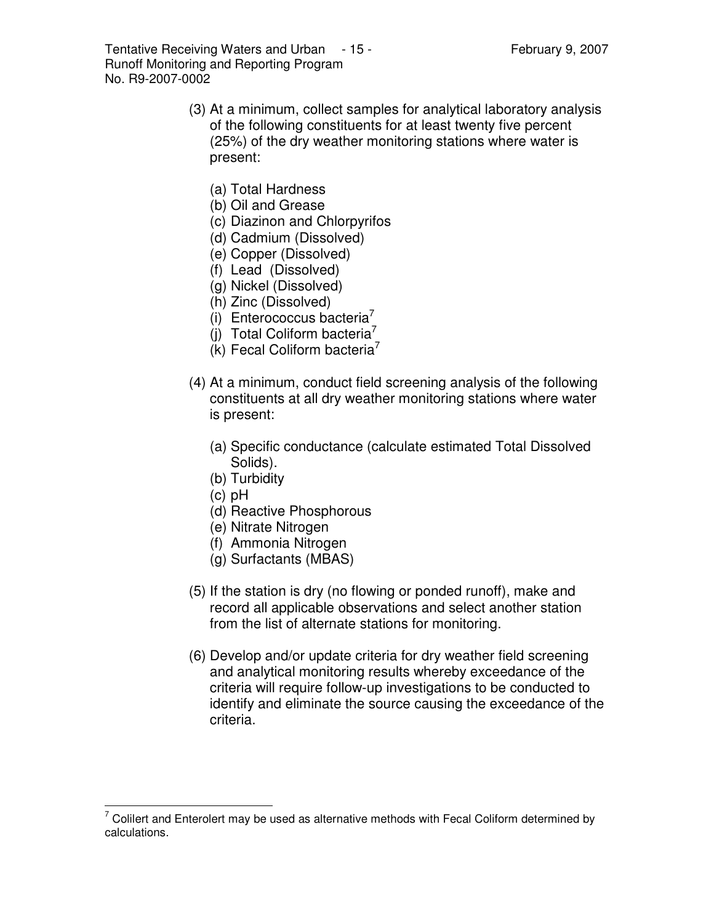Tentative Receiving Waters and Urban  $-15$  - Tentative Rebruary 9, 2007 Runoff Monitoring and Reporting Program No. R9-2007-0002

- (3) At a minimum, collect samples for analytical laboratory analysis of the following constituents for at least twenty five percent (25%) of the dry weather monitoring stations where water is present:
	- (a) Total Hardness
	- (b) Oil and Grease
	- (c) Diazinon and Chlorpyrifos
	- (d) Cadmium (Dissolved)
	- (e) Copper (Dissolved)
	- (f) Lead (Dissolved)
	- (g) Nickel (Dissolved)
	- (h) Zinc (Dissolved)
	- (i) Enterococcus bacteria<sup>7</sup>
	- $(j)$  Total Coliform bacteria<sup>7</sup>
	- $(K)$  Fecal Coliform bacteria<sup>7</sup>
- (4) At a minimum, conduct field screening analysis of the following constituents at all dry weather monitoring stations where water is present:
	- (a) Specific conductance (calculate estimated Total Dissolved Solids).
	- (b) Turbidity
	- (c) pH
	- (d) Reactive Phosphorous
	- (e) Nitrate Nitrogen
	- (f) Ammonia Nitrogen
	- (g) Surfactants (MBAS)
- (5) If the station is dry (no flowing or ponded runoff), make and record all applicable observations and select another station from the list of alternate stations for monitoring.
- (6) Develop and/or update criteria for dry weather field screening and analytical monitoring results whereby exceedance of the criteria will require follow-up investigations to be conducted to identify and eliminate the source causing the exceedance of the criteria.

 $7$  Colilert and Enterolert may be used as alternative methods with Fecal Coliform determined by calculations.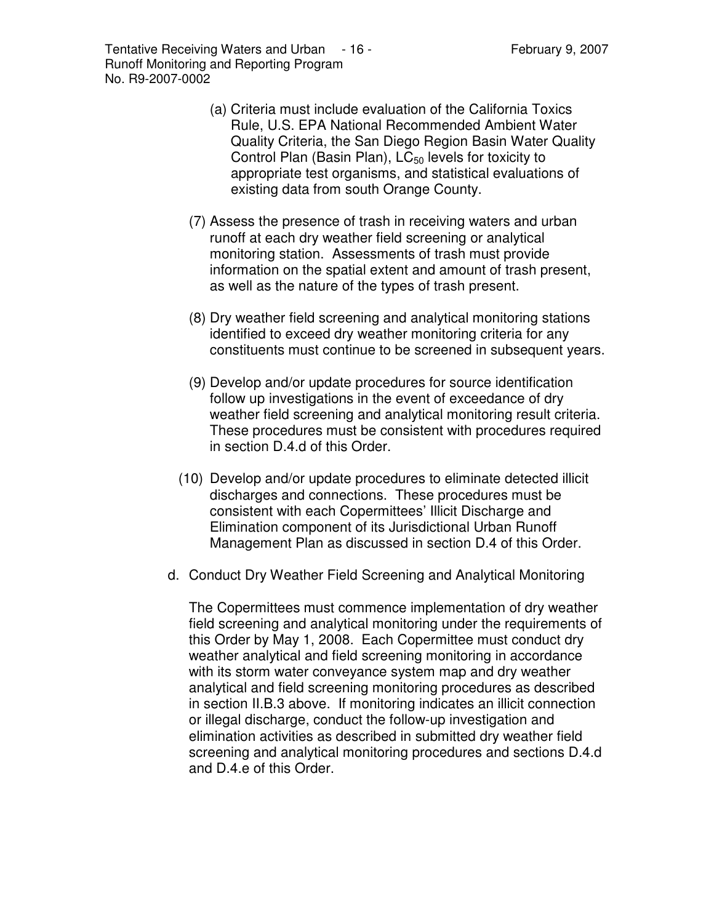Tentative Receiving Waters and Urban - 16 - The State of Tebruary 9, 2007 Runoff Monitoring and Reporting Program No. R9-2007-0002

- (a) Criteria must include evaluation of the California Toxics Rule, U.S. EPA National Recommended Ambient Water Quality Criteria, the San Diego Region Basin Water Quality Control Plan (Basin Plan),  $LC_{50}$  levels for toxicity to appropriate test organisms, and statistical evaluations of existing data from south Orange County.
- (7) Assess the presence of trash in receiving waters and urban runoff at each dry weather field screening or analytical monitoring station. Assessments of trash must provide information on the spatial extent and amount of trash present, as well as the nature of the types of trash present.
- (8) Dry weather field screening and analytical monitoring stations identified to exceed dry weather monitoring criteria for any constituents must continue to be screened in subsequent years.
- (9) Develop and/or update procedures for source identification follow up investigations in the event of exceedance of dry weather field screening and analytical monitoring result criteria. These procedures must be consistent with procedures required in section D.4.d of this Order.
- (10) Develop and/or update procedures to eliminate detected illicit discharges and connections. These procedures must be consistent with each Copermittees' Illicit Discharge and Elimination component of its Jurisdictional Urban Runoff Management Plan as discussed in section D.4 of this Order.
- d. Conduct Dry Weather Field Screening and Analytical Monitoring

The Copermittees must commence implementation of dry weather field screening and analytical monitoring under the requirements of this Order by May 1, 2008. Each Copermittee must conduct dry weather analytical and field screening monitoring in accordance with its storm water conveyance system map and dry weather analytical and field screening monitoring procedures as described in section II.B.3 above. If monitoring indicates an illicit connection or illegal discharge, conduct the follow-up investigation and elimination activities as described in submitted dry weather field screening and analytical monitoring procedures and sections D.4.d and D.4.e of this Order.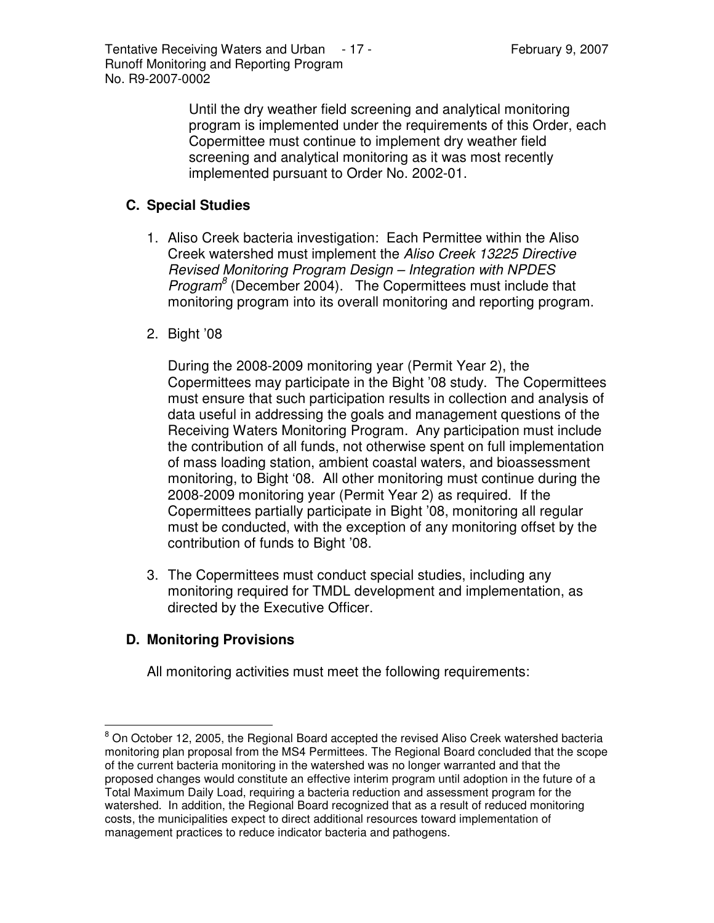Until the dry weather field screening and analytical monitoring program is implemented under the requirements of this Order, each Copermittee must continue to implement dry weather field screening and analytical monitoring as it was most recently implemented pursuant to Order No. 2002-01.

## **C. Special Studies**

- 1. Aliso Creek bacteria investigation: Each Permittee within the Aliso Creek watershed must implement the *Aliso Creek 13225 Directive Revised Monitoring Program Design – Integration with NPDES Program 8* (December 2004). The Copermittees must include that monitoring program into its overall monitoring and reporting program.
- 2. Bight '08

During the 2008-2009 monitoring year (Permit Year 2), the Copermittees may participate in the Bight '08 study. The Copermittees must ensure that such participation results in collection and analysis of data useful in addressing the goals and management questions of the Receiving Waters Monitoring Program. Any participation must include the contribution of all funds, not otherwise spent on full implementation of mass loading station, ambient coastal waters, and bioassessment monitoring, to Bight '08. All other monitoring must continue during the 2008-2009 monitoring year (Permit Year 2) as required. If the Copermittees partially participate in Bight '08, monitoring all regular must be conducted, with the exception of any monitoring offset by the contribution of funds to Bight '08.

3. The Copermittees must conduct special studies, including any monitoring required for TMDL development and implementation, as directed by the Executive Officer.

# **D. Monitoring Provisions**

All monitoring activities must meet the following requirements:

 $8$  On October 12, 2005, the Regional Board accepted the revised Aliso Creek watershed bacteria monitoring plan proposal from the MS4 Permittees. The Regional Board concluded that the scope of the current bacteria monitoring in the watershed was no longer warranted and that the proposed changes would constitute an effective interim program until adoption in the future of a Total Maximum Daily Load, requiring a bacteria reduction and assessment program for the watershed. In addition, the Regional Board recognized that as a result of reduced monitoring costs, the municipalities expect to direct additional resources toward implementation of management practices to reduce indicator bacteria and pathogens.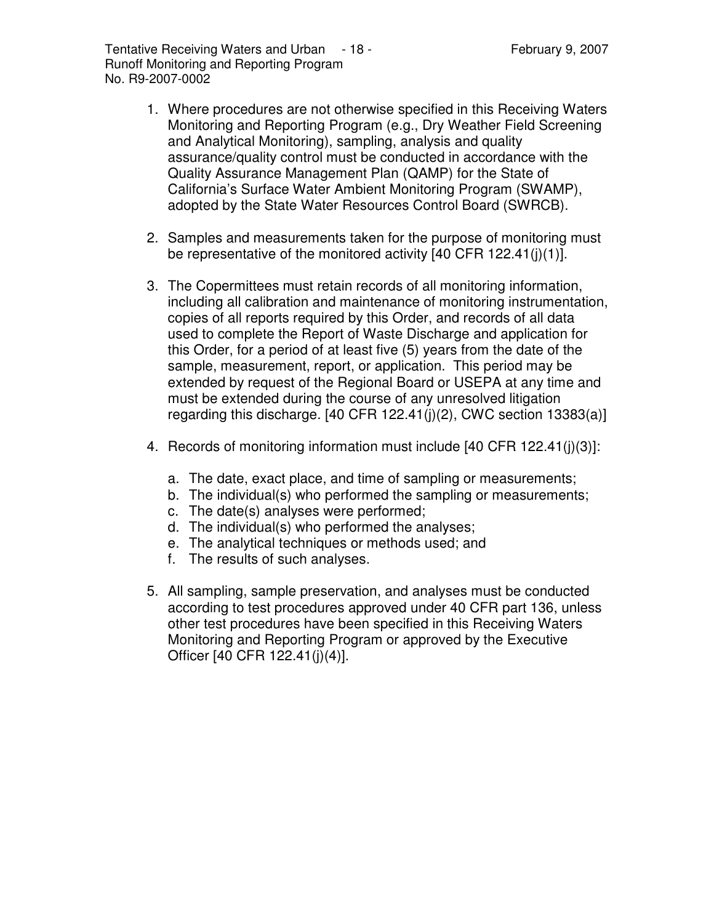- 1. Where procedures are not otherwise specified in this Receiving Waters Monitoring and Reporting Program (e.g., Dry Weather Field Screening and Analytical Monitoring), sampling, analysis and quality assurance/quality control must be conducted in accordance with the Quality Assurance Management Plan (QAMP) for the State of California's Surface Water Ambient Monitoring Program (SWAMP), adopted by the State Water Resources Control Board (SWRCB).
- 2. Samples and measurements taken for the purpose of monitoring must be representative of the monitored activity [40 CFR 122.41(j)(1)].
- 3. The Copermittees must retain records of all monitoring information, including all calibration and maintenance of monitoring instrumentation, copies of all reports required by this Order, and records of all data used to complete the Report of Waste Discharge and application for this Order, for a period of at least five (5) years from the date of the sample, measurement, report, or application. This period may be extended by request of the Regional Board or USEPA at any time and must be extended during the course of any unresolved litigation regarding this discharge.  $[40 \text{ CFR } 122.41(j)(2), \text{ CWC section } 13383(a)]$
- 4. Records of monitoring information must include [40 CFR 122.41(j)(3)]:
	- a. The date, exact place, and time of sampling or measurements;
	- b. The individual(s) who performed the sampling or measurements;
	- c. The date(s) analyses were performed;
	- d. The individual(s) who performed the analyses;
	- e. The analytical techniques or methods used; and
	- f. The results of such analyses.
- 5. All sampling, sample preservation, and analyses must be conducted according to test procedures approved under 40 CFR part 136, unless other test procedures have been specified in this Receiving Waters Monitoring and Reporting Program or approved by the Executive Officer [40 CFR 122.41(j)(4)].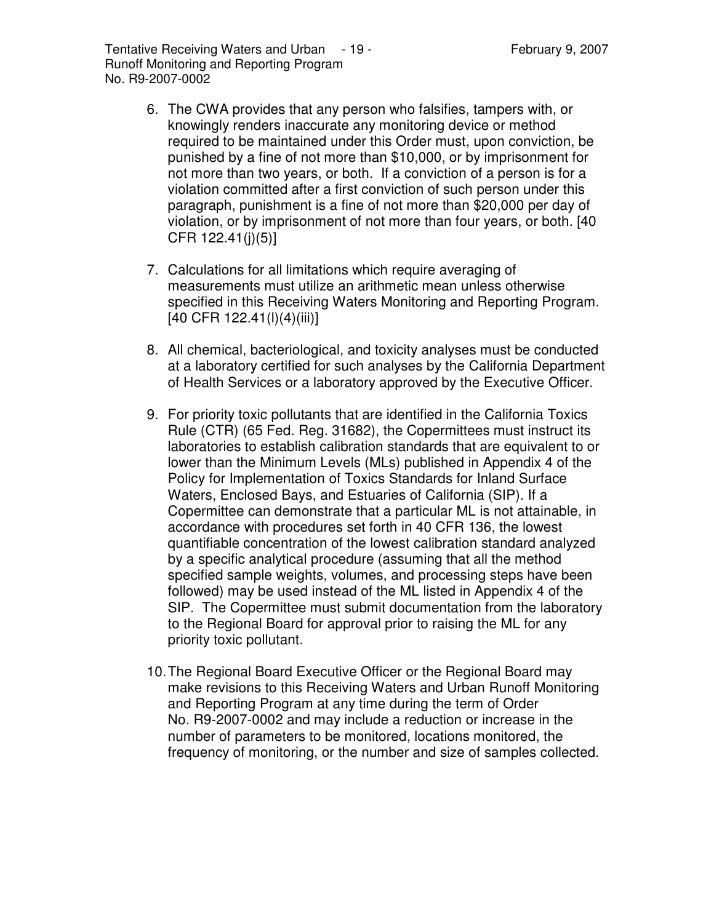Tentative Receiving Waters and Urban - 19 - Tentative Receiving Waters and Urban - 19 - Tentation Republic Repu Runoff Monitoring and Reporting Program No. R9-2007-0002

- 6. The CWA provides that any person who falsifies, tampers with, or knowingly renders inaccurate any monitoring device or method required to be maintained under this Order must, upon conviction, be punished by a fine of not more than \$10,000, or by imprisonment for not more than two years, or both. If a conviction of a person is for a violation committed after a first conviction of such person under this paragraph, punishment is a fine of not more than \$20,000 per day of violation, or by imprisonment of not more than four years, or both. [40 CFR 122.41(j)(5)]
- 7. Calculations for all limitations which require averaging of measurements must utilize an arithmetic mean unless otherwise specified in this Receiving Waters Monitoring and Reporting Program. [40 CFR 122.41(l)(4)(iii)]
- 8. All chemical, bacteriological, and toxicity analyses must be conducted at a laboratory certified for such analyses by the California Department of Health Services or a laboratory approved by the Executive Officer.
- 9. For priority toxic pollutants that are identified in the California Toxics Rule (CTR) (65 Fed. Reg. 31682), the Copermittees must instruct its laboratories to establish calibration standards that are equivalent to or lower than the Minimum Levels (MLs) published in Appendix 4 of the Policy for Implementation of Toxics Standards for Inland Surface Waters, Enclosed Bays, and Estuaries of California (SIP). If a Copermittee can demonstrate that a particular ML is not attainable, in accordance with procedures set forth in 40 CFR 136, the lowest quantifiable concentration of the lowest calibration standard analyzed by a specific analytical procedure (assuming that all the method specified sample weights, volumes, and processing steps have been followed) may be used instead of the ML listed in Appendix 4 of the SIP. The Copermittee must submit documentation from the laboratory to the Regional Board for approval prior to raising the ML for any priority toxic pollutant.
- 10.The Regional Board Executive Officer or the Regional Board may make revisions to this Receiving Waters and Urban Runoff Monitoring and Reporting Program at any time during the term of Order No. R9-2007-0002 and may include a reduction or increase in the number of parameters to be monitored, locations monitored, the frequency of monitoring, or the number and size of samples collected.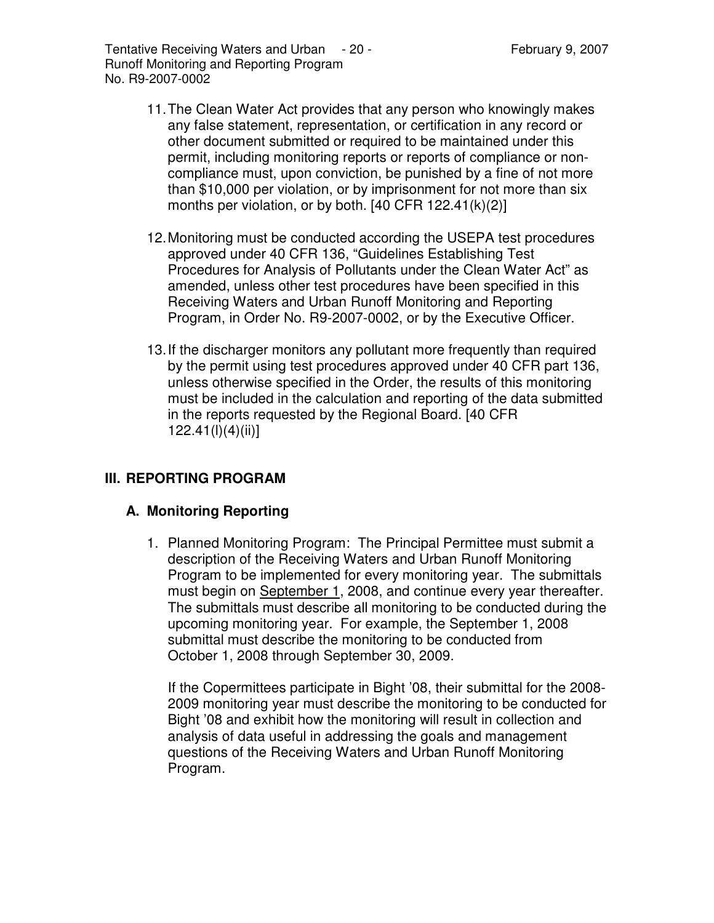- 11.The Clean Water Act provides that any person who knowingly makes any false statement, representation, or certification in any record or other document submitted or required to be maintained under this permit, including monitoring reports or reports of compliance or noncompliance must, upon conviction, be punished by a fine of not more than \$10,000 per violation, or by imprisonment for not more than six months per violation, or by both.  $[40$  CFR 122.41 $(k)(2)]$
- 12.Monitoring must be conducted according the USEPA test procedures approved under 40 CFR 136, "Guidelines Establishing Test Procedures for Analysis of Pollutants under the Clean Water Act" as amended, unless other test procedures have been specified in this Receiving Waters and Urban Runoff Monitoring and Reporting Program, in Order No. R9-2007-0002, or by the Executive Officer.
- 13.If the discharger monitors any pollutant more frequently than required by the permit using test procedures approved under 40 CFR part 136, unless otherwise specified in the Order, the results of this monitoring must be included in the calculation and reporting of the data submitted in the reports requested by the Regional Board. [40 CFR 122.41(l)(4)(ii)]

### **III. REPORTING PROGRAM**

### **A. Monitoring Reporting**

1. Planned Monitoring Program: The Principal Permittee must submit a description of the Receiving Waters and Urban Runoff Monitoring Program to be implemented for every monitoring year. The submittals must begin on September 1, 2008, and continue every year thereafter. The submittals must describe all monitoring to be conducted during the upcoming monitoring year. For example, the September 1, 2008 submittal must describe the monitoring to be conducted from October 1, 2008 through September 30, 2009.

If the Copermittees participate in Bight '08, their submittal for the 2008- 2009 monitoring year must describe the monitoring to be conducted for Bight '08 and exhibit how the monitoring will result in collection and analysis of data useful in addressing the goals and management questions of the Receiving Waters and Urban Runoff Monitoring Program.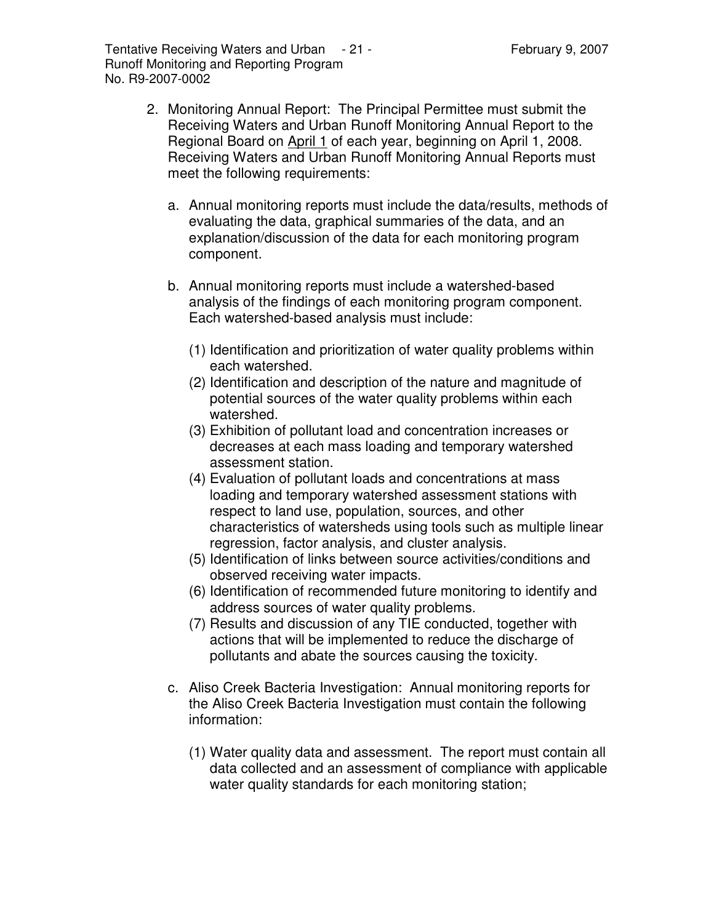- 2. Monitoring Annual Report: The Principal Permittee must submit the Receiving Waters and Urban Runoff Monitoring Annual Report to the Regional Board on April 1 of each year, beginning on April 1, 2008. Receiving Waters and Urban Runoff Monitoring Annual Reports must meet the following requirements:
	- a. Annual monitoring reports must include the data/results, methods of evaluating the data, graphical summaries of the data, and an explanation/discussion of the data for each monitoring program component.
	- b. Annual monitoring reports must include a watershed-based analysis of the findings of each monitoring program component. Each watershed-based analysis must include:
		- (1) Identification and prioritization of water quality problems within each watershed.
		- (2) Identification and description of the nature and magnitude of potential sources of the water quality problems within each watershed.
		- (3) Exhibition of pollutant load and concentration increases or decreases at each mass loading and temporary watershed assessment station.
		- (4) Evaluation of pollutant loads and concentrations at mass loading and temporary watershed assessment stations with respect to land use, population, sources, and other characteristics of watersheds using tools such as multiple linear regression, factor analysis, and cluster analysis.
		- (5) Identification of links between source activities/conditions and observed receiving water impacts.
		- (6) Identification of recommended future monitoring to identify and address sources of water quality problems.
		- (7) Results and discussion of any TIE conducted, together with actions that will be implemented to reduce the discharge of pollutants and abate the sources causing the toxicity.
	- c. Aliso Creek Bacteria Investigation: Annual monitoring reports for the Aliso Creek Bacteria Investigation must contain the following information:
		- (1) Water quality data and assessment. The report must contain all data collected and an assessment of compliance with applicable water quality standards for each monitoring station;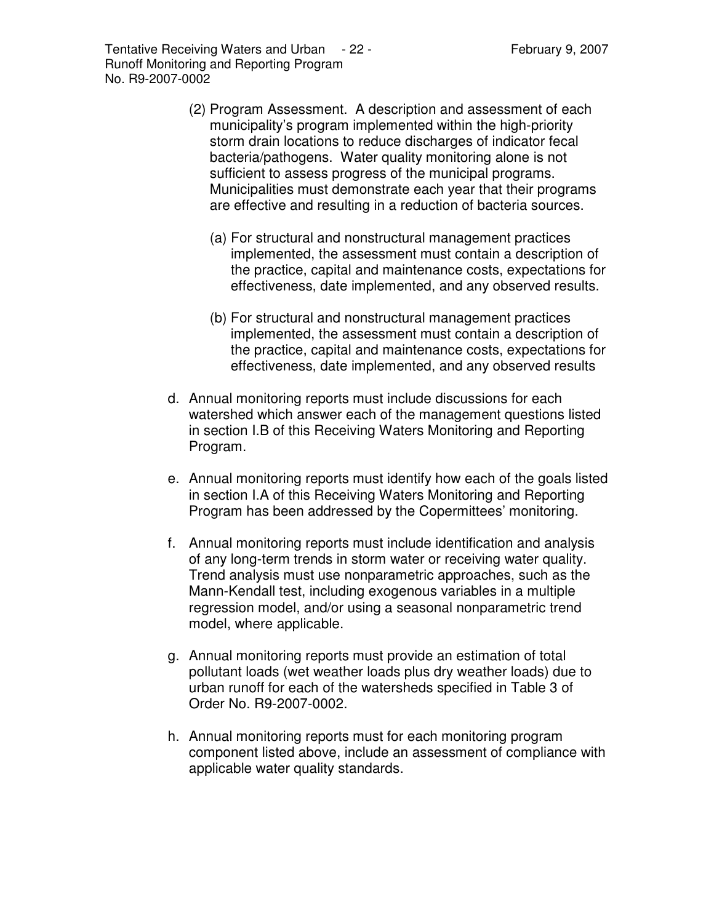Tentative Receiving Waters and Urban - 22 - The Representing Section 1, 2007 Runoff Monitoring and Reporting Program No. R9-2007-0002

- (2) Program Assessment. A description and assessment of each municipality's program implemented within the high-priority storm drain locations to reduce discharges of indicator fecal bacteria/pathogens. Water quality monitoring alone is not sufficient to assess progress of the municipal programs. Municipalities must demonstrate each year that their programs are effective and resulting in a reduction of bacteria sources.
	- (a) For structural and nonstructural management practices implemented, the assessment must contain a description of the practice, capital and maintenance costs, expectations for effectiveness, date implemented, and any observed results.
	- (b) For structural and nonstructural management practices implemented, the assessment must contain a description of the practice, capital and maintenance costs, expectations for effectiveness, date implemented, and any observed results
- d. Annual monitoring reports must include discussions for each watershed which answer each of the management questions listed in section I.B of this Receiving Waters Monitoring and Reporting Program.
- e. Annual monitoring reports must identify how each of the goals listed in section I.A of this Receiving Waters Monitoring and Reporting Program has been addressed by the Copermittees' monitoring.
- f. Annual monitoring reports must include identification and analysis of any long-term trends in storm water or receiving water quality. Trend analysis must use nonparametric approaches, such as the Mann-Kendall test, including exogenous variables in a multiple regression model, and/or using a seasonal nonparametric trend model, where applicable.
- g. Annual monitoring reports must provide an estimation of total pollutant loads (wet weather loads plus dry weather loads) due to urban runoff for each of the watersheds specified in Table 3 of Order No. R9-2007-0002.
- h. Annual monitoring reports must for each monitoring program component listed above, include an assessment of compliance with applicable water quality standards.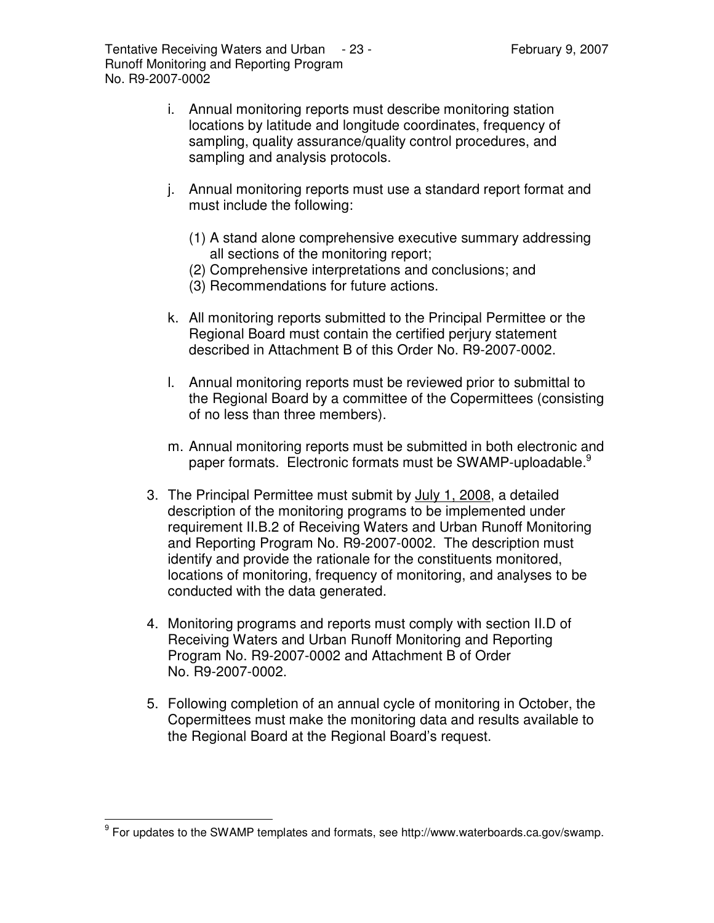Tentative Receiving Waters and Urban - 23 - Tentative Receiving Waters and Urban - 23 - Tentation Section 19 Runoff Monitoring and Reporting Program No. R9-2007-0002

- i. Annual monitoring reports must describe monitoring station locations by latitude and longitude coordinates, frequency of sampling, quality assurance/quality control procedures, and sampling and analysis protocols.
- j. Annual monitoring reports must use a standard report format and must include the following:
	- (1) A stand alone comprehensive executive summary addressing all sections of the monitoring report;
	- (2) Comprehensive interpretations and conclusions; and
	- (3) Recommendations for future actions.
- k. All monitoring reports submitted to the Principal Permittee or the Regional Board must contain the certified perjury statement described in Attachment B of this Order No. R9-2007-0002.
- l. Annual monitoring reports must be reviewed prior to submittal to the Regional Board by a committee of the Copermittees (consisting of no less than three members).
- m. Annual monitoring reports must be submitted in both electronic and paper formats. Electronic formats must be SWAMP-uploadable.<sup>9</sup>
- 3. The Principal Permittee must submit by July 1, 2008, a detailed description of the monitoring programs to be implemented under requirement II.B.2 of Receiving Waters and Urban Runoff Monitoring and Reporting Program No. R9-2007-0002. The description must identify and provide the rationale for the constituents monitored, locations of monitoring, frequency of monitoring, and analyses to be conducted with the data generated.
- 4. Monitoring programs and reports must comply with section II.D of Receiving Waters and Urban Runoff Monitoring and Reporting Program No. R9-2007-0002 and Attachment B of Order No. R9-2007-0002.
- 5. Following completion of an annual cycle of monitoring in October, the Copermittees must make the monitoring data and results available to the Regional Board at the Regional Board's request.

<sup>&</sup>lt;sup>9</sup> For updates to the SWAMP templates and formats, see http://www.waterboards.ca.gov/swamp.